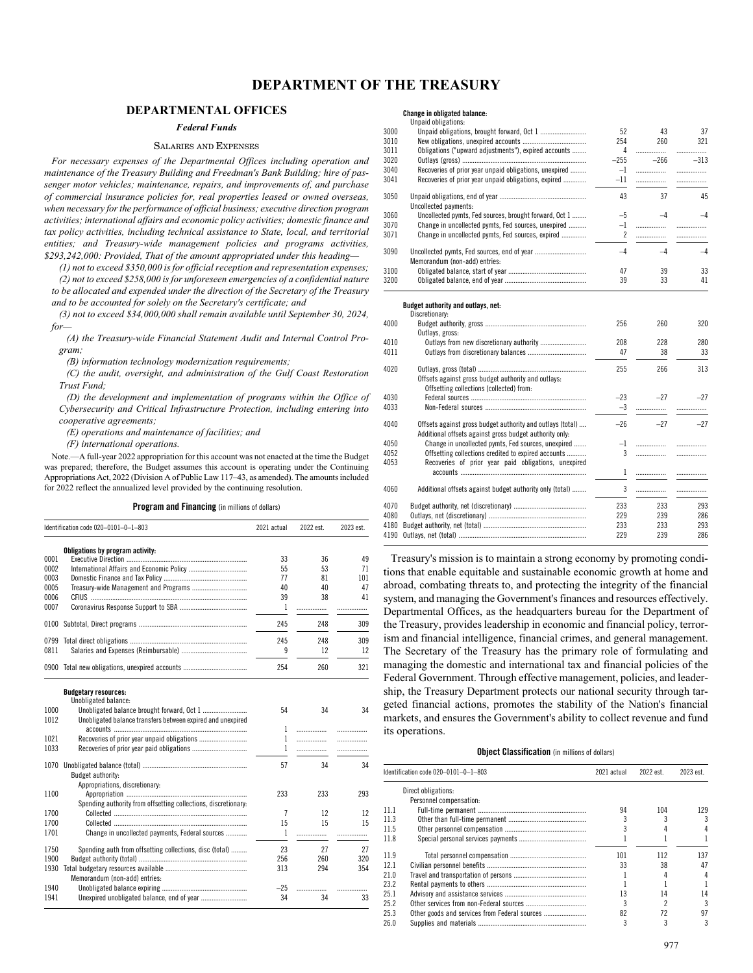# **DEPARTMENTAL OFFICES**

# *Federal Funds*

# SALARIES AND EXPENSES

*For necessary expenses of the Departmental Offices including operation and maintenance of the Treasury Building and Freedman's Bank Building; hire of passenger motor vehicles; maintenance, repairs, and improvements of, and purchase of commercial insurance policies for, real properties leased or owned overseas, when necessary for the performance of official business; executive direction program activities; international affairs and economic policy activities; domestic finance and tax policy activities, including technical assistance to State, local, and territorial entities; and Treasury-wide management policies and programs activities, \$293,242,000: Provided, That of the amount appropriated under this heading—*

*(1) not to exceed \$350,000 is for official reception and representation expenses; (2) not to exceed \$258,000 is for unforeseen emergencies of a confidential nature to be allocated and expended under the direction of the Secretary of the Treasury*

*and to be accounted for solely on the Secretary's certificate; and (3) not to exceed \$34,000,000 shall remain available until September 30, 2024, for—*

*(A) the Treasury-wide Financial Statement Audit and Internal Control Program;*

*(B) information technology modernization requirements;*

*(C) the audit, oversight, and administration of the Gulf Coast Restoration Trust Fund;*

*(D) the development and implementation of programs within the Office of Cybersecurity and Critical Infrastructure Protection, including entering into cooperative agreements;*

*(E) operations and maintenance of facilities; and*

*(F) international operations.*

Note.—A full-year 2022 appropriation for this account was not enacted at the time the Budget was prepared; therefore, the Budget assumes this account is operating under the Continuing Appropriations Act, 2022 (Division A of Public Law 117–43, as amended). The amounts included for 2022 reflect the annualized level provided by the continuing resolution.

**Program and Financing** (in millions of dollars)

|              | Identification code 020-0101-0-1-803                                                              | 2021 actual    | 2022 est. | 2023 est. |
|--------------|---------------------------------------------------------------------------------------------------|----------------|-----------|-----------|
|              | Obligations by program activity:                                                                  |                |           |           |
| 0001         |                                                                                                   | 33             | 36        | 49        |
| 0002         |                                                                                                   | 55             | 53        | 71        |
| 0003         |                                                                                                   | 77             | 81        | 101       |
| 0005         |                                                                                                   | 40             | 40        | 47        |
| 0006         |                                                                                                   | 39             | 38        | 41        |
| 0007         |                                                                                                   | 1              |           |           |
| 0100         |                                                                                                   | 245            | 248       | 309       |
| 0799         |                                                                                                   | 245            | 248       | 309       |
| 0811         |                                                                                                   | 9              | 12        | 12        |
| 0900         |                                                                                                   | 254            | 260       | 321       |
| 1000         | <b>Budgetary resources:</b><br>Unobligated balance:<br>Unobligated balance brought forward, Oct 1 | 54             | 34        | 34        |
| 1012         | Unobligated balance transfers between expired and unexpired                                       |                |           |           |
|              |                                                                                                   | 1              | .         |           |
| 1021         |                                                                                                   | 1              | .         |           |
| 1033         |                                                                                                   | $\mathbf{1}$   | .         | .         |
| 1070         | Budget authority:<br>Appropriations, discretionary:                                               | 57             | 34        | 34        |
| 1100         |                                                                                                   | 233            | 233       | 293       |
|              | Spending authority from offsetting collections, discretionary:                                    |                |           |           |
| 1700         |                                                                                                   | $\overline{1}$ | 12        | 12        |
| 1700         |                                                                                                   | 15             | 15        | 15        |
| 1701         | Change in uncollected payments, Federal sources                                                   | 1              | .         |           |
|              |                                                                                                   |                |           |           |
| 1750         | Spending auth from offsetting collections, disc (total)                                           | 23             | 27        | 27        |
| 1900         |                                                                                                   | 256            | 260       | 320       |
| 1930         |                                                                                                   | 313            | 294       | 354       |
|              | Memorandum (non-add) entries:                                                                     |                |           |           |
| 1940<br>1941 |                                                                                                   | $-25$<br>34    | .<br>34   | 33        |
|              |                                                                                                   |                |           |           |

# **Change in obligated balance:**

|      | Unpaid obligations:                                                                                                   |                        |        |        |
|------|-----------------------------------------------------------------------------------------------------------------------|------------------------|--------|--------|
| 3000 |                                                                                                                       | 52                     | 43     | 37     |
| 3010 |                                                                                                                       | 254                    | 260    | 321    |
| 3011 | Obligations ("upward adjustments"), expired accounts                                                                  | 4                      | .      | .      |
| 3020 |                                                                                                                       | $-255$                 | $-266$ | $-313$ |
| 3040 | Recoveries of prior year unpaid obligations, unexpired                                                                | $-1$                   | .      | .      |
| 3041 | Recoveries of prior year unpaid obligations, expired                                                                  | $-11$                  | .      | .      |
| 3050 |                                                                                                                       | 43                     | 37     | 45     |
| 3060 | Uncollected payments:<br>Uncollected pymts, Fed sources, brought forward, Oct 1                                       | $-5$                   | $-4$   | $-4$   |
| 3070 |                                                                                                                       |                        |        |        |
|      | Change in uncollected pymts, Fed sources, unexpired                                                                   | $-1$<br>$\overline{2}$ | .      | .      |
| 3071 | Change in uncollected pymts, Fed sources, expired                                                                     |                        | .      |        |
| 3090 |                                                                                                                       | $-4$                   | $-4$   | $-4$   |
|      | Memorandum (non-add) entries:                                                                                         |                        |        |        |
| 3100 |                                                                                                                       | 47                     | 39     | 33     |
| 3200 |                                                                                                                       | 39                     | 33     | 41     |
|      | Budget authority and outlays, net:<br>Discretionary:                                                                  |                        |        |        |
| 4000 | Outlays, gross:                                                                                                       | 256                    | 260    | 320    |
| 4010 |                                                                                                                       | 208                    | 228    | 280    |
| 4011 |                                                                                                                       | 47                     | 38     | 33     |
| 4020 | Offsets against gross budget authority and outlays:<br>Offsetting collections (collected) from:                       | 255                    | 266    | 313    |
| 4030 |                                                                                                                       | $-23$                  | $-27$  | $-27$  |
| 4033 |                                                                                                                       | $-3$                   | .      |        |
| 4040 | Offsets against gross budget authority and outlays (total)<br>Additional offsets against gross budget authority only: | $-26$                  | $-27$  | $-27$  |
| 4050 | Change in uncollected pymts, Fed sources, unexpired                                                                   | $-1$                   | .      |        |
| 4052 | Offsetting collections credited to expired accounts                                                                   | 3                      | .      |        |
| 4053 | Recoveries of prior year paid obligations, unexpired                                                                  | $\mathbf{1}$           | .      | .      |
| 4060 | Additional offsets against budget authority only (total)                                                              | 3                      |        |        |
|      |                                                                                                                       |                        | .      |        |
| 4070 |                                                                                                                       | 233                    | 233    | 293    |
| 4080 |                                                                                                                       | 229                    | 239    | 286    |
| 4180 |                                                                                                                       | 233                    | 233    | 293    |
| 4190 |                                                                                                                       | 229                    | 239    | 286    |
|      |                                                                                                                       |                        |        |        |

Treasury's mission is to maintain a strong economy by promoting conditions that enable equitable and sustainable economic growth at home and abroad, combating threats to, and protecting the integrity of the financial system, and managing the Government's finances and resources effectively. Departmental Offices, as the headquarters bureau for the Department of the Treasury, provides leadership in economic and financial policy, terrorism and financial intelligence, financial crimes, and general management. The Secretary of the Treasury has the primary role of formulating and managing the domestic and international tax and financial policies of the Federal Government. Through effective management, policies, and leadership, the Treasury Department protects our national security through targeted financial actions, promotes the stability of the Nation's financial markets, and ensures the Government's ability to collect revenue and fund its operations.

# **Object Classification** (in millions of dollars)

|                 | Identification code 020-0101-0-1-803 | 2021 actual | 2022 est. | 2023 est. |
|-----------------|--------------------------------------|-------------|-----------|-----------|
|                 | Direct obligations:                  |             |           |           |
|                 | Personnel compensation:              |             |           |           |
| 111             |                                      | 94          | 104       | 129       |
| 11.3            |                                      |             |           |           |
| 11.5            |                                      |             |           |           |
| 11 <sub>8</sub> |                                      |             |           |           |
| 11.9            |                                      | 101         | 112       | 137       |
| 121             |                                      | 33          | 38        | 47        |
| 21.0            |                                      |             |           |           |
| 23.2            |                                      |             |           |           |
| 25.1            |                                      | 13          | 14        | 14        |
| 25.2            |                                      |             |           | 3         |
| 25.3            |                                      | 82          | 72        | 97        |
| 26.0            |                                      |             |           | 3         |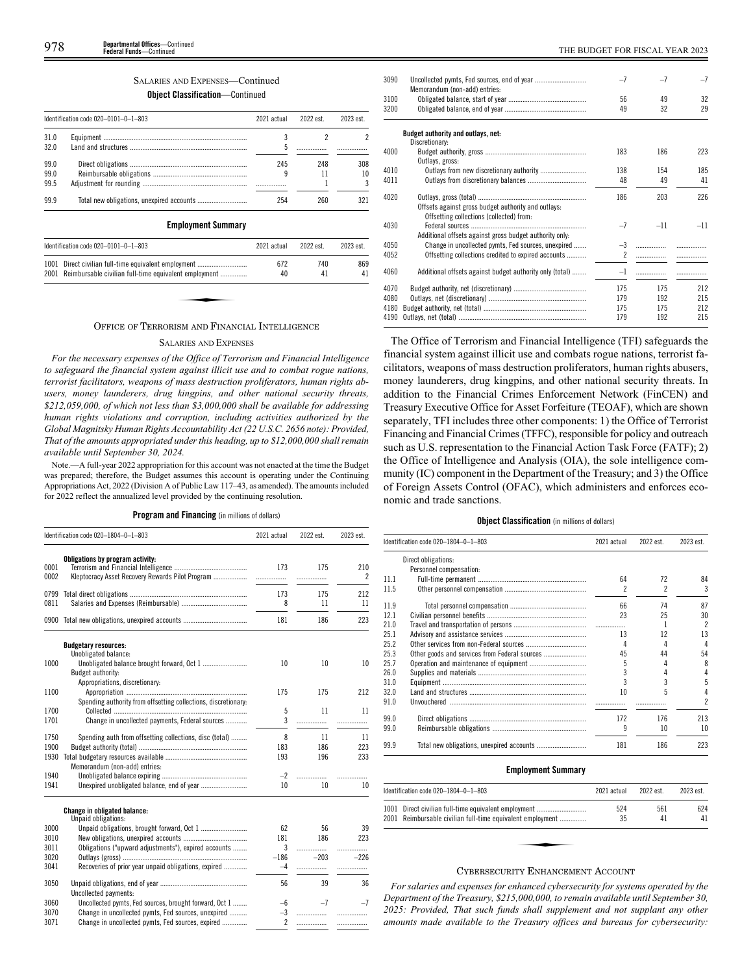# SALARIES AND EXPENSES—Continued

# **Object Classification**—Continued

|      | Identification code 020-0101-0-1-803 | 2021 actual | 2022 est. | 2023 est. |
|------|--------------------------------------|-------------|-----------|-----------|
| 31.0 |                                      |             |           |           |
| 320  |                                      | 5           |           |           |
| 99.0 |                                      | 245         | 248       | 308       |
| 99.0 |                                      | 9           |           | 10        |
| 99.5 |                                      |             |           |           |
| 99.9 |                                      | 254         | 260       | 321       |

# **Employment Summary**

| Identification code $020-0101-0-1-803$                     | 2021 actual | 2022 est. | 2023 est. |
|------------------------------------------------------------|-------------|-----------|-----------|
| 1001 Direct civilian full-time equivalent employment       | 672         | 740       | 869       |
| 2001 Reimbursable civilian full-time equivalent employment | 40          | 41        | 41        |

# OFFICE OF TERRORISM AND FINANCIAL INTELLIGENCE

# SALARIES AND EXPENSES

*For the necessary expenses of the Office of Terrorism and Financial Intelligence to safeguard the financial system against illicit use and to combat rogue nations, terrorist facilitators, weapons of mass destruction proliferators, human rights abusers, money launderers, drug kingpins, and other national security threats, \$212,059,000, of which not less than \$3,000,000 shall be available for addressing human rights violations and corruption, including activities authorized by the Global Magnitsky Human Rights Accountability Act (22 U.S.C. 2656 note): Provided, That of the amounts appropriated under this heading, up to \$12,000,000 shall remain available until September 30, 2024.*

Note.—A full-year 2022 appropriation for this account was not enacted at the time the Budget was prepared; therefore, the Budget assumes this account is operating under the Continuing Appropriations Act, 2022 (Division A of Public Law 117–43, as amended). The amounts included for 2022 reflect the annualized level provided by the continuing resolution.

**Program and Financing** (in millions of dollars)

|              | Identification code 020-1804-0-1-803                                                                          | 2021 actual              | 2022 est. | 2023 est.             |
|--------------|---------------------------------------------------------------------------------------------------------------|--------------------------|-----------|-----------------------|
| 0001         | Obligations by program activity:                                                                              |                          |           |                       |
| 0002         |                                                                                                               | 173                      | 175<br>.  | 210<br>$\overline{2}$ |
| 0799<br>0811 |                                                                                                               | 173<br>8                 | 175<br>11 | 212<br>11             |
|              |                                                                                                               |                          |           | 223                   |
|              | 0900 Total new obligations, unexpired accounts                                                                | 181                      | 186       |                       |
|              | <b>Budgetary resources:</b><br>Unobligated balance:                                                           |                          |           |                       |
| 1000         | Budget authority:                                                                                             | 10                       | 10        | 10                    |
| 1100         | Appropriations, discretionary:                                                                                | 175                      | 175       | 212                   |
| 1700         | Spending authority from offsetting collections, discretionary:                                                | 5                        | 11        | 11                    |
| 1701         | Change in uncollected payments, Federal sources                                                               | 3                        | .         | .                     |
| 1750<br>1900 | Spending auth from offsetting collections, disc (total)                                                       | 8<br>183                 | 11<br>186 | 11<br>223             |
| 1930         | Memorandum (non-add) entries:                                                                                 | 193                      | 196       | 233                   |
| 1940<br>1941 |                                                                                                               | $-2$<br>10               | 10        | .<br>10               |
|              | <b>Change in obligated balance:</b>                                                                           |                          |           |                       |
| 3000         | Unpaid obligations:                                                                                           | 62                       | 56        | 39                    |
| 3010<br>3011 | Obligations ("upward adjustments"), expired accounts                                                          | 181<br>3                 | 186<br>.  | 223<br>.              |
| 3020         |                                                                                                               | $-186$                   | $-203$    | $-226$                |
| 3041         | Recoveries of prior year unpaid obligations, expired                                                          | $-4$                     |           | .                     |
| 3050         | Uncollected payments:                                                                                         | 56                       | 39        | 36                    |
| 3060<br>3070 | Uncollected pymts, Fed sources, brought forward, Oct 1<br>Change in uncollected pymts, Fed sources, unexpired | $-6$<br>$-3$             | $-7$      | $-7$<br>.             |
| 3071         | Change in uncollected pymts, Fed sources, expired                                                             | $\overline{\phantom{a}}$ | .         | .                     |

| 3090 | Memorandum (non-add) entries:                            | $-7$           | $-7$  | $-7$  |
|------|----------------------------------------------------------|----------------|-------|-------|
| 3100 |                                                          | 56             | 49    | 32    |
| 3200 |                                                          | 49             | 32    | 29    |
|      |                                                          |                |       |       |
|      | Budget authority and outlays, net:                       |                |       |       |
|      | Discretionary:                                           |                |       |       |
| 4000 |                                                          | 183            | 186   | 223   |
|      | Outlays, gross:                                          |                |       |       |
| 4010 | Outlays from new discretionary authority                 | 138            | 154   | 185   |
| 4011 |                                                          | 48             | 49    | 41    |
| 4020 | Offsets against gross budget authority and outlays:      | 186            | 203   | 226   |
|      | Offsetting collections (collected) from:                 |                |       |       |
| 4030 |                                                          | $-7$           | $-11$ | $-11$ |
|      | Additional offsets against gross budget authority only.  |                |       |       |
| 4050 | Change in uncollected pymts, Fed sources, unexpired      | $-3$           | .     |       |
| 4052 | Offsetting collections credited to expired accounts      | $\mathfrak{p}$ |       |       |
|      |                                                          |                |       |       |
| 4060 | Additional offsets against budget authority only (total) | $-1$           |       |       |
| 4070 |                                                          | 175            | 175   | 212   |
| 4080 |                                                          | 179            | 192   | 215   |
| 4180 |                                                          | 175            | 175   | 212   |
| 4190 |                                                          | 179            | 192   | 215   |
|      |                                                          |                |       |       |

The Office of Terrorism and Financial Intelligence (TFI) safeguards the financial system against illicit use and combats rogue nations, terrorist facilitators, weapons of mass destruction proliferators, human rights abusers, money launderers, drug kingpins, and other national security threats. In addition to the Financial Crimes Enforcement Network (FinCEN) and Treasury Executive Office for Asset Forfeiture (TEOAF), which are shown separately, TFI includes three other components: 1) the Office of Terrorist Financing and Financial Crimes (TFFC), responsible for policy and outreach such as U.S. representation to the Financial Action Task Force (FATF); 2) the Office of Intelligence and Analysis (OIA), the sole intelligence community (IC) component in the Department of the Treasury; and 3) the Office of Foreign Assets Control (OFAC), which administers and enforces economic and trade sanctions.

# **Object Classification** (in millions of dollars)

|      | Identification code 020-1804-0-1-803 | 2021 actual | 2022 est. | 2023 est.                |
|------|--------------------------------------|-------------|-----------|--------------------------|
|      | Direct obligations:                  |             |           |                          |
|      | Personnel compensation:              |             |           |                          |
| 11.1 |                                      | 64          | 72        | 84                       |
| 11.5 |                                      | 2           | 2         | 3                        |
| 11.9 |                                      | 66          | 74        | 87                       |
| 12.1 |                                      | 23          | 25        | 30                       |
| 21.0 |                                      |             |           | $\overline{\phantom{a}}$ |
| 25.1 |                                      | 13          | 12        | 13                       |
| 25.2 |                                      | 4           | 4         | $\Delta$                 |
| 25.3 |                                      | 45          | 44        | 54                       |
| 25.7 |                                      | 5           |           | 8                        |
| 26.0 |                                      |             |           | 4                        |
| 31.0 |                                      |             | 3         | 5                        |
| 32.0 |                                      | 10          | 5         | 4                        |
| 91.0 |                                      |             |           | 2                        |
| 99.0 |                                      | 172         | 176       | 213                      |
| 99.0 |                                      | 9           | 10        | 10                       |
| 99.9 |                                      | 181         | 186       | 223                      |

# **Employment Summary**

| ldentification code 020–1804–0–1–803                                                                               | 2021 actual | 2022 est. | 2023 est. |
|--------------------------------------------------------------------------------------------------------------------|-------------|-----------|-----------|
| 1001 Direct civilian full-time equivalent employment<br>2001 Reimbursable civilian full-time equivalent employment | 524<br>35   | 561<br>41 | 624<br>41 |
|                                                                                                                    |             |           |           |
|                                                                                                                    |             |           |           |

# CYBERSECURITY ENHANCEMENT ACCOUNT

*For salaries and expenses for enhanced cybersecurity for systems operated by the Department of the Treasury, \$215,000,000, to remain available until September 30, 2025: Provided, That such funds shall supplement and not supplant any other amounts made available to the Treasury offices and bureaus for cybersecurity:*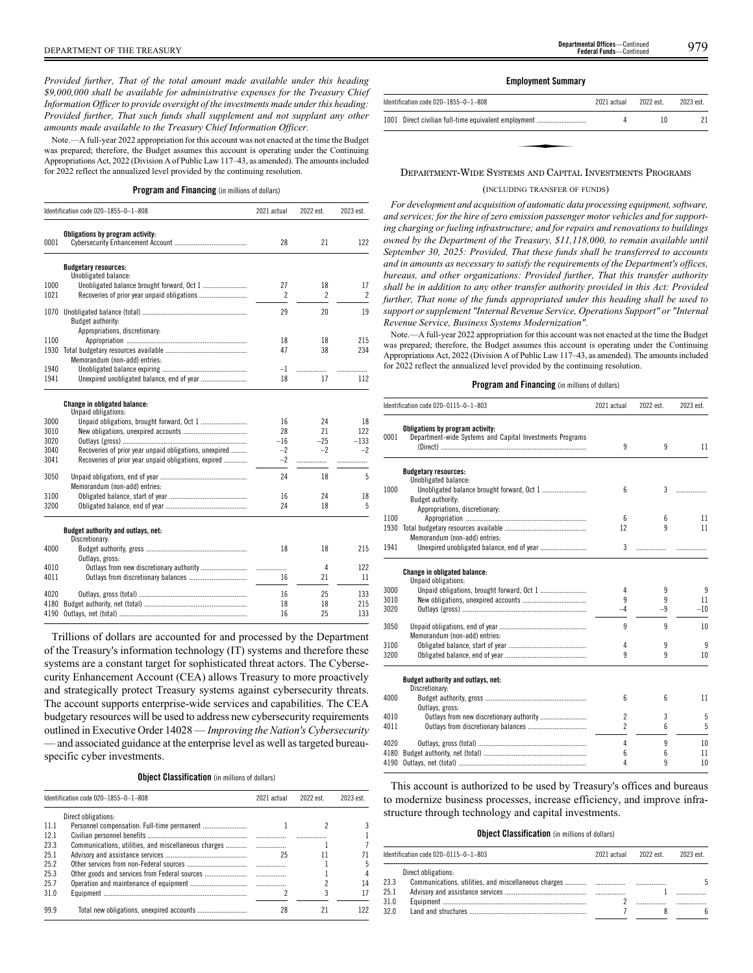*Provided further, That of the total amount made available under this heading \$9,000,000 shall be available for administrative expenses for the Treasury Chief Information Officer to provide oversight of the investments made under this heading: Provided further, That such funds shall supplement and not supplant any other amounts made available to the Treasury Chief Information Officer.*

Note.—A full-year 2022 appropriation for this account was not enacted at the time the Budget was prepared; therefore, the Budget assumes this account is operating under the Continuing Appropriations Act, 2022 (Division A of Public Law 117–43, as amended). The amounts included for 2022 reflect the annualized level provided by the continuing resolution.

**Program and Financing** (in millions of dollars)

|      | Identification code 020-1855-0-1-808                       | 2021 actual              | 2022 est.                | 2023 est.      |
|------|------------------------------------------------------------|--------------------------|--------------------------|----------------|
|      | Obligations by program activity:                           |                          |                          |                |
| 0001 |                                                            | 28                       | 21                       | 122            |
|      | <b>Budgetary resources:</b><br>Unobligated balance:        |                          |                          |                |
| 1000 |                                                            | 27                       | 18                       | 17             |
| 1021 |                                                            | $\overline{\phantom{a}}$ | $\overline{\phantom{a}}$ | $\overline{2}$ |
| 1070 |                                                            | 29                       | 20                       | 19             |
|      | Budget authority:                                          |                          |                          |                |
|      | Appropriations, discretionary:                             |                          |                          |                |
| 1100 |                                                            | 18                       | 18                       | 215            |
| 1930 | Memorandum (non-add) entries:                              | 47                       | 38                       | 234            |
| 1940 |                                                            | $-1$                     |                          |                |
| 1941 |                                                            | 18                       | 17                       | 112            |
|      | <b>Change in obligated balance:</b><br>Unpaid obligations: |                          |                          |                |
| 3000 |                                                            | 16                       | 24                       | 18             |
| 3010 |                                                            | 28                       | 21                       | 122            |
| 3020 |                                                            | $-16$                    | $-25$                    | $-133$         |
| 3040 | Recoveries of prior year unpaid obligations, unexpired     | $-2$                     | $-2$                     | $-2$           |
| 3041 | Recoveries of prior year unpaid obligations, expired       | $-2$                     | .                        | .              |
| 3050 | Memorandum (non-add) entries:                              | 24                       | 18                       | 5              |
| 3100 |                                                            | 16                       | 24                       | 18             |
| 3200 |                                                            | 24                       | 18                       | 5              |
|      | Budget authority and outlays, net:<br>Discretionary:       |                          |                          |                |
| 4000 |                                                            | 18                       | 18                       | 215            |
|      | Outlays, gross:                                            |                          | 4                        | 122            |
| 4010 |                                                            | .                        |                          | 11             |
| 4011 |                                                            | 16                       | 21                       |                |
| 4020 |                                                            | 16                       | 25                       | 133            |
| 4180 |                                                            | 18                       | 18                       | 215            |
| 4190 |                                                            | 16                       | 25                       | 133            |

Trillions of dollars are accounted for and processed by the Department of the Treasury's information technology (IT) systems and therefore these systems are a constant target for sophisticated threat actors. The Cybersecurity Enhancement Account (CEA) allows Treasury to more proactively and strategically protect Treasury systems against cybersecurity threats. The account supports enterprise-wide services and capabilities. The CEA budgetary resources will be used to address new cybersecurity requirements outlined in Executive Order 14028 — *Improving the Nation's Cybersecurity* — and associated guidance at the enterprise level as well as targeted bureauspecific cyber investments.

**Object Classification** (in millions of dollars)

|       | Identification code 020-1855-0-1-808                 | 2021 actual | 2022 est. | 2023 est. |
|-------|------------------------------------------------------|-------------|-----------|-----------|
|       | Direct obligations:                                  |             |           |           |
| -11.1 |                                                      |             |           |           |
| 12.1  |                                                      |             |           |           |
| 23.3  | Communications, utilities, and miscellaneous charges |             |           |           |
| 25.1  |                                                      | 25          |           |           |
| 25.2  |                                                      |             |           |           |
| 25.3  | Other goods and services from Federal sources        |             |           |           |
| 25.7  |                                                      |             |           | 14        |
| 310   |                                                      |             |           |           |
| 99.9  |                                                      | 28          |           |           |

# **Employment Summary**

| Identification code 020-1855-0-1-808                 | 2021 actual | 2022 est. | 2023 est. |
|------------------------------------------------------|-------------|-----------|-----------|
| 1001 Direct civilian full-time equivalent employment |             | 10        |           |
|                                                      |             |           |           |
|                                                      |             |           |           |

# DEPARTMENT-WIDE SYSTEMS AND CAPITAL INVESTMENTS PROGRAMS

# (INCLUDING TRANSFER OF FUNDS)

*For development and acquisition of automatic data processing equipment, software, and services; for the hire of zero emission passenger motor vehicles and for supporting charging or fueling infrastructure; and for repairs and renovations to buildings owned by the Department of the Treasury, \$11,118,000, to remain available until September 30, 2025: Provided, That these funds shall be transferred to accounts and in amounts as necessary to satisfy the requirements of the Department's offices, bureaus, and other organizations: Provided further, That this transfer authority shall be in addition to any other transfer authority provided in this Act: Provided further, That none of the funds appropriated under this heading shall be used to support or supplement "Internal Revenue Service, Operations Support" or "Internal Revenue Service, Business Systems Modernization".*

Note.—A full-year 2022 appropriation for this account was not enacted at the time the Budget was prepared; therefore, the Budget assumes this account is operating under the Continuing Appropriations Act, 2022 (Division A of Public Law 117–43, as amended). The amounts included for 2022 reflect the annualized level provided by the continuing resolution.

# **Program and Financing** (in millions of dollars)

|      |                                                                                              |                 | Identification code 020-0115-0-1-803<br>2021 actual |       | 2022 est. | 2023 est. |
|------|----------------------------------------------------------------------------------------------|-----------------|-----------------------------------------------------|-------|-----------|-----------|
| 0001 | Obligations by program activity:<br>Department-wide Systems and Capital Investments Programs | 9               | 9                                                   | 11    |           |           |
|      | <b>Budgetary resources:</b>                                                                  |                 |                                                     |       |           |           |
|      | Unobligated balance:                                                                         |                 |                                                     |       |           |           |
| 1000 |                                                                                              | 6               | 3                                                   | .     |           |           |
|      | Budget authority:                                                                            |                 |                                                     |       |           |           |
|      | Appropriations, discretionary:                                                               |                 |                                                     |       |           |           |
| 1100 |                                                                                              | $6\overline{6}$ | 6                                                   | 11    |           |           |
| 1930 |                                                                                              | 12              | 9                                                   | 11    |           |           |
| 1941 | Memorandum (non-add) entries:                                                                | 3               | .                                                   |       |           |           |
|      |                                                                                              |                 |                                                     |       |           |           |
|      | <b>Change in obligated balance:</b>                                                          |                 |                                                     |       |           |           |
|      | Unpaid obligations:                                                                          |                 |                                                     |       |           |           |
| 3000 |                                                                                              | 4               | 9                                                   | 9     |           |           |
| 3010 |                                                                                              | 9               | 9                                                   | 11    |           |           |
| 3020 |                                                                                              | $-4$            | -9                                                  | $-10$ |           |           |
| 3050 |                                                                                              | 9               | 9                                                   | 10    |           |           |
|      | Memorandum (non-add) entries:                                                                |                 |                                                     |       |           |           |
| 3100 |                                                                                              | 4               | 9                                                   | 9     |           |           |
| 3200 |                                                                                              | 9               | 9                                                   | 10    |           |           |
|      |                                                                                              |                 |                                                     |       |           |           |
|      | Budget authority and outlays, net:<br>Discretionary:                                         |                 |                                                     |       |           |           |
| 4000 |                                                                                              | 6               | 6                                                   | 11    |           |           |
|      | Outlays, gross:                                                                              |                 |                                                     |       |           |           |
| 4010 | Outlays from new discretionary authority                                                     | $\overline{2}$  | 3                                                   | 5     |           |           |
| 4011 |                                                                                              | $\overline{c}$  | 6                                                   | 5     |           |           |
|      |                                                                                              |                 |                                                     |       |           |           |
| 4020 |                                                                                              | 4               | 9                                                   | 10    |           |           |
| 4180 |                                                                                              | 6               | 6                                                   | 11    |           |           |
| 4190 |                                                                                              | 4               | 9                                                   | 10    |           |           |

This account is authorized to be used by Treasury's offices and bureaus to modernize business processes, increase efficiency, and improve infrastructure through technology and capital investments.

# **Object Classification** (in millions of dollars)

|                              | Identification code 020-0115-0-1-803 | 2021 actual | 2022 est | 2023 est. |
|------------------------------|--------------------------------------|-------------|----------|-----------|
| 23.3<br>25.1<br>31.0<br>32.0 | Direct obligations:                  |             |          | 5         |
|                              |                                      |             |          |           |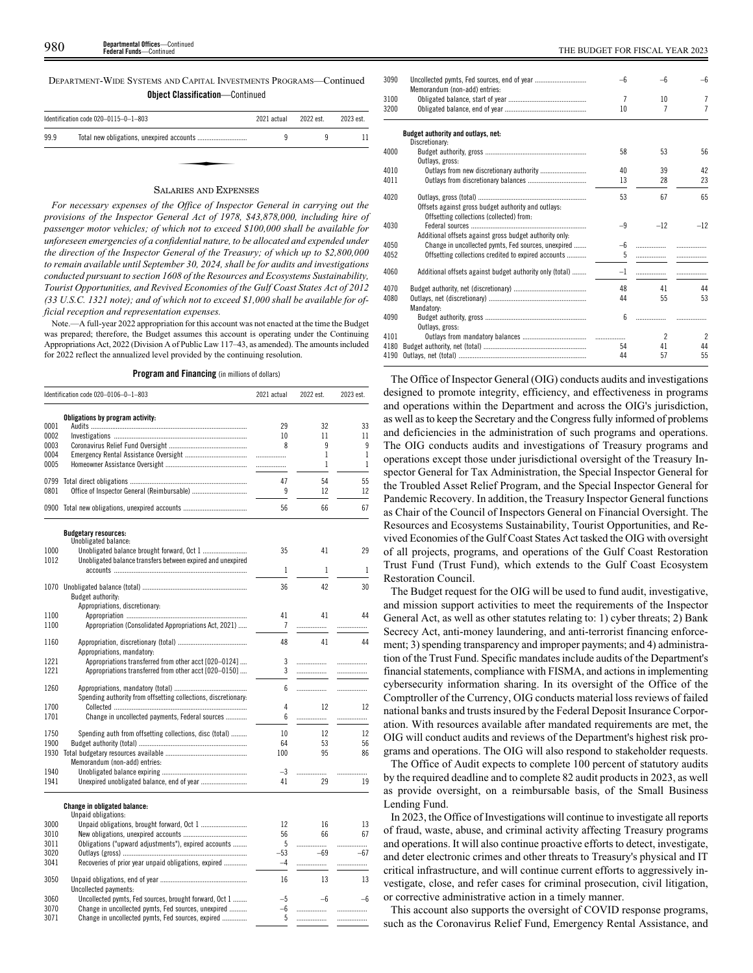DEPARTMENT-WIDE SYSTEMS AND CAPITAL INVESTMENTS PROGRAMS—Continued **Object Classification**—Continued

|      | Identification code 020-0115-0-1-803 | 2021 actual | 2022 est. | 2023 est. |
|------|--------------------------------------|-------------|-----------|-----------|
| 99.9 |                                      |             |           |           |
|      |                                      |             |           |           |
|      |                                      |             |           |           |

# SALARIES AND EXPENSES

*For necessary expenses of the Office of Inspector General in carrying out the provisions of the Inspector General Act of 1978, \$43,878,000, including hire of passenger motor vehicles; of which not to exceed \$100,000 shall be available for unforeseen emergencies of a confidential nature, to be allocated and expended under the direction of the Inspector General of the Treasury; of which up to \$2,800,000 to remain available until September 30, 2024, shall be for audits and investigations conducted pursuant to section 1608 of the Resources and Ecosystems Sustainability, Tourist Opportunities, and Revived Economies of the Gulf Coast States Act of 2012 (33 U.S.C. 1321 note); and of which not to exceed \$1,000 shall be available for official reception and representation expenses.*

Note.—A full-year 2022 appropriation for this account was not enacted at the time the Budget was prepared; therefore, the Budget assumes this account is operating under the Continuing Appropriations Act, 2022 (Division A of Public Law 117–43, as amended). The amounts included for 2022 reflect the annualized level provided by the continuing resolution.

**Program and Financing** (in millions of dollars)

|      | Identification code 020-0106-0-1-803                           | 2021 actual      | 2022 est. | 2023 est. |
|------|----------------------------------------------------------------|------------------|-----------|-----------|
|      | Obligations by program activity:                               |                  |           |           |
| 0001 |                                                                | 29               | 32        | 33        |
| 0002 |                                                                | 10               | 11        | 11        |
| 0003 |                                                                | 8                | 9         | 9         |
| 0004 |                                                                | .                | 1         | 1         |
| 0005 |                                                                | .                | 1         | 1         |
| 0799 |                                                                | 47               | 54        | 55        |
| 0801 |                                                                | 9                | 12        | 12        |
| 0900 |                                                                | 56               | 66        | 67        |
|      | <b>Budgetary resources:</b>                                    |                  |           |           |
| 1000 | Unobligated balance:                                           | 35               | 41        | 29        |
| 1012 | Unobligated balance transfers between expired and unexpired    |                  |           |           |
|      |                                                                | 1                | 1         | 1         |
| 1070 |                                                                | 36               | 42        | 30        |
|      | Budget authority:                                              |                  |           |           |
|      | Appropriations, discretionary:                                 |                  |           |           |
| 1100 |                                                                | 41               | 41        | 44        |
| 1100 | Appropriation (Consolidated Appropriations Act, 2021)          | 7                | .         |           |
|      |                                                                |                  |           |           |
| 1160 |                                                                | 48               | 41        | 44        |
|      | Appropriations, mandatory:                                     |                  |           |           |
| 1221 | Appropriations transferred from other acct [020-0124]          | 3                | .         | .         |
| 1221 | Appropriations transferred from other acct [020-0150]          | 3                | .         | .         |
| 1260 |                                                                | 6.               | .         | .         |
|      | Spending authority from offsetting collections, discretionary: |                  |           |           |
| 1700 |                                                                | 4                | 12        | 12        |
| 1701 | Change in uncollected payments, Federal sources                | 6                | .         | .         |
| 1750 | Spending auth from offsetting collections, disc (total)        | 10 <sup>10</sup> | 12        | 12        |
| 1900 |                                                                | 64               | 53        | 56        |
| 1930 |                                                                | 100              | 95        | 86        |
|      | Memorandum (non-add) entries:                                  |                  |           |           |
| 1940 |                                                                | $-3$             |           | .         |
|      |                                                                | 41               | 29        | 19        |

| 3000 |                                                        | 12            | 16    | 13 |  |
|------|--------------------------------------------------------|---------------|-------|----|--|
| 3010 |                                                        | 56            | 66    | 67 |  |
| 3011 | Obligations ("upward adjustments"), expired accounts   |               |       |    |  |
| 3020 |                                                        | $-53$         | $-69$ |    |  |
| 3041 | Recoveries of prior year unpaid obligations, expired   | $-\varLambda$ |       |    |  |
| 3050 |                                                        | 16            | 13    | 13 |  |
|      | Uncollected payments:                                  |               |       |    |  |
| 3060 | Uncollected ovmts. Fed sources, brought forward, Oct 1 | -5            | —h    |    |  |
| 3070 | Change in uncollected pymts, Fed sources, unexpired    | $-6$          |       |    |  |
| 3071 | Change in uncollected pymts, Fed sources, expired      |               |       |    |  |
|      |                                                        |               |       |    |  |

| 3090 |                                                          | –հ   | -6             | $-6$           |
|------|----------------------------------------------------------|------|----------------|----------------|
|      | Memorandum (non-add) entries:                            |      |                |                |
| 3100 |                                                          | 7    | 10             | 7              |
| 3200 |                                                          | 10   | 7              | $\overline{7}$ |
|      | Budget authority and outlays, net:                       |      |                |                |
|      | Discretionary:                                           |      |                |                |
| 4000 |                                                          | 58   | 53             | 56             |
|      | Outlays, gross:                                          |      |                |                |
| 4010 | Outlays from new discretionary authority                 | 40   | 39             | 42             |
| 4011 |                                                          | 13   | 28             | 23             |
|      |                                                          |      |                |                |
| 4020 |                                                          | 53   | 67             | 65             |
|      | Offsets against gross budget authority and outlays:      |      |                |                |
|      | Offsetting collections (collected) from:                 |      |                |                |
| 4030 |                                                          | $-9$ | $-12$          | $-12$          |
|      | Additional offsets against gross budget authority only:  |      |                |                |
| 4050 | Change in uncollected pymts, Fed sources, unexpired      | $-6$ |                |                |
| 4052 | Offsetting collections credited to expired accounts      | 5    |                |                |
|      |                                                          |      |                |                |
| 4060 | Additional offsets against budget authority only (total) | $-1$ |                |                |
| 4070 |                                                          | 48   | 41             | 44             |
| 4080 |                                                          | 44   | 55             | 53             |
|      | Mandatory:                                               |      |                |                |
| 4090 |                                                          | 6    |                |                |
|      | Outlays, gross:                                          |      |                |                |
| 4101 |                                                          |      | $\overline{2}$ | $\overline{2}$ |
| 4180 |                                                          | 54   | 41             | 44             |
| 4190 |                                                          | 44   | 57             | 55             |
|      |                                                          |      |                |                |

The Office of Inspector General (OIG) conducts audits and investigations designed to promote integrity, efficiency, and effectiveness in programs and operations within the Department and across the OIG's jurisdiction, as well as to keep the Secretary and the Congress fully informed of problems and deficiencies in the administration of such programs and operations. The OIG conducts audits and investigations of Treasury programs and operations except those under jurisdictional oversight of the Treasury Inspector General for Tax Administration, the Special Inspector General for the Troubled Asset Relief Program, and the Special Inspector General for Pandemic Recovery. In addition, the Treasury Inspector General functions as Chair of the Council of Inspectors General on Financial Oversight. The Resources and Ecosystems Sustainability, Tourist Opportunities, and Revived Economies of the Gulf Coast States Act tasked the OIG with oversight of all projects, programs, and operations of the Gulf Coast Restoration Trust Fund (Trust Fund), which extends to the Gulf Coast Ecosystem Restoration Council.

The Budget request for the OIG will be used to fund audit, investigative, and mission support activities to meet the requirements of the Inspector General Act, as well as other statutes relating to: 1) cyber threats; 2) Bank Secrecy Act, anti-money laundering, and anti-terrorist financing enforcement; 3) spending transparency and improper payments; and 4) administration of the Trust Fund. Specific mandates include audits of the Department's financial statements, compliance with FISMA, and actions in implementing cybersecurity information sharing. In its oversight of the Office of the Comptroller of the Currency, OIG conducts material loss reviews of failed national banks and trusts insured by the Federal Deposit Insurance Corporation. With resources available after mandated requirements are met, the OIG will conduct audits and reviews of the Department's highest risk programs and operations. The OIG will also respond to stakeholder requests.

The Office of Audit expects to complete 100 percent of statutory audits by the required deadline and to complete 82 audit products in 2023, as well as provide oversight, on a reimbursable basis, of the Small Business Lending Fund.

In 2023, the Office of Investigations will continue to investigate all reports of fraud, waste, abuse, and criminal activity affecting Treasury programs and operations. It will also continue proactive efforts to detect, investigate, and deter electronic crimes and other threats to Treasury's physical and IT critical infrastructure, and will continue current efforts to aggressively investigate, close, and refer cases for criminal prosecution, civil litigation, or corrective administrative action in a timely manner.

This account also supports the oversight of COVID response programs, such as the Coronavirus Relief Fund, Emergency Rental Assistance, and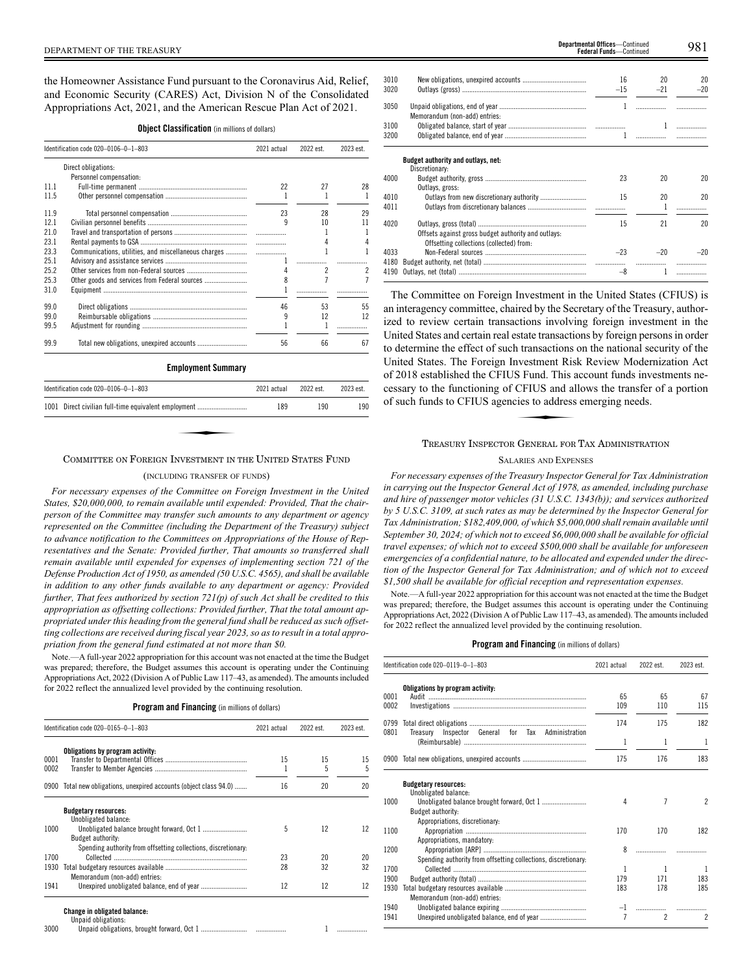the Homeowner Assistance Fund pursuant to the Coronavirus Aid, Relief, and Economic Security (CARES) Act, Division N of the Consolidated Appropriations Act, 2021, and the American Rescue Plan Act of 2021.

|      | Identification code 020-0106-0-1-803                 | 2021 actual | 2022 est.                | 2023 est.      |
|------|------------------------------------------------------|-------------|--------------------------|----------------|
|      | Direct obligations:                                  |             |                          |                |
|      | Personnel compensation:                              |             |                          |                |
| 11.1 |                                                      | 22          | 27                       | 28             |
| 11.5 |                                                      | 1           | 1                        | 1              |
| 11.9 |                                                      | 23          | 28                       | 29             |
| 12.1 |                                                      | q           | 10                       | 11             |
| 21.0 |                                                      |             | 1                        | 1              |
| 23.1 |                                                      | .           | 4                        | 4              |
| 23.3 | Communications, utilities, and miscellaneous charges | .           |                          | 1              |
| 25.1 |                                                      |             | .                        | .              |
| 25.2 |                                                      | 4           | $\overline{\phantom{a}}$ | 2              |
| 25.3 | Other goods and services from Federal sources        | 8           | $\overline{7}$           | $\overline{7}$ |
| 31.0 |                                                      | 1           | .                        |                |
| 99.0 |                                                      | 46          | 53                       | 55             |
| 99.0 |                                                      | 9           | 12                       | 12             |
| 99.5 |                                                      | 1           | 1                        | .              |
| 99.9 |                                                      | 56          | 66                       | 67             |
|      | <b>Employment Summary</b>                            |             |                          |                |
|      | Identification code 020-0106-0-1-803                 | 2021 actual | 2022 est.                | 2023 est.      |
|      | 1001 Direct civilian full-time equivalent employment | 189         | 190                      | 190            |

## COMMITTEE ON FOREIGN INVESTMENT IN THE UNITED STATES FUND

## (INCLUDING TRANSFER OF FUNDS)

*For necessary expenses of the Committee on Foreign Investment in the United States, \$20,000,000, to remain available until expended: Provided, That the chairperson of the Committee may transfer such amounts to any department or agency represented on the Committee (including the Department of the Treasury) subject to advance notification to the Committees on Appropriations of the House of Representatives and the Senate: Provided further, That amounts so transferred shall remain available until expended for expenses of implementing section 721 of the Defense Production Act of 1950, as amended (50 U.S.C. 4565), and shall be available in addition to any other funds available to any department or agency: Provided further, That fees authorized by section 721(p) of such Act shall be credited to this appropriation as offsetting collections: Provided further, That the total amount appropriated under this heading from the general fund shall be reduced as such offsetting collections are received during fiscal year 2023, so as to result in a total appropriation from the general fund estimated at not more than \$0.*

Note.—A full-year 2022 appropriation for this account was not enacted at the time the Budget was prepared; therefore, the Budget assumes this account is operating under the Continuing Appropriations Act, 2022 (Division A of Public Law 117–43, as amended). The amounts included for 2022 reflect the annualized level provided by the continuing resolution.

**Program and Financing** (in millions of dollars)

|              | Identification code 020-0165-0-1-803                           |         | 2022 est. | 2023 est. |
|--------------|----------------------------------------------------------------|---------|-----------|-----------|
|              | Obligations by program activity:                               |         |           |           |
| 0001<br>0002 |                                                                | 15<br>1 | 15<br>5   | 15<br>5   |
| 0900         | Total new obligations, unexpired accounts (object class 94.0)  | 16      | 20        | 20        |
|              | <b>Budgetary resources:</b>                                    |         |           |           |
| 1000         | Unobligated balance:<br>Budget authority:                      | 5       | 12        | 12        |
|              | Spending authority from offsetting collections, discretionary. |         |           |           |
| 1700         |                                                                | 23      | 20        | 20        |
| 1930         | Memorandum (non-add) entries:                                  | 28      | 32        | 32        |
| 1941         |                                                                | 12      | 12        | 12        |
|              | <b>Change in obligated balance:</b>                            |         |           |           |
|              | Unpaid obligations:                                            |         |           |           |
| 3000         |                                                                |         |           |           |

| 3010         |                                                                                                 | 16           | 20           | 20    |
|--------------|-------------------------------------------------------------------------------------------------|--------------|--------------|-------|
| 3020         |                                                                                                 | $-15$        | $-21$        | $-20$ |
| 3050         | Memorandum (non-add) entries:                                                                   | $\mathbf{1}$ |              | .     |
| 3100         |                                                                                                 |              | $\mathbf{1}$ | .     |
| 3200         |                                                                                                 | 1.           |              |       |
|              | Budget authority and outlays, net:<br>Discretionary:                                            |              |              |       |
| 4000         | Outlays, gross:                                                                                 | 23           | 20           | 20    |
| 4010<br>4011 |                                                                                                 | 15           | 20           | 20    |
| 4020         | Offsets against gross budget authority and outlays:<br>Offsetting collections (collected) from: | 15           | 21           | 20    |
| 4033<br>4180 |                                                                                                 | $-23$        | $-20$        | $-20$ |
| 4190         |                                                                                                 | -8           | 1            |       |
|              |                                                                                                 |              |              |       |

The Committee on Foreign Investment in the United States (CFIUS) is an interagency committee, chaired by the Secretary of the Treasury, authorized to review certain transactions involving foreign investment in the United States and certain real estate transactions by foreign persons in order to determine the effect of such transactions on the national security of the United States. The Foreign Investment Risk Review Modernization Act of 2018 established the CFIUS Fund. This account funds investments necessary to the functioning of CFIUS and allows the transfer of a portion of such funds to CFIUS agencies to address emerging needs. S Fund. This a<br>S Fund. This a<br>CFIUS and al<br>cies to address

# TREASURY INSPECTOR GENERAL FOR TAX ADMINISTRATION

# SALARIES AND EXPENSES

*For necessary expenses of the Treasury Inspector General for Tax Administration in carrying out the Inspector General Act of 1978, as amended, including purchase and hire of passenger motor vehicles (31 U.S.C. 1343(b)); and services authorized by 5 U.S.C. 3109, at such rates as may be determined by the Inspector General for Tax Administration; \$182,409,000, of which \$5,000,000 shall remain available until September 30, 2024; of which not to exceed \$6,000,000 shall be available for official travel expenses; of which not to exceed \$500,000 shall be available for unforeseen emergencies of a confidential nature, to be allocated and expended under the direction of the Inspector General for Tax Administration; and of which not to exceed \$1,500 shall be available for official reception and representation expenses.*

Note.—A full-year 2022 appropriation for this account was not enacted at the time the Budget was prepared; therefore, the Budget assumes this account is operating under the Continuing Appropriations Act, 2022 (Division A of Public Law 117–43, as amended). The amounts included for 2022 reflect the annualized level provided by the continuing resolution.

|  | <b>Program and Financing</b> (in millions of dollars) |  |  |
|--|-------------------------------------------------------|--|--|
|--|-------------------------------------------------------|--|--|

|              | Identification code 020-0119-0-1-803                           | 2021 actual    | 2022 est.      | 2023 est.      |
|--------------|----------------------------------------------------------------|----------------|----------------|----------------|
| 0001<br>0002 | Obligations by program activity:                               | 65<br>109      | 65<br>110      | 67<br>115      |
| 0799<br>0801 | Inspector General for Tax Administration<br>Treasurv           | 174            | 175            | 182            |
|              |                                                                | 1              | 1              | 1              |
|              | 0900 Total new obligations, unexpired accounts                 | 175            | 176            | 183            |
|              | <b>Budgetary resources:</b><br>Unobligated balance:            |                |                |                |
| 1000         | Budget authority:                                              | 4              | 7              | $\overline{2}$ |
| 1100         | Appropriations, discretionary:<br>Appropriations, mandatory:   | 170            | 170            | 182            |
| 1200         | Spending authority from offsetting collections, discretionary: | 8              |                |                |
| 1700         |                                                                | 1              | 1              | 1              |
| 1900         |                                                                | 179            | 171            | 183            |
| 1930         | Memorandum (non-add) entries:                                  | 183            | 178            | 185            |
| 1940         |                                                                |                |                |                |
| 1941         |                                                                | $\overline{7}$ | $\mathfrak{p}$ | $\mathfrak{p}$ |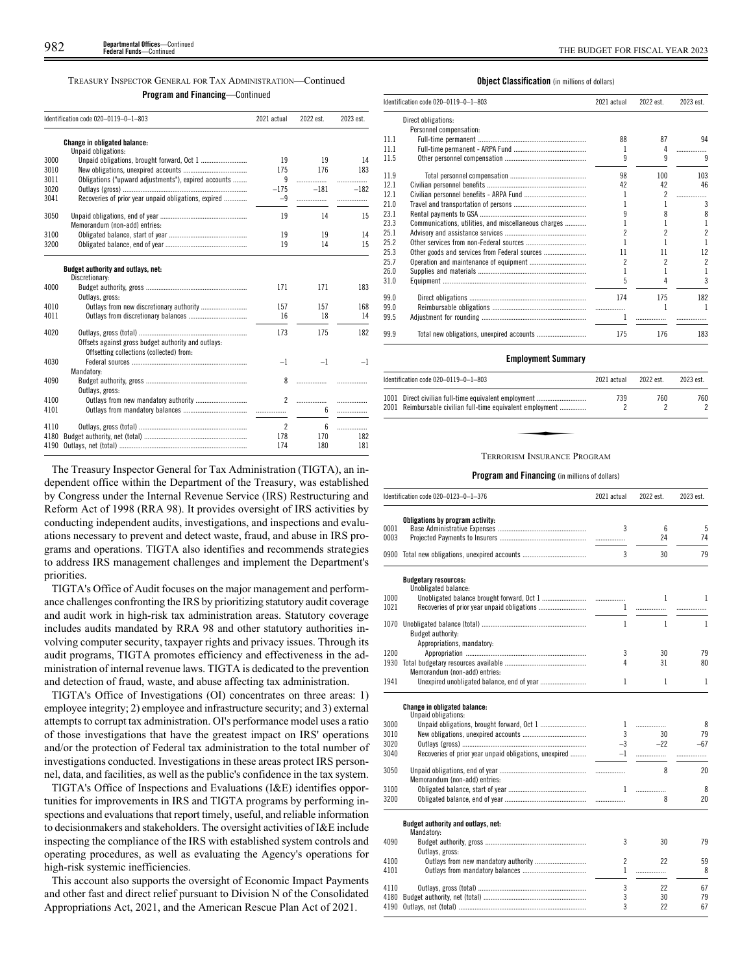TREASURY INSPECTOR GENERAL FOR TAX ADMINISTRATION—Continued

**Program and Financing**—Continued

|      | Identification code 020-0119-0-1-803                                                            | 2021 actual    | 2022 est. | 2023 est. |
|------|-------------------------------------------------------------------------------------------------|----------------|-----------|-----------|
|      | <b>Change in obligated balance:</b><br>Unpaid obligations:                                      |                |           |           |
| 3000 | Unpaid obligations, brought forward, Oct 1                                                      | 19             | 19        | 14        |
| 3010 |                                                                                                 | 175            | 176       | 183       |
| 3011 | Obligations ("upward adjustments"), expired accounts                                            | 9              | .         | .         |
| 3020 |                                                                                                 | $-175$         | $-181$    | $-182$    |
| 3041 | Recoveries of prior year unpaid obligations, expired                                            | $-9$           |           | .         |
| 3050 | Memorandum (non-add) entries:                                                                   | 19             | 14        | 15        |
| 3100 |                                                                                                 | 19             | 19        | 14        |
| 3200 |                                                                                                 | 19             | 14        | 15        |
|      | Budget authority and outlays, net:<br>Discretionary:                                            |                |           |           |
| 4000 | Outlays, gross:                                                                                 | 171            | 171       | 183       |
| 4010 | Outlays from new discretionary authority                                                        | 157            | 157       | 168       |
| 4011 |                                                                                                 | 16             | 18        | 14        |
| 4020 | Offsets against gross budget authority and outlays:<br>Offsetting collections (collected) from: | 173            | 175       | 182       |
| 4030 |                                                                                                 | $-1$           | $-1$      | $-1$      |
|      | Mandatory:                                                                                      |                |           |           |
| 4090 | Outlays, gross:                                                                                 | 8              | .         |           |
| 4100 |                                                                                                 | $\overline{2}$ | .         | .         |
| 4101 |                                                                                                 |                | 6         | .         |
| 4110 |                                                                                                 | $\overline{2}$ | 6         |           |
| 4180 |                                                                                                 | 178            | 170       | 182       |
| 4190 |                                                                                                 | 174            | 180       | 181       |

The Treasury Inspector General for Tax Administration (TIGTA), an independent office within the Department of the Treasury, was established by Congress under the Internal Revenue Service (IRS) Restructuring and Reform Act of 1998 (RRA 98). It provides oversight of IRS activities by conducting independent audits, investigations, and inspections and evaluations necessary to prevent and detect waste, fraud, and abuse in IRS programs and operations. TIGTA also identifies and recommends strategies to address IRS management challenges and implement the Department's priorities.

TIGTA's Office of Audit focuses on the major management and performance challenges confronting the IRS by prioritizing statutory audit coverage and audit work in high-risk tax administration areas. Statutory coverage includes audits mandated by RRA 98 and other statutory authorities involving computer security, taxpayer rights and privacy issues. Through its audit programs, TIGTA promotes efficiency and effectiveness in the administration of internal revenue laws. TIGTA is dedicated to the prevention and detection of fraud, waste, and abuse affecting tax administration.

TIGTA's Office of Investigations (OI) concentrates on three areas: 1) employee integrity; 2) employee and infrastructure security; and 3) external attempts to corrupt tax administration. OI's performance model uses a ratio of those investigations that have the greatest impact on IRS' operations and/or the protection of Federal tax administration to the total number of investigations conducted. Investigations in these areas protect IRS personnel, data, and facilities, as well as the public's confidence in the tax system.

TIGTA's Office of Inspections and Evaluations (I&E) identifies opportunities for improvements in IRS and TIGTA programs by performing inspections and evaluations that report timely, useful, and reliable information to decisionmakers and stakeholders. The oversight activities of I&E include inspecting the compliance of the IRS with established system controls and operating procedures, as well as evaluating the Agency's operations for high-risk systemic inefficiencies.

This account also supports the oversight of Economic Impact Payments and other fast and direct relief pursuant to Division N of the Consolidated Appropriations Act, 2021, and the American Rescue Plan Act of 2021.

# **Object Classification** (in millions of dollars)

|      | Identification code 020-0119-0-1-803                 | 2021 actual | 2022 est. | 2023 est.      |
|------|------------------------------------------------------|-------------|-----------|----------------|
|      | Direct obligations:                                  |             |           |                |
|      | Personnel compensation:                              |             |           |                |
| 11.1 |                                                      | 88          | 87        | 94             |
| 11.1 |                                                      | 1           |           | .              |
| 11.5 |                                                      | 9           | 9         | 9              |
| 11.9 |                                                      | 98          | 100       | 103            |
| 12.1 |                                                      | 42          | 42        | 46             |
| 12.1 |                                                      |             |           | .              |
| 21.0 |                                                      |             |           | 3              |
| 23.1 |                                                      |             | 8         | 8              |
| 23.3 | Communications, utilities, and miscellaneous charges |             |           | 1              |
| 25.1 |                                                      |             | 2         | $\overline{c}$ |
| 25.2 |                                                      |             |           | 1              |
| 25.3 | Other goods and services from Federal sources        | 11          | 11        | 12             |
| 25.7 |                                                      | 2           | 2         | $\overline{c}$ |
| 26.0 |                                                      |             |           | 1              |
| 31.0 |                                                      | 5           |           | 3              |
| 99.0 |                                                      | 174         | 175       | 182            |
| 99.0 |                                                      |             |           | ı              |
| 99.5 |                                                      | 1           | .         |                |
| 99.9 | Total new obligations, unexpired accounts            | 175         | 176       | 183            |

# **Employment Summary**

| Identification code $020-0119-0-1-803$                                                                             | 2021 actual | 2022 est. | 2023 est. |
|--------------------------------------------------------------------------------------------------------------------|-------------|-----------|-----------|
| 1001 Direct civilian full-time equivalent employment<br>2001 Reimbursable civilian full-time equivalent employment | 739         | 760       | 760       |
|                                                                                                                    |             |           |           |
|                                                                                                                    |             |           |           |
| TERRORISM INSURANCE PROGRAM                                                                                        |             |           |           |

# TERRORISM INSURANCE PROGRAM

|      | Identification code 020-0123-0-1-376                   | 2021 actual    | 2022 est.    | 2023 est. |
|------|--------------------------------------------------------|----------------|--------------|-----------|
|      | Obligations by program activity:                       |                |              |           |
| 0001 |                                                        | 3              | 6            | 5         |
| 0003 |                                                        |                | 24           | 74        |
| 0900 |                                                        | 3              | 30           | 79        |
|      | <b>Budgetary resources:</b><br>Unobligated balance:    |                |              |           |
| 1000 |                                                        |                | 1            | 1         |
| 1021 |                                                        | 1              |              |           |
|      |                                                        |                |              |           |
| 1070 |                                                        | $\mathbf{1}$   | $\mathbf{1}$ | 1         |
|      | Budget authority:                                      |                |              |           |
|      | Appropriations, mandatory:                             |                |              |           |
| 1200 |                                                        | 3              | 30           | 79        |
| 1930 |                                                        | 4              | 31           | 80        |
|      | Memorandum (non-add) entries:                          |                |              |           |
| 1941 |                                                        | 1              | 1            | 1         |
|      | Change in obligated balance:                           |                |              |           |
|      | Unpaid obligations:                                    |                |              |           |
| 3000 |                                                        | 1              | .            | 8         |
| 3010 |                                                        | 3              | 30           | 79        |
| 3020 |                                                        | $-3$           | $-22$        | $-67$     |
| 3040 | Recoveries of prior year unpaid obligations, unexpired | $-1$           | .            |           |
| 3050 |                                                        |                | 8            | 20        |
|      | Memorandum (non-add) entries:                          |                |              |           |
| 3100 |                                                        | 1              | .            | 8         |
| 3200 |                                                        |                | 8            | 20        |
|      | Budget authority and outlays, net:                     |                |              |           |
|      | Mandatory:                                             |                |              |           |
| 4090 |                                                        | 3              | 30           | 79        |
|      | Outlays, gross:                                        |                |              |           |
| 4100 |                                                        | $\overline{c}$ | 22           | 59        |
| 4101 |                                                        | 1              | .            | 8         |
| 4110 |                                                        | 3              | 22           | 67        |
| 4180 |                                                        | 3              | 30           | 79        |
| 4190 |                                                        | 3              | 22           | 67        |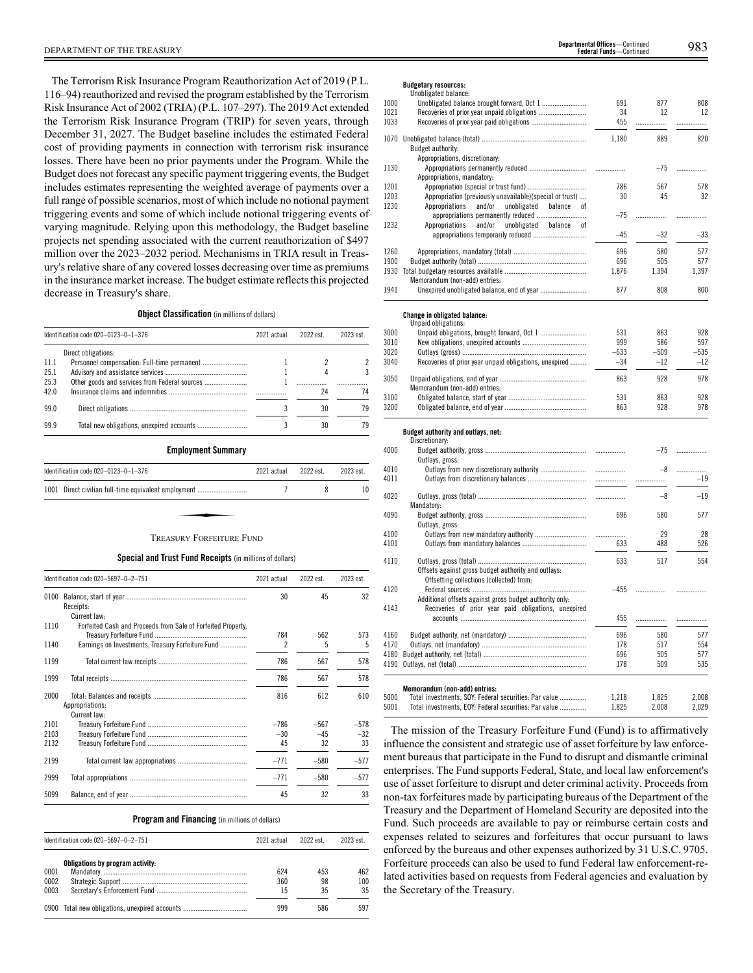The Terrorism Risk Insurance Program Reauthorization Act of 2019 (P.L. 116–94) reauthorized and revised the program established by the Terrorism Risk Insurance Act of 2002 (TRIA) (P.L. 107–297). The 2019 Act extended the Terrorism Risk Insurance Program (TRIP) for seven years, through December 31, 2027. The Budget baseline includes the estimated Federal cost of providing payments in connection with terrorism risk insurance losses. There have been no prior payments under the Program. While the Budget does not forecast any specific payment triggering events, the Budget includes estimates representing the weighted average of payments over a full range of possible scenarios, most of which include no notional payment triggering events and some of which include notional triggering events of varying magnitude. Relying upon this methodology, the Budget baseline projects net spending associated with the current reauthorization of \$497 million over the 2023–2032 period. Mechanisms in TRIA result in Treasury's relative share of any covered losses decreasing over time as premiums in the insurance market increase. The budget estimate reflects this projected decrease in Treasury's share.

**Object Classification** (in millions of dollars)

|      | Identification code 020-0123-0-1-376          | 2021 actual | 2022 est. | 2023 est. |
|------|-----------------------------------------------|-------------|-----------|-----------|
|      | Direct obligations:                           |             |           |           |
| 11.1 |                                               |             |           |           |
| 25.1 |                                               |             |           |           |
| 25.3 | Other goods and services from Federal sources |             | .         |           |
| 42.0 |                                               |             | 24        | 74        |
| 99.0 |                                               |             | 30        | 79        |
| 99.9 |                                               |             | 30        | 79        |

**Employment Summary**

| Identification code 020-0123-0-1-376                 | 2021 actual | 2022 est. | 2023 est. |
|------------------------------------------------------|-------------|-----------|-----------|
| 1001 Direct civilian full-time equivalent employment |             |           | 10        |
|                                                      |             |           |           |
| <b>TREASURY FORFEITURE FUND</b>                      |             |           |           |

**Special and Trust Fund Receipts** (in millions of dollars)

|      | Identification code 020-5697-0-2-751                         | 2021 actual | 2022 est. | 2023 est. |
|------|--------------------------------------------------------------|-------------|-----------|-----------|
| 0100 |                                                              | 30          | 45        | 32        |
|      | Receipts:                                                    |             |           |           |
|      | Current law:                                                 |             |           |           |
| 1110 | Forfeited Cash and Proceeds from Sale of Forfeited Property, |             |           |           |
|      |                                                              | 784         | 562       | 573       |
| 1140 | Earnings on Investments, Treasury Forfeiture Fund            | 2           | 5         | 5         |
| 1199 |                                                              | 786         | 567       | 578       |
| 1999 |                                                              | 786         | 567       | 578       |
| 2000 |                                                              | 816         | 612       | 610       |
|      | Appropriations:                                              |             |           |           |
|      | Current law:                                                 |             |           |           |
| 2101 |                                                              | $-786$      | $-567$    | $-578$    |
| 2103 |                                                              | $-30$       | $-45$     | $-32$     |
| 2132 |                                                              | 45          | 32        | 33        |
| 2199 |                                                              | $-771$      | $-580$    | $-577$    |
| 2999 |                                                              | $-771$      | $-580$    | $-577$    |
| 5099 |                                                              | 45          | 32        | 33        |

# **Program and Financing** (in millions of dollars)

|              | Identification code 020-5697-0-2-751<br>2021 actual<br>Obligations by program activity: |            | 2022 est. | 2023 est.  |
|--------------|-----------------------------------------------------------------------------------------|------------|-----------|------------|
|              |                                                                                         |            |           |            |
| 0001<br>0002 |                                                                                         | 624<br>360 | 453<br>98 | 462<br>100 |
| 0003         |                                                                                         | 15         | 35        | 35         |
|              | 0900 Total new obligations, unexpired accounts                                          | 999        | 586       | 597        |

# **Budgetary resources:**

|      | Unobligated balance:                                     |        |            |        |
|------|----------------------------------------------------------|--------|------------|--------|
| 1000 |                                                          | 691    | 877        | 808    |
| 1021 |                                                          | 34     | 12         | 12     |
| 1033 |                                                          | 455    | .          | .      |
|      |                                                          | 1,180  | 889        | 820    |
|      | Budget authority:                                        |        |            |        |
|      | Appropriations, discretionary:                           |        |            |        |
| 1130 |                                                          |        | $-75$      | .      |
|      | Appropriations, mandatory:                               |        |            |        |
| 1201 |                                                          | 786    | 567        | 578    |
| 1203 | Appropriation (previously unavailable)(special or trust) | 30     | 45         | 32     |
| 1230 | Appropriations<br>and/or<br>unobligated<br>balance<br>of |        |            |        |
|      | appropriations permanently reduced                       | $-75$  | .          | .      |
| 1232 | and/or<br>unobligated<br>Appropriations<br>balance of    |        |            |        |
|      |                                                          | $-45$  | $-32$      | $-33$  |
|      |                                                          |        |            |        |
| 1260 |                                                          | 696    | 580        | 577    |
| 1900 |                                                          | 696    | 505        | 577    |
|      |                                                          | 1,876  | 1,394      | 1,397  |
|      | Memorandum (non-add) entries:                            |        |            |        |
| 1941 | Unexpired unobligated balance, end of year               | 877    | 808        | 800    |
|      |                                                          |        |            |        |
|      | <b>Change in obligated balance:</b>                      |        |            |        |
|      | Unpaid obligations:                                      |        |            |        |
| 3000 |                                                          | 531    | 863        | 928    |
| 3010 |                                                          | 999    | 586        | 597    |
| 3020 |                                                          | $-633$ | $-509$     | $-535$ |
| 3040 | Recoveries of prior year unpaid obligations, unexpired   | $-34$  | $-12$      | $-12$  |
| 3050 |                                                          | 863    | 928        | 978    |
|      | Memorandum (non-add) entries:                            |        |            |        |
|      |                                                          | 531    |            | 928    |
| 3100 |                                                          | 863    | 863<br>928 |        |
| 3200 |                                                          |        |            | 978    |
|      | Budget authority and outlays, net:                       |        |            |        |
|      | Discretionary:                                           |        |            |        |
| 4000 |                                                          |        | $-75$      | .      |
|      | Outlays, gross:                                          |        |            |        |
| 4010 |                                                          |        | $-8$       | .      |
| 4011 |                                                          |        |            | $-19$  |
|      |                                                          |        |            |        |
| 4020 |                                                          |        | $-8$       | $-19$  |
|      | Mandatory:                                               |        |            |        |
| 4090 |                                                          | 696    | 580        | 577    |
|      | Outlays, gross:                                          |        |            |        |
| 4100 |                                                          |        | 29         | 28     |
| 4101 |                                                          | 633    | 488        | 526    |
|      |                                                          |        |            |        |
| 4110 |                                                          | 633    | 517        | 554    |
|      | Offsets against gross budget authority and outlays:      |        |            |        |
|      | Offsetting collections (collected) from:                 |        |            |        |
| 4120 |                                                          | $-455$ |            |        |
|      | Additional offsets against gross budget authority only:  |        |            |        |
| 4143 | Recoveries of prior year paid obligations, unexpired     |        |            |        |
|      |                                                          | 455    | .          | .      |
|      |                                                          |        |            |        |
| 4160 |                                                          | 696    | 580        | 577    |
| 4170 |                                                          | 178    | 517        | 554    |
| 4180 |                                                          | 696    | 505        | 577    |
|      |                                                          | 178    | 509        | 535    |
|      |                                                          |        |            |        |
|      | Memorandum (non-add) entries:                            |        |            |        |
| 5000 | Total investments, SOY: Federal securities: Par value    | 1,218  | 1,825      | 2,008  |
| 5001 | Total investments, EOY: Federal securities: Par value    | 1,825  | 2,008      | 2,029  |

The mission of the Treasury Forfeiture Fund (Fund) is to affirmatively influence the consistent and strategic use of asset forfeiture by law enforcement bureaus that participate in the Fund to disrupt and dismantle criminal enterprises. The Fund supports Federal, State, and local law enforcement's use of asset forfeiture to disrupt and deter criminal activity. Proceeds from non-tax forfeitures made by participating bureaus of the Department of the Treasury and the Department of Homeland Security are deposited into the Fund. Such proceeds are available to pay or reimburse certain costs and expenses related to seizures and forfeitures that occur pursuant to laws enforced by the bureaus and other expenses authorized by 31 U.S.C. 9705. Forfeiture proceeds can also be used to fund Federal law enforcement-related activities based on requests from Federal agencies and evaluation by the Secretary of the Treasury.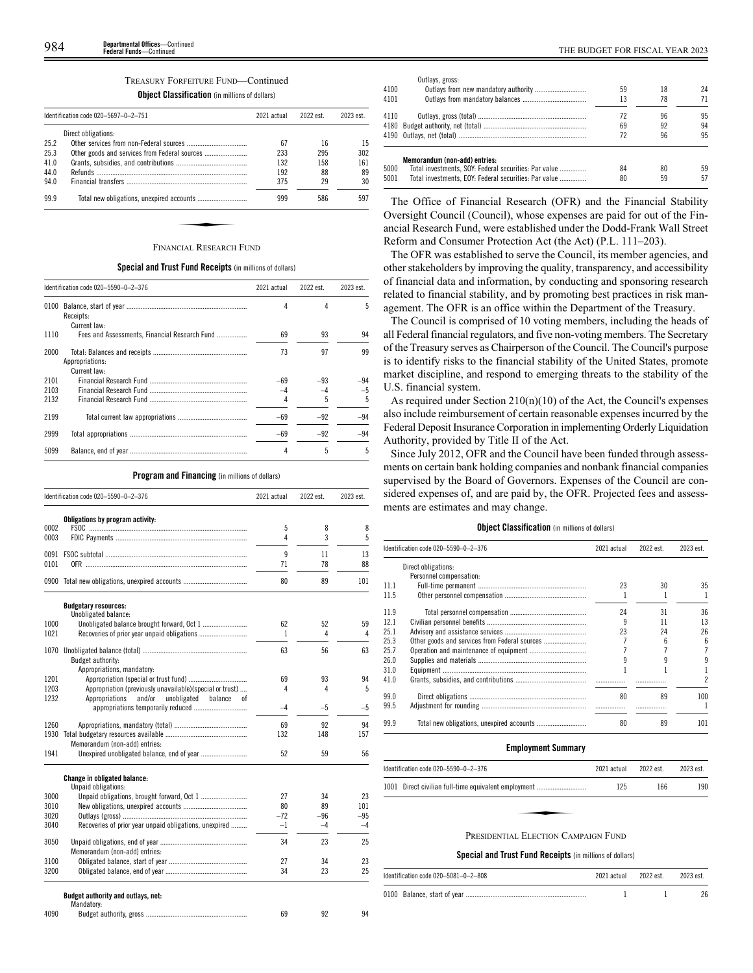# TREASURY FORFEITURE FUND—Continued

# **Object Classification** (in millions of dollars)

|      | Identification code 020-5697-0-2-751 | 2021 actual | 2022 est. | 2023 est. |
|------|--------------------------------------|-------------|-----------|-----------|
|      | Direct obligations:                  |             |           |           |
| 25.2 |                                      | 67          | 16        | 15        |
| 25.3 |                                      | 233         | 295       | 302       |
| 41.0 |                                      | 132         | 158       | 161       |
| 44.0 |                                      | 192         | 88        | 89        |
| 94.0 |                                      | 375         | 29        | 30        |
| 99.9 |                                      | 999         | 586       | 597       |
|      |                                      |             |           |           |
|      |                                      |             |           |           |
|      | <b>FINANCIAL RESEARCH FUND</b>       |             |           |           |

# **Special and Trust Fund Receipts** (in millions of dollars)

|                      | Identification code 020-5590-0-2-376          | 2021 actual | 2022 est.  | 2023 est.  |
|----------------------|-----------------------------------------------|-------------|------------|------------|
| 0100                 | Receipts:<br>Current law:                     | 4           | 4          | 5          |
| 1110                 | Fees and Assessments. Financial Research Fund | 69          | 93         | 94         |
| 2000                 | Appropriations:<br>Current law:               | 73          | 97         | 99         |
| 2101<br>2103<br>2132 |                                               | $-69$       | $-93$<br>5 | $-94$<br>5 |
| 2199                 |                                               | $-69$       | $-92$      | $-94$      |
| 2999                 |                                               | $-69$       | $-92$      | $-94$      |
| 5099                 |                                               | 4           | 5          | 5          |

# **Program and Financing** (in millions of dollars)

|              | Identification code 020-5590-0-2-376                     | 2021 actual | 2022 est. | 2023 est. |
|--------------|----------------------------------------------------------|-------------|-----------|-----------|
|              | Obligations by program activity:                         |             |           |           |
| 0002<br>0003 |                                                          | 5<br>4      | 8<br>3    | 8<br>5    |
|              |                                                          |             |           |           |
| 0091<br>0101 |                                                          | 9<br>71     | 11<br>78  | 13<br>88  |
|              |                                                          |             |           |           |
|              |                                                          | 80          | 89        | 101       |
|              | <b>Budgetary resources:</b><br>Unobligated balance:      |             |           |           |
| 1000         |                                                          | 62          | 52        | 59        |
| 1021         |                                                          | 1           | 4         | 4         |
| 1070         |                                                          | 63          | 56        | 63        |
|              | Budget authority:                                        |             |           |           |
|              | Appropriations, mandatory:                               |             |           |           |
| 1201<br>1203 | Appropriation (previously unavailable)(special or trust) | 69<br>4     | 93<br>4   | 94<br>5   |
| 1232         | Appropriations<br>and/or<br>unobligated<br>balance<br>0f |             |           |           |
|              |                                                          | $-4$        | $-5$      | -5        |
| 1260         |                                                          | 69          | 92        | 94        |
| 1930         |                                                          | 132         | 148       | 157       |
|              | Memorandum (non-add) entries:                            |             |           |           |
| 1941         |                                                          | 52          | 59        | 56        |
|              | Change in obligated balance:                             |             |           |           |
| 3000         | Unpaid obligations:                                      | 27          | 34        | 23        |
| 3010         |                                                          | 80          | 89        | 101       |
| 3020         |                                                          | $-72$       | $-96$     | $-95$     |
| 3040         | Recoveries of prior year unpaid obligations, unexpired   | $-1$        | $-4$      | $-4$      |
| 3050         | Memorandum (non-add) entries:                            | 34          | 23        | 25        |
| 3100         |                                                          | 27          | 34        | 23        |
| 3200         |                                                          | 34          | 23        | 25        |
|              | Budget authority and outlays, net:                       |             |           |           |
|              | Mandatory:                                               |             |           |           |
| 4090         |                                                          | 69          | 92        | 94        |

|      | Outlays, gross:                                       |    |    |    |
|------|-------------------------------------------------------|----|----|----|
| 4100 |                                                       | 59 | 18 | 24 |
| 4101 |                                                       | 13 | 78 |    |
| 4110 |                                                       | 72 | 96 | 95 |
|      |                                                       | 69 | 92 | 94 |
|      |                                                       | 72 | 96 | 95 |
|      | Memorandum (non-add) entries:                         |    |    |    |
| 5000 | Total investments, SOY: Federal securities: Par value | 84 | 80 | 59 |
| 5001 | Total investments, EOY: Federal securities: Par value | 80 | 59 | 57 |
|      |                                                       |    |    |    |

The Office of Financial Research (OFR) and the Financial Stability Oversight Council (Council), whose expenses are paid for out of the Financial Research Fund, were established under the Dodd-Frank Wall Street Reform and Consumer Protection Act (the Act) (P.L. 111–203).

The OFR was established to serve the Council, its member agencies, and other stakeholders by improving the quality, transparency, and accessibility of financial data and information, by conducting and sponsoring research related to financial stability, and by promoting best practices in risk management. The OFR is an office within the Department of the Treasury.

The Council is comprised of 10 voting members, including the heads of all Federal financial regulators, and five non-voting members. The Secretary of the Treasury serves as Chairperson of the Council. The Council's purpose is to identify risks to the financial stability of the United States, promote market discipline, and respond to emerging threats to the stability of the U.S. financial system.

As required under Section  $210(n)(10)$  of the Act, the Council's expenses also include reimbursement of certain reasonable expenses incurred by the Federal Deposit Insurance Corporation in implementing Orderly Liquidation Authority, provided by Title II of the Act.

Since July 2012, OFR and the Council have been funded through assessments on certain bank holding companies and nonbank financial companies supervised by the Board of Governors. Expenses of the Council are considered expenses of, and are paid by, the OFR. Projected fees and assessments are estimates and may change.

# **Object Classification** (in millions of dollars)

| Identification code 020-5590-0-2-376 |                         | 2021 actual | 2022 est. | 2023 est.      |
|--------------------------------------|-------------------------|-------------|-----------|----------------|
|                                      | Direct obligations:     |             |           |                |
|                                      | Personnel compensation: |             |           |                |
| 11.1                                 |                         | 23          | 30        | 35             |
| 11.5                                 |                         |             |           |                |
| 11.9                                 |                         | 24          | 31        | 36             |
| 12.1                                 |                         | 9           | 11        | 13             |
| 25.1                                 |                         | 23          | 24        | 26             |
| 25.3                                 |                         |             | հ         | 6              |
| 25.7                                 |                         |             |           | 7              |
| 26.0                                 |                         |             |           | 9              |
| 31.0                                 |                         |             |           |                |
| 41.0                                 |                         |             |           | $\overline{c}$ |
| 99.0                                 |                         | 80          | 89        | 100            |
| 99.5                                 |                         |             |           |                |
| 99.9                                 |                         | 80          | 89        | 101            |

# **Employment Summary**

| Identification code 020-5590-0-2-376                 | 2021 actual | 2022 est. | 2023 est. |
|------------------------------------------------------|-------------|-----------|-----------|
| 1001 Direct civilian full-time equivalent employment | 125         | 166       | 190       |
|                                                      |             |           |           |
| PRESIDENTIAL ELECTION CAMPAIGN FUND                  |             |           |           |

# **Special and Trust Fund Receipts** (in millions of dollars)

| Identification code 020-5081-0-2-808 | 2021 actual | 2022 est. | 2023 est |
|--------------------------------------|-------------|-----------|----------|
|                                      |             |           |          |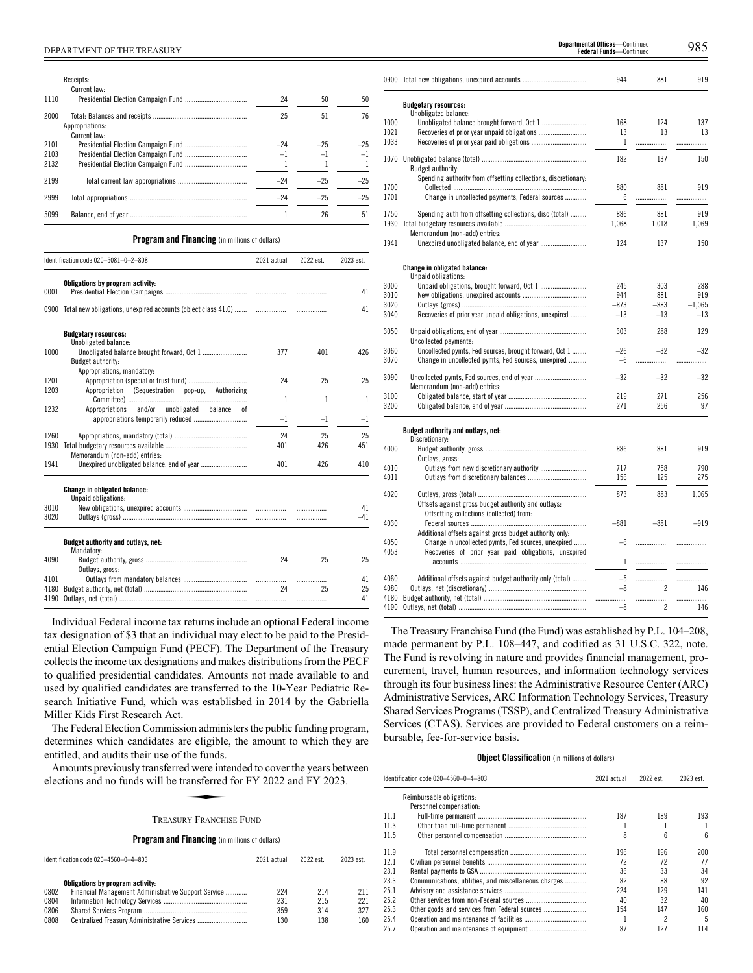|      | Receipts:                       |       |       |       |
|------|---------------------------------|-------|-------|-------|
|      | Current law:                    |       |       |       |
| 1110 |                                 | 24    | 50    | 50    |
| 2000 | Appropriations:<br>Current law: | 25    | 51    | 76    |
| 2101 |                                 | $-24$ | $-25$ | $-25$ |
| 2103 |                                 | $-1$  | $-1$  |       |
| 2132 |                                 |       |       |       |
| 2199 |                                 | $-24$ | $-25$ | $-25$ |
| 2999 |                                 | $-24$ | $-25$ | $-25$ |
| 5099 |                                 |       | 26    | 51    |

# **Program and Financing** (in millions of dollars)

|      | Identification code 020-5081-0-2-808                               | 2021 actual | 2022 est. | 2023 est. |
|------|--------------------------------------------------------------------|-------------|-----------|-----------|
| 0001 | Obligations by program activity:                                   |             |           | 41        |
|      | 0900 Total new obligations, unexpired accounts (object class 41.0) |             | .         | 41        |
|      | <b>Budgetary resources:</b>                                        |             |           |           |
| 1000 | Unobligated balance:<br>Budget authority:                          | 377         | 401       | 426       |
| 1201 | Appropriations, mandatory:                                         | 24          | 25        | 25        |
| 1203 | (Sequestration pop-up, Authorizing<br>Appropriation                | 1           | 1         | 1         |
| 1232 | Appropriations and/or unobligated balance of                       | -1          | $-1$      | $-1$      |
| 1260 |                                                                    | 24          | 25        | 25        |
| 1930 | Memorandum (non-add) entries:                                      | 401         | 426       | 451       |
| 1941 |                                                                    | 401         | 426       | 410       |
|      | Change in obligated balance:<br>Unpaid obligations:                |             |           |           |
| 3010 |                                                                    |             |           | 41        |
| 3020 |                                                                    |             |           | $-41$     |
|      | Budget authority and outlays, net:<br>Mandatory:                   |             |           |           |
| 4090 | Outlays, gross:                                                    | 24          | 25        | 25        |
| 4101 |                                                                    |             |           | 41        |
| 4180 |                                                                    | 24          | 25        | 25        |
| 4190 |                                                                    |             |           | 41        |

Individual Federal income tax returns include an optional Federal income tax designation of \$3 that an individual may elect to be paid to the Presidential Election Campaign Fund (PECF). The Department of the Treasury collects the income tax designations and makes distributions from the PECF to qualified presidential candidates. Amounts not made available to and used by qualified candidates are transferred to the 10-Year Pediatric Research Initiative Fund, which was established in 2014 by the Gabriella Miller Kids First Research Act.

The Federal Election Commission administers the public funding program, determines which candidates are eligible, the amount to which they are entitled, and audits their use of the funds.

Amounts previously transferred were intended to cover the years between elections and no funds will be transferred for FY 2022 and FY 2023. die engloe, die finds.<br>Fed were intendent transferred for<br>SURY FRANCHISE

# TREASURY FRANCHISE FUND

**Program and Financing** (in millions of dollars)

|      | Identification code 020-4560-0-4-803                | 2021 actual | 2022 est | 2023 est. |
|------|-----------------------------------------------------|-------------|----------|-----------|
|      | Obligations by program activity:                    |             |          |           |
| 0802 | Financial Management Administrative Support Service | 224         | 214      | 211       |
| 0804 |                                                     | 231         | 215      | 221       |
| 0806 |                                                     | 359         | 314      | 327       |
| 0808 |                                                     | 130         | 138      | 160       |

|              | 0900 Total new obligations, unexpired accounts                 | 944          | 881        | 919        |
|--------------|----------------------------------------------------------------|--------------|------------|------------|
|              | <b>Budgetary resources:</b>                                    |              |            |            |
| 1000         | Unobligated balance:                                           | 168          | 124        | 137        |
| 1021         |                                                                | 13           | 13         | 13         |
| 1033         |                                                                | 1            |            |            |
|              |                                                                |              | .          | .          |
| 1070         | <b>Budget authority:</b>                                       | 182          | 137        | 150        |
|              | Spending authority from offsetting collections, discretionary: |              |            |            |
| 1700         |                                                                | 880          | 881        | 919        |
| 1701         | Change in uncollected payments, Federal sources                | 6            | .          |            |
|              |                                                                |              |            |            |
| 1750<br>1930 | Spending auth from offsetting collections, disc (total)        | 886<br>1.068 | 881        | 919        |
|              |                                                                |              | 1.018      | 1,069      |
| 1941         | Memorandum (non-add) entries:                                  | 124          |            | 150        |
|              |                                                                |              | 137        |            |
|              | <b>Change in obligated balance:</b>                            |              |            |            |
|              | Unpaid obligations:                                            |              |            |            |
| 3000<br>3010 |                                                                | 245<br>944   | 303<br>881 | 288<br>919 |
| 3020         |                                                                | $-873$       | $-883$     | $-1.065$   |
| 3040         | Recoveries of prior year unpaid obligations, unexpired         | $-13$        | $-13$      | $-13$      |
|              |                                                                |              |            |            |
| 3050         | Uncollected payments:                                          | 303          | 288        | 129        |
| 3060         | Uncollected pymts, Fed sources, brought forward, Oct 1         | $-26$        | $-32$      | $-32$      |
| 3070         | Change in uncollected pymts, Fed sources, unexpired            | -6           | .          | .          |
| 3090         |                                                                |              | $-32$      | $-32$      |
|              |                                                                | $-32$        |            |            |
| 3100         | Memorandum (non-add) entries:                                  | 219          | 271        | 256        |
| 3200         |                                                                | 271          | 256        | 97         |
|              |                                                                |              |            |            |
|              | Budget authority and outlays, net:<br>Discretionary:           |              |            |            |
| 4000         |                                                                | 886          | 881        | 919        |
|              | Outlays, gross:                                                |              |            |            |
| 4010         |                                                                | 717          | 758        | 790        |
| 4011         |                                                                | 156          | 125        | 275        |
|              |                                                                |              |            |            |
| 4020         |                                                                | 873          | 883        | 1.065      |
|              | Offsets against gross budget authority and outlays:            |              |            |            |
|              | Offsetting collections (collected) from:                       |              |            |            |
| 4030         |                                                                | $-881$       | $-881$     | $-919$     |
|              | Additional offsets against gross budget authority only:        |              |            |            |
| 4050         | Change in uncollected pymts, Fed sources, unexpired            | $-6$         | .          | .          |
| 4053         | Recoveries of prior year paid obligations, unexpired           | 1            |            |            |
|              |                                                                |              | .          | .          |
| 4060         | Additional offsets against budget authority only (total)       | -5           |            | .          |
| 4080         |                                                                | $-8$         | 2          | 146        |

The Treasury Franchise Fund (the Fund) was established by P.L. 104–208, made permanent by P.L. 108–447, and codified as 31 U.S.C. 322, note. The Fund is revolving in nature and provides financial management, procurement, travel, human resources, and information technology services through its four business lines: the Administrative Resource Center (ARC) Administrative Services, ARC Information Technology Services, Treasury Shared Services Programs (TSSP), and Centralized Treasury Administrative Services (CTAS). Services are provided to Federal customers on a reimbursable, fee-for-service basis.

4180 Budget authority, net (total) .......................................................... ................. ................. .................

4190 Outlays, net (total)

# **Object Classification** (in millions of dollars)

|      | ldentification code 020–4560–0–4–803<br>2021 actual<br>2022 est. |     | 2023 est. |     |
|------|------------------------------------------------------------------|-----|-----------|-----|
|      | Reimbursable obligations:                                        |     |           |     |
|      | Personnel compensation:                                          |     |           |     |
| 11.1 |                                                                  | 187 | 189       | 193 |
| 11.3 |                                                                  |     |           |     |
| 11.5 |                                                                  | 8   | 6         | ĥ   |
| 11.9 |                                                                  | 196 | 196       | 200 |
| 12.1 |                                                                  | 72  | 72        | 77  |
| 23.1 |                                                                  | 36  | 33        | 34  |
| 23.3 | Communications, utilities, and miscellaneous charges             | 82  | 88        | 92  |
| 25.1 |                                                                  | 224 | 129       | 141 |
| 25.2 |                                                                  | 40  | 32        | 40  |
| 25.3 |                                                                  | 154 | 147       | 160 |
| 25.4 |                                                                  |     | 2         | 5   |
| 25.7 |                                                                  | 87  | 127       | 114 |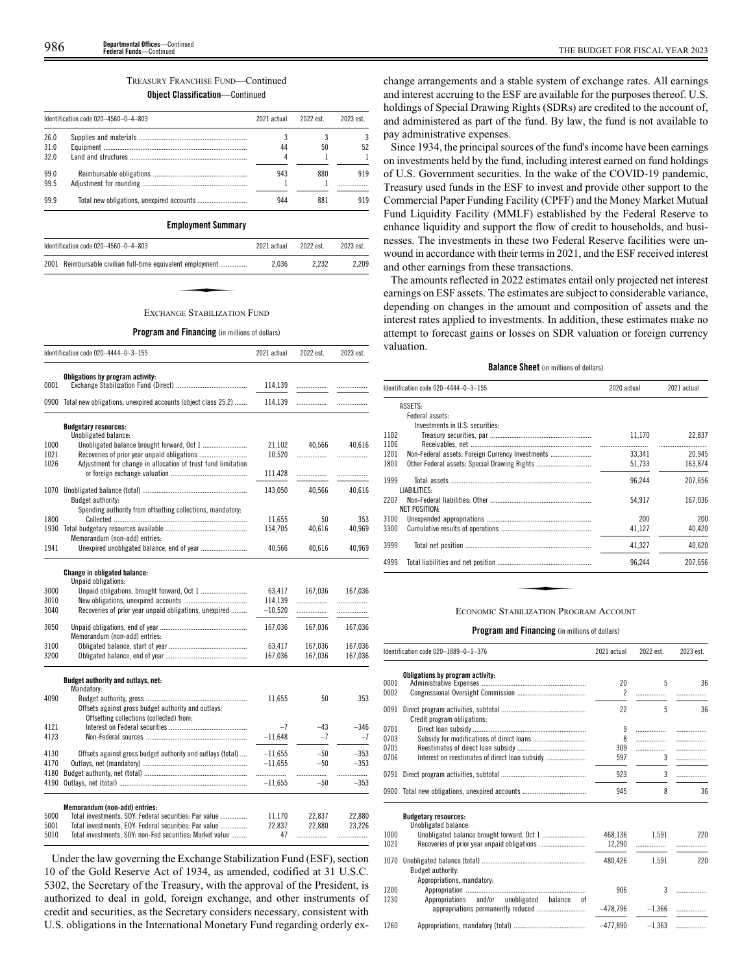# TREASURY FRANCHISE FUND—Continued **Object Classification**—Continued

|                      | Identification code 020-4560-0-4-803 | 2021 actual | 2022 est. | 2023 est |
|----------------------|--------------------------------------|-------------|-----------|----------|
| 26.0<br>31.0<br>32.0 |                                      | 44          | 50        | 52       |
| 99.0<br>99.5         |                                      | 943         | 880       | 919      |
| 999                  |                                      | 944         | 881       | 919      |

# **Employment Summary**

| Identification code 020-4560-0-4-803 |                                                            | 2021 actual | 2022 est. | 2023 est. |
|--------------------------------------|------------------------------------------------------------|-------------|-----------|-----------|
|                                      | 2001 Reimbursable civilian full-time equivalent employment | 2.036       | 2.232     | 2.209     |
|                                      |                                                            |             |           |           |
|                                      | <b>EXCHANGE STARII IZATION FIND</b>                        |             |           |           |

## EXCHANGE STABILIZATION FUND

## **Program and Financing** (in millions of dollars)

|      | Identification code 020-4444-0-3-155                                                   | 2021 actual | 2022 est. | 2023 est. |
|------|----------------------------------------------------------------------------------------|-------------|-----------|-----------|
|      | Obligations by program activity:                                                       |             |           |           |
| 0001 |                                                                                        | 114,139     |           | .         |
|      | 0900 Total new obligations, unexpired accounts (object class 25.2)                     | 114,139     | .         | .         |
|      | <b>Budgetary resources:</b>                                                            |             |           |           |
|      | Unobligated balance:                                                                   |             |           |           |
| 1000 |                                                                                        | 21,102      | 40,566    | 40,616    |
| 1021 |                                                                                        | 10,520      |           | .         |
| 1026 | Adjustment for change in allocation of trust fund limitation                           |             |           |           |
|      |                                                                                        | 111,428     |           | .         |
| 1070 |                                                                                        | 143,050     | 40.566    | 40,616    |
|      | Budget authority:                                                                      |             |           |           |
|      | Spending authority from offsetting collections, mandatory.                             |             |           |           |
| 1800 |                                                                                        | 11,655      | 50        | 353       |
|      |                                                                                        | 154,705     | 40,616    | 40,969    |
|      | Memorandum (non-add) entries:                                                          |             |           |           |
| 1941 |                                                                                        | 40,566      | 40,616    | 40,969    |
|      | <b>Change in obligated balance:</b>                                                    |             |           |           |
|      | Unpaid obligations:                                                                    |             |           |           |
| 3000 |                                                                                        | 63,417      | 167,036   | 167,036   |
| 3010 |                                                                                        | 114,139     |           | .         |
| 3040 | Recoveries of prior year unpaid obligations, unexpired                                 | $-10,520$   | .         |           |
| 3050 |                                                                                        | 167,036     | 167,036   | 167,036   |
|      | Memorandum (non-add) entries:                                                          |             |           |           |
| 3100 |                                                                                        | 63,417      | 167,036   | 167,036   |
| 3200 |                                                                                        | 167,036     | 167,036   | 167,036   |
|      | Budget authority and outlays, net:                                                     |             |           |           |
|      | Mandatory:                                                                             |             |           |           |
| 4090 |                                                                                        | 11,655      | 50        | 353       |
|      | Offsets against gross budget authority and outlays:                                    |             |           |           |
|      | Offsetting collections (collected) from:                                               |             |           |           |
| 4121 |                                                                                        | $-7$        | $-43$     | $-346$    |
| 4123 |                                                                                        | $-11,648$   | $-7$      | $-7$      |
| 4130 | Offsets against gross budget authority and outlays (total)                             | $-11,655$   | $-50$     | $-353$    |
| 4170 |                                                                                        | $-11.655$   | $-50$     | $-353$    |
| 4180 |                                                                                        | .           | .         | .         |
| 4190 |                                                                                        | $-11,655$   | $-50$     | $-353$    |
|      |                                                                                        |             |           |           |
| 5000 | Memorandum (non-add) entries:<br>Total investments, SOY: Federal securities: Par value | 11,170      | 22,837    | 22,880    |
| 5001 | Total investments, EOY: Federal securities: Par value                                  | 22,837      | 22,880    | 23,226    |
| 5010 | Total investments, SOY: non-Fed securities: Market value                               | 47          |           |           |

Under the law governing the Exchange Stabilization Fund (ESF), section 10 of the Gold Reserve Act of 1934, as amended, codified at 31 U.S.C. 5302, the Secretary of the Treasury, with the approval of the President, is authorized to deal in gold, foreign exchange, and other instruments of credit and securities, as the Secretary considers necessary, consistent with U.S. obligations in the International Monetary Fund regarding orderly exchange arrangements and a stable system of exchange rates. All earnings and interest accruing to the ESF are available for the purposes thereof. U.S. holdings of Special Drawing Rights (SDRs) are credited to the account of, and administered as part of the fund. By law, the fund is not available to pay administrative expenses.

Since 1934, the principal sources of the fund's income have been earnings on investments held by the fund, including interest earned on fund holdings of U.S. Government securities. In the wake of the COVID-19 pandemic, Treasury used funds in the ESF to invest and provide other support to the Commercial Paper Funding Facility (CPFF) and the Money Market Mutual Fund Liquidity Facility (MMLF) established by the Federal Reserve to enhance liquidity and support the flow of credit to households, and businesses. The investments in these two Federal Reserve facilities were unwound in accordance with their terms in 2021, and the ESF received interest and other earnings from these transactions.

The amounts reflected in 2022 estimates entail only projected net interest earnings on ESF assets. The estimates are subject to considerable variance, depending on changes in the amount and composition of assets and the interest rates applied to investments. In addition, these estimates make no attempt to forecast gains or losses on SDR valuation or foreign currency valuation.

# **Balance Sheet** (in millions of dollars)

| Identification code 020-4444-0-3-155 |                                                  | 2020 actual | 2021 actual |
|--------------------------------------|--------------------------------------------------|-------------|-------------|
|                                      | ASSETS:                                          |             |             |
|                                      | Federal assets:                                  |             |             |
|                                      | Investments in U.S. securities:                  |             |             |
| 1102                                 |                                                  | 11,170      | 22,837      |
| 1106                                 |                                                  |             |             |
| 1201                                 | Non-Federal assets: Foreign Currency Investments | 33.341      | 20.945      |
| 1801                                 | Other Federal assets: Special Drawing Rights     | 51,733      | 163,874     |
| 1999                                 |                                                  | 96.244      | 207,656     |
| 2207                                 | LIABILITIES:                                     | 54,917      | 167,036     |
|                                      | <b>NET POSITION:</b>                             |             |             |
| 3100                                 |                                                  | 200         | 200         |
| 3300                                 |                                                  | 41,127      | 40,420      |
| 3999                                 |                                                  | 41,327      | 40,620      |
| 4999                                 |                                                  | 96,244      | 207,656     |

## ECONOMIC STABILIZATION PROGRAM ACCOUNT

## **Program and Financing** (in millions of dollars)

|      | Identification code 020-1889-0-1-376                | 2021 actual    | 2022 est. | 2023 est. |
|------|-----------------------------------------------------|----------------|-----------|-----------|
|      | Obligations by program activity:                    |                |           |           |
| 0001 |                                                     | 20             | 5         | 36        |
| 0002 |                                                     | $\overline{c}$ |           |           |
| 0091 |                                                     | 22             | 5         | 36        |
|      | Credit program obligations:                         |                |           |           |
| 0701 |                                                     | 9              |           | .         |
| 0703 |                                                     | 8              | .         |           |
| 0705 |                                                     | 309            | .         |           |
| 0706 |                                                     | 597            | 3         |           |
| 0791 |                                                     | 923            | 3         | .         |
| 0900 |                                                     | 945            | 8         | 36        |
|      | <b>Budgetary resources:</b><br>Unobligated balance: |                |           |           |
| 1000 |                                                     | 468,136        | 1.591     | 220       |
| 1021 |                                                     | 12,290         |           |           |
| 1070 |                                                     | 480.426        | 1.591     | 220       |
|      | Budget authority:                                   |                |           |           |
|      | Appropriations, mandatory:                          |                |           |           |
| 1200 |                                                     | 906            | 3         |           |
| 1230 | Appropriations and/or unobligated balance<br>0Ť     |                |           |           |
|      |                                                     | $-478.796$     | $-1.366$  | .         |

1260 Appropriations, mandatory (total) ......................................... –477,890 –1,363 .................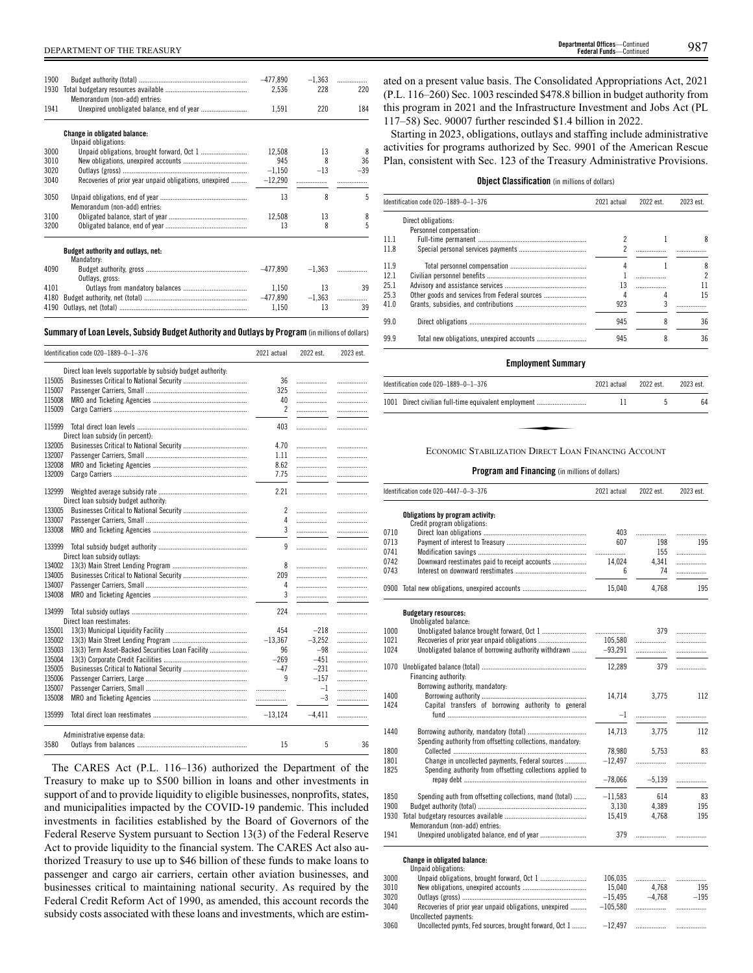| 1900<br>1930<br>1941 | Memorandum (non-add) entries:                          | $-477,890$<br>2,536<br>1,591 | $-1.363$<br>228<br>220 | .<br>220<br>184 |
|----------------------|--------------------------------------------------------|------------------------------|------------------------|-----------------|
|                      | <b>Change in obligated balance:</b>                    |                              |                        |                 |
|                      | Unpaid obligations:                                    |                              |                        |                 |
| 3000                 |                                                        | 12.508                       | 13                     | 8               |
| 3010                 |                                                        | 945                          | 8                      | 36              |
| 3020                 |                                                        | $-1,150$                     | $-13$                  | $-39$           |
| 3040                 | Recoveries of prior year unpaid obligations, unexpired | $-12,290$                    |                        |                 |
| 3050                 | Memorandum (non-add) entries:                          | 13                           | $\boldsymbol{8}$       | 5               |
| 3100                 |                                                        | 12,508                       | 13                     | 8               |
| 3200                 |                                                        | 13                           | 8                      | 5               |
|                      | Budget authority and outlays, net:<br>Mandatory:       |                              |                        |                 |
| 4090                 | Outlays, gross:                                        | $-477.890$                   | $-1.363$               | .               |
| 4101                 |                                                        | 1.150                        | 13                     | 39              |
| 4180                 |                                                        | -477.890                     | $-1,363$               | .               |
| 4190                 |                                                        | 1.150                        | 13                     | 39              |
|                      |                                                        |                              |                        |                 |

# **Summary ofLoan Levels, Subsidy Budget Authority and Outlays by Program** (inmillionsof dollars)

|        | Identification code 020-1889-0-1-376                        | 2021 actual    | 2022 est. | 2023 est. |
|--------|-------------------------------------------------------------|----------------|-----------|-----------|
|        | Direct loan levels supportable by subsidy budget authority: |                |           |           |
| 115005 |                                                             | 36             | .         | .         |
| 115007 |                                                             | 325            | .         | .         |
| 115008 |                                                             | 40             | .         | .         |
| 115009 |                                                             | $\overline{c}$ | .         | .         |
| 115999 |                                                             | 403            |           | .         |
|        | Direct loan subsidy (in percent):                           |                |           |           |
| 132005 |                                                             | 4.70           | .         | .         |
| 132007 |                                                             | 1.11           | .         | .         |
| 132008 |                                                             | 8.62           | .         | .         |
| 132009 |                                                             | 7.75           | .         | .         |
|        |                                                             |                |           |           |
| 132999 | Direct loan subsidy budget authority:                       | 2.21           | .         | .         |
| 133005 |                                                             | $\overline{c}$ | .         |           |
| 133007 |                                                             | 4              | .         | .<br>.    |
| 133008 |                                                             | 3              | .         |           |
|        |                                                             |                |           | .         |
| 133999 | Direct loan subsidy outlays:                                | 9              | .         | .         |
| 134002 |                                                             | 8              | .         |           |
| 134005 |                                                             | 209            | .         | .<br>.    |
| 134007 |                                                             | 4              | .         |           |
| 134008 |                                                             | 3              |           | .         |
|        |                                                             |                | .         | .         |
| 134999 |                                                             | 224            | .         | .         |
|        | Direct loan reestimates:                                    |                |           |           |
| 135001 |                                                             | 454            | $-218$    | .         |
| 135002 |                                                             | $-13,367$      | $-3,252$  | .         |
| 135003 | 13(3) Term Asset-Backed Securities Loan Facility            | 96             | $-98$     | .         |
| 135004 |                                                             | $-269$         | $-451$    | .         |
| 135005 |                                                             | $-47$          | $-231$    | .         |
| 135006 |                                                             | 9              | $-157$    | .         |
| 135007 |                                                             | .              | $-1$      | .         |
| 135008 |                                                             | .              | $-3$      | .         |
| 135999 |                                                             | $-13,124$      | $-4,411$  | .         |
|        | Administrative expense data:                                |                |           |           |
| 3580   |                                                             | 15             | 5         | 36        |

The CARES Act (P.L. 116–136) authorized the Department of the Treasury to make up to \$500 billion in loans and other investments in support of and to provide liquidity to eligible businesses, nonprofits, states, and municipalities impacted by the COVID-19 pandemic. This included investments in facilities established by the Board of Governors of the Federal Reserve System pursuant to Section 13(3) of the Federal Reserve Act to provide liquidity to the financial system. The CARES Act also authorized Treasury to use up to \$46 billion of these funds to make loans to passenger and cargo air carriers, certain other aviation businesses, and businesses critical to maintaining national security. As required by the Federal Credit Reform Act of 1990, as amended, this account records the subsidy costs associated with these loans and investments, which are estimated on a present value basis. The Consolidated Appropriations Act, 2021 (P.L. 116–260) Sec. 1003 rescinded \$478.8 billion in budget authority from this program in 2021 and the Infrastructure Investment and Jobs Act (PL 117–58) Sec. 90007 further rescinded \$1.4 billion in 2022.

Starting in 2023, obligations, outlays and staffing include administrative activities for programs authorized by Sec. 9901 of the American Rescue Plan, consistent with Sec. 123 of the Treasury Administrative Provisions.

# **Object Classification** (in millions of dollars)

|      | Identification code 020-1889-0-1-376<br>2021 actual |     | 2022 est. | 2023 est. |
|------|-----------------------------------------------------|-----|-----------|-----------|
|      | Direct obligations:                                 |     |           |           |
|      | Personnel compensation:                             |     |           |           |
| 11.1 |                                                     |     |           | 8         |
| 11.8 |                                                     |     |           |           |
| 11.9 |                                                     |     |           | 8         |
| 12.1 |                                                     |     |           | 2         |
| 25.1 |                                                     | 13  |           | 11        |
| 25.3 |                                                     |     |           | 15        |
| 41.0 |                                                     | 923 |           |           |
| 99.0 |                                                     | 945 |           | 36        |
| 99.9 |                                                     | 945 |           | 36        |

# **Employment Summary**

| Identification code 020-1889-0-1-376<br>2021 actual  |    | 2022 est. | 2023 est |
|------------------------------------------------------|----|-----------|----------|
| 1001 Direct civilian full-time equivalent employment | 11 |           | 64       |
|                                                      |    |           |          |
| ECONOMIC STABILIZATION DIRECT LOAN FINANCING ACCOUNT |    |           |          |

|              | Identification code 020-4447-0-3-376                       | 2021 actual          | 2022 est. | 2023 est. |
|--------------|------------------------------------------------------------|----------------------|-----------|-----------|
|              | Obligations by program activity:                           |                      |           |           |
|              | Credit program obligations:                                |                      |           |           |
| 0710         |                                                            | 403                  | .         | .         |
| 0713         |                                                            | 607                  | 198       | 195       |
| 0741         |                                                            | .                    | 155       | .         |
| 0742         | Downward reestimates paid to receipt accounts              | 14.024               | 4,341     | .         |
| 0743         |                                                            | 6                    | 74        | .         |
|              | 0900 Total new obligations, unexpired accounts             | 15,040               | 4,768     | 195       |
|              | <b>Budgetary resources:</b>                                |                      |           |           |
|              | Unobligated balance:                                       |                      |           |           |
| 1000<br>1021 |                                                            |                      | 379       | .         |
| 1024         | Unobligated balance of borrowing authority withdrawn       | 105,580<br>$-93.291$ | .         | .         |
|              |                                                            |                      | .         |           |
| 1070         |                                                            | 12,289               | 379       | .         |
|              | Financing authority:                                       |                      |           |           |
|              | Borrowing authority, mandatory:                            |                      |           |           |
| 1400         |                                                            | 14.714               | 3.775     | 112       |
| 1424         | Capital transfers of borrowing authority to general        |                      |           |           |
|              |                                                            | $-1$                 | .         |           |
|              |                                                            |                      |           |           |
| 1440         |                                                            | 14,713               | 3,775     | 112       |
|              | Spending authority from offsetting collections, mandatory: |                      |           |           |
| 1800         |                                                            | 78,980               | 5,753     | 83        |
| 1801         | Change in uncollected payments, Federal sources            | $-12,497$            | .         |           |
| 1825         | Spending authority from offsetting collections applied to  |                      |           |           |
|              |                                                            | $-78,066$            | $-5,139$  | .         |
| 1850         | Spending auth from offsetting collections, mand (total)    | $-11,583$            | 614       | 83        |
| 1900         |                                                            | 3,130                | 4,389     | 195       |
| 1930         |                                                            | 15,419               | 4,768     | 195       |
|              | Memorandum (non-add) entries:                              |                      |           |           |
| 1941         |                                                            | 379                  |           |           |
|              |                                                            |                      |           |           |
|              | Change in obligated balance:                               |                      |           |           |
|              | Unpaid obligations:                                        |                      |           |           |

| 3000 |                                                        | 106.035    |          |        |
|------|--------------------------------------------------------|------------|----------|--------|
| 3010 |                                                        | 15.040     | 4.768    | 195    |
| 3020 |                                                        | $-15.495$  | $-4.768$ | $-195$ |
| 3040 | Recoveries of prior year unpaid obligations, unexpired | $-105.580$ |          |        |
|      | Uncollected payments:                                  |            |          |        |
| 3060 |                                                        |            |          |        |
|      |                                                        |            |          |        |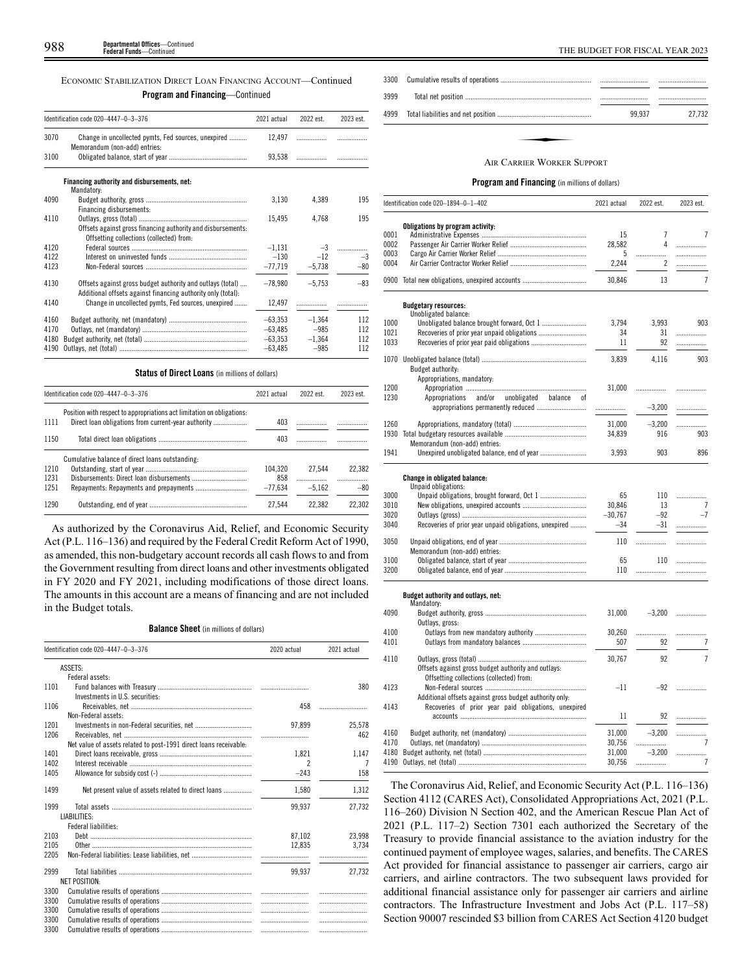| ECONOMIC STABILIZATION DIRECT LOAN FINANCING ACCOUNT—Continued |
|----------------------------------------------------------------|
| <b>Program and Financing</b> —Continued                        |

|      | Identification code 020-4447-0-3-376                                                                                       | 2021 actual | 2022 est. | 2023 est. |
|------|----------------------------------------------------------------------------------------------------------------------------|-------------|-----------|-----------|
| 3070 | Change in uncollected pymts, Fed sources, unexpired<br>Memorandum (non-add) entries:                                       | 12.497      | .         |           |
| 3100 |                                                                                                                            | 93,538      | .         |           |
|      | Financing authority and disbursements, net:<br>Mandatory:                                                                  |             |           |           |
| 4090 | Financing disbursements:                                                                                                   | 3,130       | 4,389     | 195       |
| 4110 | Offsets against gross financing authority and disbursements:<br>Offsetting collections (collected) from:                   | 15,495      | 4,768     | 195       |
| 4120 |                                                                                                                            | $-1,131$    | $-3$      |           |
| 4122 |                                                                                                                            | $-130$      | $-12$     | $-3$      |
| 4123 |                                                                                                                            | $-77,719$   | $-5.738$  | $-80$     |
| 4130 | Offsets against gross budget authority and outlays (total)<br>Additional offsets against financing authority only (total): | $-78,980$   | $-5.753$  | $-83$     |
| 4140 | Change in uncollected pymts, Fed sources, unexpired                                                                        | 12,497      |           |           |
| 4160 |                                                                                                                            | $-63,353$   | $-1,364$  | 112       |
| 4170 |                                                                                                                            | $-63.485$   | $-985$    | 112       |
| 4180 |                                                                                                                            | $-63.353$   | $-1,364$  | 112       |
| 4190 |                                                                                                                            | $-63,485$   | $-985$    | 112       |

# **Status of Direct Loans** (in millions of dollars)

|      | Identification code 020-4447-0-3-376                                   |           | 2022 est. | 2023 est. |
|------|------------------------------------------------------------------------|-----------|-----------|-----------|
| 1111 | Position with respect to appropriations act limitation on obligations. | 403       |           |           |
| 1150 |                                                                        | 403       |           |           |
|      | Cumulative balance of direct loans outstanding:                        |           |           |           |
| 1210 |                                                                        | 104.320   | 27.544    | 22.382    |
| 1231 |                                                                        | 858       |           |           |
| 1251 |                                                                        | $-77.634$ | $-5.162$  | $-80$     |
| 1290 |                                                                        | 27.544    | 22.382    | 22.302    |

As authorized by the Coronavirus Aid, Relief, and Economic Security Act (P.L. 116–136) and required by the Federal Credit Reform Act of 1990, as amended, this non-budgetary account records all cash flows to and from the Government resulting from direct loans and other investments obligated in FY 2020 and FY 2021, including modifications of those direct loans. The amounts in this account are a means of financing and are not included in the Budget totals.

# **Balance Sheet** (in millions of dollars)

|      | Identification code 020-4447-0-3-376                              | 2020 actual | 2021 actual |
|------|-------------------------------------------------------------------|-------------|-------------|
|      | ASSETS:                                                           |             |             |
|      | Federal assets:                                                   |             |             |
| 1101 | Investments in U.S. securities:                                   |             | 380         |
| 1106 |                                                                   | 458         |             |
|      | Non-Federal assets:                                               |             |             |
| 1201 |                                                                   | 97.899      | 25,578      |
| 1206 |                                                                   |             | 462         |
|      | Net value of assets related to post-1991 direct loans receivable: |             |             |
| 1401 |                                                                   | 1,821       | 1,147       |
| 1402 |                                                                   |             | 7           |
| 1405 |                                                                   | $-243$      | 158         |
| 1499 | Net present value of assets related to direct loans               | 1,580       | 1,312       |
| 1999 |                                                                   | 99,937      | 27,732      |
|      | LIABILITIES:                                                      |             |             |
|      | Federal liabilities:                                              |             |             |
| 2103 |                                                                   | 87.102      | 23.998      |
| 2105 |                                                                   | 12.835      | 3.734       |
| 2205 |                                                                   |             |             |
| 2999 |                                                                   | 99.937      | 27.732      |
|      | <b>NET POSITION:</b>                                              |             |             |
| 3300 |                                                                   |             |             |
| 3300 |                                                                   |             |             |
| 3300 |                                                                   |             |             |
| 3300 |                                                                   |             |             |
| 3300 |                                                                   |             |             |

| 3300 |                                   |        |        |
|------|-----------------------------------|--------|--------|
| 3999 |                                   |        |        |
| 4999 |                                   | 99.937 | 27.732 |
|      | <b>AIR CARRIER WORKER SUPPORT</b> |        |        |

# **Program and Financing** (in millions of dollars)

|      | Identification code 020-1894-0-1-402                       | 2021 actual | 2022 est.      | 2023 est.      |
|------|------------------------------------------------------------|-------------|----------------|----------------|
|      | Obligations by program activity:                           |             |                |                |
| 0001 |                                                            | 15          | $\overline{7}$ | 7              |
| 0002 |                                                            | 28,582      | 4              | .              |
| 0003 |                                                            | 5           |                |                |
| 0004 |                                                            | 2,244       | 2              |                |
|      | 0900 Total new obligations, unexpired accounts             | 30,846      | 13             | $\overline{7}$ |
|      | <b>Budgetary resources:</b><br>Unobligated balance:        |             |                |                |
| 1000 |                                                            | 3.794       | 3.993          | 903            |
| 1021 |                                                            | 34          | 31             | .              |
| 1033 | Recoveries of prior year paid obligations                  | 11          | 92             | .              |
|      |                                                            |             |                |                |
|      |                                                            | 3,839       | 4,116          | 903            |
|      | Budget authority:                                          |             |                |                |
|      | Appropriations, mandatory:                                 |             |                |                |
| 1200 |                                                            | 31,000      | .              |                |
| 1230 | Appropriations<br>and/or<br>unobligated<br>balance<br>0f   |             |                |                |
|      | appropriations permanently reduced                         |             | $-3,200$       | .              |
|      |                                                            |             |                |                |
| 1260 |                                                            | 31,000      | $-3,200$       |                |
| 1930 |                                                            | 34,839      | 916            | 903            |
|      | Memorandum (non-add) entries:                              |             |                |                |
| 1941 |                                                            | 3,993       | 903            | 896            |
|      |                                                            |             |                |                |
|      | <b>Change in obligated balance:</b><br>Unpaid obligations: |             |                |                |
| 3000 | Unpaid obligations, brought forward, Oct 1                 | 65          | 110            | .              |
| 3010 |                                                            | 30,846      | 13             | 7              |
| 3020 |                                                            | $-30,767$   | $-92$          | $-7$           |
| 3040 | Recoveries of prior year unpaid obligations, unexpired     | $-34$       | $-31$          | .              |
|      |                                                            |             |                |                |
| 3050 |                                                            | 110         | .              | .              |
|      | Memorandum (non-add) entries:                              |             |                |                |
| 3100 |                                                            | 65          | 110            | .              |
| 3200 |                                                            | 110         | .              | .              |
|      | Budget authority and outlays, net:                         |             |                |                |
|      | Mandatory:                                                 |             |                |                |
| 4090 |                                                            | 31,000      | $-3,200$       |                |
|      | Outlays, gross:                                            |             |                |                |
| 4100 |                                                            | 30,260      |                | .              |
| 4101 |                                                            | 507         | 92             | 7              |
| 4110 |                                                            | 30,767      | 92             | $\overline{7}$ |
|      | Offsets against gross budget authority and outlays:        |             |                |                |
|      | Offsetting collections (collected) from:                   |             |                |                |
| 4123 |                                                            | $-11$       | $-92$          | .              |
|      | Additional offsets against gross budget authority only:    |             |                |                |
| 4143 | Recoveries of prior year paid obligations, unexpired       |             |                |                |
|      |                                                            | 11          | 92             | .              |
|      |                                                            |             |                |                |
| 4160 |                                                            | 31,000      | $-3,200$       | .              |
| 4170 |                                                            | 30,756      | .              | 7              |
| 4180 |                                                            | 31,000      | $-3,200$       | .              |
| 4190 |                                                            | 30,756      | .              | 7              |

The Coronavirus Aid, Relief, and Economic Security Act (P.L. 116–136) Section 4112 (CARES Act), Consolidated Appropriations Act, 2021 (P.L. 116–260) Division N Section 402, and the American Rescue Plan Act of 2021 (P.L. 117–2) Section 7301 each authorized the Secretary of the Treasury to provide financial assistance to the aviation industry for the continued payment of employee wages, salaries, and benefits. The CARES Act provided for financial assistance to passenger air carriers, cargo air carriers, and airline contractors. The two subsequent laws provided for additional financial assistance only for passenger air carriers and airline contractors. The Infrastructure Investment and Jobs Act (P.L. 117–58) Section 90007 rescinded \$3 billion from CARES Act Section 4120 budget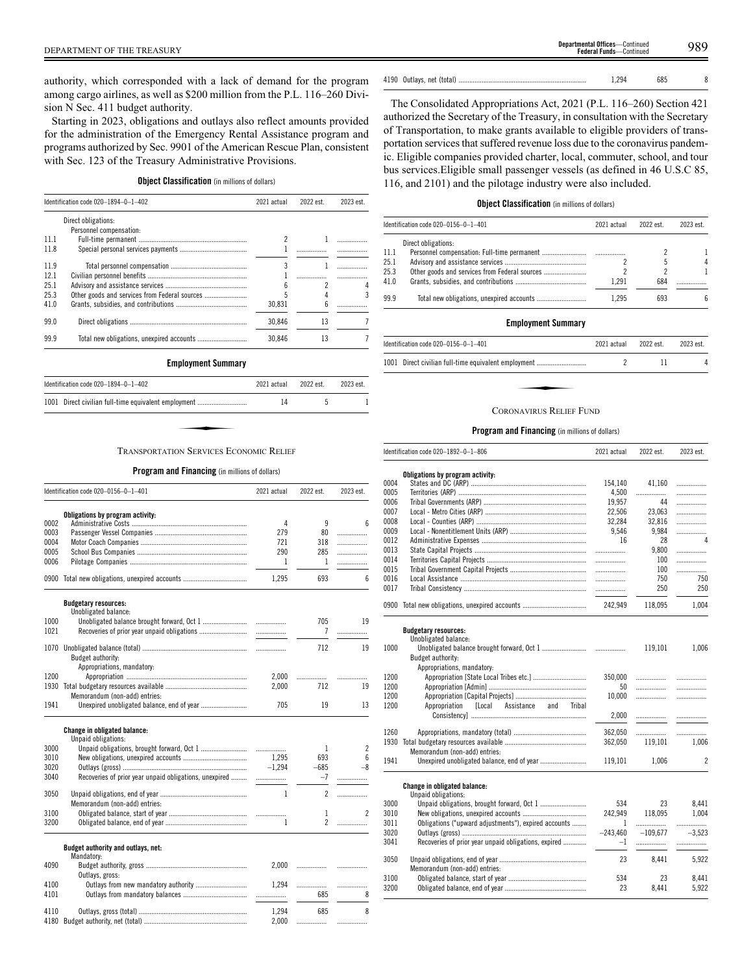authority, which corresponded with a lack of demand for the program among cargo airlines, as well as \$200 million from the P.L. 116–260 Division N Sec. 411 budget authority.

Starting in 2023, obligations and outlays also reflect amounts provided for the administration of the Emergency Rental Assistance program and programs authorized by Sec. 9901 of the American Rescue Plan, consistent with Sec. 123 of the Treasury Administrative Provisions.

# **Object Classification** (in millions of dollars)

|      | Identification code 020-1894-0-1-402          | 2021 actual | 2022 est. | 2023 est. |
|------|-----------------------------------------------|-------------|-----------|-----------|
|      | Direct obligations:                           |             |           |           |
|      | Personnel compensation:                       |             |           |           |
| 111  |                                               | 2           |           |           |
| 11.8 |                                               |             |           |           |
| 11.9 |                                               | 3           |           |           |
| 12.1 |                                               |             |           |           |
| 25.1 |                                               |             | 2         |           |
| 25.3 | Other goods and services from Federal sources |             |           | 3         |
| 41.0 |                                               | 30.831      | 6         |           |
| 99.0 |                                               | 30,846      | 13        |           |
| 99.9 |                                               | 30.846      | 13        |           |
|      | <b>Employment Summary</b>                     |             |           |           |

# ✦ TRANSPORTATION SERVICES ECONOMIC RELIEF

Identification code 020–1894–0–1–402 2021 actual 2022 est. 2023 est. 1001 Direct civilian full-time equivalent employment ............................ 14 5 1

# **Program and Financing** (in millions of dollars)

|      | Identification code 020-0156-0-1-401                   | 2021 actual | 2022 est.                | 2023 est. |
|------|--------------------------------------------------------|-------------|--------------------------|-----------|
|      | Obligations by program activity:                       |             |                          |           |
| 0002 |                                                        | 4           | 9                        | 6         |
| 0003 |                                                        | 279         | 80                       | .         |
| 0004 |                                                        | 721         | 318                      | .         |
| 0005 |                                                        | 290<br>1    | 285<br>$\mathbf{1}$      | .         |
| 0006 |                                                        |             |                          | .         |
| 0900 |                                                        | 1,295       | 693                      | 6         |
|      | <b>Budgetary resources:</b>                            |             |                          |           |
|      | Unobligated balance:                                   |             |                          |           |
| 1000 |                                                        | .           | 705                      | 19        |
| 1021 |                                                        | .           | 7                        | .         |
| 1070 |                                                        |             | 712                      | 19        |
|      | Budget authority:                                      |             |                          |           |
|      | Appropriations, mandatory:                             |             |                          |           |
| 1200 |                                                        | 2.000       | .                        |           |
| 1930 |                                                        | 2.000       | 712                      | 19        |
|      | Memorandum (non-add) entries:                          |             |                          |           |
| 1941 | Unexpired unobligated balance, end of year             | 705         | 19                       | 13        |
|      | Change in obligated balance:                           |             |                          |           |
|      | Unpaid obligations:                                    |             |                          |           |
| 3000 |                                                        |             | 1                        | 2         |
| 3010 |                                                        | 1,295       | 693                      | 6         |
| 3020 |                                                        | $-1,294$    | $-685$                   | $-8$      |
| 3040 | Recoveries of prior year unpaid obligations, unexpired |             | $-7$                     | .         |
| 3050 |                                                        | 1           | $\overline{\phantom{a}}$ | .         |
|      | Memorandum (non-add) entries:                          |             |                          |           |
| 3100 |                                                        |             | 1                        | 2         |
| 3200 |                                                        | 1           | $\overline{\phantom{a}}$ | .         |
|      | Budget authority and outlays, net:                     |             |                          |           |
|      | Mandatory:                                             |             |                          |           |
| 4090 |                                                        | 2,000       | .                        | .         |
|      | Outlays, gross:                                        |             |                          |           |
| 4100 |                                                        | 1.294       | .                        | .         |
| 4101 |                                                        | .           | 685                      | 8         |
| 4110 |                                                        | 1,294       | 685                      | 8         |
| 4180 |                                                        | 2,000       | .                        | .         |
|      |                                                        |             |                          |           |

|  |  | 685 |  |
|--|--|-----|--|
|--|--|-----|--|

The Consolidated Appropriations Act, 2021 (P.L. 116–260) Section 421 authorized the Secretary of the Treasury, in consultation with the Secretary of Transportation, to make grants available to eligible providers of transportation services that suffered revenue loss due to the coronavirus pandemic. Eligible companies provided charter, local, commuter, school, and tour bus services.Eligible small passenger vessels (as defined in 46 U.S.C 85, 116, and 2101) and the pilotage industry were also included.

# **Object Classification** (in millions of dollars)

|      | Identification code 020-0156-0-1-401 | 2021 actual | 2022 est. | 2023 est. |
|------|--------------------------------------|-------------|-----------|-----------|
|      | Direct obligations:                  |             |           |           |
| 11.1 |                                      |             |           |           |
| 25.1 |                                      |             |           | 4         |
| 25.3 |                                      |             |           |           |
| 41.0 |                                      | 1.291       | 684       |           |
| 99.9 |                                      | 1.295       | 693       | 6         |

# **Employment Summary**

| ldentification code 020–0156–0–1–401                 | 2021 actual | 2022 est. | 2023 est. |
|------------------------------------------------------|-------------|-----------|-----------|
| 1001 Direct civilian full-time equivalent employment |             |           |           |
|                                                      |             |           |           |
|                                                      |             |           |           |
| <b>CORONAVIRUS RELIEF FUND</b>                       |             |           |           |

|      | ldentification code 020—1892—0—1—806                          | 2021 actual | 2022 est.  | 2023 est.      |
|------|---------------------------------------------------------------|-------------|------------|----------------|
|      | Obligations by program activity:                              |             |            |                |
| 0004 |                                                               | 154,140     | 41,160     | .              |
| 0005 |                                                               | 4,500       | .          | .              |
| 0006 |                                                               | 19,957      | 44         | .              |
| 0007 |                                                               | 22,506      | 23,063     | .              |
| 0008 |                                                               | 32.284      | 32,816     | .              |
| 0009 |                                                               | 9.546       | 9.984      | .              |
| 0012 |                                                               | 16          | 28         | $\overline{4}$ |
| 0013 |                                                               |             | 9,800      | .              |
| 0014 |                                                               | .           | 100        | .              |
| 0015 |                                                               |             | 100        | .              |
| 0016 |                                                               | .           | 750        | 750            |
| 0017 |                                                               | .           | 250        | 250            |
|      |                                                               |             |            |                |
|      | 0900 Total new obligations, unexpired accounts                | 242,949     | 118,095    | 1,004          |
|      |                                                               |             |            |                |
|      | <b>Budgetary resources:</b><br>Unobligated balance:           |             |            |                |
| 1000 |                                                               |             | 119,101    | 1,006          |
|      | Budget authority:                                             |             |            |                |
|      | Appropriations, mandatory:                                    |             |            |                |
| 1200 |                                                               | 350,000     | .          | .              |
| 1200 |                                                               | 50          | .          | .              |
| 1200 |                                                               | 10,000      | .          |                |
| 1200 | <b>TLocal</b><br>Assistance<br>and<br>Appropriation<br>Tribal |             |            |                |
|      |                                                               | 2,000       | .          |                |
|      |                                                               |             |            |                |
| 1260 |                                                               | 362,050     | .          |                |
| 1930 |                                                               | 362,050     | 119,101    | 1,006          |
|      | Memorandum (non-add) entries:                                 |             |            |                |
| 1941 |                                                               | 119,101     | 1,006      | $\overline{c}$ |
|      |                                                               |             |            |                |
|      | <b>Change in obligated balance:</b><br>Unpaid obligations:    |             |            |                |
| 3000 | Unpaid obligations, brought forward, Oct 1                    | 534         | 23         | 8,441          |
| 3010 |                                                               | 242.949     | 118,095    | 1.004          |
| 3011 |                                                               | 1           | .          |                |
| 3020 | Obligations ("upward adjustments"), expired accounts          | $-243.460$  | $-109.677$ | <br>$-3.523$   |
|      | Recoveries of prior year unpaid obligations, expired          |             |            |                |
| 3041 |                                                               | $-1$        | .          | .              |
| 3050 |                                                               | 23          | 8.441      | 5,922          |
|      | Memorandum (non-add) entries:                                 |             |            |                |
| 3100 |                                                               | 534         | 23         | 8.441          |
| 3200 |                                                               | 23          | 8,441      | 5,922          |
|      |                                                               |             |            |                |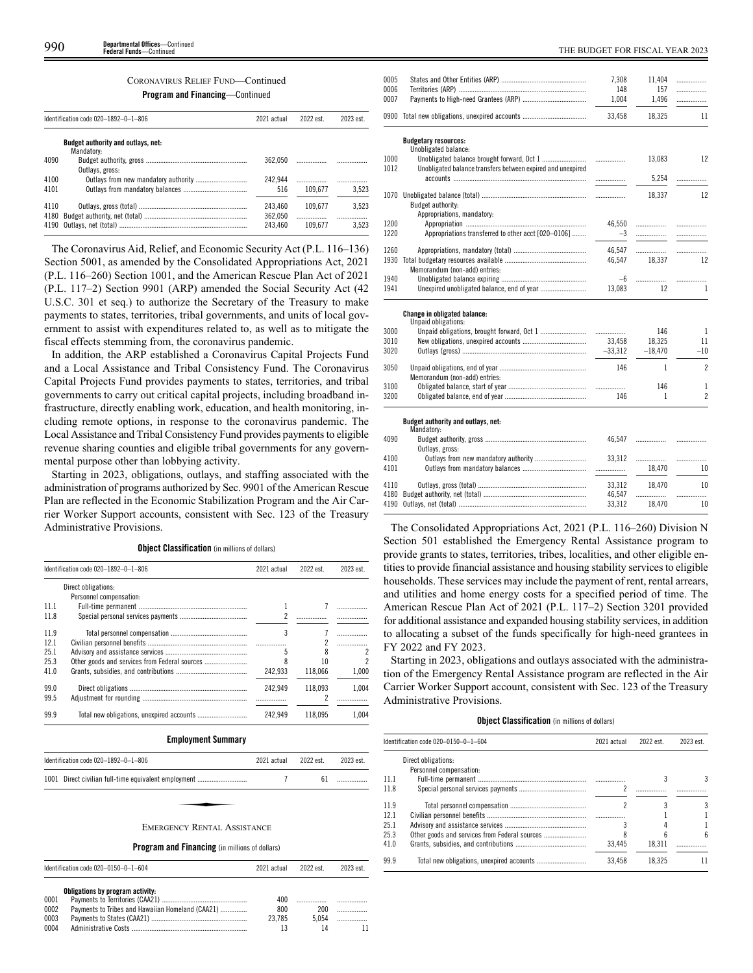# CORONAVIRUS RELIEF FUND—Continued

**Program and Financing**—Continued

|              | Identification code 020-1892-0-1-806             | 2021 actual        | 2022 est. | 2023 est.  |
|--------------|--------------------------------------------------|--------------------|-----------|------------|
|              | Budget authority and outlays, net:<br>Mandatory: |                    |           |            |
| 4090         | Outlays, gross:                                  | 362.050            |           |            |
| 4100         |                                                  | 242.944            | .         |            |
| 4101         |                                                  | 516                | 109.677   | 3.523      |
| 4110<br>4180 |                                                  | 243.460<br>362.050 | 109.677   | 3.523<br>. |
| 4190         |                                                  | 243.460            | 109.677   | 3.523      |

The Coronavirus Aid, Relief, and Economic Security Act (P.L. 116–136) Section 5001, as amended by the Consolidated Appropriations Act, 2021 (P.L. 116–260) Section 1001, and the American Rescue Plan Act of 2021 (P.L. 117–2) Section 9901 (ARP) amended the Social Security Act (42 U.S.C. 301 et seq.) to authorize the Secretary of the Treasury to make payments to states, territories, tribal governments, and units of local government to assist with expenditures related to, as well as to mitigate the fiscal effects stemming from, the coronavirus pandemic.

In addition, the ARP established a Coronavirus Capital Projects Fund and a Local Assistance and Tribal Consistency Fund. The Coronavirus Capital Projects Fund provides payments to states, territories, and tribal governments to carry out critical capital projects, including broadband infrastructure, directly enabling work, education, and health monitoring, including remote options, in response to the coronavirus pandemic. The Local Assistance and Tribal Consistency Fund provides payments to eligible revenue sharing counties and eligible tribal governments for any governmental purpose other than lobbying activity.

Starting in 2023, obligations, outlays, and staffing associated with the administration of programs authorized by Sec. 9901 of the American Rescue Plan are reflected in the Economic Stabilization Program and the Air Carrier Worker Support accounts, consistent with Sec. 123 of the Treasury Administrative Provisions.

**Object Classification** (in millions of dollars)

| 2023 est. | 2022 est. | 2021 actual | Identification code 020-1892-0-1-806          |      |
|-----------|-----------|-------------|-----------------------------------------------|------|
|           |           |             | Direct obligations:                           |      |
|           |           |             | Personnel compensation:                       |      |
|           |           |             |                                               | 111  |
|           |           |             |                                               | 11.8 |
|           |           | 3           |                                               | 11.9 |
| .         | 2         |             |                                               |      |
|           |           | 5           |                                               | 25.1 |
|           | 10        |             | Other goods and services from Federal sources | 25.3 |
| 1.000     | 118.066   | 242.933     |                                               | 41.0 |
| 1.004     | 118.093   | 242.949     |                                               | 99.0 |
|           | 2         |             |                                               | 99.5 |
| 1.004     | 118.095   | 242.949     |                                               | 99.9 |
|           |           |             |                                               | 12.1 |

# **Employment Summary**

|      | Identification code 020-1892-0-1-806                  | 2021 actual | 2022 est. | 2023 est. |
|------|-------------------------------------------------------|-------------|-----------|-----------|
|      | 1001 Direct civilian full-time equivalent employment  |             | 61        |           |
|      |                                                       |             |           |           |
|      | <b>EMERGENCY RENTAL ASSISTANCE</b>                    |             |           |           |
|      | <b>Program and Financing</b> (in millions of dollars) |             |           |           |
|      | Identification code 020-0150-0-1-604                  | 2021 actual | 2022 est. | 2023 est. |
|      |                                                       |             |           |           |
|      | Obligations by program activity:                      |             |           |           |
| 0001 |                                                       | 400         |           |           |
| 0002 | Payments to Tribes and Hawaiian Homeland (CAA21)      | 800         | 200       | .         |
| 0003 |                                                       | 23,785      | 5,054     | .         |
| 0004 |                                                       | 13          | 14        | 11        |

| 0005 |                                                             | 7,308       | 11,404    | .              |
|------|-------------------------------------------------------------|-------------|-----------|----------------|
| 0006 |                                                             | 148         | 157       | .              |
| 0007 |                                                             | 1,004       | 1,496     | .              |
| 0900 |                                                             | 33,458      | 18,325    | 11             |
|      | <b>Budgetary resources:</b>                                 |             |           |                |
|      | Unobligated balance:                                        |             |           |                |
| 1000 |                                                             | .           | 13,083    | 12             |
| 1012 | Unobligated balance transfers between expired and unexpired | .           | 5,254     | .              |
|      |                                                             |             | 18,337    | 12             |
|      | Budget authority:                                           |             |           |                |
|      | Appropriations, mandatory:                                  |             |           |                |
| 1200 |                                                             | 46,550      |           | .              |
| 1220 | Appropriations transferred to other acct [020-0106]         | $-3$        |           |                |
| 1260 |                                                             | 46,547      |           | .              |
| 1930 |                                                             | 46,547      | 18.337    | 12             |
|      | Memorandum (non-add) entries:                               |             |           |                |
| 1940 |                                                             | $-6$        |           | .              |
| 1941 |                                                             | 13,083      | 12        | 1              |
|      | <b>Change in obligated balance:</b>                         |             |           |                |
| 3000 | Unpaid obligations:                                         |             | 146       | 1              |
| 3010 |                                                             | .<br>33,458 | 18,325    | 11             |
| 3020 |                                                             | $-33,312$   | $-18,470$ | $-10$          |
|      |                                                             |             |           |                |
| 3050 |                                                             | 146         | 1         | $\overline{c}$ |
|      | Memorandum (non-add) entries:                               |             |           |                |
| 3100 |                                                             |             | 146       | 1              |
| 3200 |                                                             | 146         | 1         | $\overline{c}$ |
|      | Budget authority and outlays, net:                          |             |           |                |
|      | Mandatory:                                                  |             |           |                |
| 4090 | Outlays, gross:                                             | 46,547      |           | .              |
| 4100 |                                                             | 33,312      |           |                |
| 4101 |                                                             |             | 18.470    | 10             |
| 4110 |                                                             | 33,312      | 18.470    | 10             |
| 4180 |                                                             | 46,547      | .         | .              |
| 4190 |                                                             | 33,312      | 18.470    | 10             |

The Consolidated Appropriations Act, 2021 (P.L. 116–260) Division N Section 501 established the Emergency Rental Assistance program to provide grants to states, territories, tribes, localities, and other eligible entities to provide financial assistance and housing stability services to eligible households. These services may include the payment of rent, rental arrears, and utilities and home energy costs for a specified period of time. The American Rescue Plan Act of 2021 (P.L. 117–2) Section 3201 provided for additional assistance and expanded housing stability services, in addition to allocating a subset of the funds specifically for high-need grantees in FY 2022 and FY 2023.

Starting in 2023, obligations and outlays associated with the administration of the Emergency Rental Assistance program are reflected in the Air Carrier Worker Support account, consistent with Sec. 123 of the Treasury Administrative Provisions.

# **Object Classification** (in millions of dollars)

|      | Identification code 020-0150-0-1-604 | 2021 actual | 2022 est. | 2023 est. |
|------|--------------------------------------|-------------|-----------|-----------|
|      | Direct obligations:                  |             |           |           |
|      | Personnel compensation:              |             |           |           |
| 11.1 |                                      |             |           |           |
| 11.8 |                                      |             |           |           |
| 11.9 |                                      |             |           |           |
| 12.1 |                                      |             |           |           |
| 25.1 |                                      |             |           |           |
| 25.3 |                                      |             |           | հ         |
| 41.0 |                                      | 33.445      | 18.311    |           |
| 99.9 |                                      | 33.458      | 18.325    |           |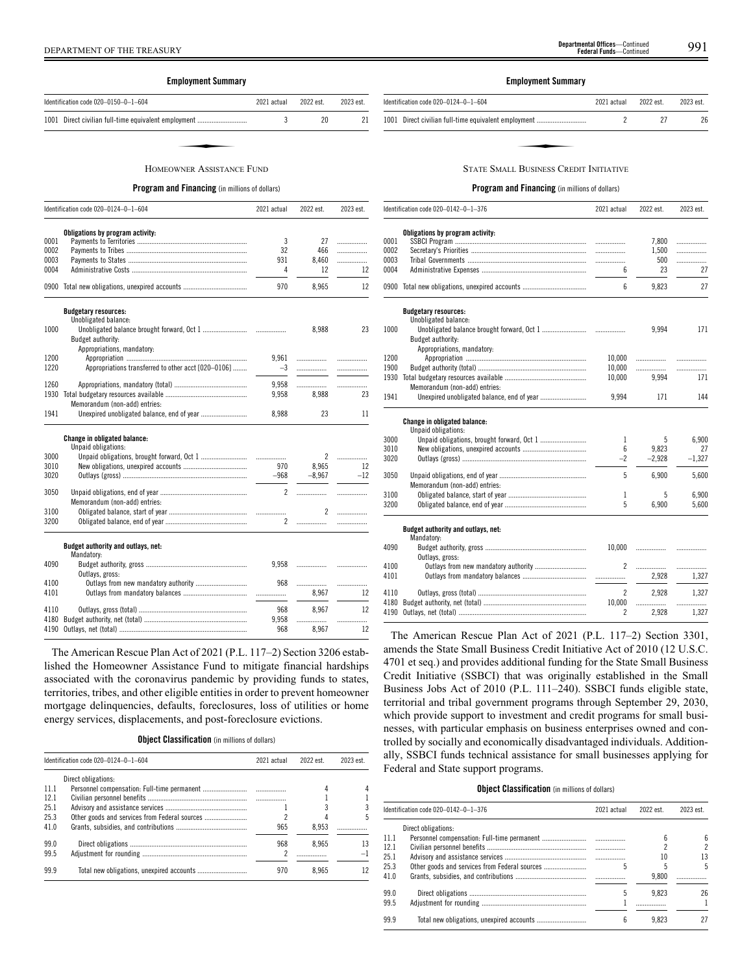# **Employment Summary**

| Identification code 020-0150-0-1-604                 | 2021 actual | 2022 est. | 2023 est. |
|------------------------------------------------------|-------------|-----------|-----------|
| 1001 Direct civilian full-time equivalent employment |             | 20        |           |
|                                                      |             |           |           |
| HOMEOWNER ASSISTANCE FUND                            |             |           |           |

# **Program and Financing** (in millions of dollars)

|      | Identification code 020-0124-0-1-604                | 2021 actual    | 2022 est.      | 2023 est. |
|------|-----------------------------------------------------|----------------|----------------|-----------|
|      | Obligations by program activity:                    |                |                |           |
| 0001 |                                                     | 3              | 27             | .         |
| 0002 |                                                     | 32             | 466            | .         |
| 0003 |                                                     | 931            | 8,460          | .         |
| 0004 |                                                     | 4              | 12             | 12        |
|      | 0900 Total new obligations, unexpired accounts      | 970            | 8,965          | 12        |
|      | <b>Budgetary resources:</b><br>Unobligated balance: |                |                |           |
| 1000 |                                                     |                | 8,988          | 23        |
|      | Budget authority:                                   |                |                |           |
|      | Appropriations, mandatory:                          |                |                |           |
| 1200 |                                                     | 9.961          |                | .         |
| 1220 | Appropriations transferred to other acct [020-0106] | $-3$           | .              |           |
|      |                                                     |                |                |           |
| 1260 |                                                     | 9,958          |                | .         |
| 1930 |                                                     | 9,958          | 8.988          | 23        |
|      | Memorandum (non-add) entries:                       |                |                |           |
| 1941 |                                                     | 8,988          | 23             | 11        |
|      | Change in obligated balance:                        |                |                |           |
|      | Unpaid obligations:                                 |                |                |           |
| 3000 |                                                     |                | 2              | .         |
| 3010 |                                                     | 970            | 8,965          | 12        |
| 3020 |                                                     | $-968$         | $-8.967$       | $-12$     |
| 3050 |                                                     | $\overline{2}$ |                | .         |
|      | Memorandum (non-add) entries:                       |                |                |           |
| 3100 |                                                     |                | $\mathfrak{p}$ | .         |
| 3200 |                                                     | $\mathbf{2}$   | .              | .         |
|      | Budget authority and outlays, net:                  |                |                |           |
|      | Mandatory:                                          |                |                |           |
| 4090 |                                                     | 9,958          |                |           |
|      | Outlays, gross:                                     |                |                |           |
| 4100 | Outlays from new mandatory authority                | 968            |                | .         |
| 4101 |                                                     |                | 8.967          | 12        |
| 4110 |                                                     | 968            | 8.967          | 12        |
| 4180 |                                                     | 9,958          | .              |           |
| 4190 |                                                     | 968            | 8,967          | 12        |
|      |                                                     |                |                |           |

The American Rescue Plan Act of 2021 (P.L. 117–2) Section 3206 established the Homeowner Assistance Fund to mitigate financial hardships associated with the coronavirus pandemic by providing funds to states, territories, tribes, and other eligible entities in order to prevent homeowner mortgage delinquencies, defaults, foreclosures, loss of utilities or home energy services, displacements, and post-foreclosure evictions.

| <b>Object Classification</b> (in millions of dollars) |  |
|-------------------------------------------------------|--|
|-------------------------------------------------------|--|

|      | Identification code 020-0124-0-1-604 | 2021 actual | 2022 est. | 2023 est.      |
|------|--------------------------------------|-------------|-----------|----------------|
|      | Direct obligations:                  |             |           |                |
| 11.1 |                                      |             | 4         |                |
| 12.1 |                                      |             |           |                |
| 25.1 |                                      |             |           |                |
| 25.3 |                                      |             |           | 5              |
| 41.0 |                                      | 965         | 8.953     |                |
| 99.0 |                                      | 968         | 8.965     | 13             |
| 99.5 |                                      | 2           |           | $\overline{-}$ |
| 99.9 |                                      | 970         | 8.965     |                |

# **Employment Summary**

| Identification code 020-0124-0-1-604                 | 2021 actual | 2022 est. | 2023 est. |
|------------------------------------------------------|-------------|-----------|-----------|
| 1001 Direct civilian full-time equivalent employment |             |           | 26        |
|                                                      |             |           |           |
|                                                      |             |           |           |
| <b>STATE SMALL BUSINESS CREDIT INITIATIVE</b>        |             |           |           |

# **Program and Financing** (in millions of dollars)

|      | Identification code 020-0142-0-1-376                | 2021 actual    | 2022 est. | 2023 est. |
|------|-----------------------------------------------------|----------------|-----------|-----------|
|      | Obligations by program activity:                    |                |           |           |
| 0001 |                                                     | .              | 7,800     | .         |
| 0002 |                                                     | .              | 1,500     | .         |
| 0003 |                                                     | .              | 500       | .         |
| 0004 |                                                     | 6              | 23        | 27        |
|      | 0900 Total new obligations, unexpired accounts      | 6              | 9,823     | 27        |
|      | <b>Budgetary resources:</b><br>Unobligated balance: |                |           |           |
| 1000 |                                                     |                | 9,994     | 171       |
|      | Budget authority:                                   |                |           |           |
|      | Appropriations, mandatory:                          |                |           |           |
| 1200 |                                                     | 10,000         | .         | .         |
| 1900 |                                                     | 10,000         | .         | .         |
| 1930 |                                                     | 10,000         | 9,994     | 171       |
|      | Memorandum (non-add) entries:                       |                |           |           |
| 1941 |                                                     | 9,994          | 171       | 144       |
|      | Change in obligated balance:<br>Unpaid obligations: |                |           |           |
| 3000 | Unpaid obligations, brought forward, Oct 1          | 1              | 5         | 6.900     |
| 3010 |                                                     | 6              | 9,823     | 27        |
| 3020 |                                                     | $-2$           | $-2,928$  | $-1,327$  |
|      |                                                     |                |           |           |
| 3050 |                                                     | 5              | 6,900     | 5,600     |
|      | Memorandum (non-add) entries:                       |                |           |           |
| 3100 |                                                     | 1              | 5         | 6,900     |
| 3200 |                                                     | 5              | 6,900     | 5,600     |
|      | Budget authority and outlays, net:                  |                |           |           |
|      | Mandatory:                                          |                |           |           |
| 4090 |                                                     | 10,000         | .         |           |
|      | Outlays, gross:                                     |                |           |           |
| 4100 | Outlays from new mandatory authority                | 2              | .         | .         |
| 4101 |                                                     |                | 2,928     | 1,327     |
| 4110 |                                                     | $\overline{c}$ | 2,928     | 1,327     |
| 4180 |                                                     | 10,000         | .         | .         |
| 4190 |                                                     | 2              | 2,928     | 1.327     |

The American Rescue Plan Act of 2021 (P.L. 117–2) Section 3301, amends the State Small Business Credit Initiative Act of 2010 (12 U.S.C. 4701 et seq.) and provides additional funding for the State Small Business Credit Initiative (SSBCI) that was originally established in the Small Business Jobs Act of 2010 (P.L. 111–240). SSBCI funds eligible state, territorial and tribal government programs through September 29, 2030, which provide support to investment and credit programs for small businesses, with particular emphasis on business enterprises owned and controlled by socially and economically disadvantaged individuals. Additionally, SSBCI funds technical assistance for small businesses applying for Federal and State support programs.

# **Object Classification** (in millions of dollars)

|      | Identification code $020-0142-0-1-376$        | 2021 actual | 2022 est. | 2023 est. |
|------|-----------------------------------------------|-------------|-----------|-----------|
|      | Direct obligations:                           |             |           |           |
| 11.1 |                                               |             | 6         | 6         |
| 12.1 |                                               |             |           | 2         |
| 25.1 |                                               |             | 10        | 13        |
| 25.3 | Other goods and services from Federal sources | 5           |           | 5         |
| 41.0 |                                               |             | 9.800     |           |
| 99.0 |                                               | 5           | 9.823     | 26        |
| 99.5 |                                               |             |           |           |
| 99.9 |                                               | 6           | 9.823     | 27        |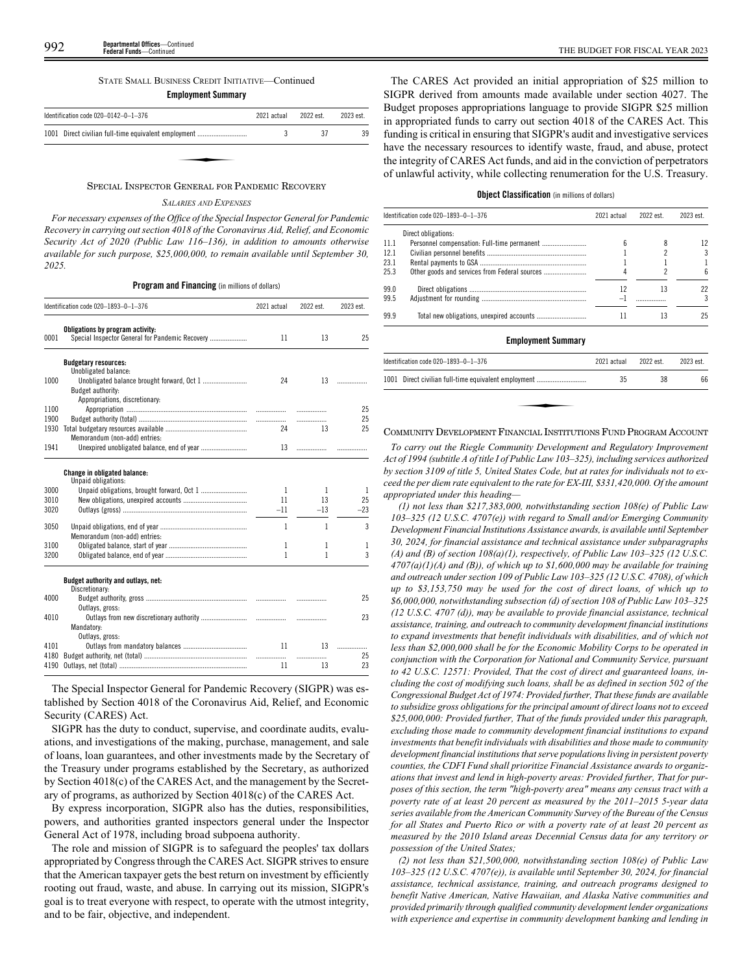# STATE SMALL BUSINESS CREDIT INITIATIVE—Continued

# **Employment Summary**

| Identification code 020-0142-0-1-376                 | 2021 actual | 2022 est. | 2023 est. |
|------------------------------------------------------|-------------|-----------|-----------|
| 1001 Direct civilian full-time equivalent employment |             | 37        | 39        |
|                                                      |             |           |           |
|                                                      |             |           |           |

## SPECIAL INSPECTOR GENERAL FOR PANDEMIC RECOVERY

# *SALARIES AND EXPENSES*

*For necessary expenses of the Office of the Special Inspector General for Pandemic Recovery in carrying out section 4018 of the Coronavirus Aid, Relief, and Economic Security Act of 2020 (Public Law 116–136), in addition to amounts otherwise available for such purpose, \$25,000,000, to remain available until September 30, 2025.*

**Program and Financing** (in millions of dollars)

|      | Identification code 020-1893-0-1-376                                                | 2021 actual | 2022 est. | 2023 est. |
|------|-------------------------------------------------------------------------------------|-------------|-----------|-----------|
| 0001 | Obligations by program activity:<br>Special Inspector General for Pandemic Recovery | 11          | 13        | 25        |
|      | <b>Budgetary resources:</b>                                                         |             |           |           |
| 1000 | Unobligated balance:                                                                | 24          |           |           |
|      | Budget authority:                                                                   |             |           |           |
|      | Appropriations, discretionary:                                                      |             |           |           |
| 1100 |                                                                                     |             |           | 25        |
| 1900 |                                                                                     |             | .         | 25        |
| 1930 |                                                                                     | 24          | 13        | 25        |
|      | Memorandum (non-add) entries:                                                       |             |           |           |
| 1941 |                                                                                     | 13          |           |           |
|      | Change in obligated balance:                                                        |             |           |           |
|      | Unpaid obligations:                                                                 |             |           |           |
| 3000 |                                                                                     | 1           | 1         | 1         |
| 3010 |                                                                                     | 11          | 13        | 25        |
| 3020 |                                                                                     | $-11$       | $-13$     | $-23$     |
| 3050 |                                                                                     | 1           | 1         | 3         |
|      | Memorandum (non-add) entries:                                                       |             |           |           |
| 3100 |                                                                                     | 1           | 1         | 1         |
| 3200 |                                                                                     | 1           | 1         | 3         |
|      | Budget authority and outlays, net:                                                  |             |           |           |
|      | Discretionary:                                                                      |             |           |           |
| 4000 |                                                                                     |             |           | 25        |
|      | Outlays, gross:                                                                     |             |           |           |
| 4010 |                                                                                     |             | .         | 23        |
|      | Mandatory:                                                                          |             |           |           |
|      | Outlays, gross:                                                                     |             |           |           |
| 4101 |                                                                                     | 11          | 13        | .         |
| 4180 |                                                                                     |             | .         | 25<br>23  |
| 4190 |                                                                                     | 11          | 13        |           |

The Special Inspector General for Pandemic Recovery (SIGPR) was established by Section 4018 of the Coronavirus Aid, Relief, and Economic Security (CARES) Act.

SIGPR has the duty to conduct, supervise, and coordinate audits, evaluations, and investigations of the making, purchase, management, and sale of loans, loan guarantees, and other investments made by the Secretary of the Treasury under programs established by the Secretary, as authorized by Section 4018(c) of the CARES Act, and the management by the Secretary of programs, as authorized by Section 4018(c) of the CARES Act.

By express incorporation, SIGPR also has the duties, responsibilities, powers, and authorities granted inspectors general under the Inspector General Act of 1978, including broad subpoena authority.

The role and mission of SIGPR is to safeguard the peoples' tax dollars appropriated by Congress through the CARES Act. SIGPR strives to ensure that the American taxpayer gets the best return on investment by efficiently rooting out fraud, waste, and abuse. In carrying out its mission, SIGPR's goal is to treat everyone with respect, to operate with the utmost integrity, and to be fair, objective, and independent.

The CARES Act provided an initial appropriation of \$25 million to SIGPR derived from amounts made available under section 4027. The Budget proposes appropriations language to provide SIGPR \$25 million in appropriated funds to carry out section 4018 of the CARES Act. This funding is critical in ensuring that SIGPR's audit and investigative services have the necessary resources to identify waste, fraud, and abuse, protect the integrity of CARES Act funds, and aid in the conviction of perpetrators of unlawful activity, while collecting renumeration for the U.S. Treasury.

# **Object Classification** (in millions of dollars)

|      | Identification code 020-1893-0-1-376            | 2021 actual | 2022 est. | 2023 est. |
|------|-------------------------------------------------|-------------|-----------|-----------|
|      | Direct obligations:                             |             |           |           |
| 11.1 |                                                 | 6           | 8         | 12        |
| 12.1 |                                                 |             | 2         | 3         |
| 23.1 |                                                 |             |           |           |
| 25.3 |                                                 |             | 2         | 6         |
| 99.0 |                                                 | 12          | 13        | 22        |
| 99.5 |                                                 | -1          |           | 3         |
| 99.9 |                                                 | 11          | 13        | 25        |
|      | <b>Employment Summary</b>                       |             |           |           |
|      | Identification code 020-1893-0-1-376            | 2021 actual | 2022 est. | 2023 est. |
| 1001 | Direct civilian full-time equivalent employment | 35          | 38        | 66        |
|      |                                                 |             |           |           |
|      |                                                 |             |           |           |
|      |                                                 |             |           |           |

# COMMUNITY DEVELOPMENT FINANCIAL INSTITUTIONS FUND PROGRAM ACCOUNT

*To carry out the Riegle Community Development and Regulatory Improvement Act of 1994 (subtitle A of title I of Public Law 103–325), including services authorized by section 3109 of title 5, United States Code, but at rates for individuals not to exceed the per diem rate equivalent to the rate for EX-III, \$331,420,000. Of the amount appropriated under this heading—*

*(1) not less than \$217,383,000, notwithstanding section 108(e) of Public Law 103–325 (12 U.S.C. 4707(e)) with regard to Small and/or Emerging Community Development Financial Institutions Assistance awards, is available until September 30, 2024, for financial assistance and technical assistance under subparagraphs (A) and (B) of section 108(a)(1), respectively, of Public Law 103–325 (12 U.S.C. 4707(a)(1)(A) and (B)), of which up to \$1,600,000 may be available for training and outreach under section 109 of Public Law 103–325 (12 U.S.C. 4708), of which up to \$3,153,750 may be used for the cost of direct loans, of which up to \$6,000,000, notwithstanding subsection (d) of section 108 of Public Law 103–325 (12 U.S.C. 4707 (d)), may be available to provide financial assistance, technical assistance, training, and outreach to community development financial institutions to expand investments that benefit individuals with disabilities, and of which not less than \$2,000,000 shall be for the Economic Mobility Corps to be operated in conjunction with the Corporation for National and Community Service, pursuant to 42 U.S.C. 12571: Provided, That the cost of direct and guaranteed loans, including the cost of modifying such loans, shall be as defined in section 502 of the Congressional Budget Act of 1974: Provided further, That these funds are available to subsidize gross obligations for the principal amount of direct loans not to exceed \$25,000,000: Provided further, That of the funds provided under this paragraph, excluding those made to community development financial institutions to expand investments that benefit individuals with disabilities and those made to community development financial institutions that serve populations living in persistent poverty counties, the CDFI Fund shall prioritize Financial Assistance awards to organizations that invest and lend in high-poverty areas: Provided further, That for purposes of this section, the term "high-poverty area" means any census tract with a poverty rate of at least 20 percent as measured by the 2011–2015 5-year data series available from the American Community Survey of the Bureau of the Census for all States and Puerto Rico or with a poverty rate of at least 20 percent as measured by the 2010 Island areas Decennial Census data for any territory or possession of the United States;*

*(2) not less than \$21,500,000, notwithstanding section 108(e) of Public Law 103–325 (12 U.S.C. 4707(e)), is available until September 30, 2024, for financial assistance, technical assistance, training, and outreach programs designed to benefit Native American, Native Hawaiian, and Alaska Native communities and provided primarily through qualified community development lender organizations with experience and expertise in community development banking and lending in*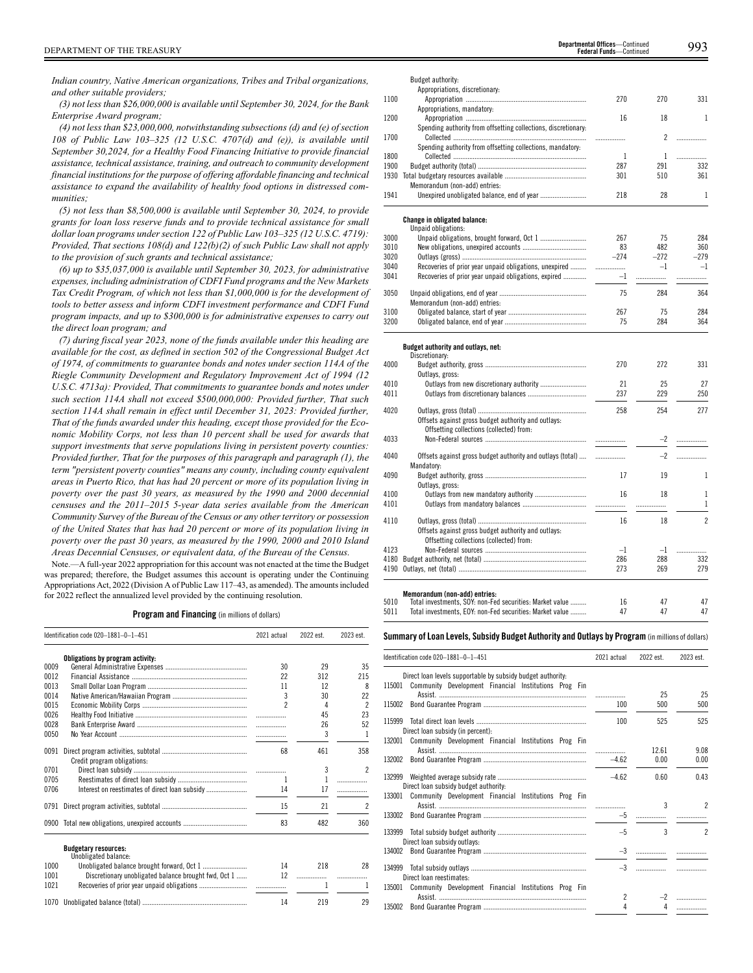*Indian country, Native American organizations, Tribes and Tribal organizations, and other suitable providers;*

*(3) not less than \$26,000,000 is available until September 30, 2024, for the Bank Enterprise Award program;*

*(4) not less than \$23,000,000, notwithstanding subsections (d) and (e) of section 108 of Public Law 103–325 (12 U.S.C. 4707(d) and (e)), is available until September 30,2024, for a Healthy Food Financing Initiative to provide financial assistance, technical assistance, training, and outreach to community development financial institutions for the purpose of offering affordable financing and technical assistance to expand the availability of healthy food options in distressed communities;*

*(5) not less than \$8,500,000 is available until September 30, 2024, to provide grants for loan loss reserve funds and to provide technical assistance for small dollar loan programs under section 122 of Public Law 103–325 (12 U.S.C. 4719): Provided, That sections 108(d) and 122(b)(2) of such Public Law shall not apply to the provision of such grants and technical assistance;*

*(6) up to \$35,037,000 is available until September 30, 2023, for administrative expenses, including administration of CDFI Fund programs and the New Markets Tax Credit Program, of which not less than \$1,000,000 is for the development of tools to better assess and inform CDFI investment performance and CDFI Fund program impacts, and up to \$300,000 is for administrative expenses to carry out the direct loan program; and*

*(7) during fiscal year 2023, none of the funds available under this heading are available for the cost, as defined in section 502 of the Congressional Budget Act of 1974, of commitments to guarantee bonds and notes under section 114A of the Riegle Community Development and Regulatory Improvement Act of 1994 (12 U.S.C. 4713a): Provided, That commitments to guarantee bonds and notes under such section 114A shall not exceed \$500,000,000: Provided further, That such section 114A shall remain in effect until December 31, 2023: Provided further, That of the funds awarded under this heading, except those provided for the Economic Mobility Corps, not less than 10 percent shall be used for awards that support investments that serve populations living in persistent poverty counties: Provided further, That for the purposes of this paragraph and paragraph (1), the term "persistent poverty counties" means any county, including county equivalent areas in Puerto Rico, that has had 20 percent or more of its population living in poverty over the past 30 years, as measured by the 1990 and 2000 decennial censuses and the 2011–2015 5-year data series available from the American Community Survey of the Bureau of the Census or any other territory or possession of the United States that has had 20 percent or more of its population living in poverty over the past 30 years, as measured by the 1990, 2000 and 2010 Island Areas Decennial Censuses, or equivalent data, of the Bureau of the Census.*

Note.—A full-year 2022 appropriation for this account was not enacted at the time the Budget was prepared; therefore, the Budget assumes this account is operating under the Continuing Appropriations Act, 2022 (Division A of Public Law 117–43, as amended). The amounts included for 2022 reflect the annualized level provided by the continuing resolution.

**Program and Financing** (in millions of dollars)

|      | Identification code 020-1881-0-1-451                 | 2021 actual | 2022 est. | 2023 est.                |
|------|------------------------------------------------------|-------------|-----------|--------------------------|
|      | Obligations by program activity:                     |             |           |                          |
| 0009 |                                                      | 30          | 29        | 35                       |
| 0012 |                                                      | 22          | 312       | 215                      |
| 0013 |                                                      | 11          | 12        | 8                        |
| 0014 |                                                      | 3           | 30        | 22                       |
| 0015 |                                                      | 2           | 4         | $\overline{\phantom{a}}$ |
| 0026 |                                                      | .           | 45        | 23                       |
| 0028 |                                                      | .           | 26        | 52                       |
| 0050 |                                                      | .           | 3         | 1                        |
| 0091 | Credit program obligations:                          | 68          | 461       | 358                      |
| 0701 |                                                      |             | 3         | 2                        |
| 0705 |                                                      | 1           | 1         | .                        |
| 0706 |                                                      | 14          | 17        | .                        |
| 0791 |                                                      | 15          | 21        | 2                        |
|      | 0900 Total new obligations, unexpired accounts       | 83          | 482       | 360                      |
|      | <b>Budgetary resources:</b><br>Unobligated balance:  |             |           |                          |
| 1000 |                                                      | 14          | 218       | 28                       |
| 1001 | Discretionary unobligated balance brought fwd, Oct 1 | 12          | .         |                          |
| 1021 |                                                      |             | 1         |                          |
| 1070 |                                                      | 14          | 219       | 29                       |

|              | Budget authority:                                                                               |        |                |                          |
|--------------|-------------------------------------------------------------------------------------------------|--------|----------------|--------------------------|
|              | Appropriations, discretionary:                                                                  |        |                |                          |
| 1100         |                                                                                                 | 270    | 270            | 331                      |
| 1200         | Appropriations, mandatory:                                                                      | 16     | 18             | 1                        |
|              | Spending authority from offsetting collections, discretionary:                                  |        |                |                          |
| 1700         |                                                                                                 | .      | $\overline{c}$ | .                        |
|              | Spending authority from offsetting collections, mandatory:                                      |        |                |                          |
| 1800         |                                                                                                 | 1      | 1              | .                        |
| 1900         |                                                                                                 | 287    | 291            | 332                      |
| 1930         |                                                                                                 | 301    | 510            | 361                      |
|              | Memorandum (non-add) entries:                                                                   |        |                |                          |
| 1941         |                                                                                                 | 218    | 28             | 1                        |
|              | Change in obligated balance:                                                                    |        |                |                          |
|              | Unpaid obligations:                                                                             |        |                |                          |
| 3000         |                                                                                                 | 267    | 75             | 284                      |
| 3010         |                                                                                                 | 83     | 482            | 360                      |
| 3020         |                                                                                                 | $-274$ | $-272$         | $-279$                   |
| 3040         | Recoveries of prior year unpaid obligations, unexpired                                          | .      | $-1$           | $-1$                     |
| 3041         | Recoveries of prior year unpaid obligations, expired                                            | $-1$   | .              | .                        |
| 3050         |                                                                                                 | 75     | 284            | 364                      |
|              | Memorandum (non-add) entries:                                                                   |        |                |                          |
| 3100         |                                                                                                 | 267    | 75             | 284                      |
| 3200         |                                                                                                 | 75     | 284            | 364                      |
|              | Budget authority and outlays, net:<br>Discretionary:                                            |        |                |                          |
| 4000         |                                                                                                 | 270    | 272            | 331                      |
|              | Outlays, gross:                                                                                 | 21     |                | 27                       |
| 4010<br>4011 |                                                                                                 | 237    | 25<br>229      | 250                      |
|              |                                                                                                 |        |                |                          |
| 4020         |                                                                                                 | 258    | 254            | 277                      |
|              | Offsets against gross budget authority and outlays:                                             |        |                |                          |
|              | Offsetting collections (collected) from:                                                        |        |                |                          |
| 4033         |                                                                                                 | .      | $-2$           | .                        |
| 4040         | Offsets against gross budget authority and outlays (total)                                      | .      | $-2$           | .                        |
|              | Mandatory:                                                                                      |        |                |                          |
| 4090         |                                                                                                 | 17     | 19             | 1                        |
|              | Outlays, gross:                                                                                 |        |                |                          |
| 4100         |                                                                                                 | 16     | 18             | 1                        |
| 4101         |                                                                                                 | .      | .              | 1                        |
|              |                                                                                                 | 16     | 18             | $\overline{\mathcal{C}}$ |
| 4110         |                                                                                                 |        |                |                          |
|              | Offsets against gross budget authority and outlays:<br>Offsetting collections (collected) from: |        |                |                          |
| 4123         |                                                                                                 | $-1$   | $-1$           | .                        |
| 4180         |                                                                                                 | 286    | 288            | 332                      |
|              |                                                                                                 | 273    | 269            | 279                      |
|              |                                                                                                 |        |                |                          |
|              | Memorandum (non-add) entries:                                                                   |        |                |                          |
|              |                                                                                                 |        |                |                          |

|             | Memorandum (non-add) entries:                            |  |  |
|-------------|----------------------------------------------------------|--|--|
| 5010        | Total investments, SOY: non-Fed securities: Market value |  |  |
| <b>E011</b> | Total investments. FOV non Fed essertives Market value   |  |  |

vestments, EOY: non-Fed securities: Market value

**Summary ofLoan Levels, Subsidy Budget Authority and Outlays by Program** (inmillionsof dollars)

| Identification code 020-1881-0-1-451                            | 2021 actual | 2022 est. | 2023 est.                |
|-----------------------------------------------------------------|-------------|-----------|--------------------------|
| Direct loan levels supportable by subsidy budget authority.     |             |           |                          |
| Community Development Financial Institutions Prog Fin<br>115001 |             |           |                          |
|                                                                 |             | 25        | 25                       |
| 115002                                                          | 100         | 500       | 500                      |
| 115999                                                          | 100         | 525       | 525                      |
| Direct loan subsidy (in percent):                               |             |           |                          |
| Community Development Financial Institutions Prog Fin<br>132001 |             |           |                          |
|                                                                 |             | 12.61     | 9.08                     |
| 132002                                                          |             | 0.00      | 0.00                     |
| 132999<br>Direct loan subsidy budget authority:                 | $-4.62$     | 0.60      | 0.43                     |
| Community Development Financial Institutions Prog Fin<br>133001 |             |           |                          |
|                                                                 |             | 3         | $\overline{\phantom{a}}$ |
| 133002                                                          | $-5$        |           |                          |
| 133999<br>Direct loan subsidy outlays:                          | $-5$        | 3         | $\mathfrak{p}$           |
| 134002                                                          | $-3$        |           |                          |
| 134999<br>Direct loan reestimates:                              | $-3$        |           |                          |
| Community Development Financial Institutions Prog Fin<br>135001 |             |           |                          |
|                                                                 | 2           |           | $-2$                     |
| 135002                                                          | 4           | Δ         |                          |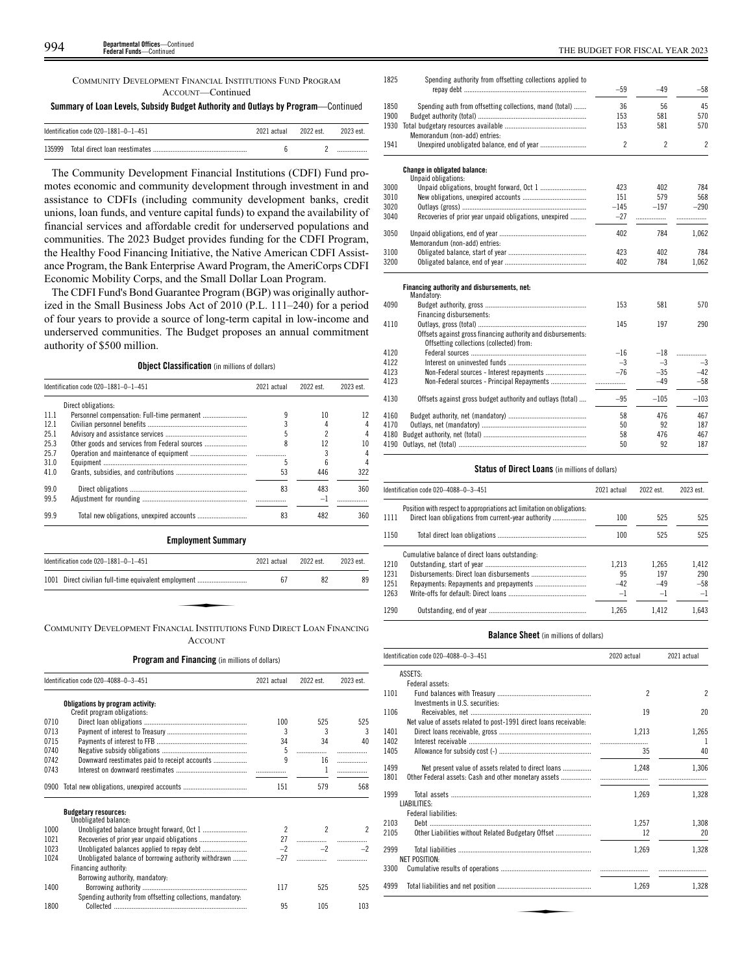COMMUNITY DEVELOPMENT FINANCIAL INSTITUTIONS FUND PROGRAM ACCOUNT—Continued

**Summary of Loan Levels, Subsidy Budget Authority and Outlays by Program**—Continued

| Identification code $020-1881-0-1-451$ | 2021 actual | 2022 est. | 2023 est. |
|----------------------------------------|-------------|-----------|-----------|
|                                        |             |           |           |

The Community Development Financial Institutions (CDFI) Fund promotes economic and community development through investment in and assistance to CDFIs (including community development banks, credit unions, loan funds, and venture capital funds) to expand the availability of financial services and affordable credit for underserved populations and communities. The 2023 Budget provides funding for the CDFI Program, the Healthy Food Financing Initiative, the Native American CDFI Assistance Program, the Bank Enterprise Award Program, the AmeriCorps CDFI Economic Mobility Corps, and the Small Dollar Loan Program.

The CDFI Fund's Bond Guarantee Program (BGP) was originally authorized in the Small Business Jobs Act of 2010 (P.L. 111–240) for a period of four years to provide a source of long-term capital in low-income and underserved communities. The Budget proposes an annual commitment authority of \$500 million.

# **Object Classification** (in millions of dollars)

|                     | 2021 actual                          | 2022 est. | 2023 est. |
|---------------------|--------------------------------------|-----------|-----------|
| Direct obligations: |                                      |           |           |
|                     |                                      | 10        | 12        |
|                     |                                      |           |           |
|                     |                                      |           |           |
|                     | 8                                    | 12        | 10        |
|                     |                                      |           |           |
|                     |                                      | ĥ         |           |
|                     | 53                                   | 446       | 322       |
|                     | 83                                   | 483       | 360       |
|                     |                                      | $-1$      |           |
|                     | 83                                   | 482       | 360       |
|                     | Identification code 020-1881-0-1-451 |           |           |

**Employment Summary**

| Identification code 020-1881-0-1-451                                    | 2021 actual | 2022 est. | 2023 est. |
|-------------------------------------------------------------------------|-------------|-----------|-----------|
| 1001 Direct civilian full-time equivalent employment                    | 67          | 82        | 89        |
|                                                                         |             |           |           |
| COMMUNITY DEVELOPMENT FINANCIAL INSTITUTIONS FUND DIRECT LOAN FINANCING |             |           |           |

**ACCOUNT** 

# **Program and Financing** (in millions of dollars)

|      | Identification code 020-4088-0-3-451                            | 2021 actual    | 2022 est.      | 2023 est.     |
|------|-----------------------------------------------------------------|----------------|----------------|---------------|
|      | Obligations by program activity:<br>Credit program obligations: |                |                |               |
| 0710 |                                                                 | 100            | 525            | 525           |
| 0713 |                                                                 | 3              | 3              | 3             |
| 0715 |                                                                 | 34             | 34             | 40            |
| 0740 |                                                                 | 5              | .              |               |
| 0742 | Downward reestimates paid to receipt accounts                   | q              | 16             | .             |
| 0743 |                                                                 |                | 1              |               |
|      |                                                                 |                |                |               |
| 0900 |                                                                 | 151            | 579            | 568           |
|      | <b>Budgetary resources:</b>                                     |                |                |               |
|      | Unobligated balance:                                            |                |                |               |
| 1000 |                                                                 | $\overline{2}$ | $\mathfrak{p}$ | $\mathcal{P}$ |
| 1021 |                                                                 | 27             |                |               |
| 1023 |                                                                 | $-2$           | $-2$           | $-2$          |
| 1024 | Unobligated balance of borrowing authority withdrawn            |                |                |               |
|      | Financing authority:                                            |                |                |               |
|      | Borrowing authority, mandatory:                                 |                |                |               |
| 1400 |                                                                 | 117            | 525            | 525           |
|      | Spending authority from offsetting collections, mandatory:      |                |                |               |
| 1800 |                                                                 | 95             | 105            | 103           |
|      |                                                                 |                |                |               |

| 1825 | Spending authority from offsetting collections applied to                                                | $-59$          | $-49$                    | $-58$                    |
|------|----------------------------------------------------------------------------------------------------------|----------------|--------------------------|--------------------------|
| 1850 | Spending auth from offsetting collections, mand (total)                                                  | 36             | 56                       | 45                       |
| 1900 |                                                                                                          | 153            | 581                      | 570                      |
| 1930 | Memorandum (non-add) entries:                                                                            | 153            | 581                      | 570                      |
| 1941 | Unexpired unobligated balance, end of year                                                               | $\overline{c}$ | $\overline{\phantom{a}}$ | $\overline{\phantom{a}}$ |
|      | Change in obligated balance:<br>Unpaid obligations:                                                      |                |                          |                          |
| 3000 | Unpaid obligations, brought forward, Oct 1                                                               | 423            | 402                      | 784                      |
| 3010 |                                                                                                          | 151            | 579                      | 568                      |
| 3020 |                                                                                                          | $-145$         | $-197$                   | $-290$                   |
| 3040 | Recoveries of prior year unpaid obligations, unexpired                                                   | $-27$          | .                        |                          |
| 3050 | Memorandum (non-add) entries:                                                                            | 402            | 784                      | 1.062                    |
| 3100 |                                                                                                          | 423            | 402                      | 784                      |
| 3200 |                                                                                                          | 402            | 784                      | 1,062                    |
|      | Financing authority and disbursements, net:<br>Mandatory:                                                |                |                          |                          |
| 4090 |                                                                                                          | 153            | 581                      | 570                      |
|      | Financing disbursements:                                                                                 |                |                          |                          |
| 4110 |                                                                                                          | 145            | 197                      | 290                      |
|      | Offsets against gross financing authority and disbursements:<br>Offsetting collections (collected) from: |                |                          |                          |
| 4120 |                                                                                                          | $-16$          | $-18$                    | .                        |
| 4122 |                                                                                                          | $-3$           | $-3$                     | $-3$                     |
| 4123 | Non-Federal sources - Interest repayments                                                                | $-76$          | $-35$                    | $-42$                    |
| 4123 | Non-Federal sources - Principal Repayments                                                               | .              | $-49$                    | $-58$                    |
| 4130 | Offsets against gross budget authority and outlays (total)                                               | $-95$          | $-105$                   | $-103$                   |
| 4160 |                                                                                                          | 58             | 476                      | 467                      |
| 4170 |                                                                                                          | 50             | 92                       | 187                      |
| 4180 |                                                                                                          | 58             | 476                      | 467                      |
| 4190 |                                                                                                          | 50             | 92                       | 187                      |

## **Status of Direct Loans** (in millions of dollars)

|      | Identification code 020-4088-0-3-451                                   | 2021 actual | 2022 est. | 2023 est. |
|------|------------------------------------------------------------------------|-------------|-----------|-----------|
| 1111 | Position with respect to appropriations act limitation on obligations: | 100         | 525       | 525       |
| 1150 |                                                                        | 100         | 525       | 525       |
|      | Cumulative balance of direct loans outstanding:                        |             |           |           |
| 1210 |                                                                        | 1.213       | 1.265     | 1.412     |
| 1231 |                                                                        | 95          | 197       | 290       |
| 1251 |                                                                        | $-42$       | $-49$     | $-58$     |
| 1263 |                                                                        | $-1$        | $-1$      | $-1$      |
| 1290 |                                                                        | 1.265       | 1.412     | 1.643     |

# **Balance Sheet** (in millions of dollars)

|      | Identification code 020-4088-0-3-451                              | 2020 actual    | 2021 actual    |
|------|-------------------------------------------------------------------|----------------|----------------|
|      | ASSETS:                                                           |                |                |
|      | Federal assets:                                                   |                |                |
| 1101 |                                                                   | $\mathfrak{p}$ | $\overline{2}$ |
|      | Investments in U.S. securities:                                   |                |                |
| 1106 |                                                                   | 19             | 20             |
|      | Net value of assets related to post-1991 direct loans receivable: |                |                |
| 1401 |                                                                   | 1.213          | 1.265          |
| 1402 |                                                                   |                | -1             |
| 1405 |                                                                   | 35             | 40             |
| 1499 | Net present value of assets related to direct loans               | 1.248          | 1.306          |
| 1801 | Other Federal assets: Cash and other monetary assets              |                |                |
| 1999 |                                                                   | 1.269          | 1.328          |
|      | LIABILITIES:                                                      |                |                |
|      | Federal liabilities:                                              |                |                |
| 2103 |                                                                   | 1.257          | 1.308          |
| 2105 | Other Liabilities without Related Budgetary Offset                | 12             | 20             |
| 2999 |                                                                   | 1.269          | 1.328          |
|      | <b>NET POSITION:</b>                                              |                |                |
| 3300 |                                                                   |                |                |
|      |                                                                   | 1,269          | 1,328          |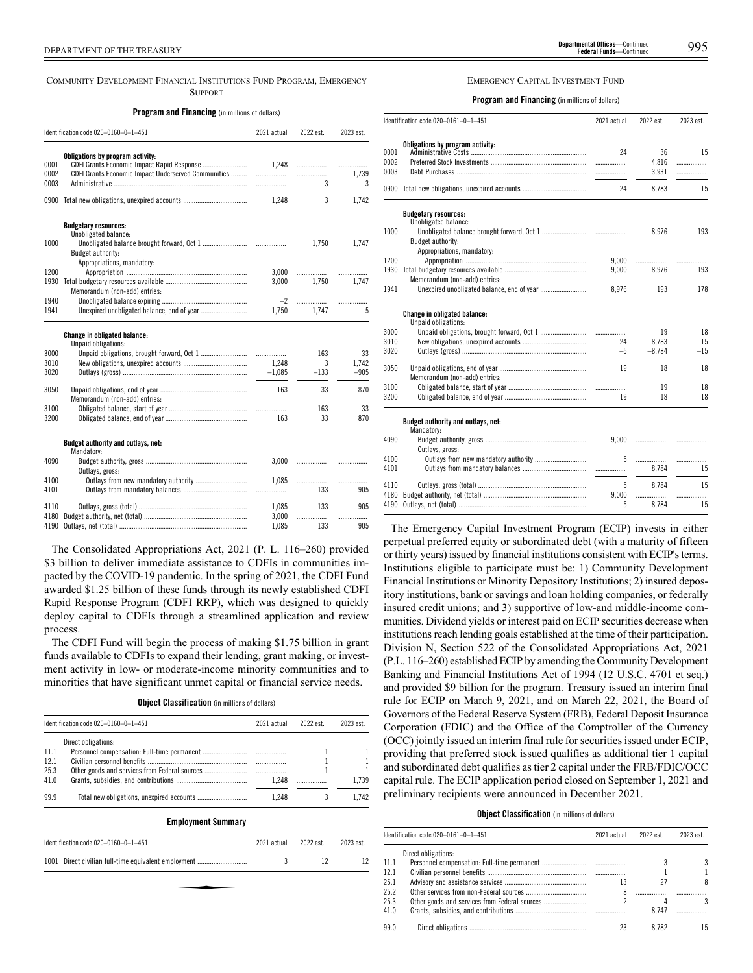COMMUNITY DEVELOPMENT FINANCIAL INSTITUTIONS FUND PROGRAM, EMERGENCY **SUPPORT** 

**Program and Financing** (in millions of dollars)

|                      | Identification code 020-0160-0-1-451                                                                                                  | 2021 actual | 2022 est.   | 2023 est.       |
|----------------------|---------------------------------------------------------------------------------------------------------------------------------------|-------------|-------------|-----------------|
| 0001<br>0002<br>0003 | Obligations by program activity:<br>CDFI Grants Economic Impact Rapid Response<br>CDFI Grants Economic Impact Underserved Communities | 1.248       | .<br>.<br>3 | .<br>1,739<br>3 |
|                      |                                                                                                                                       | 1.248       | 3           | 1.742           |
|                      | <b>Budgetary resources:</b>                                                                                                           |             |             |                 |
| 1000                 | Unobligated balance:<br>Budget authority:<br>Appropriations, mandatory:                                                               |             | 1,750       | 1,747           |
| 1200                 |                                                                                                                                       | 3.000       |             |                 |
| 1930                 | Memorandum (non-add) entries:                                                                                                         | 3,000       | 1.750       | 1.747           |
| 1940                 |                                                                                                                                       | $-2$        |             | .               |
| 1941                 |                                                                                                                                       | 1,750       | 1.747       | 5               |
|                      | Change in obligated balance:<br>Unpaid obligations:                                                                                   |             |             |                 |
| 3000                 |                                                                                                                                       | .           | 163         | 33              |
| 3010                 |                                                                                                                                       | 1.248       | 3           | 1,742           |
| 3020                 |                                                                                                                                       | $-1,085$    | $-133$      | $-905$          |
| 3050                 | Memorandum (non-add) entries:                                                                                                         | 163         | 33          | 870             |
| 3100                 |                                                                                                                                       |             | 163         | 33              |
| 3200                 |                                                                                                                                       | 163         | 33          | 870             |
|                      | Budget authority and outlays, net:<br>Mandatory:                                                                                      |             |             |                 |
| 4090                 | Outlays, gross:                                                                                                                       | 3,000       |             |                 |
| 4100                 |                                                                                                                                       | 1,085       | .           | .               |
| 4101                 |                                                                                                                                       | .           | 133         | 905             |
| 4110                 |                                                                                                                                       | 1,085       | 133         | 905             |
| 4180                 |                                                                                                                                       | 3,000       |             | .               |
| 4190                 |                                                                                                                                       | 1,085       | 133         | 905             |

The Consolidated Appropriations Act, 2021 (P. L. 116–260) provided \$3 billion to deliver immediate assistance to CDFIs in communities impacted by the COVID-19 pandemic. In the spring of 2021, the CDFI Fund awarded \$1.25 billion of these funds through its newly established CDFI Rapid Response Program (CDFI RRP), which was designed to quickly deploy capital to CDFIs through a streamlined application and review process.

The CDFI Fund will begin the process of making \$1.75 billion in grant funds available to CDFIs to expand their lending, grant making, or investment activity in low- or moderate-income minority communities and to minorities that have significant unmet capital or financial service needs.

| <b>Object Classification</b> (in millions of dollars) |  |  |  |  |
|-------------------------------------------------------|--|--|--|--|
|-------------------------------------------------------|--|--|--|--|

|      | Identification code $020-0160-0-1-451$    | 2021 actual | 2022 est | 2023 est. |
|------|-------------------------------------------|-------------|----------|-----------|
|      | Direct obligations:                       |             |          |           |
| 11.1 |                                           |             |          |           |
| 12.1 |                                           |             |          |           |
| 25.3 |                                           |             |          |           |
| 41.0 |                                           | 1.248       |          | 1.739     |
| 99.9 | Total new obligations, unexpired accounts | 1.248       |          | 1.742     |

# **Employment Summary**

| Identification code 020-0160-0-1-451                 | 2021 actual | 2022 est. | 2023 est. |
|------------------------------------------------------|-------------|-----------|-----------|
| 1001 Direct civilian full-time equivalent employment |             | 12        |           |
|                                                      |             |           |           |
|                                                      |             |           |           |

# EMERGENCY CAPITAL INVESTMENT FUND

**Program and Financing** (in millions of dollars)

|              | Identification code 020-0161-0-1-451             | 2021 actual | 2022 est.      | 2023 est. |
|--------------|--------------------------------------------------|-------------|----------------|-----------|
| 0001<br>0002 | Obligations by program activity:                 | 24          | 36             | 15        |
| 0003         |                                                  |             | 4,816<br>3,931 | .<br>.    |
|              | 0900 Total new obligations, unexpired accounts   | 24          | 8,783          | 15        |
|              | <b>Budgetary resources:</b>                      |             |                |           |
| 1000         | Unobligated balance:<br>Budget authority:        |             | 8,976          | 193       |
| 1200         | Appropriations, mandatory:                       | 9.000       |                |           |
| 1930         |                                                  | 9,000       | .<br>8.976     | .<br>193  |
|              | Memorandum (non-add) entries:                    |             |                |           |
| 1941         |                                                  | 8,976       | 193            | 178       |
|              | Change in obligated balance:                     |             |                |           |
|              | Unpaid obligations:                              |             |                |           |
| 3000         |                                                  | 24          | 19             | 18<br>15  |
| 3010<br>3020 |                                                  | $-5$        | 8,783          | $-15$     |
|              |                                                  |             | $-8,784$       |           |
| 3050         |                                                  | 19          | 18             | 18        |
|              | Memorandum (non-add) entries:                    |             |                |           |
| 3100         |                                                  |             | 19             | 18        |
| 3200         |                                                  | 19          | 18             | 18        |
|              | Budget authority and outlays, net:<br>Mandatory: |             |                |           |
| 4090         |                                                  | 9.000       |                |           |
|              | Outlays, gross:                                  |             |                |           |
| 4100         |                                                  | 5           | .              | .         |
| 4101         |                                                  |             | 8.784          | 15        |
|              |                                                  |             |                |           |
| 4110         |                                                  | 5           | 8.784          | 15        |
| 4180<br>4190 |                                                  | 9,000<br>5  | .<br>8,784     | .<br>15   |
|              |                                                  |             |                |           |

The Emergency Capital Investment Program (ECIP) invests in either perpetual preferred equity or subordinated debt (with a maturity of fifteen or thirty years) issued by financial institutions consistent with ECIP's terms. Institutions eligible to participate must be: 1) Community Development Financial Institutions or Minority Depository Institutions; 2) insured depository institutions, bank or savings and loan holding companies, or federally insured credit unions; and 3) supportive of low-and middle-income communities. Dividend yields or interest paid on ECIP securities decrease when institutions reach lending goals established at the time of their participation. Division N, Section 522 of the Consolidated Appropriations Act, 2021 (P.L. 116–260) established ECIP by amending the Community Development Banking and Financial Institutions Act of 1994 (12 U.S.C. 4701 et seq.) and provided \$9 billion for the program. Treasury issued an interim final rule for ECIP on March 9, 2021, and on March 22, 2021, the Board of Governors of the Federal Reserve System (FRB), Federal Deposit Insurance Corporation (FDIC) and the Office of the Comptroller of the Currency (OCC) jointly issued an interim final rule for securities issued under ECIP, providing that preferred stock issued qualifies as additional tier 1 capital and subordinated debt qualifies as tier 2 capital under the FRB/FDIC/OCC capital rule. The ECIP application period closed on September 1, 2021 and preliminary recipients were announced in December 2021.

# **Object Classification** (in millions of dollars)

|      | Identification code 020-0161-0-1-451 | 2021 actual | 2022 est. | 2023 est. |
|------|--------------------------------------|-------------|-----------|-----------|
|      | Direct obligations:                  |             |           |           |
| 11.1 |                                      |             |           |           |
| 12.1 |                                      |             |           |           |
| 25.1 |                                      | 13          | 27        |           |
| 25.2 |                                      |             |           |           |
| 25.3 |                                      |             |           |           |
| 41.0 |                                      |             | 8.747     |           |
| 99.0 |                                      | 23          | 8.782     | 15        |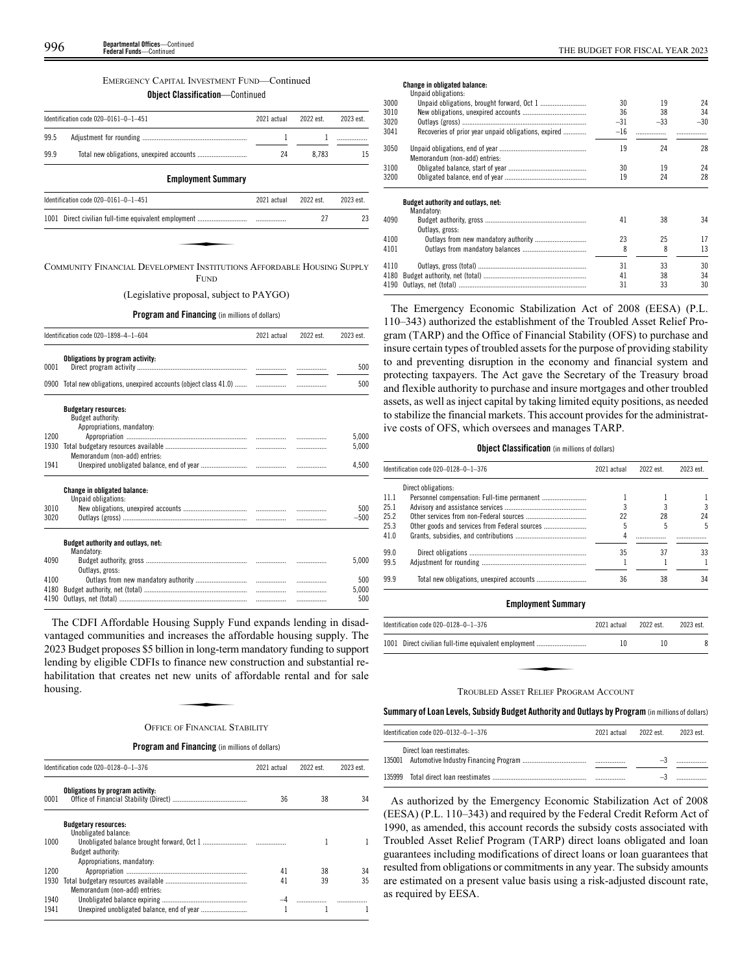# EMERGENCY CAPITAL INVESTMENT FUND—Continued

# **Object Classification**—Continued

|      | Identification code 020-0161-0-1-451 | 2021 actual | 2022 est. | 2023 est. |
|------|--------------------------------------|-------------|-----------|-----------|
| 99.5 |                                      |             |           |           |
| 99.9 |                                      | 24          | 8.783     | 15        |
|      | <b>Employment Summary</b>            |             |           |           |
|      | Identification code 020-0161-0-1-451 | 2021 actual | 2022 est. | 2023 est. |

| Identification code $020-0161-0-1-451$                                 | 2021 actual | 2022 est. | 2023 est. |
|------------------------------------------------------------------------|-------------|-----------|-----------|
|                                                                        |             | 27        | 23        |
|                                                                        |             |           |           |
| COMMUNITY FINANCIAL DEVELOPMENT INSTITUTIONS AFFORDABLE HOUSING SUPPLY |             |           |           |

FUND

(Legislative proposal, subject to PAYGO)

# **Program and Financing** (in millions of dollars)

|      | Identification code 020-1898-4-1-604                                           | 2021 actual | 2022 est. | 2023 est. |
|------|--------------------------------------------------------------------------------|-------------|-----------|-----------|
| 0001 | Obligations by program activity:                                               |             |           | 500       |
|      | 0900 Total new obligations, unexpired accounts (object class 41.0)             | .           |           | 500       |
|      | <b>Budgetary resources:</b><br>Budget authority:<br>Appropriations, mandatory: |             |           |           |
| 1200 |                                                                                |             |           | 5,000     |
| 1930 | Memorandum (non-add) entries:                                                  |             | .         | 5,000     |
| 1941 |                                                                                |             |           | 4,500     |
|      | Change in obligated balance:<br>Unpaid obligations:                            |             |           |           |
| 3010 |                                                                                |             |           | 500       |
| 3020 |                                                                                |             | .         | $-500$    |
|      | Budget authority and outlays, net:<br>Mandatory:                               |             |           |           |
| 4090 | Outlays, gross:                                                                |             |           | 5.000     |
| 4100 |                                                                                |             |           | 500       |
| 4180 |                                                                                |             | .         | 5.000     |
| 4190 |                                                                                |             | .         | 500       |

The CDFI Affordable Housing Supply Fund expands lending in disadvantaged communities and increases the affordable housing supply. The 2023 Budget proposes \$5 billion in long-term mandatory funding to support Lending by eligible CDFIs to finance new construction and substantial re-<br>habilitation that creates net new units of affordable rental and for sale<br>housing. habilitation that creates net new units of affordable rental and for sale housing.

# OFFICE OF FINANCIAL STABILITY

# **Program and Financing** (in millions of dollars)

|      | Identification code 020-0128-0-1-376                | 2021 actual | 2022 est. | 2023 est. |
|------|-----------------------------------------------------|-------------|-----------|-----------|
| 0001 | Obligations by program activity:                    | 36          | 38        | 34        |
|      | <b>Budgetary resources:</b><br>Unobligated balance: |             |           |           |
| 1000 | Budget authority:                                   |             |           |           |
|      | Appropriations, mandatory:                          |             |           |           |
| 1200 |                                                     | 41          | 38        | 34        |
| 1930 |                                                     | 41          | 39        | 35        |
|      | Memorandum (non-add) entries:                       |             |           |           |
| 1940 |                                                     |             |           |           |
| 1941 |                                                     |             |           |           |

# **Change in obligated balance:**

|      | Unpaid obligations:                                  |       |       |       |
|------|------------------------------------------------------|-------|-------|-------|
| 3000 |                                                      | 30    | 19    | 24    |
| 3010 |                                                      | 36    | 38    | 34    |
| 3020 |                                                      | $-31$ | $-33$ | $-30$ |
| 3041 | Recoveries of prior year unpaid obligations, expired | $-16$ |       |       |
| 3050 | Memorandum (non-add) entries:                        | 19    | 24    | 28    |
| 3100 |                                                      | 30    | 19    | 24    |
| 3200 |                                                      | 19    | 24    | 28    |
|      | Budget authority and outlays, net:<br>Mandatory:     |       |       |       |
| 4090 | Outlays, gross:                                      | 41    | 38    | 34    |
| 4100 |                                                      | 23    | 25    | 17    |
| 4101 |                                                      | 8     | 8     | 13    |
| 4110 |                                                      | 31    | 33    | 30    |
| 4180 |                                                      | 41    | 38    | 34    |
|      |                                                      | 31    | 33    | 30    |
|      |                                                      |       |       |       |

The Emergency Economic Stabilization Act of 2008 (EESA) (P.L. 110–343) authorized the establishment of the Troubled Asset Relief Program (TARP) and the Office of Financial Stability (OFS) to purchase and insure certain types of troubled assets for the purpose of providing stability to and preventing disruption in the economy and financial system and protecting taxpayers. The Act gave the Secretary of the Treasury broad and flexible authority to purchase and insure mortgages and other troubled assets, as well as inject capital by taking limited equity positions, as needed to stabilize the financial markets. This account provides for the administrative costs of OFS, which oversees and manages TARP.

# **Object Classification** (in millions of dollars)

|      | Identification code 020-0128-0-1-376 | 2021 actual | 2022 est. | 2023 est. |
|------|--------------------------------------|-------------|-----------|-----------|
|      | Direct obligations:                  |             |           |           |
| 11.1 |                                      |             |           |           |
| 25.1 |                                      |             |           | 3         |
| 25.2 |                                      | 22          | 28        | 24        |
| 25.3 |                                      |             |           | 5         |
| 41.0 |                                      |             |           |           |
| 99.0 |                                      | 35          | 37        | 33        |
| 99.5 |                                      |             |           |           |
| 99.9 |                                      | 36          | 38        | 34        |

# **Employment Summary**

| Identification code $020-0128-0-1-376$               | 2021 actual | 2022 est. | 2023 est. |
|------------------------------------------------------|-------------|-----------|-----------|
| 1001 Direct civilian full-time equivalent employment | 10          | 10        |           |
|                                                      |             |           |           |
| TROUBLED ASSET RELIEF PROGRAM ACCOUNT                |             |           |           |

# **Summary ofLoan Levels, Subsidy Budget Authority and Outlays by Program** (inmillionsof dollars)

| Identification code 020-0132-0-1-376<br>2021 actual |  |  |  | 2023 est. |
|-----------------------------------------------------|--|--|--|-----------|
| Direct loan reestimates:                            |  |  |  |           |
|                                                     |  |  |  |           |

As authorized by the Emergency Economic Stabilization Act of 2008 (EESA) (P.L. 110–343) and required by the Federal Credit Reform Act of 1990, as amended, this account records the subsidy costs associated with Troubled Asset Relief Program (TARP) direct loans obligated and loan guarantees including modifications of direct loans or loan guarantees that resulted from obligations or commitments in any year. The subsidy amounts are estimated on a present value basis using a risk-adjusted discount rate, as required by EESA.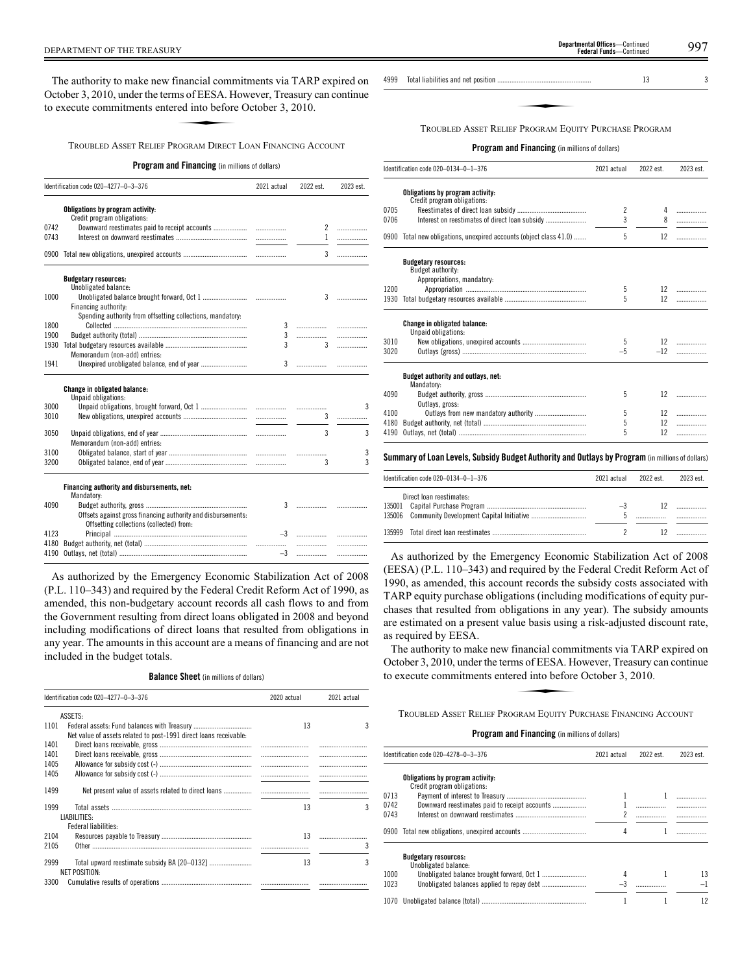The authority to make new financial commitments via TARP expired on<br>
ctober 3, 2010, under the terms of EESA. However, Treasury can continue<br>
execute commitments entered into before October 3, 2010.<br>
TROURLED ASSET RELIEF October 3, 2010, under the terms of EESA. However, Treasury can continue to execute commitments entered into before October 3, 2010.

TROUBLED ASSET RELIEF PROGRAM DIRECT LOAN FINANCING ACCOUNT

# **Program and Financing** (in millions of dollars)

|      | Identification code 020-4277-0-3-376                                                                     |                          | 2022 est.      | 2023 est.      |
|------|----------------------------------------------------------------------------------------------------------|--------------------------|----------------|----------------|
|      | Obligations by program activity:<br>Credit program obligations:                                          |                          |                |                |
| 0742 |                                                                                                          |                          | $\overline{c}$ | .              |
| 0743 |                                                                                                          |                          | $\mathbf{1}$   | .              |
| 0900 |                                                                                                          |                          | 3              | .              |
|      | <b>Budgetary resources:</b><br>Unobligated balance:                                                      |                          |                |                |
| 1000 | Financing authority:                                                                                     |                          | 3              | .              |
|      | Spending authority from offsetting collections, mandatory:                                               |                          |                |                |
| 1800 |                                                                                                          | 3                        |                |                |
| 1900 |                                                                                                          | 3                        | .              | .              |
| 1930 | Memorandum (non-add) entries:                                                                            | $\overline{3}$           | $\mathcal{R}$  | .              |
| 1941 |                                                                                                          | 3                        |                |                |
|      | Change in obligated balance:<br>Unpaid obligations:                                                      |                          |                |                |
| 3000 |                                                                                                          |                          |                | 3              |
| 3010 |                                                                                                          | $\overline{\phantom{a}}$ | 3              | .              |
| 3050 | Memorandum (non-add) entries:                                                                            |                          | 3              | 3              |
| 3100 |                                                                                                          |                          | .              | 3              |
| 3200 |                                                                                                          |                          | 3              | $\overline{3}$ |
|      | Financing authority and disbursements, net:<br>Mandatory:                                                |                          |                |                |
| 4090 | Offsets against gross financing authority and disbursements:<br>Offsetting collections (collected) from: | 3                        |                |                |
| 4123 |                                                                                                          |                          |                |                |
| 4180 |                                                                                                          |                          |                |                |
| 4190 |                                                                                                          | $-3$                     | .              | .              |

As authorized by the Emergency Economic Stabilization Act of 2008 (P.L. 110–343) and required by the Federal Credit Reform Act of 1990, as amended, this non-budgetary account records all cash flows to and from the Government resulting from direct loans obligated in 2008 and beyond including modifications of direct loans that resulted from obligations in any year. The amounts in this account are a means of financing and are not included in the budget totals.

# **Balance Sheet** (in millions of dollars)

|              | Identification code 020-4277-0-3-376                                 | 2020 actual | 2021 actual |
|--------------|----------------------------------------------------------------------|-------------|-------------|
|              | ASSETS:                                                              |             |             |
| 1101         | Net value of assets related to post-1991 direct loans receivable:    | 13          |             |
| 1401<br>1401 |                                                                      |             |             |
| 1405<br>1405 |                                                                      |             |             |
| 1499         |                                                                      |             |             |
| 1999         | LIABILITIES:                                                         | 13          |             |
|              | Federal liabilities:                                                 |             |             |
| 2104<br>2105 |                                                                      | 13          |             |
| 2999         | Total upward reestimate subsidy BA [20–0132]<br><b>NET POSITION:</b> | 13          | 3           |
| 3300         |                                                                      |             |             |

4999 Total liabilities and net position ..................................................... 13 3

www.communications.com<br>Program Four<br>Program Four TROUBLED ASSET RELIEF PROGRAM EQUITY PURCHASE PROGRAM

# **Program and Financing** (in millions of dollars)

|      | Identification code 020-0134-0-1-376                               | 2021 actual    | 2022 est.         | 2023 est. |
|------|--------------------------------------------------------------------|----------------|-------------------|-----------|
|      | Obligations by program activity:<br>Credit program obligations:    |                |                   |           |
| 0705 |                                                                    | $\overline{c}$ | 4                 |           |
| 0706 |                                                                    | 3              |                   |           |
|      | 0900 Total new obligations, unexpired accounts (object class 41.0) | 5              | 12                |           |
|      | <b>Budgetary resources:</b><br>Budget authority:                   |                |                   |           |
|      | Appropriations, mandatory:                                         |                |                   |           |
| 1200 |                                                                    | 5              | 12 <sup>12</sup>  |           |
| 1930 |                                                                    | 5              | $12 \,$           |           |
|      | <b>Change in obligated balance:</b><br>Unpaid obligations:         |                |                   |           |
| 3010 |                                                                    | 5              | 12 <sup>7</sup>   |           |
| 3020 |                                                                    | $-5$           | $-12$             |           |
|      | Budget authority and outlays, net:<br>Mandatory:                   |                |                   |           |
| 4090 |                                                                    | 5              | $12 \overline{ }$ |           |
|      | Outlays, gross:                                                    |                |                   |           |
| 4100 |                                                                    | 5              | 12                |           |
| 4180 |                                                                    | 5              | 12                |           |
| 4190 |                                                                    | 5              | 12                |           |

**Summary ofLoan Levels, Subsidy Budget Authority and Outlays by Program** (inmillionsof dollars)

| Identification code 020-0134-0-1-376            | 2021 actual 2022 est. |      | 2023 est. |    |
|-------------------------------------------------|-----------------------|------|-----------|----|
| Direct loan reestimates:                        |                       | $-3$ |           | 12 |
| 135006 Community Development Capital Initiative |                       |      |           |    |
|                                                 |                       | 12   |           |    |

As authorized by the Emergency Economic Stabilization Act of 2008 (EESA) (P.L. 110–343) and required by the Federal Credit Reform Act of 1990, as amended, this account records the subsidy costs associated with TARP equity purchase obligations (including modifications of equity purchases that resulted from obligations in any year). The subsidy amounts are estimated on a present value basis using a risk-adjusted discount rate, as required by EESA.

The authority to make new financial commitments via TARP expired on<br>
ctober 3, 2010, under the terms of EESA. However, Treasury can continue<br>
execute commitments entered into before October 3, 2010.<br>
TROUBLED ASSET RELIEF October 3, 2010, under the terms of EESA. However, Treasury can continue to execute commitments entered into before October 3, 2010.

TROUBLED ASSET RELIEF PROGRAM EQUITY PURCHASE FINANCING ACCOUNT

|      | Identification code 020-4278-0-3-376                            | 2021 actual | 2022 est. | 2023 est. |
|------|-----------------------------------------------------------------|-------------|-----------|-----------|
|      | Obligations by program activity:<br>Credit program obligations: |             |           |           |
| 0713 |                                                                 |             |           |           |
| 0742 | Downward reestimates paid to receipt accounts                   |             |           |           |
| 0743 |                                                                 | 2           |           |           |
|      | 0900 Total new obligations, unexpired accounts                  | 4           |           |           |
|      | <b>Budgetary resources:</b><br>Unobligated balance:             |             |           |           |
| 1000 |                                                                 |             |           | 13        |
| 1023 |                                                                 |             |           | $-1$      |
|      |                                                                 |             |           | 12        |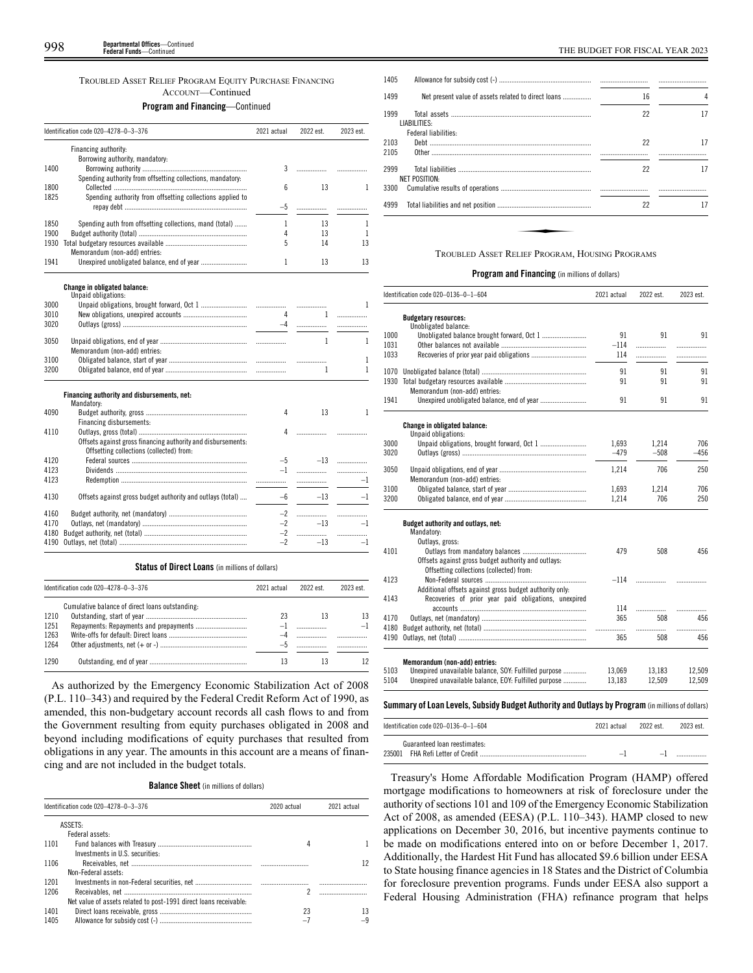# TROUBLED ASSET RELIEF PROGRAM EQUITY PURCHASE FINANCING ACCOUNT—Continued **Program and Financing**—Continued

|      | Identification code 020-4278-0-3-376                         |      | 2022 est.    | 2023 est.    |
|------|--------------------------------------------------------------|------|--------------|--------------|
|      | Financing authority:                                         |      |              |              |
|      | Borrowing authority, mandatory:                              |      |              |              |
| 1400 |                                                              | 3    | .            |              |
|      | Spending authority from offsetting collections, mandatory:   |      |              |              |
| 1800 |                                                              | 6    | 13           | 1            |
| 1825 | Spending authority from offsetting collections applied to    | $-5$ |              |              |
|      |                                                              |      | .            | .            |
| 1850 | Spending auth from offsetting collections, mand (total)      | 1    | 13           | 1            |
| 1900 |                                                              | 4    | 13           | 1            |
| 1930 |                                                              | 5    | 14           | 13           |
|      | Memorandum (non-add) entries:                                |      |              |              |
| 1941 |                                                              | 1    | 13           | 13           |
|      | Change in obligated balance:                                 |      |              |              |
|      | Unpaid obligations:                                          |      |              |              |
| 3000 |                                                              |      |              | 1            |
| 3010 |                                                              | 4    | $\mathbf{1}$ | .            |
| 3020 |                                                              | $-4$ | .            | .            |
| 3050 |                                                              |      | $\mathbf{1}$ | 1            |
|      | Memorandum (non-add) entries:                                |      |              |              |
| 3100 |                                                              |      |              | 1            |
| 3200 |                                                              |      | 1            | 1            |
|      | Financing authority and disbursements, net:                  |      |              |              |
|      | Mandatory:                                                   |      | 13           | $\mathbf{1}$ |
| 4090 | Financing disbursements:                                     | 4    |              |              |
| 4110 |                                                              | 4    |              |              |
|      | Offsets against gross financing authority and disbursements: |      |              |              |
|      | Offsetting collections (collected) from:                     |      |              |              |
| 4120 |                                                              | $-5$ | $-13$        | .            |
| 4123 |                                                              | $-1$ | .            | .            |
| 4123 |                                                              |      | .            | -1           |
|      |                                                              |      |              |              |
| 4130 | Offsets against gross budget authority and outlays (total)   | $-6$ | $-13$        | $-1$         |
| 4160 |                                                              | $-2$ |              | .            |
| 4170 |                                                              | $-2$ | $-13$        | $-1$         |
| 4180 |                                                              | $-2$ | .            | .            |
| 4190 |                                                              | $-2$ | $-13$        | $-1$         |

# **Status of Direct Loans** (in millions of dollars)

|      | Identification code 020-4278-0-3-376            |    | 2022 est. | 2023 est. |
|------|-------------------------------------------------|----|-----------|-----------|
|      | Cumulative balance of direct loans outstanding: |    |           |           |
| 1210 |                                                 | 23 |           | 13        |
| 1251 |                                                 |    |           | $-1$      |
| 1263 |                                                 |    |           |           |
| 1264 |                                                 |    |           |           |
| 1290 |                                                 | 13 |           |           |

As authorized by the Emergency Economic Stabilization Act of 2008 (P.L. 110–343) and required by the Federal Credit Reform Act of 1990, as amended, this non-budgetary account records all cash flows to and from the Government resulting from equity purchases obligated in 2008 and beyond including modifications of equity purchases that resulted from obligations in any year. The amounts in this account are a means of financing and are not included in the budget totals.

**Balance Sheet** (in millions of dollars)

| Identification code 020-4278-0-3-376<br>2020 actual |                                                                   |          | 2021 actual |
|-----------------------------------------------------|-------------------------------------------------------------------|----------|-------------|
|                                                     | ASSETS-                                                           |          |             |
|                                                     | Federal assets:                                                   |          |             |
| 1101                                                |                                                                   |          |             |
|                                                     | Investments in U.S. securities:                                   |          |             |
| 1106                                                |                                                                   |          | 12          |
|                                                     | Non-Federal assets:                                               |          |             |
| 1201                                                |                                                                   |          |             |
| 1206                                                |                                                                   | c        |             |
|                                                     | Net value of assets related to post-1991 direct loans receivable: |          |             |
| 1401                                                |                                                                   | 23       | 13          |
| 1405                                                |                                                                   | $\equiv$ |             |

| 1405         |                                                     |    |    |
|--------------|-----------------------------------------------------|----|----|
| 1499         | Net present value of assets related to direct loans | 16 | 4  |
| 1999         | LIABILITIES:                                        | 22 | 17 |
| 2103<br>2105 | Federal liabilities:                                | 22 | 17 |
| 2999<br>3300 | NET POSITION:                                       | 22 | 17 |
| 4999         |                                                     | 22 | 17 |
|              |                                                     |    |    |
|              | TROUBLED ASSET RELIEF PROGRAM, HOUSING PROGRAMS     |    |    |

# **Program and Financing** (in millions of dollars)

|      | Identification code 020-0136-0-1-604                                                                            | 2021 actual | 2022 est. | 2023 est. |  |
|------|-----------------------------------------------------------------------------------------------------------------|-------------|-----------|-----------|--|
|      | <b>Budgetary resources:</b>                                                                                     |             |           |           |  |
|      | Unobligated balance:                                                                                            |             |           |           |  |
| 1000 |                                                                                                                 | 91          | 91        | 91        |  |
| 1031 |                                                                                                                 | $-114$      | .         | .         |  |
| 1033 |                                                                                                                 | 114         | .         | .         |  |
| 1070 |                                                                                                                 | 91          | 91        | 91        |  |
|      |                                                                                                                 | 91          | 91        | 91        |  |
|      | Memorandum (non-add) entries:                                                                                   |             |           |           |  |
| 1941 |                                                                                                                 | 91          | 91        | 91        |  |
|      | Change in obligated balance:                                                                                    |             |           |           |  |
|      | Unpaid obligations:                                                                                             |             |           |           |  |
| 3000 |                                                                                                                 | 1,693       | 1,214     | 706       |  |
| 3020 |                                                                                                                 | $-479$      | $-508$    | $-456$    |  |
| 3050 | Memorandum (non-add) entries:                                                                                   | 1.214       | 706       | 250       |  |
| 3100 |                                                                                                                 | 1,693       | 1,214     | 706       |  |
| 3200 |                                                                                                                 | 1,214       | 706       | 250       |  |
|      | Budget authority and outlays, net:                                                                              |             |           |           |  |
|      | Mandatory:                                                                                                      |             |           |           |  |
|      | Outlays, gross:                                                                                                 |             |           |           |  |
| 4101 |                                                                                                                 | 479         | 508       | 456       |  |
|      | Offsets against gross budget authority and outlays:                                                             |             |           |           |  |
|      | Offsetting collections (collected) from:                                                                        |             |           |           |  |
| 4123 |                                                                                                                 | $-114$      |           | .         |  |
|      | Additional offsets against gross budget authority only:<br>Recoveries of prior year paid obligations, unexpired |             |           |           |  |
| 4143 |                                                                                                                 | 114         | .         | .         |  |
| 4170 |                                                                                                                 | 365         | 508       | 456       |  |
| 4180 |                                                                                                                 | .           | .         | .         |  |
|      |                                                                                                                 | 365         | 508       | 456       |  |
|      | Memorandum (non-add) entries:                                                                                   |             |           |           |  |
| 5103 | Unexpired unavailable balance, SOY: Fulfilled purpose                                                           | 13,069      | 13,183    | 12,509    |  |
| 5104 | Unexpired unavailable balance, EOY: Fulfilled purpose                                                           | 13,183      | 12,509    | 12,509    |  |
|      |                                                                                                                 |             |           |           |  |
|      | Summary of Loan Levels, Subsidy Budget Authority and Outlays by Program (in millions of dollars)                |             |           |           |  |

| Identification code 020-0136-0-1-604 | 2021 actual | 2022 est. | 2023 est. |
|--------------------------------------|-------------|-----------|-----------|
| Guaranteed loan reestimates:         |             |           |           |
|                                      |             |           |           |

Treasury's Home Affordable Modification Program (HAMP) offered mortgage modifications to homeowners at risk of foreclosure under the authority of sections 101 and 109 of the Emergency Economic Stabilization Act of 2008, as amended (EESA) (P.L. 110–343). HAMP closed to new applications on December 30, 2016, but incentive payments continue to be made on modifications entered into on or before December 1, 2017. Additionally, the Hardest Hit Fund has allocated \$9.6 billion under EESA to State housing finance agencies in 18 States and the District of Columbia for foreclosure prevention programs. Funds under EESA also support a Federal Housing Administration (FHA) refinance program that helps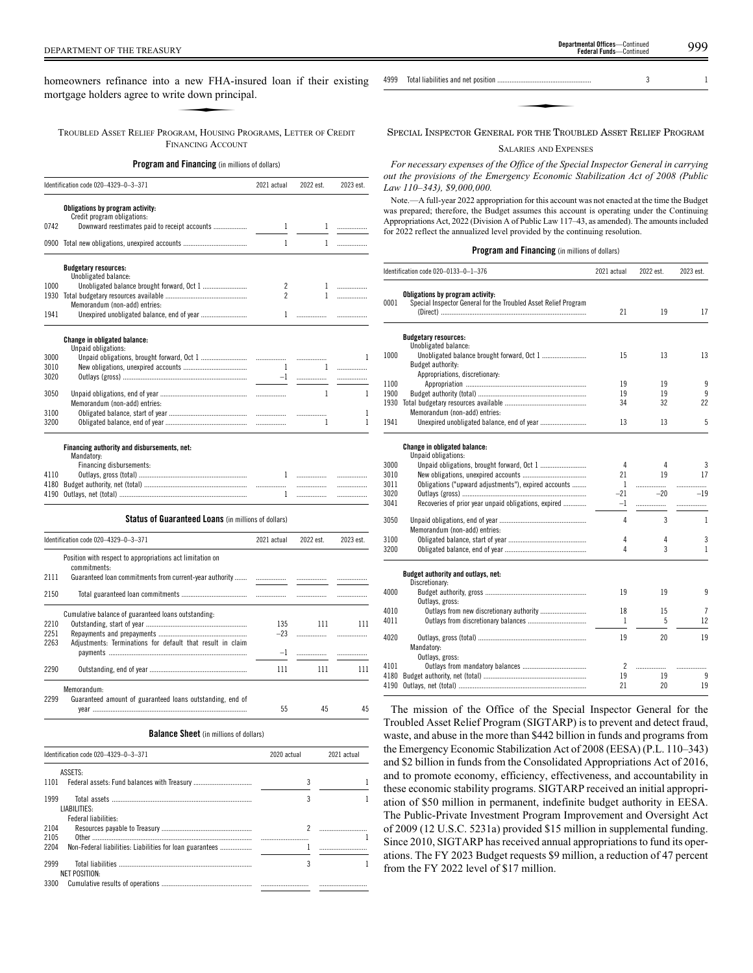DEPARTMENT OF THE TREASURY 999 **Departmental Offices**—Continued

homeowners refinance into a new FHA-insured loan if their existing mortgage holders agree to write down principal. a new FHA-i<br>ite down princ<br>ERAM HOUSING

TROUBLED ASSET RELIEF PROGRAM, HOUSING PROGRAMS, LETTER OF CREDIT FINANCING ACCOUNT

# **Program and Financing** (in millions of dollars)

|              | Identification code 020-4329-0-3-371                                                  | 2021 actual         | 2022 est.      | 2023 est. |
|--------------|---------------------------------------------------------------------------------------|---------------------|----------------|-----------|
|              | Obligations by program activity:<br>Credit program obligations:                       |                     |                |           |
| 0742         | Downward reestimates paid to receipt accounts                                         | 1                   | 1              | .         |
|              | 0900 Total new obligations, unexpired accounts                                        | 1                   | $\mathbf{1}$   | .         |
|              | <b>Budgetary resources:</b>                                                           |                     |                |           |
|              | Unobligated balance:                                                                  |                     |                |           |
| 1000         |                                                                                       | 2<br>$\mathfrak{p}$ |                | 1<br>1    |
|              | Memorandum (non-add) entries:                                                         |                     |                |           |
| 1941         |                                                                                       |                     |                |           |
|              |                                                                                       |                     |                |           |
|              | <b>Change in obligated balance:</b><br>Unpaid obligations:                            |                     |                |           |
| 3000         |                                                                                       |                     |                | 1         |
| 3010         |                                                                                       | $\mathbf{1}$        | $\mathbf{1}$   | .         |
| 3020         |                                                                                       | $-1$                |                | .         |
|              |                                                                                       |                     |                |           |
| 3050         | Memorandum (non-add) entries:                                                         |                     | $\mathbf{1}$   | 1         |
| 3100         |                                                                                       |                     |                | 1         |
| 3200         |                                                                                       |                     | $\overline{1}$ | 1         |
| 4110<br>4180 | Financing authority and disbursements, net:<br>Mandatory:<br>Financing disbursements: |                     |                | .<br>.    |
|              |                                                                                       | 1.                  | .              | .         |
|              | Status of Guaranteed Loans (in millions of dollars)                                   |                     |                |           |
|              | Identification code 020-4329-0-3-371                                                  | 2021 actual         | 2022 est.      | 2023 est. |
| 2111         | Position with respect to appropriations act limitation on<br>commitments:             |                     |                | .         |
| 2150         |                                                                                       |                     |                | .         |
|              |                                                                                       |                     |                |           |
|              | Cumulative balance of guaranteed loans outstanding:                                   |                     |                |           |
| 2210         |                                                                                       | 135                 | 111            | 111       |
| 2251<br>2263 | Adjustments: Terminations for default that result in claim                            | $-23$               |                | .         |
|              |                                                                                       | $-1$                |                |           |
|              |                                                                                       |                     |                |           |

2290 Outstanding, end of year ....................................................... 111 111 111 Memorandum: 55 45 45 Guaranteed amount of guaranteed loans outstanding, end of year ....................................................................................... 2299

**Balance Sheet** (in millions of dollars)

| Identification code 020-4329-0-3-371<br>2020 actual              |   | 2021 actual |  |
|------------------------------------------------------------------|---|-------------|--|
| ASSETS:                                                          |   |             |  |
| 1101                                                             | 3 |             |  |
| 1999<br>LIABILITIES:                                             |   |             |  |
| Federal liabilities:                                             |   |             |  |
| 2104                                                             |   |             |  |
| 2105                                                             |   |             |  |
| 2204<br>Non-Federal liabilities: Liabilities for loan guarantees |   |             |  |
| 2999                                                             |   |             |  |
| NET POSITION:                                                    |   |             |  |
| 3300                                                             |   |             |  |

**Federal Funds**—Continue

SPECIAL INSPECTOR GENERAL FOR THE TROUBLED ASSET RELIEF PROGRAM

# SALARIES AND EXPENSES

*For necessary expenses of the Office of the Special Inspector General in carrying out the provisions of the Emergency Economic Stabilization Act of 2008 (Public Law 110–343), \$9,000,000.*

Note.—A full-year 2022 appropriation for this account was not enacted at the time the Budget was prepared; therefore, the Budget assumes this account is operating under the Continuing Appropriations Act, 2022 (Division A of Public Law 117–43, as amended). The amounts included for 2022 reflect the annualized level provided by the continuing resolution.

# **Program and Financing** (in millions of dollars)

|      | Identification code 020-0133-0-1-376                                                                | 2021 actual | 2022 est. | 2023 est.    |
|------|-----------------------------------------------------------------------------------------------------|-------------|-----------|--------------|
| 0001 | Obligations by program activity:<br>Special Inspector General for the Troubled Asset Relief Program |             |           |              |
|      |                                                                                                     | 21          | 19        | 17           |
|      | <b>Budgetary resources:</b>                                                                         |             |           |              |
|      | Unobligated balance:                                                                                |             |           |              |
| 1000 |                                                                                                     | 15          | 13        | 13           |
|      | Budget authority:                                                                                   |             |           |              |
|      | Appropriations, discretionary:                                                                      |             |           |              |
| 1100 |                                                                                                     | 19          | 19        | 9            |
| 1900 |                                                                                                     | 19          | 19        | 9            |
| 1930 |                                                                                                     | 34          | 32        | 22           |
|      | Memorandum (non-add) entries:                                                                       |             |           |              |
| 1941 |                                                                                                     | 13          | 13        | 5            |
|      | Change in obligated balance:                                                                        |             |           |              |
|      | Unpaid obligations:                                                                                 |             |           |              |
| 3000 |                                                                                                     | 4           | 4         | 3            |
| 3010 |                                                                                                     | 21          | 19        | 17           |
| 3011 | Obligations ("upward adjustments"), expired accounts                                                | 1           |           | .            |
| 3020 |                                                                                                     | $-21$       | $-20$     | $-19$        |
| 3041 | Recoveries of prior year unpaid obligations, expired                                                | $-1$        | .         | .            |
| 3050 |                                                                                                     | 4           | 3         | $\mathbf{1}$ |
|      | Memorandum (non-add) entries:                                                                       |             |           |              |
| 3100 |                                                                                                     | 4           | 4         | 3            |
| 3200 |                                                                                                     | 4           | 3         | $\mathbf{1}$ |
|      | Budget authority and outlays, net:                                                                  |             |           |              |
|      | Discretionary:                                                                                      |             |           |              |
| 4000 |                                                                                                     | 19          | 19        | 9            |
|      | Outlays, gross:                                                                                     |             |           |              |
| 4010 | Outlays from new discretionary authority                                                            | 18          | 15        | 7            |
| 4011 |                                                                                                     | 1           | 5         | 12           |
|      |                                                                                                     |             |           |              |
| 4020 |                                                                                                     | 19          | 20        | 19           |
|      | Mandatory:                                                                                          |             |           |              |
|      | Outlays, gross:                                                                                     |             |           |              |
| 4101 |                                                                                                     | 2           | .         |              |
| 4180 |                                                                                                     | 19          | 19        | 9            |
| 4190 |                                                                                                     | 21          | 20        | 19           |

The mission of the Office of the Special Inspector General for the Troubled Asset Relief Program (SIGTARP) is to prevent and detect fraud, waste, and abuse in the more than \$442 billion in funds and programs from the Emergency Economic Stabilization Act of 2008 (EESA) (P.L. 110–343) and \$2 billion in funds from the Consolidated Appropriations Act of 2016, and to promote economy, efficiency, effectiveness, and accountability in these economic stability programs. SIGTARP received an initial appropriation of \$50 million in permanent, indefinite budget authority in EESA. The Public-Private Investment Program Improvement and Oversight Act of 2009 (12 U.S.C. 5231a) provided \$15 million in supplemental funding. Since 2010, SIGTARP has received annual appropriations to fund its operations. The FY 2023 Budget requests \$9 million, a reduction of 47 percent from the FY 2022 level of \$17 million.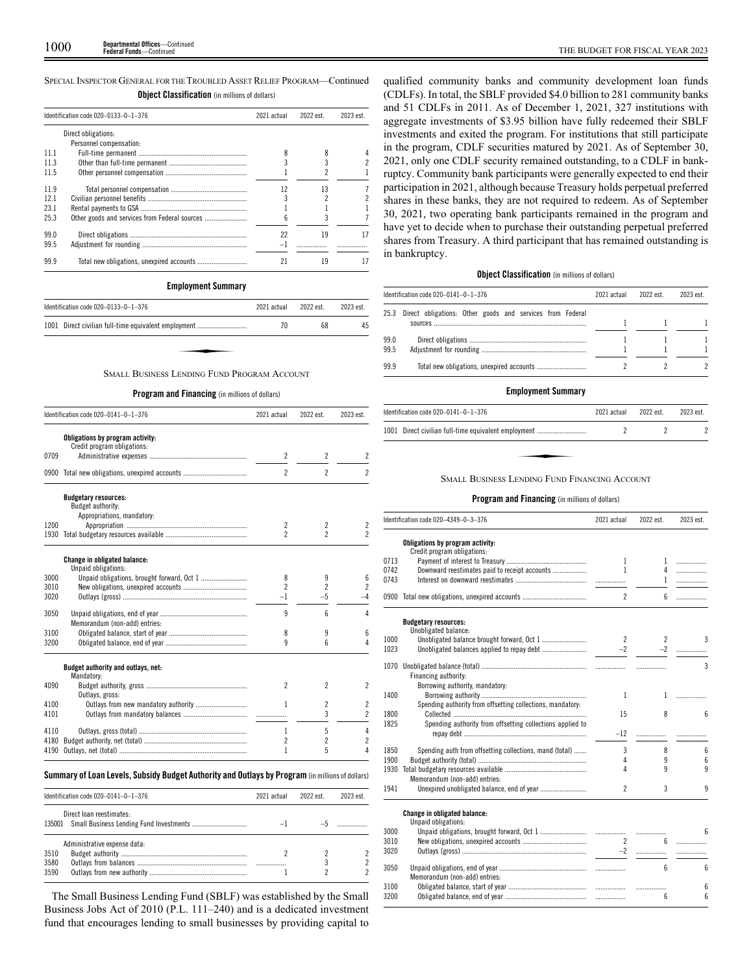SPECIAL INSPECTOR GENERAL FOR THE TROUBLED ASSET RELIEF PROGRAM—Continued

|      | <b>Object Classification</b> (in millions of dollars) |             |           |           |  |
|------|-------------------------------------------------------|-------------|-----------|-----------|--|
|      | Identification code 020-0133-0-1-376                  | 2021 actual | 2022 est. | 2023 est. |  |
|      | Direct obligations:                                   |             |           |           |  |
|      | Personnel compensation:                               |             |           |           |  |
| 11 1 |                                                       |             | 8         |           |  |
| 11.3 |                                                       |             |           |           |  |
| 11.5 |                                                       |             |           |           |  |
| 119  |                                                       | 12          | 13        |           |  |
| 121  |                                                       |             |           |           |  |
| 23.1 |                                                       |             |           |           |  |
| 25.3 |                                                       |             |           |           |  |
| 99.0 |                                                       | 22          | 19        |           |  |
| 99.5 |                                                       | $-1$        |           |           |  |
| 99.9 |                                                       | 21          | 19        |           |  |

# **Employment Summary**

| Identification code 020-0133-0-1-376                 | 2021 actual | 2022 est. | 2023 est. |
|------------------------------------------------------|-------------|-----------|-----------|
| 1001 Direct civilian full-time equivalent employment | 70          | 68        | 45        |
|                                                      |             |           |           |
| <b>SMALL BUSINESS LENDING FUND PROGRAM ACCOUNT</b>   |             |           |           |

# **Program and Financing** (in millions of dollars)

|              | Identification code 020-0141-0-1-376 | 2021 actual                   | 2022 est.                | 2023 est.                |
|--------------|--------------------------------------|-------------------------------|--------------------------|--------------------------|
|              | Obligations by program activity:     |                               |                          |                          |
|              | Credit program obligations:          |                               |                          |                          |
| 0709         |                                      | 2                             | $\overline{\phantom{a}}$ | 2                        |
| 0900         |                                      | $\overline{\phantom{a}}$      | $\overline{2}$           | 2                        |
|              | <b>Budgetary resources:</b>          |                               |                          |                          |
|              | Budget authority:                    |                               |                          |                          |
| 1200         | Appropriations, mandatory:           | 2                             |                          |                          |
| 1930         |                                      | $\overline{\phantom{a}}$      | 2<br>$\overline{2}$      | 2<br>2                   |
|              |                                      |                               |                          |                          |
|              | <b>Change in obligated balance:</b>  |                               |                          |                          |
|              | Unpaid obligations:                  |                               |                          |                          |
| 3000         |                                      | 8<br>$\overline{\phantom{a}}$ | 9                        | 6<br>2                   |
| 3010<br>3020 |                                      |                               | $\overline{c}$<br>$-5$   |                          |
|              |                                      | -1                            |                          | 4                        |
| 3050         |                                      | 9                             | 6                        | 4                        |
|              | Memorandum (non-add) entries:        |                               |                          |                          |
| 3100         |                                      | 8                             | 9                        | 6                        |
| 3200         |                                      | q                             | 6                        | 4                        |
|              | Budget authority and outlays, net:   |                               |                          |                          |
|              | Mandatory:                           |                               |                          |                          |
| 4090         |                                      | 2                             | 2                        | 2                        |
|              | Outlays, gross:                      |                               |                          |                          |
| 4100         | Outlays from new mandatory authority | 1                             | $\overline{c}$           | $\overline{c}$           |
| 4101         |                                      |                               | 3                        | $\overline{\phantom{a}}$ |
| 4110         |                                      | 1                             | 5                        | 4                        |
| 4180         |                                      | 2                             | $\overline{c}$           | 2                        |
| 4190         |                                      | 1                             | 5                        | 4                        |

# **Summary ofLoan Levels, Subsidy Budget Authority and Outlays by Program** (inmillionsof dollars)

| Identification code 020-0141-0-1-376                                       | 2021 actual | 2022 est. | 2023 est. |
|----------------------------------------------------------------------------|-------------|-----------|-----------|
| Direct loan reestimates:<br>135001 Small Business Lending Fund Investments |             |           |           |
| Administrative expense data:<br>3510<br>3580<br>3590                       |             |           |           |

The Small Business Lending Fund (SBLF) was established by the Small Business Jobs Act of 2010 (P.L. 111–240) and is a dedicated investment fund that encourages lending to small businesses by providing capital to

qualified community banks and community development loan funds (CDLFs). In total, the SBLF provided \$4.0 billion to 281 community banks and 51 CDLFs in 2011. As of December 1, 2021, 327 institutions with aggregate investments of \$3.95 billion have fully redeemed their SBLF investments and exited the program. For institutions that still participate in the program, CDLF securities matured by 2021. As of September 30, 2021, only one CDLF security remained outstanding, to a CDLF in bankruptcy. Community bank participants were generally expected to end their participation in 2021, although because Treasury holds perpetual preferred shares in these banks, they are not required to redeem. As of September 30, 2021, two operating bank participants remained in the program and have yet to decide when to purchase their outstanding perpetual preferred shares from Treasury. A third participant that has remained outstanding is in bankruptcy.

# **Object Classification** (in millions of dollars)

|              | Identification code 020-0141-0-1-376                      | 2021 actual | 2022 est. | 2023 est. |
|--------------|-----------------------------------------------------------|-------------|-----------|-----------|
| 25.3         | Direct obligations: Other goods and services from Federal |             |           |           |
| 99.0<br>99.5 |                                                           |             |           |           |
| 99.9         |                                                           |             |           |           |

# **Employment Summary**

| Identification code $020-0141-0-1-376$               | 2021 actual | 2022 est. | 2023 est. |
|------------------------------------------------------|-------------|-----------|-----------|
| 1001 Direct civilian full-time equivalent employment |             |           |           |
|                                                      |             |           |           |
| <b>SMALL BUSINESS LENDING FUND FINANCING ACCOUNT</b> |             |           |           |

# **Program and Financing** (in millions of dollars)

|      | Identification code 020-4349-0-3-376                            | 2021 actual    | 2022 est.       | 2023 est. |
|------|-----------------------------------------------------------------|----------------|-----------------|-----------|
|      | Obligations by program activity:<br>Credit program obligations: |                |                 |           |
| 0713 |                                                                 | $\mathbf{1}$   | $\mathbf{1}$    | .         |
| 0742 | Downward reestimates paid to receipt accounts                   | 1              | 4               | .         |
| 0743 |                                                                 |                | $\mathbf{1}$    | .         |
|      | 0900 Total new obligations, unexpired accounts                  | $\overline{c}$ | 6               | .         |
|      | <b>Budgetary resources:</b><br>Unobligated balance:             |                |                 |           |
| 1000 |                                                                 | $\overline{2}$ | $\overline{2}$  | 3         |
| 1023 |                                                                 | $-2$           |                 |           |
|      | Financing authority:<br>Borrowing authority, mandatory:         |                |                 | 3         |
| 1400 |                                                                 | $\mathbf{1}$   | $\mathbf{1}$    | .         |
| 1800 | Spending authority from offsetting collections, mandatory:      | 15             | 8               |           |
| 1825 | Spending authority from offsetting collections applied to       | $-12$          |                 | 6<br>.    |
| 1850 | Spending auth from offsetting collections, mand (total)         | 3              | 8               | 6         |
| 1900 |                                                                 | 4              | 9               | 6         |
| 1930 |                                                                 | Δ              | q               | 9         |
| 1941 | Memorandum (non-add) entries:                                   | $\mathfrak{p}$ | 3               | 9         |
|      | Change in obligated balance:<br>Unpaid obligations:             |                |                 |           |
| 3000 |                                                                 |                |                 | 6         |
| 3010 |                                                                 | $\overline{2}$ | ĥ               | .         |
| 3020 |                                                                 | $-2$           |                 | .         |
| 3050 | Memorandum (non-add) entries:                                   |                | $6\overline{6}$ | 6         |
| 3100 |                                                                 |                |                 | 6         |

3200 Obligated balance, end of year .............................................. ................. 6 6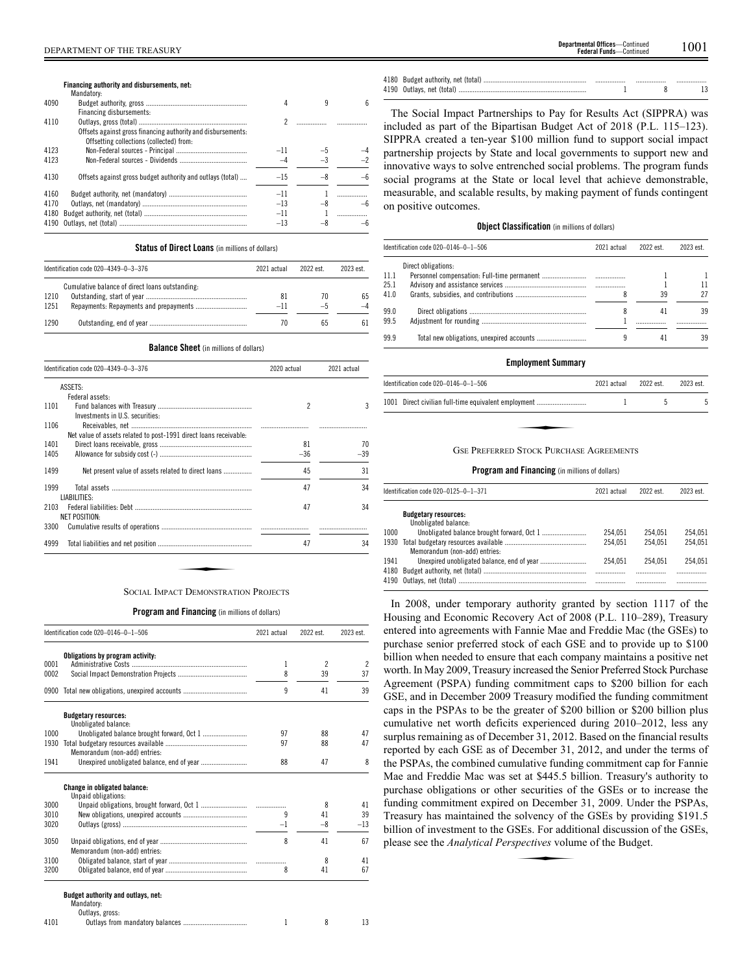| <b>partmental Offices</b> —Continued | 1001 |
|--------------------------------------|------|
| <b>Federal Funds</b> —Continued      |      |

# **Financing authority and disbursements, net:** Mandatory:

| 4090 |                                                              |       |      |  |
|------|--------------------------------------------------------------|-------|------|--|
|      | Financing disbursements:                                     |       |      |  |
| 4110 |                                                              |       |      |  |
|      | Offsets against gross financing authority and disbursements: |       |      |  |
|      | Offsetting collections (collected) from:                     |       |      |  |
| 4123 |                                                              | $-11$ |      |  |
| 4123 |                                                              |       |      |  |
|      |                                                              |       |      |  |
| 4130 | Offsets against gross budget authority and outlays (total)   | $-15$ |      |  |
| 4160 |                                                              | $-11$ |      |  |
|      |                                                              |       |      |  |
| 4170 |                                                              | $-13$ | $-8$ |  |
| 4180 |                                                              | $-11$ |      |  |
| 4190 |                                                              | $-13$ |      |  |
|      |                                                              |       |      |  |

# **Status of Direct Loans** (in millions of dollars)

|      | Identification code 020-4349-0-3-376            | 2021 actual | 2022 est | 2023 est |
|------|-------------------------------------------------|-------------|----------|----------|
|      | Cumulative balance of direct loans outstanding: |             |          |          |
| 1210 |                                                 | 81          | 70       | 65       |
| 1251 |                                                 | $-11$       | —ე       |          |
| 1290 |                                                 | 70          | 65       | 61       |

# **Balance Sheet** (in millions of dollars)

| ASSETS:<br>Federal assets:<br>2<br>Investments in U.S. securities:<br>Net value of assets related to post-1991 direct loans receivable:<br>81<br>1405<br>$-36$<br>45<br>1499<br>Net present value of assets related to direct loans<br>47<br>LIABILITIES:<br>47 | 2021 actual |
|-----------------------------------------------------------------------------------------------------------------------------------------------------------------------------------------------------------------------------------------------------------------|-------------|
| 1101<br>1106<br>1401<br>1999<br>2103                                                                                                                                                                                                                            |             |
|                                                                                                                                                                                                                                                                 |             |
|                                                                                                                                                                                                                                                                 | 3           |
|                                                                                                                                                                                                                                                                 |             |
|                                                                                                                                                                                                                                                                 |             |
|                                                                                                                                                                                                                                                                 |             |
|                                                                                                                                                                                                                                                                 | 70          |
|                                                                                                                                                                                                                                                                 | $-39$       |
|                                                                                                                                                                                                                                                                 | 31          |
|                                                                                                                                                                                                                                                                 | 34          |
|                                                                                                                                                                                                                                                                 |             |
|                                                                                                                                                                                                                                                                 | 34          |
| <b>NET POSITION:</b>                                                                                                                                                                                                                                            |             |
| 3300                                                                                                                                                                                                                                                            |             |
| 47<br>4999                                                                                                                                                                                                                                                      | 34          |

# **Program and Financing** (in millions of dollars)

|      | Identification code 020-0146-0-1-506                       | 2021 actual | 2022 est.                | 2023 est.                |
|------|------------------------------------------------------------|-------------|--------------------------|--------------------------|
|      | Obligations by program activity:                           |             |                          |                          |
| 0001 |                                                            | 1           | $\overline{\phantom{a}}$ | $\overline{\phantom{a}}$ |
| 0002 |                                                            | 8           | 39                       | 37                       |
| 0900 |                                                            | 9           | 41                       | 39                       |
|      | <b>Budgetary resources:</b><br>Unobligated balance:        |             |                          |                          |
| 1000 |                                                            | 97          | 88                       | 47                       |
| 1930 |                                                            | 97          | 88                       | 47                       |
|      | Memorandum (non-add) entries:                              |             |                          |                          |
| 1941 |                                                            | 88          | 47                       | 8                        |
|      | <b>Change in obligated balance:</b><br>Unpaid obligations: |             |                          |                          |
| 3000 |                                                            |             | 8                        | 41                       |
| 3010 |                                                            | q           | 41                       | 39                       |
| 3020 |                                                            | $-1$        | $-8$                     | $-13$                    |
| 3050 |                                                            | 8           | 41                       | 67                       |
|      | Memorandum (non-add) entries:                              |             |                          |                          |
| 3100 |                                                            |             | 8                        | 41                       |
| 3200 |                                                            | 8           | 41                       | 67                       |

|  | <br> |  |
|--|------|--|
|  |      |  |

The Social Impact Partnerships to Pay for Results Act (SIPPRA) was included as part of the Bipartisan Budget Act of 2018 (P.L. 115–123). SIPPRA created a ten-year \$100 million fund to support social impact partnership projects by State and local governments to support new and innovative ways to solve entrenched social problems. The program funds social programs at the State or local level that achieve demonstrable, measurable, and scalable results, by making payment of funds contingent on positive outcomes.

# **Object Classification** (in millions of dollars)

|      | Identification code 020-0146-0-1-506 | 2021 actual | 2022 est. | 2023 est. |
|------|--------------------------------------|-------------|-----------|-----------|
|      | Direct obligations:                  |             |           |           |
| 11.1 |                                      |             |           |           |
| 25.1 |                                      |             |           | 11        |
| 41.0 |                                      |             | 39        | 27        |
| 99.0 |                                      |             | 41        | 39        |
| 99.5 |                                      |             |           |           |
| 99.9 |                                      | 9           | 41        | 39        |
|      |                                      |             |           |           |

# **Employment Summary**

| Identification code $020-0146-0-1-506$               | 2021 actual | 2022 est | 2023 est |
|------------------------------------------------------|-------------|----------|----------|
| 1001 Direct civilian full-time equivalent employment |             |          |          |
|                                                      |             |          |          |
| <b>GSE PREFERRED STOCK PURCHASE AGREEMENTS</b>       |             |          |          |

# **Program and Financing** (in millions of dollars)

|      | Identification code 020-0125-0-1-371                | 2021 actual | 2022 est. | 2023 est. |
|------|-----------------------------------------------------|-------------|-----------|-----------|
|      | <b>Budgetary resources:</b><br>Unobligated balance: |             |           |           |
| 1000 |                                                     | 254.051     | 254.051   | 254.051   |
| 1930 |                                                     | 254.051     | 254.051   | 254.051   |
| 1941 | Memorandum (non-add) entries:                       | 254.051     | 254.051   | 254.051   |
| 4180 |                                                     |             | .         |           |
| 4190 |                                                     |             |           |           |

In 2008, under temporary authority granted by section 1117 of the Housing and Economic Recovery Act of 2008 (P.L. 110–289), Treasury entered into agreements with Fannie Mae and Freddie Mac (the GSEs) to purchase senior preferred stock of each GSE and to provide up to \$100 billion when needed to ensure that each company maintains a positive net worth. In May 2009, Treasury increased the Senior Preferred Stock Purchase Agreement (PSPA) funding commitment caps to \$200 billion for each GSE, and in December 2009 Treasury modified the funding commitment caps in the PSPAs to be the greater of \$200 billion or \$200 billion plus cumulative net worth deficits experienced during 2010–2012, less any surplus remaining as of December 31, 2012. Based on the financial results reported by each GSE as of December 31, 2012, and under the terms of the PSPAs, the combined cumulative funding commitment cap for Fannie Mae and Freddie Mac was set at \$445.5 billion. Treasury's authority to purchase obligations or other securities of the GSEs or to increase the funding commitment expired on December 31, 2009. Under the PSPAs, Treasury has maintained the solvency of the GSEs by providing \$191.5<br>
billion of investment to the GSEs. For additional discussion of the GSEs,<br>
please see the *Analytical Perspectives* volume of the Budget. billion of investment to the GSEs. For additional discussion of the GSEs, please see the *Analytical Perspectives* volume of the Budget.

**Budget authority and outlays, net:** Mandatory

|      | <b>IVIGHUALUI Y.</b> |  |  |
|------|----------------------|--|--|
|      | Outlays, gross:      |  |  |
| 4101 |                      |  |  |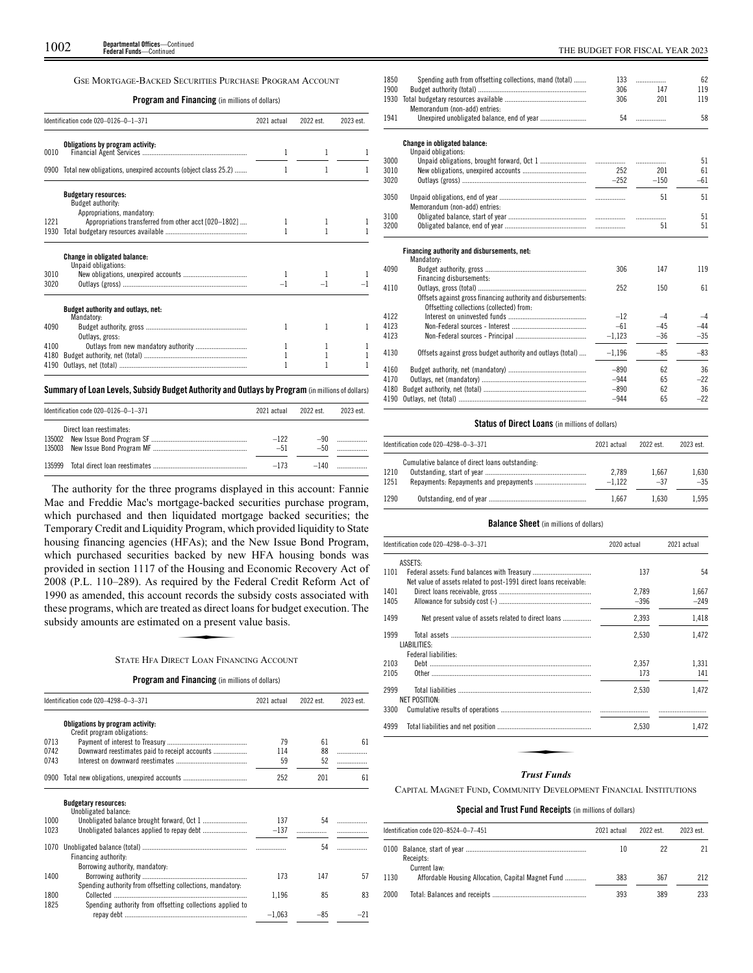# GSE MORTGAGE-BACKED SECURITIES PURCHASE PROGRAM ACCOUNT

# **Program and Financing** (in millions of dollars)

|      | Identification code 020-0126-0-1-371                                           | 2021 actual | 2022 est. | 2023 est. |
|------|--------------------------------------------------------------------------------|-------------|-----------|-----------|
| 0010 | Obligations by program activity:                                               | 1           | 1         |           |
|      | 0900 Total new obligations, unexpired accounts (object class 25.2)             | 1           | 1         |           |
|      | <b>Budgetary resources:</b><br>Budget authority:<br>Appropriations, mandatory: |             |           |           |
| 1221 | Appropriations transferred from other acct [020-1802]                          |             |           |           |
| 1930 |                                                                                |             |           |           |
|      | <b>Change in obligated balance:</b><br>Unpaid obligations:                     |             |           |           |
| 3010 |                                                                                | 1           |           |           |
| 3020 |                                                                                |             |           |           |
|      | Budget authority and outlays, net:<br>Mandatory:                               |             |           |           |
| 4090 | Outlays, gross:                                                                | 1           | 1         |           |
| 4100 | Outlays from new mandatory authority                                           | 1           | 1         |           |
| 4180 |                                                                                |             |           |           |
| 4190 |                                                                                |             |           |           |

# **Summary ofLoan Levels, Subsidy Budget Authority and Outlays by Program** (inmillionsof dollars)

|        | Identification code 020-0126-0-1-371 | 2021 actual     | 2022 est        | 2023 est. |
|--------|--------------------------------------|-----------------|-----------------|-----------|
|        | Direct loan reestimates:             | $-122$<br>$-51$ | $-90-$<br>$-50$ |           |
| 135999 |                                      | $-173$          | $-140$          |           |

The authority for the three programs displayed in this account: Fannie Mae and Freddie Mac's mortgage-backed securities purchase program, which purchased and then liquidated mortgage backed securities; the Temporary Credit and Liquidity Program, which provided liquidity to State housing financing agencies (HFAs); and the New Issue Bond Program, which purchased securities backed by new HFA housing bonds was provided in section 1117 of the Housing and Economic Recovery Act of 2008 (P.L. 110–289). As required by the Federal Credit Reform Act of 1990 as amended, this account records the subsidy costs associated with these programs, which are treated as direct loans for budget execution. The subsidy amounts are estimated on a present value basis.<br>STATE HEA DIRECT L these programs, which are treated as direct loans for budget execution. The subsidy amounts are estimated on a present value basis.

# STATE HFA DIRECT LOAN FINANCING ACCOUNT

# **Program and Financing** (in millions of dollars)

|      | Identification code 020-4298-0-3-371                            | 2021 actual | 2022 est. | 2023 est. |
|------|-----------------------------------------------------------------|-------------|-----------|-----------|
|      | Obligations by program activity:<br>Credit program obligations: |             |           |           |
| 0713 |                                                                 | 79          | 61        | 61        |
| 0742 | Downward reestimates paid to receipt accounts                   | 114         | 88        | .         |
| 0743 |                                                                 | 59          | 52        | .         |
|      | 0900 Total new obligations, unexpired accounts                  | 252         | 201       | 61        |
|      | <b>Budgetary resources:</b><br>Unobligated balance:             |             |           |           |
| 1000 |                                                                 | 137         | 54        |           |
| 1023 |                                                                 | $-137$      |           |           |
| 1070 | Financing authority:                                            |             | 54        |           |
| 1400 | Borrowing authority, mandatory:                                 | 173         | 147       | 57        |
| 1800 | Spending authority from offsetting collections, mandatory.      | 1.196       | 85        | 83        |
| 1825 | Spending authority from offsetting collections applied to       | $-1.063$    | $-85$     | $-21$     |

| 1850 | Spending auth from offsetting collections, mand (total)      | 133      | .      | 62    |
|------|--------------------------------------------------------------|----------|--------|-------|
| 1900 |                                                              | 306      | 147    | 119   |
| 1930 | Memorandum (non-add) entries:                                | 306      | 201    | 119   |
| 1941 |                                                              | 54       | .      | 58    |
|      | Change in obligated balance:                                 |          |        |       |
|      | Unpaid obligations:                                          |          |        |       |
| 3000 |                                                              |          | .      | 51    |
| 3010 |                                                              | 252      | 201    | 61    |
| 3020 |                                                              | $-252$   | $-150$ | $-61$ |
| 3050 | Memorandum (non-add) entries:                                |          | 51     | 51    |
| 3100 |                                                              |          | .      | 51    |
| 3200 |                                                              |          | 51     | 51    |
|      | Financing authority and disbursements, net:<br>Mandatory:    |          |        |       |
| 4090 | Financing disbursements:                                     | 306      | 147    | 119   |
| 4110 | Offsets against gross financing authority and disbursements: | 252      | 150    | 61    |
|      | Offsetting collections (collected) from:                     |          |        |       |
| 4122 |                                                              | $-12$    | $-4$   | $-4$  |
| 4123 |                                                              | $-61$    | $-45$  | $-44$ |
| 4123 |                                                              | $-1.123$ | $-36$  | $-35$ |
| 4130 | Offsets against gross budget authority and outlays (total)   | $-1.196$ | $-85$  | $-83$ |
| 4160 |                                                              | $-890$   | 62     | 36    |
| 4170 |                                                              | $-944$   | 65     | $-22$ |
| 4180 |                                                              | $-890$   | 62     | 36    |
| 4190 |                                                              | $-944$   | 65     | $-22$ |

# **Status of Direct Loans** (in millions of dollars)

|      | Identification code 020-4298-0-3-371            | 2021 actual | 2022 est. | 2023 est. |
|------|-------------------------------------------------|-------------|-----------|-----------|
|      | Cumulative balance of direct loans outstanding: |             |           |           |
| 1210 |                                                 | 2.789       | 1.667     | 1.630     |
| 1251 |                                                 | $-1.122$    | $-37$     | $-35$     |
| 1290 |                                                 | 1.667       | 1.630     | 1.595     |

# **Balance Sheet** (in millions of dollars)

| 137<br>2.789<br>$-396$ | 54<br>1.667 |
|------------------------|-------------|
|                        |             |
|                        |             |
|                        | $-249$      |
|                        |             |
| 2,393                  | 1,418       |
| 2,530                  | 1.472       |
|                        | 1.331       |
| 173                    | 141         |
| 2.530                  | 1.472       |
|                        |             |
| 2,530                  | 1.472       |
|                        |             |
|                        | 2.357       |

# *Trust Funds*

CAPITAL MAGNET FUND, COMMUNITY DEVELOPMENT FINANCIAL INSTITUTIONS

# **Special and Trust Fund Receipts** (in millions of dollars)

|      | Identification code 020–8524–0–7–451               | 2021 actual | 2022 est. | 2023 est. |
|------|----------------------------------------------------|-------------|-----------|-----------|
|      | Receipts:<br>Current law:                          | 10          | 22        |           |
| 1130 | Affordable Housing Allocation, Capital Magnet Fund | 383         | 367       | 212       |
| 2000 |                                                    | 393         | 389       | 233       |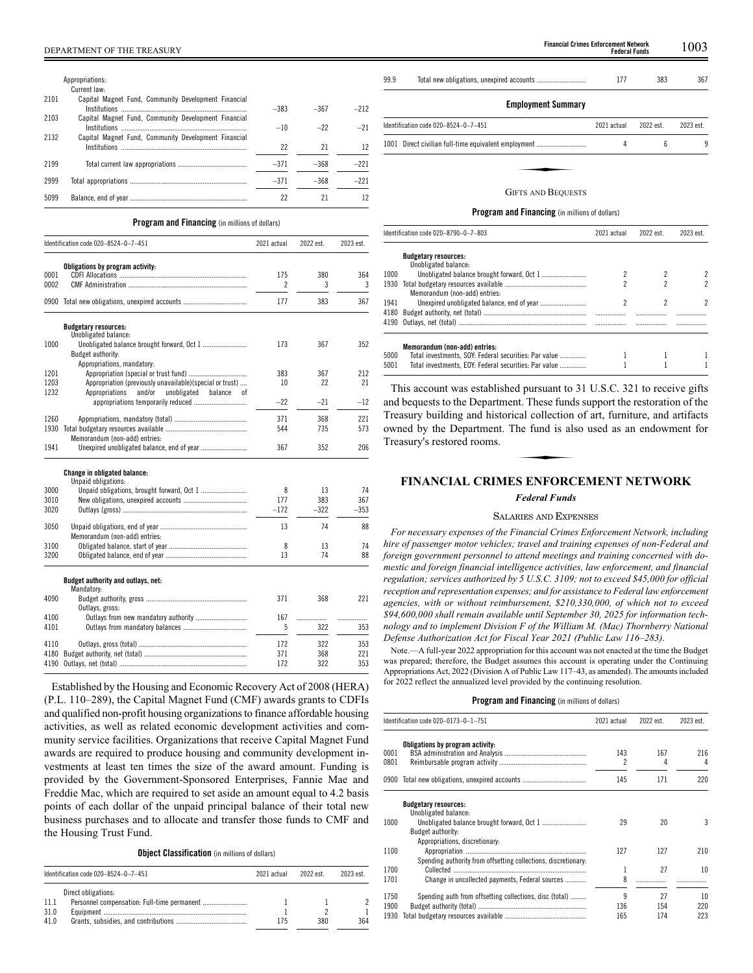|      | Appropriations:                                      |        |        |        |
|------|------------------------------------------------------|--------|--------|--------|
|      | Current law:                                         |        |        |        |
| 2101 | Capital Magnet Fund, Community Development Financial | $-383$ | $-367$ | $-212$ |
| 2103 | Capital Magnet Fund, Community Development Financial |        |        |        |
|      |                                                      | $-10$  | $-22$  | $-21$  |
| 2132 | Capital Magnet Fund, Community Development Financial |        |        |        |
|      |                                                      | 22     | 21     | 12     |
| 2199 |                                                      | $-371$ | $-368$ | $-221$ |
| 2999 |                                                      | $-371$ | $-368$ | $-221$ |
| 5099 |                                                      | 22     | 21     | 12     |

# **Program and Financing** (in millions of dollars)

|              | Identification code 020-8524-0-7-451                     | 2021 actual                     | 2022 est. | 2023 est. |
|--------------|----------------------------------------------------------|---------------------------------|-----------|-----------|
|              | Obligations by program activity:                         |                                 |           |           |
| 0001<br>0002 |                                                          | 175<br>$\overline{\phantom{a}}$ | 380<br>3  | 364<br>3  |
|              |                                                          |                                 |           |           |
| 0900         |                                                          | 177                             | 383       | 367       |
|              | <b>Budgetary resources:</b><br>Unobligated balance:      |                                 |           |           |
| 1000         |                                                          | 173                             | 367       | 352       |
|              | Budget authority:                                        |                                 |           |           |
|              | Appropriations, mandatory:                               |                                 |           |           |
| 1201         |                                                          | 383                             | 367       | 212       |
| 1203         | Appropriation (previously unavailable)(special or trust) | 10                              | 22        | 21        |
| 1232         | and/or<br>Appropriations<br>unobligated balance<br>0Ť    |                                 |           |           |
|              |                                                          | $-22$                           | $-21$     | $-12$     |
| 1260         |                                                          | 371                             | 368       | 221       |
| 1930         |                                                          | 544                             | 735       | 573       |
|              | Memorandum (non-add) entries:                            |                                 |           |           |
| 1941         |                                                          | 367                             | 352       | 206       |
|              | <b>Change in obligated balance:</b>                      |                                 |           |           |
|              | Unpaid obligations:                                      |                                 |           |           |
| 3000         |                                                          | 8                               | 13        | 74        |
| 3010         |                                                          | 177                             | 383       | 367       |

|      | UIIDAIU UDIIEALIUIIS:                            |        |        |        |
|------|--------------------------------------------------|--------|--------|--------|
| 3000 |                                                  | 8      | 13     | 74     |
| 3010 |                                                  | 177    | 383    | 367    |
| 3020 |                                                  | $-172$ | $-322$ | $-353$ |
| 3050 | Memorandum (non-add) entries:                    | 13     | 74     | 88     |
| 3100 |                                                  | 8      | 13     | 74     |
| 3200 |                                                  | 13     | 74     | 88     |
|      | Budget authority and outlays, net:<br>Mandatory: |        |        |        |
| 4090 | Outlays, gross:                                  | 371    | 368    | 221    |
| 4100 |                                                  | 167    |        |        |
| 4101 |                                                  | 5      | 322    | 353    |
| 4110 |                                                  |        |        |        |
|      |                                                  | 172    | 322    | 353    |
| 4180 |                                                  | 371    | 368    | 221    |

Established by the Housing and Economic Recovery Act of 2008 (HERA) (P.L. 110–289), the Capital Magnet Fund (CMF) awards grants to CDFIs and qualified non-profit housing organizations to finance affordable housing activities, as well as related economic development activities and community service facilities. Organizations that receive Capital Magnet Fund awards are required to produce housing and community development investments at least ten times the size of the award amount. Funding is provided by the Government-Sponsored Enterprises, Fannie Mae and Freddie Mac, which are required to set aside an amount equal to 4.2 basis points of each dollar of the unpaid principal balance of their total new business purchases and to allocate and transfer those funds to CMF and the Housing Trust Fund.

**Object Classification** (in millions of dollars)

|      | Identification code 020-8524-0-7-451 | 2021 actual | 2022 est | 2023 est. |
|------|--------------------------------------|-------------|----------|-----------|
|      | Direct obligations:                  |             |          |           |
| 11.1 |                                      |             |          |           |
| 31.0 |                                      |             |          |           |
| 41.0 |                                      | 175         | 380      | 364       |
|      |                                      |             |          |           |

99.9 Total new obligations, unexpired accounts ............................ 177 383 367

# **Employment Summary**

| Identification code 020-8524-0-7-451                 | 2021 actual | 2022 est. | 2023 est. |
|------------------------------------------------------|-------------|-----------|-----------|
| 1001 Direct civilian full-time equivalent employment | 4           |           |           |
|                                                      |             |           |           |
| <b>GIFTS AND REQUESTS</b>                            |             |           |           |

# GIFTS AND BEQUESTS

**Program and Financing** (in millions of dollars)

|              | Identification code 020-8790-0-7-803                                                   | 2021 actual | 2022 est. | 2023 est. |
|--------------|----------------------------------------------------------------------------------------|-------------|-----------|-----------|
|              | <b>Budgetary resources:</b><br>Unobligated balance:                                    |             |           |           |
| 1000         |                                                                                        |             |           |           |
| 1930         | Memorandum (non-add) entries:                                                          |             |           |           |
| 1941         |                                                                                        |             |           |           |
| 4180<br>4190 |                                                                                        | <br>        |           |           |
| 5000         | Memorandum (non-add) entries:<br>Total investments, SOY: Federal securities: Par value |             |           |           |
| 5001         | Total investments. EOY: Federal securities: Par value                                  |             |           |           |

This account was established pursuant to 31 U.S.C. 321 to receive gifts and bequests to the Department. These funds support the restoration of the Treasury building and historical collection of art, furniture, and artifacts<br>
owned by the Department. The fund is also used as an endowment for<br>
Treasury's restored rooms.<br> **EINANCIAL CRIMES ENEORCEMENT NETWORK** owned by the Department. The fund is also used as an endowment for Treasury's restored rooms.

# **FINANCIAL CRIMES ENFORCEMENT NETWORK**

# *Federal Funds*

# SALARIES AND EXPENSES

*For necessary expenses of the Financial Crimes Enforcement Network, including hire of passenger motor vehicles; travel and training expenses of non-Federal and foreign government personnel to attend meetings and training concerned with domestic and foreign financial intelligence activities, law enforcement, and financial regulation; services authorized by 5 U.S.C. 3109; not to exceed \$45,000 for official reception and representation expenses; and for assistance to Federal law enforcement agencies, with or without reimbursement, \$210,330,000, of which not to exceed \$94,600,000 shall remain available until September 30, 2025 for information technology and to implement Division F of the William M. (Mac) Thornberry National Defense Authorization Act for Fiscal Year 2021 (Public Law 116–283).*

Note.—A full-year 2022 appropriation for this account was not enacted at the time the Budget was prepared; therefore, the Budget assumes this account is operating under the Continuing Appropriations Act, 2022 (Division A of Public Law 117–43, as amended). The amounts included for 2022 reflect the annualized level provided by the continuing resolution.

|              | Identification code 020-0173-0-1-751                           | 2021 actual | 2022 est. | 2023 est. |
|--------------|----------------------------------------------------------------|-------------|-----------|-----------|
| 0001<br>0801 | Obligations by program activity:                               | 143<br>2    | 167<br>4  | 216<br>4  |
|              | 0900 Total new obligations, unexpired accounts                 | 145         | 171       | 220       |
|              | <b>Budgetary resources:</b><br>Unobligated balance:            |             |           |           |
| 1000         |                                                                | 29          | 20        | 3         |
|              | Budget authority:<br>Appropriations, discretionary:            |             |           |           |
| 1100         |                                                                | 127         | 127       | 210       |
|              | Spending authority from offsetting collections, discretionary. |             |           |           |
| 1700         |                                                                | 1           | 27        | 10        |
| 1701         | Change in uncollected payments, Federal sources                | 8           |           |           |
| 1750         | Spending auth from offsetting collections, disc (total)        | 9           | 27        | 10        |
| 1900         |                                                                | 136         | 154       | 220       |
| 1930         |                                                                | 165         | 174       | 223       |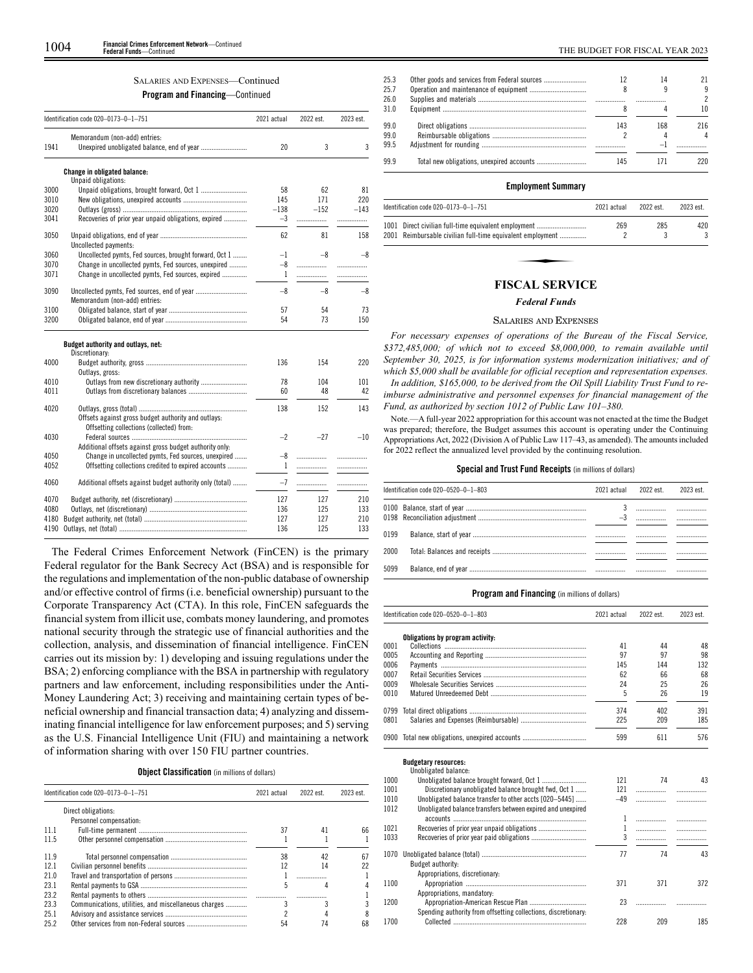# SALARIES AND EXPENSES—Continued

**Program and Financing**—Continued

|      | Identification code 020-0173-0-1-751                     | 2021 actual | 2022 est. | 2023 est. |
|------|----------------------------------------------------------|-------------|-----------|-----------|
|      | Memorandum (non-add) entries:                            |             |           |           |
| 1941 | Unexpired unobligated balance, end of year               | 20          | 3         | 3         |
|      | <b>Change in obligated balance:</b>                      |             |           |           |
|      | Unpaid obligations:                                      |             |           |           |
| 3000 |                                                          | 58          | 62        | 81        |
| 3010 |                                                          | 145         | 171       | 220       |
| 3020 |                                                          | $-138$      | $-152$    | $-143$    |
| 3041 | Recoveries of prior year unpaid obligations, expired     | $-3$        | .         |           |
| 3050 | Uncollected payments:                                    | 62          | 81        | 158       |
| 3060 | Uncollected pymts, Fed sources, brought forward, Oct 1   | $-1$        | $-8$      | $-8$      |
| 3070 | Change in uncollected pymts, Fed sources, unexpired      | $-8$        | .         | .         |
| 3071 | Change in uncollected pymts, Fed sources, expired        | 1           | .         | .         |
| 3090 | Memorandum (non-add) entries:                            | $-8$        | $-8$      | -8        |
| 3100 |                                                          | 57          | 54        | 73        |
| 3200 |                                                          | 54          | 73        | 150       |
|      | Budget authority and outlays, net:<br>Discretionary:     |             |           |           |
| 4000 | Outlays, gross:                                          | 136         | 154       | 220       |
| 4010 |                                                          | 78          | 104       | 101       |
| 4011 |                                                          | 60          | 48        | 42        |
| 4020 | Offsets against gross budget authority and outlays:      | 138         | 152       | 143       |
|      | Offsetting collections (collected) from:                 |             |           |           |
| 4030 |                                                          | $-2$        | $-27$     | $-10$     |
|      | Additional offsets against gross budget authority only:  |             |           |           |
| 4050 | Change in uncollected pymts, Fed sources, unexpired      | -8          | .         |           |
| 4052 | Offsetting collections credited to expired accounts      | 1           | .         | .         |
|      |                                                          |             |           |           |
| 4060 | Additional offsets against budget authority only (total) | $-7$        | .         | .         |
| 4070 |                                                          | 127         | 127       | 210       |
| 4080 |                                                          | 136         | 125       | 133       |
| 4180 |                                                          | 127         | 127       | 210       |
| 4190 |                                                          | 136         | 125       | 133       |

The Federal Crimes Enforcement Network (FinCEN) is the primary Federal regulator for the Bank Secrecy Act (BSA) and is responsible for the regulations and implementation of the non-public database of ownership and/or effective control of firms (i.e. beneficial ownership) pursuant to the Corporate Transparency Act (CTA). In this role, FinCEN safeguards the financial system from illicit use, combats money laundering, and promotes national security through the strategic use of financial authorities and the collection, analysis, and dissemination of financial intelligence. FinCEN carries out its mission by: 1) developing and issuing regulations under the BSA; 2) enforcing compliance with the BSA in partnership with regulatory partners and law enforcement, including responsibilities under the Anti-Money Laundering Act; 3) receiving and maintaining certain types of beneficial ownership and financial transaction data; 4) analyzing and disseminating financial intelligence for law enforcement purposes; and 5) serving as the U.S. Financial Intelligence Unit (FIU) and maintaining a network of information sharing with over 150 FIU partner countries.

# **Object Classification** (in millions of dollars)

|      | Identification code 020-0173-0-1-751                 | 2021 actual | 2022 est. | 2023 est. |
|------|------------------------------------------------------|-------------|-----------|-----------|
|      | Direct obligations:                                  |             |           |           |
|      | Personnel compensation:                              |             |           |           |
| 11 1 |                                                      | 37          | 41        | 66        |
| 11.5 |                                                      |             |           |           |
| 11.9 |                                                      | 38          | 42        |           |
| 121  |                                                      |             | 14        | 22        |
| 21.0 |                                                      |             | .         |           |
| 23.1 |                                                      | 5           |           |           |
| 23.2 |                                                      |             |           |           |
| 23.3 | Communications, utilities, and miscellaneous charges |             |           |           |
| 25.1 |                                                      |             |           |           |
| 25.2 |                                                      | 54          | 74        | 68        |

| 25.3 | 12  | 14  |                |
|------|-----|-----|----------------|
| 25.7 |     |     | 9              |
| 26.0 |     | .   | $\mathfrak{p}$ |
| 31.0 |     |     | 10             |
| 99.0 | 143 | 168 | 216            |
| 99.0 |     |     | 4              |
| 99.5 |     | $-$ |                |
| 99.9 | 145 |     | 220.           |
|      |     |     |                |

# **Employment Summary**

| Identification code 020-0173-0-1-751                       | 2021 actual | 2022 est. | 2023 est. |
|------------------------------------------------------------|-------------|-----------|-----------|
| 1001 Direct civilian full-time equivalent employment       | 269         | 285       | 420       |
| 2001 Reimbursable civilian full-time equivalent employment |             |           | 3         |
|                                                            |             |           |           |
|                                                            |             |           |           |
| FISCAL SEDVICE                                             |             |           |           |

# **FISCAL SERVICE**

# *Federal Funds*

## SALARIES AND EXPENSES

*For necessary expenses of operations of the Bureau of the Fiscal Service, \$372,485,000; of which not to exceed \$8,000,000, to remain available until September 30, 2025, is for information systems modernization initiatives; and of which \$5,000 shall be available for official reception and representation expenses. In addition, \$165,000, to be derived from the Oil Spill Liability Trust Fund to reimburse administrative and personnel expenses for financial management of the Fund, as authorized by section 1012 of Public Law 101–380.*

Note.—A full-year 2022 appropriation for this account was not enacted at the time the Budget was prepared; therefore, the Budget assumes this account is operating under the Continuing Appropriations Act, 2022 (Division A of Public Law 117–43, as amended). The amounts included for 2022 reflect the annualized level provided by the continuing resolution.

# **Special and Trust Fund Receipts** (in millions of dollars)

|      | Identification code 020-0520-0-1-803 | 2021 actual | 2022 est. | 2023 est. |
|------|--------------------------------------|-------------|-----------|-----------|
|      |                                      | $-3$        |           | <br>      |
| 0199 |                                      |             |           |           |
| 2000 |                                      |             |           |           |
| 5099 |                                      |             |           |           |

# **Program and Financing** (in millions of dollars)

|      | Identification code 020-0520-0-1-803                           | 2021 actual  | 2022 est. | 2023 est. |
|------|----------------------------------------------------------------|--------------|-----------|-----------|
|      | Obligations by program activity:                               |              |           |           |
| 0001 |                                                                | 41           | 44        | 48        |
| 0005 |                                                                | 97           | 97        | 98        |
| 0006 |                                                                | 145          | 144       | 132       |
| 0007 |                                                                | 62           | 66        | 68        |
| 0009 |                                                                | 24           | 25        | 26        |
| 0010 |                                                                | 5            | 26        | 19        |
| 0799 |                                                                | 374          | 402       | 391       |
| 0801 |                                                                | 225          | 209       | 185       |
|      | 0900 Total new obligations, unexpired accounts                 | 599          | 611       | 576       |
|      | <b>Budgetary resources:</b>                                    |              |           |           |
| 1000 | Unobligated balance:                                           | 121          | 74        | 43        |
| 1001 | Discretionary unobligated balance brought fwd, Oct 1           | 121          |           |           |
| 1010 | Unobligated balance transfer to other accts [020-5445]         | $-49$        | .         | .         |
| 1012 | Unobligated balance transfers between expired and unexpired    |              |           | .         |
|      |                                                                | 1            |           | .         |
| 1021 |                                                                | $\mathbf{1}$ |           | .         |
| 1033 |                                                                | 3            |           |           |
|      |                                                                |              |           | .         |
| 1070 |                                                                | 77           | 74        | 43        |
|      | Budget authority:                                              |              |           |           |
|      | Appropriations, discretionary:                                 |              |           |           |
| 1100 |                                                                | 371          | 371       | 372       |
|      | Appropriations, mandatory:                                     |              |           |           |
| 1200 |                                                                | 23           |           |           |
|      | Spending authority from offsetting collections, discretionary: |              |           |           |

1700 Collected ........................................................................... 228 209 185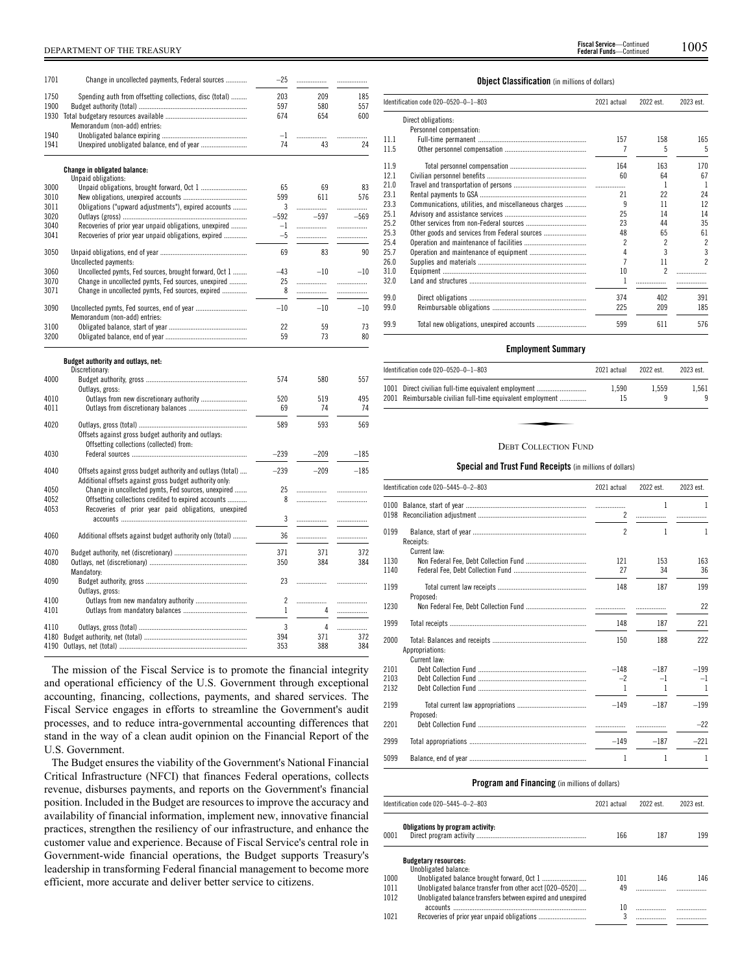| 1701         | Change in uncollected payments, Federal sources                                                                       | $-25$  | .      | .      |
|--------------|-----------------------------------------------------------------------------------------------------------------------|--------|--------|--------|
| 1750         | Spending auth from offsetting collections, disc (total)                                                               | 203    | 209    | 185    |
| 1900         |                                                                                                                       | 597    | 580    | 557    |
| 1930         | Memorandum (non-add) entries:                                                                                         | 674    | 654    | 600    |
| 1940         |                                                                                                                       | $-1$   |        | .      |
| 1941         |                                                                                                                       | 74     | 43     | 24     |
|              | Change in obligated balance:<br>Unpaid obligations:                                                                   |        |        |        |
| 3000         |                                                                                                                       | 65     | 69     | 83     |
| 3010         |                                                                                                                       | 599    | 611    | 576    |
| 3011         | Obligations ("upward adjustments"), expired accounts                                                                  | 3      | .      |        |
| 3020         |                                                                                                                       | $-592$ | $-597$ | $-569$ |
| 3040         | Recoveries of prior year unpaid obligations, unexpired                                                                | $-1$   | .      | .      |
| 3041         | Recoveries of prior year unpaid obligations, expired                                                                  | $-5$   | .      | .      |
| 3050         |                                                                                                                       | 69     | 83     | 90     |
|              | Uncollected payments:                                                                                                 |        |        |        |
| 3060         | Uncollected pymts, Fed sources, brought forward, Oct 1                                                                | $-43$  | $-10$  | $-10$  |
| 3070<br>3071 | Change in uncollected pymts, Fed sources, unexpired                                                                   | 25     |        | .      |
|              | Change in uncollected pymts, Fed sources, expired                                                                     | 8      | .      | .      |
| 3090         | Memorandum (non-add) entries:                                                                                         | $-10$  | $-10$  | $-10$  |
| 3100         |                                                                                                                       | 22     | 59     | 73     |
| 3200         |                                                                                                                       | 59     | 73     | 80     |
| 4000         | Budget authority and outlays, net:<br>Discretionary:<br>Outlays, gross:                                               | 574    | 580    | 557    |
| 4010         | Outlays from new discretionary authority                                                                              | 520    | 519    | 495    |
| 4011         |                                                                                                                       | 69     | 74     | 74     |
| 4020         | Offsets against gross budget authority and outlays:<br>Offsetting collections (collected) from:                       | 589    | 593    | 569    |
| 4030         |                                                                                                                       | $-239$ | $-209$ | $-185$ |
| 4040         | Offsets against gross budget authority and outlays (total)<br>Additional offsets against gross budget authority only: | $-239$ | $-209$ | $-185$ |
| 4050         | Change in uncollected pymts, Fed sources, unexpired                                                                   | 25     | .      |        |
| 4052         | Offsetting collections credited to expired accounts                                                                   | 8      |        | .      |
| 4053         | Recoveries of prior year paid obligations, unexpired                                                                  | 3      | .      | .      |
| 4060         | Additional offsets against budget authority only (total)                                                              | 36     | .      |        |
|              |                                                                                                                       |        |        |        |
| 4070         |                                                                                                                       | 371    | 371    | 372    |
| 4080         | Mandatory:                                                                                                            | 350    | 384    | 384    |
| 4090         | Outlays, gross:                                                                                                       | 23     | .      | .      |
| 4100         |                                                                                                                       | 2      | .      | .      |
| 4101         |                                                                                                                       | 1      | 4      | .      |
| 4110         |                                                                                                                       | 3      | 4      | .      |
| 4180         |                                                                                                                       | 394    | 371    | 372    |
| 4190         |                                                                                                                       | 353    | 388    | 384    |

The mission of the Fiscal Service is to promote the financial integrity and operational efficiency of the U.S. Government through exceptional accounting, financing, collections, payments, and shared services. The Fiscal Service engages in efforts to streamline the Government's audit processes, and to reduce intra-governmental accounting differences that stand in the way of a clean audit opinion on the Financial Report of the U.S. Government.

The Budget ensures the viability of the Government's National Financial Critical Infrastructure (NFCI) that finances Federal operations, collects revenue, disburses payments, and reports on the Government's financial position. Included in the Budget are resources to improve the accuracy and availability of financial information, implement new, innovative financial practices, strengthen the resiliency of our infrastructure, and enhance the customer value and experience. Because of Fiscal Service's central role in Government-wide financial operations, the Budget supports Treasury's leadership in transforming Federal financial management to become more efficient, more accurate and deliver better service to citizens.

# **Object Classification** (in millions of dollars)

|      | Identification code 020-0520-0-1-803                 | 2021 actual | 2022 est.      | 2023 est.                |
|------|------------------------------------------------------|-------------|----------------|--------------------------|
|      | Direct obligations:                                  |             |                |                          |
|      | Personnel compensation:                              |             |                |                          |
| 11.1 |                                                      | 157         | 158            | 165                      |
| 11.5 |                                                      |             | 5              | 5                        |
| 11.9 |                                                      | 164         | 163            | 170                      |
| 12.1 |                                                      | 60          | 64             | 67                       |
| 21.0 |                                                      |             | 1              | -1                       |
| 23.1 |                                                      | 21          | 22             | 24                       |
| 23.3 | Communications, utilities, and miscellaneous charges | 9           | 11             | 12                       |
| 25.1 |                                                      | 25          | 14             | 14                       |
| 25.2 |                                                      | 23          | 44             | 35                       |
| 25.3 |                                                      | 48          | 65             | 61                       |
| 25.4 |                                                      | 2           | 2              | $\overline{2}$           |
| 25.7 |                                                      | 4           | 3              | 3                        |
| 26.0 |                                                      |             | 11             | $\overline{\phantom{a}}$ |
| 31.0 |                                                      | 10          | $\mathfrak{p}$ |                          |
| 32.0 |                                                      |             | .              |                          |
| 99.0 |                                                      | 374         | 402            | 391                      |
| 99.0 |                                                      | 225         | 209            | 185                      |
| 99.9 |                                                      | 599         | 611            | 576                      |
|      |                                                      |             |                |                          |

# **Employment Summary**

| Identification code $020-0520-0-1-803$                                                                             | 2021 actual | 2022 est. | 2023 est.  |
|--------------------------------------------------------------------------------------------------------------------|-------------|-----------|------------|
| 1001 Direct civilian full-time equivalent employment<br>2001 Reimbursable civilian full-time equivalent employment | 1.590<br>15 | 1.559     | 1.561<br>q |
|                                                                                                                    |             |           |            |
| <b>DEBT COLLECTION FUND</b>                                                                                        |             |           |            |

# **Special and Trust Fund Receipts** (in millions of dollars)

|              | Identification code 020-5445-0-2-803 | 2021 actual    | 2022 est. | 2023 est. |
|--------------|--------------------------------------|----------------|-----------|-----------|
| 0100<br>0198 |                                      | $\overline{2}$ | 1<br>.    | 1         |
| 0199         | Receipts:<br>Current law:            | $\overline{2}$ | 1         | 1         |
| 1130         |                                      | 121            | 153       | 163       |
| 1140         |                                      | 27             | 34        | 36        |
| 1199         | Proposed:                            | 148            | 187       | 199       |
| 1230         |                                      |                |           | 22        |
| 1999         |                                      | 148            | 187       | 221       |
| 2000         | Appropriations:<br>Current law:      | 150            | 188       | 222       |
| 2101         |                                      | $-148$         | $-187$    | $-199$    |
| 2103         |                                      | $-2$           | $-1$      | $-1$      |
| 2132         |                                      |                |           | 1         |
| 2199         | Proposed:                            | $-149$         | $-187$    | $-199$    |
| 2201         |                                      |                |           | $-22$     |
| 2999         |                                      | $-149$         | $-187$    | $-221$    |
| 5099         |                                      | 1              | 1         | 1         |

|      | Identification code 020-5445-0-2-803                        | 2021 actual | 2022 est. | 2023 est. |
|------|-------------------------------------------------------------|-------------|-----------|-----------|
| 0001 | Obligations by program activity:                            | 166         | 187       | 199       |
|      | <b>Budgetary resources:</b><br>Unobligated balance:         |             |           |           |
| 1000 |                                                             | 101         | 146       | 146       |
| 1011 | Unobligated balance transfer from other acct [020-0520]     | 49          |           |           |
| 1012 | Unobligated balance transfers between expired and unexpired |             |           |           |
|      | accounts                                                    | 10          |           |           |
| 1021 |                                                             | 3           |           |           |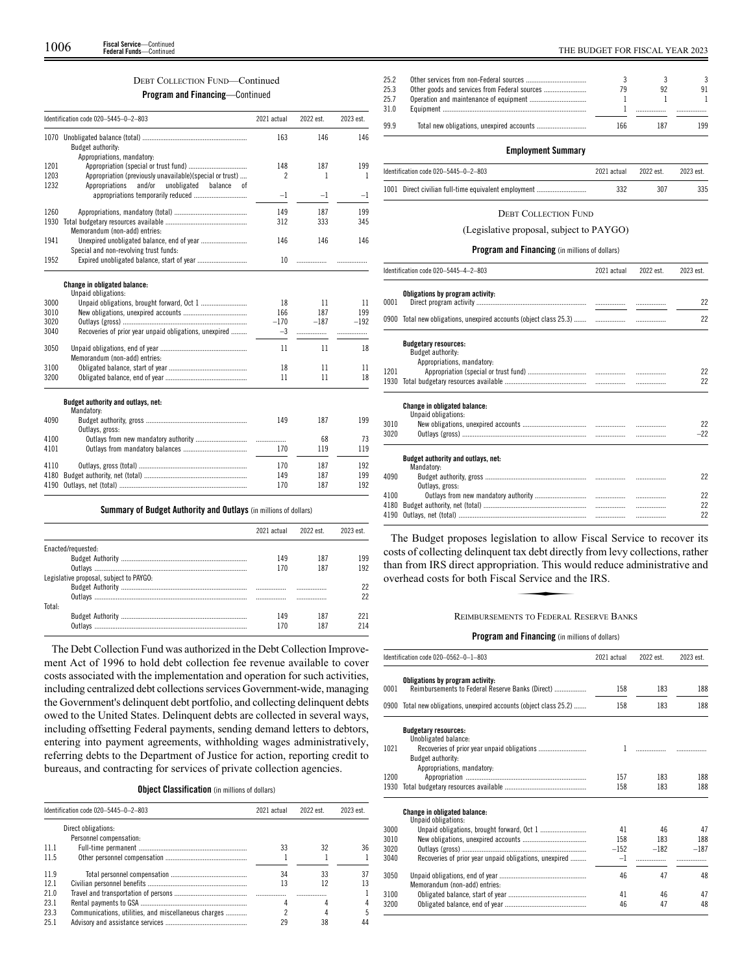# DEBT COLLECTION FUND—Continued

# **Program and Financing**—Continued

|      | Identification code 020-5445-0-2-803                     | 2021 actual              | 2022 est. | 2023 est. |
|------|----------------------------------------------------------|--------------------------|-----------|-----------|
|      | Budget authority:                                        | 163                      | 146       | 146       |
|      | Appropriations, mandatory:                               |                          |           |           |
| 1201 |                                                          | 148                      | 187       | 199       |
| 1203 | Appropriation (previously unavailable)(special or trust) | $\overline{\phantom{a}}$ | 1         | 1         |
| 1232 | Appropriations<br>and/or<br>unobligated<br>balance<br>оf |                          |           |           |
|      |                                                          | $-1$                     | -1        | -1        |
| 1260 |                                                          | 149                      | 187       | 199       |
| 1930 |                                                          | 312                      | 333       | 345       |
|      | Memorandum (non-add) entries:                            |                          |           |           |
| 1941 |                                                          | 146                      | 146       | 146       |
|      | Special and non-revolving trust funds:                   |                          |           |           |
| 1952 |                                                          | 10                       | .         |           |
| 3000 | Change in obligated balance:<br>Unpaid obligations:      | 18                       | 11        | 11        |
| 3010 |                                                          | 166                      | 187       | 199       |
| 3020 |                                                          | $-170$                   | $-187$    | $-192$    |
| 3040 | Recoveries of prior year unpaid obligations, unexpired   | $-3$                     | .         |           |
| 3050 | Memorandum (non-add) entries:                            | 11                       | 11        | 18        |
| 3100 |                                                          | 18                       | 11        | 11        |
| 3200 |                                                          | 11                       | 11        | 18        |
|      | Budget authority and outlays, net:                       |                          |           |           |
|      | Mandatory:                                               |                          |           |           |
| 4090 |                                                          | 149                      | 187       | 199       |
|      | Outlays, gross:                                          |                          |           |           |
| 4100 |                                                          |                          | 68        | 73        |
| 4101 |                                                          | 170                      | 119       | 119       |
| 4110 |                                                          | 170                      | 187       | 192       |
| 4180 |                                                          | 149                      | 187       | 199       |
| 4190 |                                                          | 170                      | 187       | 192       |

# **Summary of Budget Authority and Outlays** (in millions of dollars)

|                                         | 2021 actual | 2022 est | 2023 est |
|-----------------------------------------|-------------|----------|----------|
| Enacted/requested:                      |             |          |          |
|                                         | 149         | 187      | 199      |
|                                         | 170         | 187      | 192      |
| Legislative proposal, subject to PAYGO: |             |          |          |
|                                         |             |          |          |
|                                         |             |          |          |
| Total:                                  |             |          |          |
|                                         | 149         | 187      | 221      |
|                                         | 70          |          |          |

The Debt Collection Fund was authorized in the Debt Collection Improvement Act of 1996 to hold debt collection fee revenue available to cover costs associated with the implementation and operation for such activities, including centralized debt collections services Government-wide, managing the Government's delinquent debt portfolio, and collecting delinquent debts owed to the United States. Delinquent debts are collected in several ways, including offsetting Federal payments, sending demand letters to debtors, entering into payment agreements, withholding wages administratively, referring debts to the Department of Justice for action, reporting credit to bureaus, and contracting for services of private collection agencies.

# **Object Classification** (in millions of dollars)

|      | Identification code 020-5445-0-2-803                 | 2021 actual | 2022 est. | 2023 est. |
|------|------------------------------------------------------|-------------|-----------|-----------|
|      | Direct obligations:<br>Personnel compensation:       |             |           |           |
| 11.1 |                                                      | 33          | 32        | 36        |
| 11.5 |                                                      |             |           |           |
| 119  |                                                      | 34          | 33        | 37        |
| 12.1 |                                                      | 13          | 12        |           |
| 21.0 |                                                      |             | .         |           |
| 23.1 |                                                      |             |           |           |
| 23.3 | Communications, utilities, and miscellaneous charges |             |           |           |
| 25.1 |                                                      | 29          | 38        | 44        |

| 25.2         |     |     |     |
|--------------|-----|-----|-----|
| 25.3         |     |     | 91  |
| 25.7<br>31.0 |     |     |     |
| 99.9         | 166 | 187 | 199 |

# **Employment Summary**

| Identification code 020-5445-0-2-803                 | 2021 actual | 2022 est. | 2023 est. |
|------------------------------------------------------|-------------|-----------|-----------|
| 1001 Direct civilian full-time equivalent employment |             |           | 335       |

# DEBT COLLECTION FUND

(Legislative proposal, subject to PAYGO)

# **Program and Financing** (in millions of dollars)

|      | Identification code 020-5445-4-2-803                                           | 2021 actual | 2022 est. | 2023 est. |
|------|--------------------------------------------------------------------------------|-------------|-----------|-----------|
| 0001 | Obligations by program activity:                                               |             |           | 22        |
|      |                                                                                |             |           | 22        |
|      | <b>Budgetary resources:</b><br>Budget authority:<br>Appropriations, mandatory: |             |           |           |
| 1201 |                                                                                |             |           | 22        |
| 1930 |                                                                                |             |           | 22        |
|      | Change in obligated balance:<br>Unpaid obligations:                            |             |           |           |
| 3010 |                                                                                |             |           | 22        |
| 3020 |                                                                                |             |           | $-22$     |
|      | Budget authority and outlays, net:<br>Mandatory:                               |             |           |           |
| 4090 |                                                                                |             |           | 22        |
|      | Outlays, gross:                                                                |             |           |           |
| 4100 |                                                                                |             |           | 22        |
| 4180 |                                                                                |             |           | 22        |
| 4190 |                                                                                |             |           | 22        |

The Budget proposes legislation to allow Fiscal Service to recover its Costs of collecting delinquent tax debt directly from levy collections, rather<br>than from IRS direct appropriation. This would reduce administrative and<br>overhead costs for both Fiscal Service and the IRS.<br>REIMBURSEMENTS TO than from IRS direct appropriation. This would reduce administrative and overhead costs for both Fiscal Service and the IRS.

# REIMBURSEMENTS TO FEDERAL RESERVE BANKS

| Obligations by program activity:<br>Reimbursements to Federal Reserve Banks (Direct) |                            |        |        |
|--------------------------------------------------------------------------------------|----------------------------|--------|--------|
|                                                                                      | 158                        | 183    | 188    |
| 0900 Total new obligations, unexpired accounts (object class 25.2)                   | 158                        | 183    | 188    |
| <b>Budgetary resources:</b><br>Unobligated balance:                                  |                            |        |        |
| Budget authority:                                                                    | 1                          | .      |        |
|                                                                                      |                            |        |        |
|                                                                                      | 157                        | 183    | 188    |
|                                                                                      | 158                        | 183    | 188    |
| <b>Change in obligated balance:</b><br>Unpaid obligations:                           |                            |        |        |
|                                                                                      | 41                         | 46     | 47     |
|                                                                                      | 158                        | 183    | 188    |
|                                                                                      | $-152$                     | $-182$ | $-187$ |
| Recoveries of prior year unpaid obligations, unexpired                               | $-1$                       |        |        |
| Memorandum (non-add) entries:                                                        | 46                         | 47     | 48     |
|                                                                                      | 41                         | 46     | 47     |
|                                                                                      | 46                         | 47     | 48     |
|                                                                                      | Appropriations, mandatory: |        |        |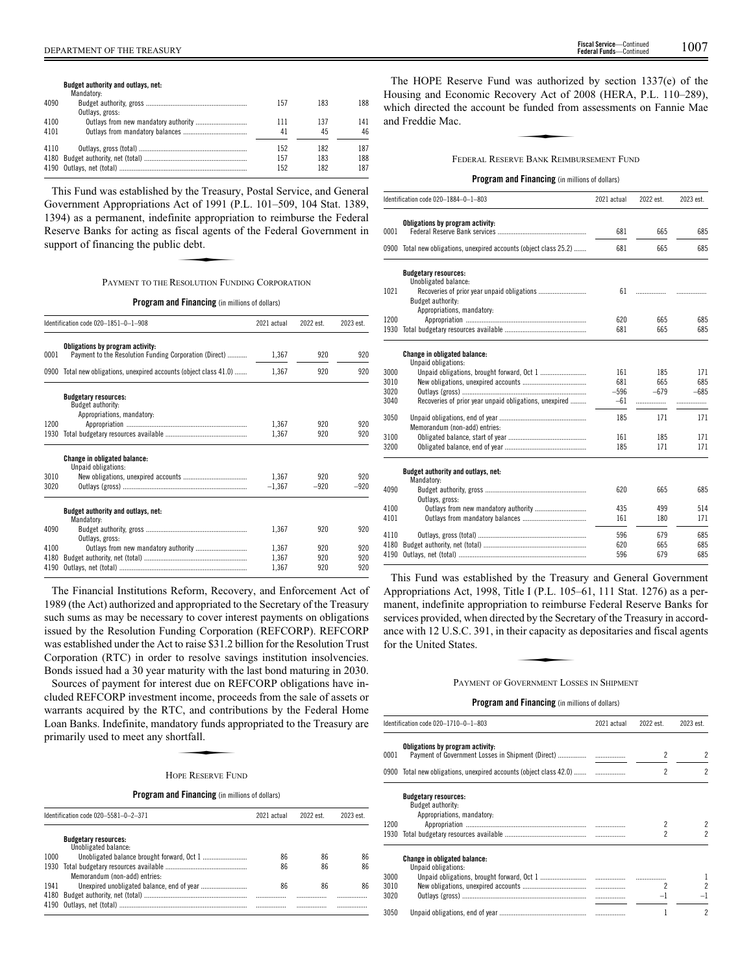**Budget authority and outlays, net:**

|      | Mandatory:      |     |     |     |
|------|-----------------|-----|-----|-----|
| 4090 |                 | 157 | 183 | 188 |
|      | Outlays, gross: |     |     |     |
| 4100 |                 | 111 | 137 | 141 |
| 4101 |                 | 41  | 45  | 46  |
| 4110 |                 | 152 | 182 | 187 |
|      |                 | 157 | 183 | 188 |
|      |                 | 152 | 182 | 187 |
|      |                 |     |     |     |

This Fund was established by the Treasury, Postal Service, and General Government Appropriations Act of 1991 (P.L. 101–509, 104 Stat. 1389, 1394) as a permanent, indefinite appropriation to reimburse the Federal Reserve Banks for acting as fiscal agents of the Federal Government in support of financing the public debt. rict of 1991 (1)<br>inite appropria<br>fiscal agents c<br>c debt.

# PAYMENT TO THE RESOLUTION FUNDING CORPORATION

**Program and Financing** (in millions of dollars)

|      | Identification code 020-1851-0-1-908                                                       | 2021 actual | 2022 est. | 2023 est. |
|------|--------------------------------------------------------------------------------------------|-------------|-----------|-----------|
| 0001 | Obligations by program activity:<br>Payment to the Resolution Funding Corporation (Direct) | 1,367       | 920       | 920       |
|      | 0900 Total new obligations, unexpired accounts (object class 41.0)                         | 1,367       | 920       | 920       |
|      | <b>Budgetary resources:</b><br>Budget authority:<br>Appropriations, mandatory:             |             |           |           |
| 1200 |                                                                                            | 1,367       | 920       | 920       |
| 1930 |                                                                                            | 1.367       | 920       | 920       |
|      | Change in obligated balance:<br>Unpaid obligations:                                        |             |           |           |
| 3010 |                                                                                            | 1.367       | 920       | 920       |
| 3020 |                                                                                            | $-1,367$    | $-920$    | $-920$    |
|      | Budget authority and outlays, net:<br>Mandatory:                                           |             |           |           |
| 4090 | Outlays, gross:                                                                            | 1.367       | 920       | 920       |
| 4100 | Outlays from new mandatory authority                                                       | 1.367       | 920       | 920       |
| 4180 |                                                                                            | 1.367       | 920       | 920       |
| 4190 |                                                                                            | 1.367       | 920       | 920       |

The Financial Institutions Reform, Recovery, and Enforcement Act of 1989 (the Act) authorized and appropriated to the Secretary of the Treasury such sums as may be necessary to cover interest payments on obligations issued by the Resolution Funding Corporation (REFCORP). REFCORP was established under the Act to raise \$31.2 billion for the Resolution Trust Corporation (RTC) in order to resolve savings institution insolvencies. Bonds issued had a 30 year maturity with the last bond maturing in 2030.

Sources of payment for interest due on REFCORP obligations have included REFCORP investment income, proceeds from the sale of assets or warrants acquired by the RTC, and contributions by the Federal Home<br>Loan Banks. Indefinite, mandatory funds appropriated to the Treasury are<br>primarily used to meet any shortfall.<br>Hope RESERVE FUND Loan Banks. Indefinite, mandatory funds appropriated to the Treasury are primarily used to meet any shortfall.

# HOPE RESERVE FUND

**Program and Financing** (in millions of dollars)

|      | Identification code 020-5581-0-2-371                | 2021 actual | 2022 est. | 2023 est |
|------|-----------------------------------------------------|-------------|-----------|----------|
|      | <b>Budgetary resources:</b><br>Unobligated balance: |             |           |          |
| 1000 |                                                     | 86          | 86        | 86       |
| 1930 | Memorandum (non-add) entries:                       | 86          | 86        | 86       |
| 1941 |                                                     | 86          | 86        | 86       |
| 4180 |                                                     | <br>        | .<br>     | .<br>    |

The HOPE Reserve Fund was authorized by section 1337(e) of the Housing and Economic Recovery Act of 2008 (HERA, P.L. 110–289), which directed the account be funded from assessments on Fannie Mae and Freddie Mac.<br>and Freddie Mac.<br>FEDERAL RESERVE BANK REIMBURSEMENT FUND which directed the account be funded from assessments on Fannie Mae and Freddie Mac.

# FEDERAL RESERVE BANK REIMBURSEMENT FUND

# **Program and Financing** (in millions of dollars)

|      | Identification code 020-1884-0-1-803                          | 2021 actual | 2022 est. | 2023 est. |
|------|---------------------------------------------------------------|-------------|-----------|-----------|
|      | Obligations by program activity:                              |             |           |           |
| 0001 |                                                               | 681         | 665       | 685       |
| 0900 | Total new obligations, unexpired accounts (object class 25.2) | 681         | 665       | 685       |
|      | <b>Budgetary resources:</b>                                   |             |           |           |
|      | Unobligated balance:                                          |             |           |           |
| 1021 | Budget authority:                                             | 61          | .         |           |
|      | Appropriations, mandatory:                                    |             |           |           |
| 1200 |                                                               | 620         | 665       | 685       |
| 1930 |                                                               | 681         | 665       | 685       |
|      | <b>Change in obligated balance:</b>                           |             |           |           |
| 3000 | Unpaid obligations:                                           | 161         | 185       | 171       |
| 3010 |                                                               | 681         | 665       | 685       |
| 3020 |                                                               | $-596$      | $-679$    | $-685$    |
| 3040 | Recoveries of prior year unpaid obligations, unexpired        | $-61$       |           |           |
| 3050 | Memorandum (non-add) entries:                                 | 185         | 171       | 171       |
| 3100 |                                                               | 161         | 185       | 171       |
| 3200 |                                                               | 185         | 171       | 171       |
|      | Budget authority and outlays, net:<br>Mandatory:              |             |           |           |
| 4090 | Outlays, gross:                                               | 620         | 665       | 685       |
| 4100 |                                                               | 435         | 499       | 514       |
| 4101 |                                                               | 161         | 180       | 171       |
| 4110 |                                                               | 596         | 679       | 685       |
| 4180 |                                                               | 620         | 665       | 685       |
| 4190 |                                                               | 596         | 679       | 685       |

This Fund was established by the Treasury and General Government Appropriations Act, 1998, Title I (P.L. 105–61, 111 Stat. 1276) as a permanent, indefinite appropriation to reimburse Federal Reserve Banks for services provided, when directed by the Secretary of the Treasury in accord-<br>services provided, when directed by the Secretary of the Treasury in accord-<br>ance with 12 U.S.C. 391, in their capacity as depositaries and fisca ance with 12 U.S.C. 391, in their capacity as depositaries and fiscal agents for the United States.

# PAYMENT OF GOVERNMENT LOSSES IN SHIPMENT

|      | Identification code 020-1710-0-1-803                                           | 2021 actual | 2022 est. | 2023 est.                |
|------|--------------------------------------------------------------------------------|-------------|-----------|--------------------------|
| 0001 | Obligations by program activity:                                               |             | 2         | $\overline{2}$           |
|      | 0900 Total new obligations, unexpired accounts (object class 42.0)             |             | 2         | 2                        |
|      | <b>Budgetary resources:</b><br>Budget authority:<br>Appropriations, mandatory: |             |           |                          |
| 1200 |                                                                                |             |           |                          |
| 1930 |                                                                                |             | 2         |                          |
|      | <b>Change in obligated balance:</b><br>Unpaid obligations:                     |             |           |                          |
| 3000 |                                                                                |             |           |                          |
| 3010 |                                                                                |             |           | $\overline{\phantom{a}}$ |
| 3020 |                                                                                |             | $-1$      |                          |
| 3050 |                                                                                |             |           | 2                        |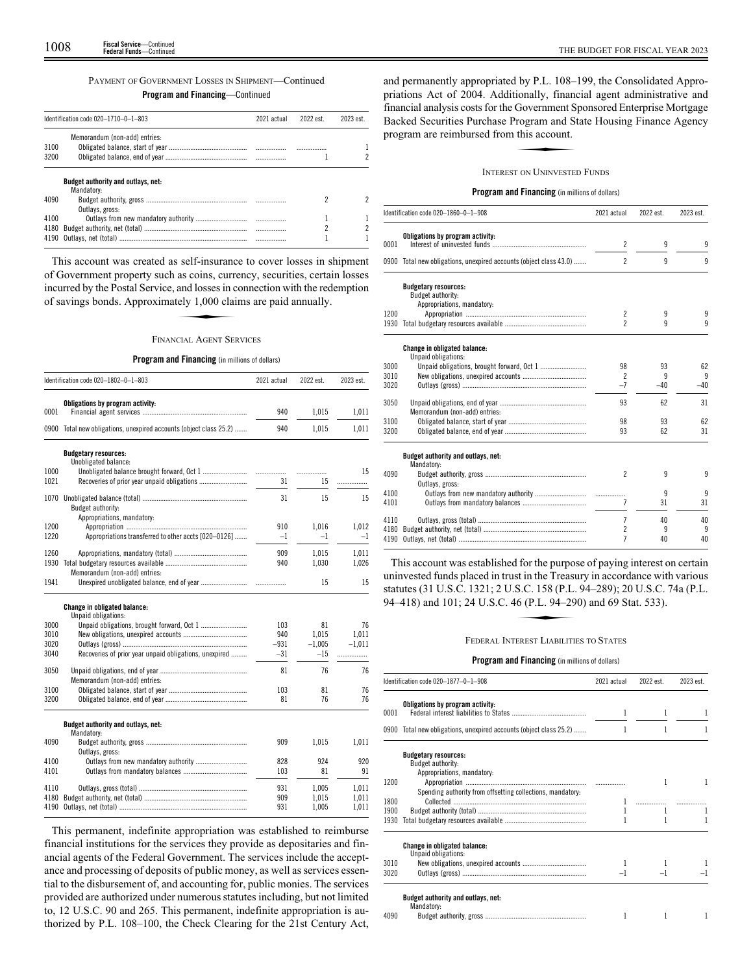# PAYMENT OF GOVERNMENT LOSSES IN SHIPMENT—Continued

# **Program and Financing**—Continued

|      | Identification code 020-1710-0-1-803             | 2021 actual | 2022 est. | 2023 est |
|------|--------------------------------------------------|-------------|-----------|----------|
| 3100 | Memorandum (non-add) entries:                    |             |           |          |
| 3200 |                                                  |             |           |          |
|      | Budget authority and outlays, net:<br>Mandatory: |             |           |          |
| 4090 | Outlays, gross:                                  |             |           |          |
| 4100 |                                                  |             |           |          |
| 4180 |                                                  |             |           |          |
| 4190 |                                                  |             |           |          |

This account was created as self-insurance to cover losses in shipment This account was created as sen-insurance to cover losses in singlinent<br>of Government property such as coins, currency, securities, certain losses<br>incurred by the Postal Service, and losses in connection with the redemptio incurred by the Postal Service, and losses in connection with the redemption of savings bonds. Approximately 1,000 claims are paid annually.

# FINANCIAL AGENT SERVICES

# **Program and Financing** (in millions of dollars)

|              | Identification code 020-1802-0-1-803                          | 2021 actual     | 2022 est.         | 2023 est.      |
|--------------|---------------------------------------------------------------|-----------------|-------------------|----------------|
|              | Obligations by program activity:                              |                 |                   |                |
| 0001         |                                                               | 940             | 1,015             | 1,011          |
| 0900         | Total new obligations, unexpired accounts (object class 25.2) | 940             | 1,015             | 1,011          |
|              | <b>Budgetary resources:</b>                                   |                 |                   |                |
| 1000         | Unobligated balance:                                          |                 | .                 | 15             |
| 1021         |                                                               | 31              | 15                | .              |
|              |                                                               |                 |                   |                |
| 1070         | Budget authority:                                             | 31              | 15                | 15             |
|              | Appropriations, mandatory:                                    |                 |                   |                |
| 1200         |                                                               | 910             | 1.016             | 1,012          |
| 1220         | Appropriations transferred to other accts [020-0126]          | $-1$            | $-1$              | $-1$           |
| 1260         |                                                               | 909             | 1.015             | 1.011          |
| 1930         |                                                               | 940             | 1,030             | 1,026          |
|              | Memorandum (non-add) entries:                                 |                 |                   |                |
| 1941         |                                                               |                 | 15                | 15             |
|              | Change in obligated balance:                                  |                 |                   |                |
|              | Unpaid obligations:                                           |                 |                   |                |
| 3000         |                                                               | 103             | 81                | 76             |
| 3010         |                                                               | 940             | 1.015             | 1.011          |
| 3020<br>3040 | Recoveries of prior year unpaid obligations, unexpired        | $-931$<br>$-31$ | $-1,005$<br>$-15$ | $-1.011$<br>.  |
|              |                                                               |                 |                   |                |
| 3050         |                                                               | 81              | 76                | 76             |
|              | Memorandum (non-add) entries:                                 |                 |                   |                |
| 3100<br>3200 |                                                               | 103<br>81       | 81<br>76          | 76<br>76       |
|              |                                                               |                 |                   |                |
|              | Budget authority and outlays, net:                            |                 |                   |                |
|              | Mandatory:                                                    |                 |                   |                |
| 4090         |                                                               | 909             | 1,015             | 1,011          |
| 4100         | Outlays, gross:                                               | 828             | 924               | 920            |
| 4101         |                                                               | 103             | 81                | 91             |
|              |                                                               |                 |                   |                |
| 4110<br>4180 |                                                               | 931<br>909      | 1,005<br>1.015    | 1,011<br>1.011 |
| 4190         |                                                               | 931             | 1,005             | 1,011          |
|              |                                                               |                 |                   |                |

This permanent, indefinite appropriation was established to reimburse financial institutions for the services they provide as depositaries and financial agents of the Federal Government. The services include the acceptance and processing of deposits of public money, as well as services essential to the disbursement of, and accounting for, public monies. The services provided are authorized under numerous statutes including, but not limited to, 12 U.S.C. 90 and 265. This permanent, indefinite appropriation is authorized by P.L. 108–100, the Check Clearing for the 21st Century Act, and permanently appropriated by P.L. 108–199, the Consolidated Appropriations Act of 2004. Additionally, financial agent administrative and financial analysis costs for the Government Sponsored Enterprise Mortgage Backed Securities Purchase Program and State Housing Finance Agency program are reimbursed from this account. Folding, main<br>Government S<br>Togram and S<br>this account.

# INTEREST ON UNINVESTED FUNDS

# **Program and Financing** (in millions of dollars)

|      | Identification code 020-1860-0-1-908                          | 2021 actual              | 2022 est. | 2023 est. |
|------|---------------------------------------------------------------|--------------------------|-----------|-----------|
|      | Obligations by program activity:                              |                          |           |           |
| 0001 |                                                               | $\overline{c}$           | 9         | 9         |
| 0900 | Total new obligations, unexpired accounts (object class 43.0) | $\overline{2}$           | 9         | 9         |
|      | <b>Budgetary resources:</b>                                   |                          |           |           |
|      | Budget authority:                                             |                          |           |           |
|      | Appropriations, mandatory:                                    |                          |           |           |
| 1200 |                                                               | 2                        | 9         | 9         |
| 1930 |                                                               | $\overline{\phantom{a}}$ | q         | 9         |
|      | <b>Change in obligated balance:</b>                           |                          |           |           |
|      | Unpaid obligations:                                           |                          |           |           |
| 3000 |                                                               | 98                       | 93        | 62        |
| 3010 |                                                               | $\overline{2}$           | 9         | 9         |
| 3020 |                                                               | $-7$                     | $-40$     | $-40$     |
| 3050 |                                                               | 93                       | 62        | 31        |
|      | Memorandum (non-add) entries:                                 |                          |           |           |
| 3100 |                                                               | 98                       | 93        | 62        |
| 3200 |                                                               | 93                       | 62        | 31        |
|      |                                                               |                          |           |           |
|      | Budget authority and outlays, net:<br>Mandatory:              |                          |           |           |
| 4090 |                                                               | $\mathfrak{p}$           | 9         | 9         |
|      | Outlays, gross:                                               |                          |           |           |
| 4100 |                                                               |                          | 9         | 9         |
| 4101 |                                                               | 7                        | 31        | 31        |
| 4110 |                                                               | 7                        | 40        | 40        |
| 4180 |                                                               | $\overline{c}$           | 9         | 9         |
| 4190 |                                                               | 7                        | 40        | 40        |

This account was established for the purpose of paying interest on certain uninvested funds placed in trust in the Treasury in accordance with various statutes (31 U.S.C. 1321; 2 U.S.C. 158 (P.L. 94–289); 20 U.S.C. 74a (P.L. 94–418) and 101; 24 U.S.C. 46 (P.L. 94 –290) and 69 Stat. 533). st in the Treasure<br>S.C. 158 (P.L.<br>6 (P.L. 94–29<br>FREST LIABILITI

# FEDERAL INTEREST LIABILITIES TO STATES

|      | Identification code 020-1877-0-1-908                               | 2021 actual | 2022 est. | 2023 est. |
|------|--------------------------------------------------------------------|-------------|-----------|-----------|
| 0001 | Obligations by program activity:                                   |             |           |           |
|      | 0900 Total new obligations, unexpired accounts (object class 25.2) | 1           | 1         | 1         |
|      | <b>Budgetary resources:</b><br><b>Budget authority:</b>            |             |           |           |
| 1200 | Appropriations, mandatory:                                         |             |           |           |
|      | Spending authority from offsetting collections, mandatory:         |             |           |           |
| 1800 |                                                                    |             |           |           |
| 1900 |                                                                    |             |           |           |
| 1930 |                                                                    |             |           |           |
|      | <b>Change in obligated balance:</b><br>Unpaid obligations:         |             |           |           |
| 3010 |                                                                    |             |           |           |
| 3020 |                                                                    |             |           |           |
|      | Budget authority and outlays, net:<br>Mandatory:                   |             |           |           |
| 4090 |                                                                    | 1           |           |           |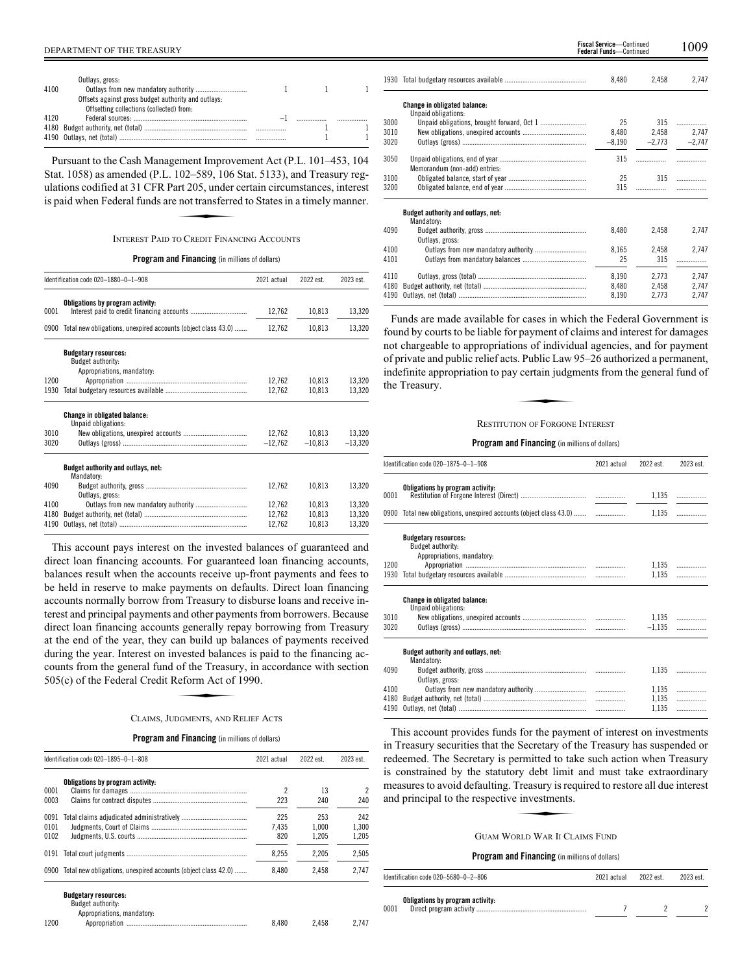| 4100 | Outlays, gross:                                     |  |  |
|------|-----------------------------------------------------|--|--|
|      | Offsets against gross budget authority and outlays: |  |  |
|      | Offsetting collections (collected) from:            |  |  |
| 4120 |                                                     |  |  |
|      |                                                     |  |  |
|      |                                                     |  |  |
|      |                                                     |  |  |

Pursuant to the Cash Management Improvement Act (P.L. 101–453, 104 Stat. 1058) as amended (P.L. 102–589, 106 Stat. 5133), and Treasury reg-<br>Stat. 1058) as amended (P.L. 102–589, 106 Stat. 5133), and Treasury reg-<br>ulations codified at 31 CFR Part 205, under certain circumstances, interest<br> ulations codified at 31 CFR Part 205, under certain circumstances, interest is paid when Federal funds are not transferred to States in a timely manner.

# INTEREST PAID TO CREDIT FINANCING ACCOUNTS

**Program and Financing** (in millions of dollars)

|                      | Identification code 020-1880-0-1-908                                                  | 2021 actual                | 2022 est.                  | 2023 est.                  |
|----------------------|---------------------------------------------------------------------------------------|----------------------------|----------------------------|----------------------------|
| 0001                 | Obligations by program activity:                                                      | 12,762                     | 10,813                     | 13,320                     |
| 0900                 | Total new obligations, unexpired accounts (object class 43.0)                         | 12,762                     | 10,813                     | 13,320                     |
|                      | <b>Budgetary resources:</b><br><b>Budget authority:</b><br>Appropriations, mandatory: |                            |                            |                            |
| 1200<br>1930         |                                                                                       | 12,762<br>12,762           | 10,813<br>10,813           | 13,320<br>13.320           |
|                      | <b>Change in obligated balance:</b><br>Unpaid obligations:                            |                            |                            |                            |
| 3010<br>3020         |                                                                                       | 12,762<br>$-12,762$        | 10,813<br>$-10,813$        | 13,320<br>$-13,320$        |
|                      | Budget authority and outlays, net:<br>Mandatory:                                      |                            |                            |                            |
| 4090                 | Outlays, gross:                                                                       | 12,762                     | 10,813                     | 13.320                     |
| 4100<br>4180<br>4190 |                                                                                       | 12,762<br>12,762<br>12.762 | 10,813<br>10.813<br>10.813 | 13,320<br>13,320<br>13,320 |

This account pays interest on the invested balances of guaranteed and direct loan financing accounts. For guaranteed loan financing accounts, balances result when the accounts receive up-front payments and fees to be held in reserve to make payments on defaults. Direct loan financing accounts normally borrow from Treasury to disburse loans and receive interest and principal payments and other payments from borrowers. Because direct loan financing accounts generally repay borrowing from Treasury at the end of the year, they can build up balances of payments received during the year. Interest on invested balances is paid to the financing accounts from the general fund of the Treasury, in accordance with section 505(c) of the Federal Credit Reform Act of 1990.<br>CLAIMS JUDGMENTS AND RELIE counts from the general fund of the Treasury, in accordance with section 505(c) of the Federal Credit Reform Act of 1990.

# CLAIMS, JUDGMENTS, AND RELIEF ACTS

# **Program and Financing** (in millions of dollars)

|                      | Identification code 020-1895-0-1-808                          | 2021 actual         | 2022 est.             | 2023 est.             |
|----------------------|---------------------------------------------------------------|---------------------|-----------------------|-----------------------|
| 0001<br>0003         | Obligations by program activity:                              | 223                 | 13<br>240             | 240                   |
| 0091<br>0101<br>0102 |                                                               | 225<br>7.435<br>820 | 253<br>1.000<br>1.205 | 242<br>1.300<br>1.205 |
| 0191                 |                                                               | 8.255               | 2.205                 | 2.505                 |
| 0900                 | Total new obligations, unexpired accounts (object class 42.0) | 8.480               | 2.458                 | 2.747                 |

|      |                                                  | 8,480    | 2,458    | 2,747    |
|------|--------------------------------------------------|----------|----------|----------|
|      | <b>Change in obligated balance:</b>              |          |          |          |
|      | Unpaid obligations:                              |          |          |          |
| 3000 |                                                  | 25       | 315      | .        |
| 3010 |                                                  | 8,480    | 2,458    | 2.747    |
| 3020 |                                                  | $-8,190$ | $-2.773$ | $-2.747$ |
| 3050 | Memorandum (non-add) entries:                    | 315      |          |          |
| 3100 |                                                  | 25       | 315      | .        |
| 3200 |                                                  | 315      | .        |          |
|      | Budget authority and outlays, net:<br>Mandatory: |          |          |          |
| 4090 | Outlays, gross:                                  | 8,480    | 2,458    | 2,747    |
| 4100 |                                                  | 8,165    | 2,458    | 2,747    |
| 4101 |                                                  | 25       | 315      | .        |
| 4110 |                                                  | 8.190    | 2.773    | 2.747    |
| 4180 |                                                  | 8.480    | 2.458    | 2.747    |
| 4190 |                                                  | 8,190    | 2.773    | 2.747    |

Funds are made available for cases in which the Federal Government is found by courts to be liable for payment of claims and interest for damages not chargeable to appropriations of individual agencies, and for payment of private and public relief acts. Public Law 95–26 authorized a permanent, indefinite appropriation to pay certain judgments from the general fund of the Treasury.<br>
RESTITUTION OF FORGONE INTEREST indefinite appropriation to pay certain judgments from the general fund of the Treasury.

# RESTITUTION OF FORGONE INTEREST

# **Program and Financing** (in millions of dollars)

|      | Identification code 020-1875-0-1-908                                           | 2021 actual | 2022 est. | 2023 est. |
|------|--------------------------------------------------------------------------------|-------------|-----------|-----------|
| 0001 | Obligations by program activity:                                               |             | 1,135     | .         |
|      | 0900 Total new obligations, unexpired accounts (object class 43.0)             |             |           | $1.135$   |
|      | <b>Budgetary resources:</b><br>Budget authority:<br>Appropriations, mandatory: |             |           |           |
| 1200 |                                                                                |             |           | 1,135     |
| 1930 |                                                                                |             | 1,135     |           |
|      | <b>Change in obligated balance:</b><br>Unpaid obligations:                     |             |           |           |
| 3010 |                                                                                |             |           | 1,135     |
| 3020 |                                                                                |             |           | $-1,135$  |
|      | Budget authority and outlays, net:<br>Mandatory:                               |             |           |           |
| 4090 | Outlays, gross:                                                                |             | 1.135     | .         |
| 4100 |                                                                                |             | 1,135     | .         |
| 4180 |                                                                                |             | 1,135     | .         |
| 4190 |                                                                                |             | 1,135     |           |
|      |                                                                                |             |           |           |

This account provides funds for the payment of interest on investments in Treasury securities that the Secretary of the Treasury has suspended or redeemed. The Secretary is permitted to take such action when Treasury Francement. The Secretary is permitted to take start action when Treasury<br>is constrained by the statutory debt limit and must take extraordinary<br>measures to avoid defaulting. Treasury is required to restore all due interes measures to avoid defaulting. Treasury is required to restore all due interest and principal to the respective investments.

# GUAM WORLD WAR II CLAIMS FUND

| ldentification code 020-5680-0-2-806     | 2021 actual | 2022 est. | 2023 est. |
|------------------------------------------|-------------|-----------|-----------|
| Obligations by program activity:<br>0001 |             |           |           |

| Budgetary resources: |
|----------------------|
| Budget authority:    |

|      | Appropriations, mandatory: |  |    |
|------|----------------------------|--|----|
| 1200 |                            |  | 74 |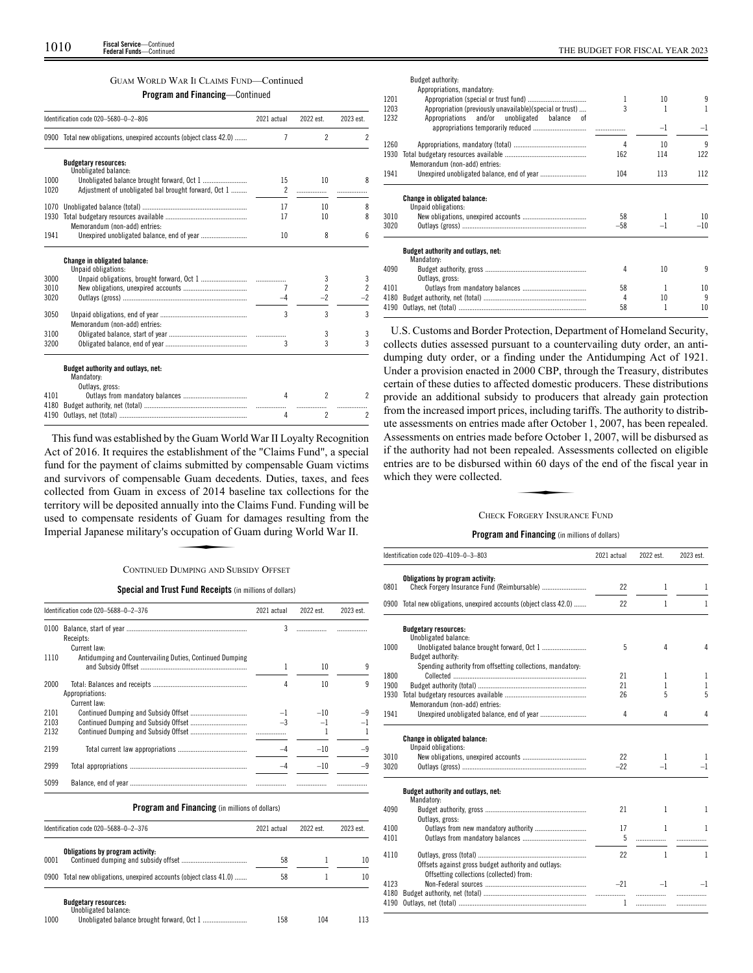# GUAM WORLD WAR II CLAIMS FUND—Continued

**Program and Financing**—Continued

|      | Identification code 020-5680-0-2-806                               | 2021 actual    | 2022 est.                | 2023 est.                |
|------|--------------------------------------------------------------------|----------------|--------------------------|--------------------------|
|      | 0900 Total new obligations, unexpired accounts (object class 42.0) | 7              | $\overline{\phantom{a}}$ | $\overline{\phantom{a}}$ |
|      | <b>Budgetary resources:</b>                                        |                |                          |                          |
| 1000 | Unobligated balance:                                               | 15             | 10                       | 8                        |
| 1020 | Adjustment of unobligated bal brought forward, Oct 1               | $\overline{c}$ |                          |                          |
|      |                                                                    |                |                          |                          |
| 1070 |                                                                    | 17             | 10                       | 8                        |
| 1930 |                                                                    | 17             | 10                       | 8                        |
|      | Memorandum (non-add) entries:                                      |                |                          |                          |
| 1941 |                                                                    | 10             | 8                        | 6                        |
|      |                                                                    |                |                          |                          |
|      | <b>Change in obligated balance:</b><br>Unpaid obligations:         |                |                          |                          |
| 3000 |                                                                    |                | 3                        | 3                        |
| 3010 |                                                                    | 7              | $\overline{c}$           | $\overline{2}$           |
| 3020 |                                                                    | -4             | $-2$                     | -2                       |
|      |                                                                    |                |                          |                          |
| 3050 | Memorandum (non-add) entries:                                      | 3              | 3                        | 3                        |
| 3100 |                                                                    |                | 3                        | 3                        |
| 3200 |                                                                    | 3              | 3                        | 3                        |
|      |                                                                    |                |                          |                          |
|      | Budget authority and outlays, net:                                 |                |                          |                          |
|      | Mandatory:                                                         |                |                          |                          |
|      | Outlays, gross:                                                    |                |                          |                          |
| 4101 |                                                                    | 4              | $\mathfrak{p}$           | 2                        |
| 4180 |                                                                    |                |                          |                          |
| 4190 |                                                                    | 4              | $\mathfrak{p}$           | $\mathfrak{p}$           |

This fund was established by the Guam World War II Loyalty Recognition Act of 2016. It requires the establishment of the "Claims Fund", a special fund for the payment of claims submitted by compensable Guam victims and survivors of compensable Guam decedents. Duties, taxes, and fees collected from Guam in excess of 2014 baseline tax collections for the territory will be deposited annually into the Claims Fund. Funding will be used to compensate residents of Guam for damages resulting from the Imperial Japanese military's occupation of Guam during World War II. SSS of 2011 of<br>
ually into the<br>
s of Guam for<br>
ccupation of C<br>
ULMPING AND SU

# CONTINUED DUMPING AND SUBSIDY OFFSET

# **Special and Trust Fund Receipts** (in millions of dollars)

|                      | Identification code 020-5688-0-2-376                     | 2021 actual | 2022 est. | 2023 est. |
|----------------------|----------------------------------------------------------|-------------|-----------|-----------|
| 0100                 | Receipts:<br>Current law:                                | 3           |           |           |
| 1110                 | Antidumping and Countervailing Duties, Continued Dumping |             | 10        | q         |
| 2000                 | Appropriations:<br>Current law:                          |             | 10        | q         |
| 2101<br>2103<br>2132 |                                                          |             | $-10$     |           |
| 2199                 |                                                          |             | $-10$     | $-9$      |
| 2999                 |                                                          |             | $-10$     | -9        |
| 5099                 |                                                          |             |           |           |

# **Program and Financing** (in millions of dollars)

|      | Identification code 020-5688-0-2-376                               | 2021 actual | 2022 est. | 2023 est. |
|------|--------------------------------------------------------------------|-------------|-----------|-----------|
| 0001 | Obligations by program activity:                                   | 58          |           | 10        |
|      | 0900 Total new obligations, unexpired accounts (object class 41.0) | 58          |           | 10        |
| 1000 | <b>Budgetary resources:</b><br>Unobligated balance:                | 158         | 104       | 113       |

|      | Budget authority:                                          |       |      |       |
|------|------------------------------------------------------------|-------|------|-------|
| 1201 | Appropriations, mandatory:                                 |       | 10   | 9     |
| 1203 | Appropriation (previously unavailable)(special or trust)   | ς     |      | 1     |
| 1232 | Appropriations and/or unobligated balance<br>0Ť            |       |      |       |
|      |                                                            |       | $-1$ | $-1$  |
| 1260 |                                                            | 4     | 10   | 9     |
| 1930 | Memorandum (non-add) entries:                              | 162   | 114  | 122   |
| 1941 |                                                            | 104   | 113  | 112   |
|      | <b>Change in obligated balance:</b><br>Unpaid obligations: |       |      |       |
| 3010 |                                                            | 58    |      | 10    |
| 3020 |                                                            | $-58$ | $-1$ | $-10$ |
|      | Budget authority and outlays, net:<br>Mandatory:           |       |      |       |
| 4090 |                                                            | 4     | 10   | 9     |
|      | Outlays, gross:                                            |       |      |       |
| 4101 |                                                            | 58    | 1    | 10    |
| 4180 |                                                            | 4     | 10   | 9     |
| 4190 |                                                            | 58    |      | 10    |

U.S. Customs and Border Protection, Department of Homeland Security, collects duties assessed pursuant to a countervailing duty order, an antidumping duty order, or a finding under the Antidumping Act of 1921. Under a provision enacted in 2000 CBP, through the Treasury, distributes certain of these duties to affected domestic producers. These distributions provide an additional subsidy to producers that already gain protection from the increased import prices, including tariffs. The authority to distribute assessments on entries made after October 1, 2007, has been repealed. Assessments on entries made before October 1, 2007, will be disbursed as In the authority had not been repealed. Assessments collected on eligible<br>entries are to be disbursed within 60 days of the end of the fiscal year in<br>which they were collected.<br>CHECK FORGERY INSURANCE FUND entries are to be disbursed within 60 days of the end of the fiscal year in which they were collected.

# CHECK FORGERY INSURANCE FUND

|      | Identification code 020-4109-0-3-803                                                            | 2021 actual | 2022 est.    | 2023 est. |
|------|-------------------------------------------------------------------------------------------------|-------------|--------------|-----------|
|      | Obligations by program activity:                                                                |             |              |           |
| 0801 |                                                                                                 | 22          | 1            | 1         |
|      | 0900 Total new obligations, unexpired accounts (object class 42.0)                              | 22          | $\mathbf{1}$ | 1         |
|      | <b>Budgetary resources:</b>                                                                     |             |              |           |
|      | Unobligated balance:                                                                            |             |              |           |
| 1000 | Budget authority:                                                                               | 5           | 4            | 4         |
|      | Spending authority from offsetting collections, mandatory:                                      |             |              |           |
| 1800 |                                                                                                 | 21          | 1            | 1         |
| 1900 |                                                                                                 | 21          | 1            | 1         |
| 1930 |                                                                                                 | 26          | 5            | 5         |
|      | Memorandum (non-add) entries:                                                                   |             |              |           |
| 1941 |                                                                                                 | 4           | 4            | 4         |
|      | Change in obligated balance:<br>Unpaid obligations:                                             |             |              |           |
| 3010 |                                                                                                 | 22          | 1            | 1         |
| 3020 |                                                                                                 | $-22$       | $-1$         | $-1$      |
|      | Budget authority and outlays, net:<br>Mandatory:                                                |             |              |           |
| 4090 | Outlays, gross:                                                                                 | 21          | $\mathbf{1}$ | 1         |
| 4100 | Outlays from new mandatory authority                                                            | 17          | 1            | 1         |
| 4101 |                                                                                                 | 5           |              |           |
| 4110 |                                                                                                 | 22          | $\mathbf{1}$ | 1         |
|      | Offsets against gross budget authority and outlays:<br>Offsetting collections (collected) from: |             |              |           |
| 4123 |                                                                                                 | $-21$       | $-1$         | $-1$      |
| 4180 |                                                                                                 |             | .            |           |
| 4190 |                                                                                                 | 1           | .            | .         |
|      |                                                                                                 |             |              |           |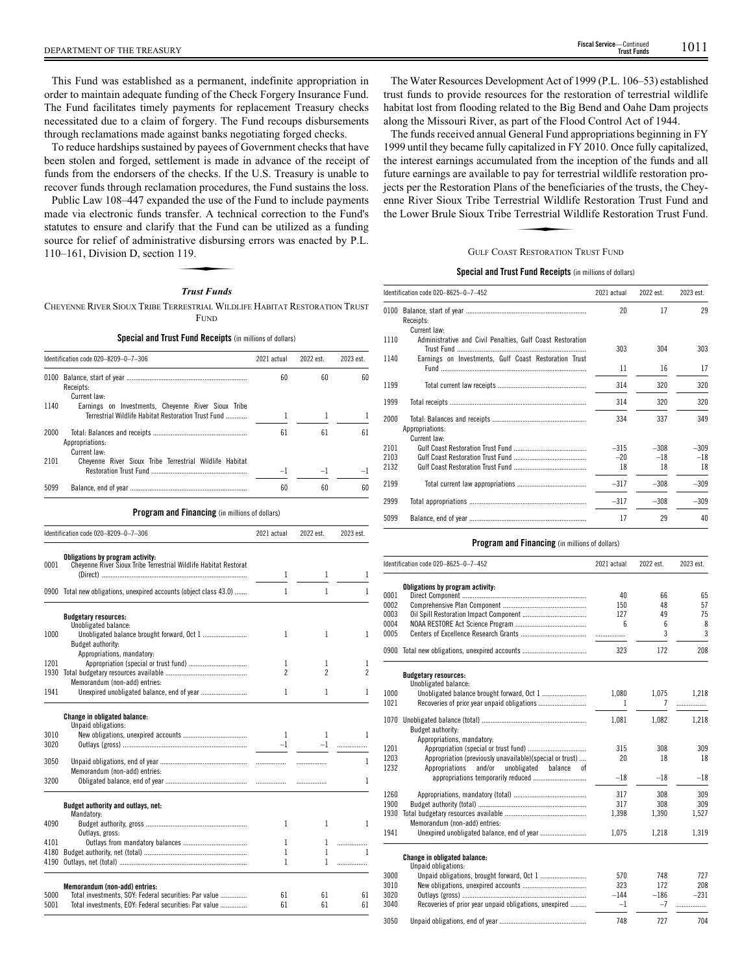This Fund was established as a permanent, indefinite appropriation in order to maintain adequate funding of the Check Forgery Insurance Fund. The Fund facilitates timely payments for replacement Treasury checks necessitated due to a claim of forgery. The Fund recoups disbursements through reclamations made against banks negotiating forged checks.

To reduce hardships sustained by payees of Government checks that have been stolen and forged, settlement is made in advance of the receipt of funds from the endorsers of the checks. If the U.S. Treasury is unable to recover funds through reclamation procedures, the Fund sustains the loss.

Public Law 108–447 expanded the use of the Fund to include payments made via electronic funds transfer. A technical correction to the Fund's statutes to ensure and clarify that the Fund can be utilized as a funding source for relief of administrative disbursing errors was enacted by P.L. 110–161, Division D, section 119. that the Fund<br>that the Fund<br>ative disbursin<br>119.<br>Trust Funds

# *Trust Funds*

CHEYENNE RIVER SIOUX TRIBE TERRESTRIAL WILDLIFE HABITAT RESTORATION TRUST FUND

# **Special and Trust Fund Receipts** (in millions of dollars)

|              | Identification code 020-8209-0-7-306                                                                           | 2021 actual         | 2022 est.           | 2023 est.           |
|--------------|----------------------------------------------------------------------------------------------------------------|---------------------|---------------------|---------------------|
|              |                                                                                                                |                     |                     |                     |
|              | Receipts:<br>Current law:                                                                                      | 60                  | 60                  | 60                  |
| 1140         | Earnings on Investments, Cheyenne River Sioux Tribe<br>Terrestrial Wildlife Habitat Restoration Trust Fund     | 1                   | 1                   | 1                   |
| 2000         | Appropriations:                                                                                                | 61                  | 61                  | 61                  |
| 2101         | Current law:<br>Cheyenne River Sioux Tribe Terrestrial Wildlife Habitat                                        | $-1$                | $-1$                | $^{-1}$             |
| 5099         |                                                                                                                | 60                  | 60                  | 60                  |
|              | Program and Financing (in millions of dollars)                                                                 |                     |                     |                     |
|              | Identification code 020-8209-0-7-306                                                                           | 2021 actual         | 2022 est.           | 2023 est.           |
| 0001         | Obligations by program activity:<br>Cheyenne River Sioux Tribe Terrestrial Wildlife Habitat Restorat           |                     |                     |                     |
|              |                                                                                                                | 1                   | 1                   | $\mathbf 1$         |
|              | 0900 Total new obligations, unexpired accounts (object class 43.0)                                             | 1                   | 1                   | 1                   |
|              | <b>Budgetary resources:</b>                                                                                    |                     |                     |                     |
| 1000         | Unobligated balance:<br>Budget authority:                                                                      | 1                   | 1                   | $\mathbf{1}$        |
|              | Appropriations, mandatory:                                                                                     |                     |                     |                     |
| 1201<br>1930 |                                                                                                                | 1<br>$\overline{c}$ | 1<br>$\overline{c}$ | 1<br>$\overline{c}$ |
|              | Memorandum (non-add) entries:                                                                                  |                     |                     |                     |
| 1941         |                                                                                                                | 1                   | 1                   | 1                   |
|              | Change in obligated balance:<br>Unpaid obligations:                                                            |                     |                     |                     |
| 3010<br>3020 |                                                                                                                | 1<br>$-1$           | 1<br>$-1$           | 1<br>.              |
| 3050         |                                                                                                                |                     | .                   | 1                   |
|              | Memorandum (non-add) entries:                                                                                  |                     |                     |                     |
| 3200         |                                                                                                                |                     |                     | $\mathbf{1}$        |
|              | Budget authority and outlays, net:<br>Mandatory:                                                               |                     |                     |                     |
| 4090         | Outlays, gross:                                                                                                | 1                   | 1                   | 1                   |
| 4101         |                                                                                                                | 1                   | 1<br>1              | .<br>1              |
| 4180<br>4190 |                                                                                                                | 1<br>1              | 1                   | .                   |
|              | Memorandum (non-add) entries:                                                                                  |                     |                     |                     |
| 5000<br>5001 | Total investments, SOY: Federal securities: Par value<br>Total investments, EOY: Federal securities: Par value | 61<br>61            | 61<br>61            | 61<br>61            |

The Water Resources Development Act of 1999 (P.L. 106–53) established trust funds to provide resources for the restoration of terrestrial wildlife habitat lost from flooding related to the Big Bend and Oahe Dam projects along the Missouri River, as part of the Flood Control Act of 1944.

The funds received annual General Fund appropriations beginning in FY 1999 until they became fully capitalized in FY 2010. Once fully capitalized, the interest earnings accumulated from the inception of the funds and all future earnings are available to pay for terrestrial wildlife restoration pro-Figure 2.1 The Restoration Plans of the beneficiaries of the trusts, the Chey-<br>enne River Sioux Tribe Terrestrial Wildlife Restoration Trust Fund and<br>the Lower Brule Sioux Tribe Terrestrial Wildlife Restoration Trust Fund. enne River Sioux Tribe Terrestrial Wildlife Restoration Trust Fund and the Lower Brule Sioux Tribe Terrestrial Wildlife Restoration Trust Fund.

## GULF COAST RESTORATION TRUST FUND

# **Special and Trust Fund Receipts** (in millions of dollars)

|                      | Identification code 020-8625-0-7-452                                       | 2021 actual           | 2022 est.             | 2023 est.             |
|----------------------|----------------------------------------------------------------------------|-----------------------|-----------------------|-----------------------|
|                      | Receipts:                                                                  | 20                    | 17                    | 29                    |
| 1110                 | Current law:<br>Administrative and Civil Penalties, Gulf Coast Restoration | 303                   | 304                   | 303                   |
| 1140                 | Earnings on Investments, Gulf Coast Restoration Trust                      | 11                    | 16                    | 17                    |
| 1199                 |                                                                            | 314                   | 320                   | 320                   |
| 1999                 |                                                                            | 314                   | 320                   | 320                   |
| 2000                 | Appropriations:<br>Current law:                                            | 334                   | 337                   | 349                   |
| 2101<br>2103<br>2132 |                                                                            | $-315$<br>$-20$<br>18 | $-308$<br>$-18$<br>18 | $-309$<br>$-18$<br>18 |
| 2199                 |                                                                            | $-317$                | $-308$                | $-309$                |
| 2999                 |                                                                            | $-317$                | $-308$                | $-309$                |
| 5099                 |                                                                            | 17                    | 29                    | 40                    |

| Identification code 020-8625-0-7-452 |                                                                                                                   | 2021 actual | 2022 est. | 2023 est. |
|--------------------------------------|-------------------------------------------------------------------------------------------------------------------|-------------|-----------|-----------|
|                                      | Obligations by program activity:                                                                                  |             |           |           |
| 0001                                 |                                                                                                                   | 40          | 66        | 65        |
| 0002                                 |                                                                                                                   | 150         | 48        | 57        |
| 0003                                 |                                                                                                                   | 127         | 49        | 75        |
| 0004                                 |                                                                                                                   | 6           | 6         | 8         |
| 0005                                 |                                                                                                                   | .           | 3         | 3         |
| 0900                                 |                                                                                                                   | 323         | 172       | 208       |
|                                      | <b>Budgetary resources:</b><br>Unobligated balance:                                                               |             |           |           |
| 1000                                 | Unobligated balance brought forward, Oct 1                                                                        | 1,080       | 1.075     | 1,218     |
| 1021                                 |                                                                                                                   | 1           | 7         | .         |
| 1070                                 |                                                                                                                   | 1.081       | 1.082     | 1.218     |
|                                      | Budget authority:                                                                                                 |             |           |           |
|                                      | Appropriations, mandatory:                                                                                        |             |           |           |
| 1201                                 |                                                                                                                   | 315         | 308       | 309       |
| 1203<br>1232                         | Appropriation (previously unavailable)(special or trust)<br>Appropriations<br>and/or<br>unobligated balance<br>оf | 20          | 18        | 18        |
|                                      |                                                                                                                   | $-18$       | $-18$     | $-18$     |
| 1260                                 |                                                                                                                   | 317         | 308       | 309       |
| 1900                                 |                                                                                                                   | 317         | 308       | 309       |
| 1930                                 |                                                                                                                   | 1,398       | 1,390     | 1,527     |
|                                      | Memorandum (non-add) entries:                                                                                     |             |           |           |
| 1941                                 |                                                                                                                   | 1,075       | 1,218     | 1,319     |
|                                      | <b>Change in obligated balance:</b>                                                                               |             |           |           |
| 3000                                 | Unpaid obligations:                                                                                               | 570         | 748       | 727       |
| 3010                                 |                                                                                                                   | 323         | 172       | 208       |
| 3020                                 |                                                                                                                   | $-144$      | $-186$    | $-231$    |
| 3040                                 | Recoveries of prior year unpaid obligations, unexpired                                                            | $-1$        | $-7$      | .         |
| 3050                                 |                                                                                                                   | 748         | 727       | 704       |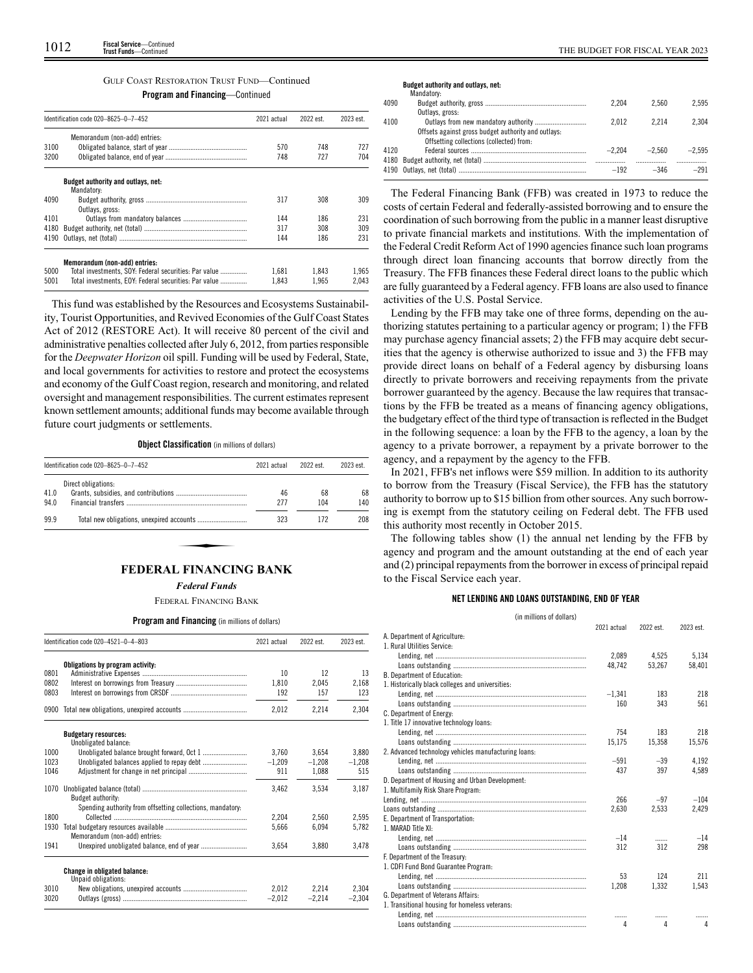# GULF COAST RESTORATION TRUST FUND—Continued

**Program and Financing**—Continued

|      | Identification code 020-8625-0-7-452                  |       | 2022 est. | 2023 est. |
|------|-------------------------------------------------------|-------|-----------|-----------|
|      | Memorandum (non-add) entries:                         |       |           |           |
| 3100 |                                                       | 570   | 748       | 727       |
| 3200 |                                                       | 748   | 727       | 704       |
|      | Budget authority and outlays, net:<br>Mandatory:      |       |           |           |
| 4090 | Outlays, gross:                                       | 317   | 308       | 309       |
| 4101 |                                                       | 144   | 186       | 231       |
| 4180 |                                                       | 317   | 308       | 309       |
| 4190 |                                                       | 144   | 186       | 231       |
|      | Memorandum (non-add) entries:                         |       |           |           |
| 5000 | Total investments, SOY: Federal securities: Par value | 1.681 | 1.843     | 1.965     |
| 5001 | Total investments. EOY: Federal securities: Par value | 1.843 | 1.965     | 2.043     |

This fund was established by the Resources and Ecosystems Sustainability, Tourist Opportunities, and Revived Economies of the Gulf Coast States Act of 2012 (RESTORE Act). It will receive 80 percent of the civil and administrative penalties collected after July 6, 2012, from parties responsible for the *Deepwater Horizon* oil spill. Funding will be used by Federal, State, and local governments for activities to restore and protect the ecosystems and economy of the Gulf Coast region, research and monitoring, and related oversight and management responsibilities. The current estimates represent known settlement amounts; additional funds may become available through future court judgments or settlements.

# **Object Classification** (in millions of dollars)

|              | Identification code 020-8625-0-7-452 | 2021 actual | 2022 est. | 2023 est. |
|--------------|--------------------------------------|-------------|-----------|-----------|
|              | Direct obligations:                  | 46          | 68        |           |
| 41.0<br>94.0 |                                      | 277         | 104       | 68<br>140 |
| 99.9         |                                      | 323         | 172       | 208       |

# **FEDERAL FINANCING BANK**

*Federal Funds*

## FEDERAL FINANCING BANK

**Program and Financing** (in millions of dollars)

|      | Identification code 020-4521-0-4-803                       | 2021 actual | 2022 est. | 2023 est. |
|------|------------------------------------------------------------|-------------|-----------|-----------|
|      | Obligations by program activity:                           |             |           |           |
| 0801 |                                                            | 10          | 12        | 13        |
| 0802 |                                                            | 1.810       | 2.045     | 2.168     |
| 0803 |                                                            | 192         | 157       | 123       |
| 0900 |                                                            | 2.012       | 2,214     | 2,304     |
|      | <b>Budgetary resources:</b>                                |             |           |           |
|      | Unobligated balance:                                       |             |           |           |
| 1000 |                                                            | 3.760       | 3,654     | 3.880     |
| 1023 |                                                            | $-1,209$    | $-1.208$  | $-1.208$  |
| 1046 |                                                            | 911         | 1,088     | 515       |
|      | <b>Budget authority:</b>                                   | 3.462       | 3.534     | 3.187     |
|      | Spending authority from offsetting collections, mandatory: |             |           |           |
| 1800 |                                                            | 2.204       | 2,560     | 2.595     |
| 1930 |                                                            | 5.666       | 6.094     | 5,782     |
|      | Memorandum (non-add) entries:                              |             |           |           |
| 1941 |                                                            | 3,654       | 3,880     | 3,478     |
|      | <b>Change in obligated balance:</b><br>Unpaid obligations: |             |           |           |
| 3010 |                                                            | 2.012       | 2.214     | 2.304     |
| 3020 |                                                            | $-2,012$    | $-2,214$  | $-2.304$  |

|  | THE BUDGET FOR FISCAL TEAT |  |
|--|----------------------------|--|
|  |                            |  |

|      | Mandatory:                                          |          |          |          |
|------|-----------------------------------------------------|----------|----------|----------|
| 4090 |                                                     | 2.204    | 2.560    | 2.595    |
|      | Outlays, gross:                                     |          |          |          |
| 4100 |                                                     | 2.012    | 2214     | 2.304    |
|      | Offsets against gross budget authority and outlays: |          |          |          |
|      | Offsetting collections (collected) from:            |          |          |          |
| 4120 |                                                     | $-2.204$ | $-2.560$ | $-2.595$ |
|      |                                                     |          |          |          |
|      |                                                     | $-192$   | $-346$   | $-291$   |
|      |                                                     |          |          |          |

The Federal Financing Bank (FFB) was created in 1973 to reduce the costs of certain Federal and federally-assisted borrowing and to ensure the coordination of such borrowing from the public in a manner least disruptive to private financial markets and institutions. With the implementation of the Federal Credit Reform Act of 1990 agencies finance such loan programs through direct loan financing accounts that borrow directly from the Treasury. The FFB finances these Federal direct loans to the public which are fully guaranteed by a Federal agency. FFB loans are also used to finance activities of the U.S. Postal Service.

Lending by the FFB may take one of three forms, depending on the authorizing statutes pertaining to a particular agency or program; 1) the FFB may purchase agency financial assets; 2) the FFB may acquire debt securities that the agency is otherwise authorized to issue and 3) the FFB may provide direct loans on behalf of a Federal agency by disbursing loans directly to private borrowers and receiving repayments from the private borrower guaranteed by the agency. Because the law requires that transactions by the FFB be treated as a means of financing agency obligations, the budgetary effect of the third type of transaction is reflected in the Budget in the following sequence: a loan by the FFB to the agency, a loan by the agency to a private borrower, a repayment by a private borrower to the agency, and a repayment by the agency to the FFB.

In 2021, FFB's net inflows were \$59 million. In addition to its authority to borrow from the Treasury (Fiscal Service), the FFB has the statutory authority to borrow up to \$15 billion from other sources. Any such borrowing is exempt from the statutory ceiling on Federal debt. The FFB used this authority most recently in October 2015.

The following tables show (1) the annual net lending by the FFB by agency and program and the amount outstanding at the end of each year and (2) principal repayments from the borrower in excess of principal repaid to the Fiscal Service each year.

# **NET LENDING AND LOANS OUTSTANDING, END OF YEAR**

| (in millions of dollars)                             |             |           |           |  |  |  |
|------------------------------------------------------|-------------|-----------|-----------|--|--|--|
|                                                      | 2021 actual | 2022 est. | 2023 est. |  |  |  |
| A. Department of Agriculture:                        |             |           |           |  |  |  |
| 1. Rural Utilities Service:                          |             |           |           |  |  |  |
|                                                      | 2.089       | 4.525     | 5.134     |  |  |  |
|                                                      | 48.742      | 53.267    | 58,401    |  |  |  |
| B. Department of Education:                          |             |           |           |  |  |  |
| 1. Historically black colleges and universities:     |             |           |           |  |  |  |
|                                                      | $-1,341$    | 183       | 218       |  |  |  |
|                                                      | 160         | 343       | 561       |  |  |  |
| C. Department of Energy:                             |             |           |           |  |  |  |
| 1. Title 17 innovative technology loans:             |             |           |           |  |  |  |
|                                                      | 754         | 183       | 218       |  |  |  |
|                                                      | 15,175      | 15,358    | 15,576    |  |  |  |
| 2. Advanced technology vehicles manufacturing loans: |             |           |           |  |  |  |
|                                                      | $-591$      | $-39$     | 4.192     |  |  |  |
|                                                      | 437         | 397       | 4,589     |  |  |  |
| D. Department of Housing and Urban Development:      |             |           |           |  |  |  |
| 1. Multifamily Risk Share Program:                   |             |           |           |  |  |  |
|                                                      | 266         | $-97$     | $-104$    |  |  |  |
|                                                      | 2.630       | 2.533     | 2,429     |  |  |  |
| E. Department of Transportation:                     |             |           |           |  |  |  |
| 1. MARAD Title XI:                                   |             |           |           |  |  |  |
|                                                      | $-14$       | .         | $-14$     |  |  |  |
|                                                      | 312         | 312       | 298       |  |  |  |
| F. Department of the Treasury:                       |             |           |           |  |  |  |
| 1. CDFI Fund Bond Guarantee Program:                 |             |           |           |  |  |  |
|                                                      | 53          | 124       | 211       |  |  |  |
|                                                      | 1,208       | 1,332     | 1,543     |  |  |  |
| G. Department of Veterans Affairs:                   |             |           |           |  |  |  |
| 1. Transitional housing for homeless veterans:       |             |           |           |  |  |  |
|                                                      |             |           |           |  |  |  |
|                                                      | 4           | 4         | Δ         |  |  |  |
|                                                      |             |           |           |  |  |  |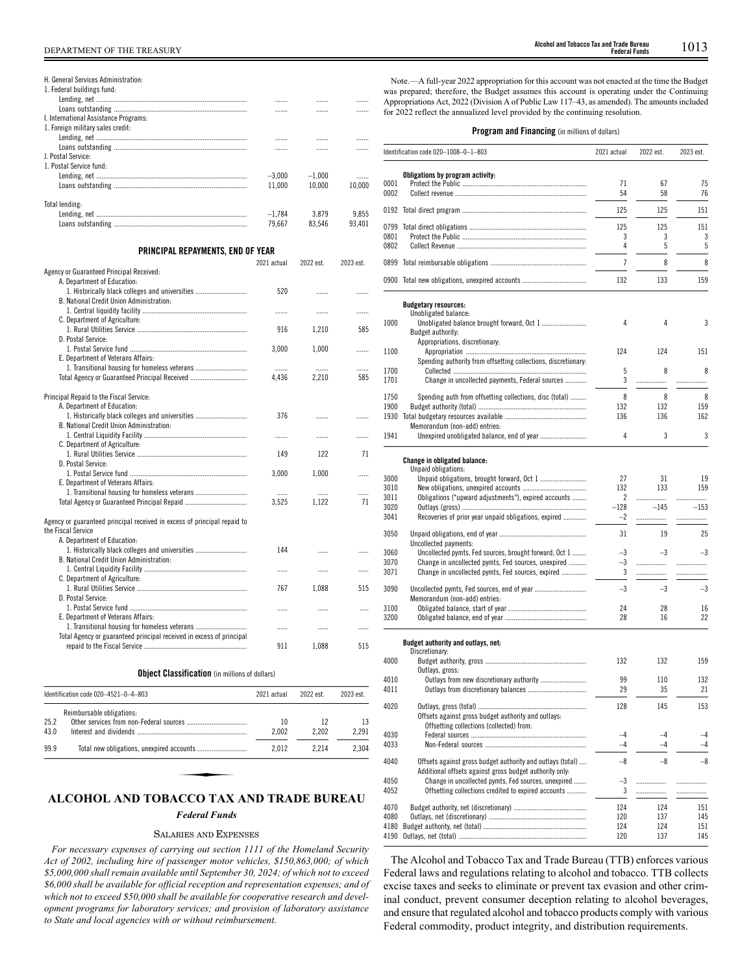| H. General Services Administration:                                            |             |           |           |
|--------------------------------------------------------------------------------|-------------|-----------|-----------|
| 1. Federal buildings fund:                                                     |             |           |           |
|                                                                                | .           | .         | .         |
| I. International Assistance Programs:                                          |             | .         | .         |
| 1. Foreign military sales credit:                                              |             |           |           |
|                                                                                |             |           |           |
|                                                                                | .           | .         | .         |
| J. Postal Service:                                                             | .           | .         | .         |
| 1. Postal Service fund:                                                        |             |           |           |
|                                                                                | $-3,000$    | $-1,000$  | .         |
|                                                                                | 11,000      | 10,000    | 10,000    |
|                                                                                |             |           |           |
| Total lending:                                                                 |             |           |           |
|                                                                                | $-1,784$    | 3,879     | 9,855     |
|                                                                                | 79,667      | 83,546    | 93,401    |
|                                                                                |             |           |           |
| PRINCIPAL REPAYMENTS, END OF YEAR                                              |             |           |           |
|                                                                                | 2021 actual | 2022 est. | 2023 est. |
| Agency or Guaranteed Principal Received:                                       |             |           |           |
| A. Department of Education:                                                    |             |           |           |
| 1. Historically black colleges and universities                                | 520         | .         | .         |
| B. National Credit Union Administration:                                       |             |           |           |
|                                                                                |             | .         | .         |
| C. Department of Agriculture:                                                  |             |           |           |
|                                                                                | 916         | 1,210     | 585       |
| D. Postal Service:                                                             |             |           |           |
|                                                                                | 3,000       | 1,000     | .         |
| E. Department of Veterans Affairs:                                             |             |           |           |
| 1. Transitional housing for homeless veterans                                  | .           | .         | .         |
| Total Agency or Guaranteed Principal Received                                  | 4,436       | 2,210     | 585       |
|                                                                                |             |           |           |
| Principal Repaid to the Fiscal Service:                                        |             |           |           |
| A. Department of Education:<br>1. Historically black colleges and universities | 376         |           |           |
| B. National Credit Union Administration:                                       |             | .         | .         |
|                                                                                |             |           |           |
| C. Department of Agriculture:                                                  | .           | .         |           |
|                                                                                | 149         | 122       | 71        |
| D. Postal Service:                                                             |             |           |           |
|                                                                                | 3,000       | 1,000     | .         |
| E. Department of Veterans Affairs:                                             |             |           |           |
| 1. Transitional housing for homeless veterans                                  | .           | .         | .         |
|                                                                                | 3,525       | 1,122     | 71        |
|                                                                                |             |           |           |
| Agency or guaranteed principal received in excess of principal repaid to       |             |           |           |
| the Fiscal Service                                                             |             |           |           |
| A. Department of Education:                                                    |             |           |           |
| 1. Historically black colleges and universities                                | 144         |           | .         |
| B. National Credit Union Administration:                                       |             |           |           |
|                                                                                | .           | .         | .         |
| C. Department of Agriculture:                                                  |             |           |           |
|                                                                                | 767         | 1.088     | 515       |
| D. Postal Service:                                                             |             |           |           |
|                                                                                | .           | .         | .         |
| E. Department of Veterans Affairs:                                             |             |           |           |
| 1. Transitional housing for homeless veterans                                  | .           | .         | .         |
| Total Agency or guaranteed principal received in excess of principal           |             |           |           |
|                                                                                | 911         | 1,088     | 515       |
|                                                                                |             |           |           |

|      | Identification code 020-4521-0-4-803 | 2021 actual | 2022 est. | 2023 est. |
|------|--------------------------------------|-------------|-----------|-----------|
|      | Reimbursable obligations:            |             |           |           |
| 25.2 |                                      | 10          | 12        | 13        |
| 43.0 |                                      | 2.002       | 2.202     | 2,291     |
| 99.9 |                                      | 2.012       | 2.214     | 2.304     |
|      |                                      |             |           |           |

# *Federal Funds*

# SALARIES AND EXPENSES

*For necessary expenses of carrying out section 1111 of the Homeland Security Act of 2002, including hire of passenger motor vehicles, \$150,863,000; of which \$5,000,000 shall remain available until September 30, 2024; of which not to exceed \$6,000 shall be available for official reception and representation expenses; and of which not to exceed \$50,000 shall be available for cooperative research and development programs for laboratory services; and provision of laboratory assistance to State and local agencies with or without reimbursement.*

Note.—A full-year 2022 appropriation for this account was not enacted at the time the Budget was prepared; therefore, the Budget assumes this account is operating under the Continuing Appropriations Act, 2022 (Division A of Public Law 117–43, as amended). The amounts included for 2022 reflect the annualized level provided by the continuing resolution.

**Program and Financing** (in millions of dollars)

|              | ldentification code 020–1008–0–1–803                                                            | 2021 actual    | 2022 est.  | 2023 est.  |
|--------------|-------------------------------------------------------------------------------------------------|----------------|------------|------------|
| 0001         | Obligations by program activity:                                                                | 71             | 67         | 75         |
| 0002         |                                                                                                 | 54             | 58         | 76         |
|              |                                                                                                 | 125            | 125        | 151        |
| 0799         |                                                                                                 | 125            | 125        | 151        |
| 0801         |                                                                                                 | 3              | 3          | 3          |
| 0802         |                                                                                                 | 4              | 5          | 5          |
|              |                                                                                                 | $\overline{1}$ | 8          | 8          |
|              | 0900 Total new obligations, unexpired accounts                                                  | 132            | 133        | 159        |
|              | <b>Budgetary resources:</b>                                                                     |                |            |            |
| 1000         | Unobligated balance:                                                                            | 4              | 4          | 3          |
|              | Budget authority:                                                                               |                |            |            |
|              | Appropriations, discretionary:                                                                  |                |            |            |
| 1100         |                                                                                                 | 124            | 124        | 151        |
|              | Spending authority from offsetting collections, discretionary:                                  |                |            |            |
| 1700<br>1701 | Change in uncollected payments, Federal sources                                                 | 5<br>3         | 8<br>.     | 8<br>.     |
|              |                                                                                                 |                |            |            |
| 1750         | Spending auth from offsetting collections, disc (total)                                         | 8              | 8          | 8          |
| 1900<br>1930 |                                                                                                 | 132<br>136     | 132<br>136 | 159<br>162 |
|              | Memorandum (non-add) entries:                                                                   |                |            |            |
| 1941         |                                                                                                 | 4              | 3          | 3          |
|              |                                                                                                 |                |            |            |
|              | <b>Change in obligated balance:</b><br>Unpaid obligations:                                      |                |            |            |
| 3000         |                                                                                                 | 27             | 31         | 19         |
| 3010         |                                                                                                 | 132            | 133        | 159        |
| 3011         | Obligations ("upward adjustments"), expired accounts                                            | 2              |            | .          |
| 3020<br>3041 | Recoveries of prior year unpaid obligations, expired                                            | $-128$<br>$-2$ | $-145$<br> | $-153$<br> |
|              |                                                                                                 |                |            |            |
| 3050         | Uncollected payments:                                                                           | 31             | 19         | 25         |
| 3060         | Uncollected pymts, Fed sources, brought forward, Oct 1                                          | -3             | $-3$       | $-3$       |
| 3070         | Change in uncollected pymts, Fed sources, unexpired                                             | -3             |            |            |
| 3071         | Change in uncollected pymts, Fed sources, expired                                               | 3              | .          | .          |
| 3090         |                                                                                                 | $-3$           | $-3$       | $-3$       |
|              | Memorandum (non-add) entries:                                                                   |                |            |            |
| 3100         |                                                                                                 | 24             | 28         | 16         |
| 3200         |                                                                                                 | 28             | 16         | 22         |
|              | Budget authority and outlays, net:<br>Discretionary:                                            |                |            |            |
| 4000         |                                                                                                 | 132            | 132        | 159        |
|              | Outlays, gross:                                                                                 |                |            |            |
| 4010<br>4011 | Outlays from new discretionary authority                                                        | 99<br>29       | 110<br>35  | 132<br>21  |
|              |                                                                                                 |                |            |            |
| 4020         |                                                                                                 | 128            | 145        | 153        |
|              | Offsets against gross budget authority and outlays:<br>Offsetting collections (collected) from: |                |            |            |
| 4030         |                                                                                                 | $-4$           | $-4$       | $-4$       |
| 4033         |                                                                                                 | $-4$           | $-4$       | $-4$       |
| 4040         | Offsets against gross budget authority and outlays (total)                                      | $-8$           | $-8$       | $-8$       |
|              | Additional offsets against gross budget authority only:                                         |                |            |            |
| 4050         | Change in uncollected pymts, Fed sources, unexpired                                             | -3<br>3        | .          | .          |
| 4052         | Offsetting collections credited to expired accounts                                             |                | .          | .          |
| 4070         |                                                                                                 | 124            | 124        | 151        |
| 4080         |                                                                                                 | 120            | 137        | 145        |
| 4180         |                                                                                                 | 124            | 124        | 151        |
| 4190         |                                                                                                 | 120            | 137        | 145        |

The Alcohol and Tobacco Tax and Trade Bureau (TTB) enforces various Federal laws and regulations relating to alcohol and tobacco. TTB collects excise taxes and seeks to eliminate or prevent tax evasion and other criminal conduct, prevent consumer deception relating to alcohol beverages, and ensure that regulated alcohol and tobacco products comply with various Federal commodity, product integrity, and distribution requirements.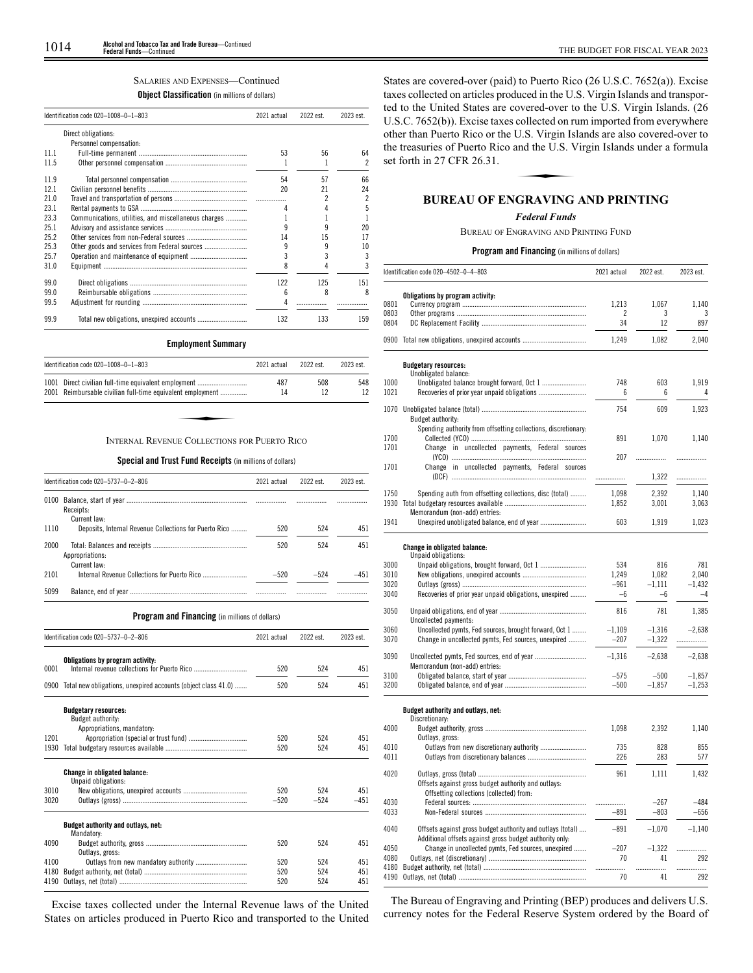# SALARIES AND EXPENSES—Continued

# **Object Classification** (in millions of dollars)

|      | Identification code 020-1008-0-1-803                 | 2021 actual | 2022 est. | 2023 est. |
|------|------------------------------------------------------|-------------|-----------|-----------|
|      | Direct obligations:                                  |             |           |           |
|      | Personnel compensation:                              |             |           |           |
| 111  |                                                      | 53          | 56        | 64        |
| 11.5 |                                                      |             |           | 2         |
| 11.9 |                                                      | 54          | 57        | 66        |
| 12.1 |                                                      | 20          | 21        | 24        |
| 21.0 |                                                      |             |           | 2         |
| 23.1 |                                                      |             |           | 5         |
| 23.3 | Communications, utilities, and miscellaneous charges |             |           |           |
| 25.1 |                                                      |             |           | 20        |
| 25.2 |                                                      | 14          | 15        | 17        |
| 25.3 | Other goods and services from Federal sources        | 9           |           | 10        |
| 25.7 |                                                      | 3           |           | 3         |
| 31.0 |                                                      | 8           |           |           |
| 99.0 |                                                      | 122         | 125       | 151       |
| 99.0 |                                                      | 6           | 8         |           |
| 99.5 |                                                      |             |           |           |
| 99.9 |                                                      | 132         | 133       | 159       |

# **Employment Summary**

|      | Identification code 020-1008-0-1-803                                                                          | 2021 actual | 2022 est. | 2023 est. |
|------|---------------------------------------------------------------------------------------------------------------|-------------|-----------|-----------|
| 1001 | Direct civilian full-time equivalent employment<br>2001 Reimbursable civilian full-time equivalent employment | 487<br>14   | 508<br>12 | 548       |
|      |                                                                                                               |             |           |           |
|      | INTERNAL REVENUE COLLECTIONS FOR PUERTO RICO                                                                  |             |           |           |

**Special and Trust Fund Receipts** (in millions of dollars)

|      | Identification code 020-5737-0-2-806                   | 2021 actual | 2022 est. | 2023 est. |  |
|------|--------------------------------------------------------|-------------|-----------|-----------|--|
| 0100 | Receipts:<br>Current law:                              |             |           |           |  |
| 1110 | Deposits, Internal Revenue Collections for Puerto Rico | 520         | 524       | 451       |  |
| 2000 | Appropriations:<br>Current law:                        | 520         | 524       | 451       |  |
| 2101 |                                                        | $-520$      | $-524$    | -451      |  |
| 5099 |                                                        |             |           |           |  |

# **Program and Financing** (in millions of dollars)

|      | Identification code 020-5737-0-2-806                          | 2021 actual | 2022 est. | 2023 est. |
|------|---------------------------------------------------------------|-------------|-----------|-----------|
| 0001 | Obligations by program activity:                              | 520         | 524       | 451       |
|      |                                                               |             |           |           |
| 0900 | Total new obligations, unexpired accounts (object class 41.0) | 520         | 524       | 451       |
|      | <b>Budgetary resources:</b><br>Budget authority:              |             |           |           |
| 1201 | Appropriations, mandatory:                                    | 520         | 524       | 451       |
| 1930 |                                                               | 520         | 524       | 451       |
|      | <b>Change in obligated balance:</b><br>Unpaid obligations:    |             |           |           |
| 3010 |                                                               | 520         | 524       | 451       |
| 3020 |                                                               | $-520$      | $-524$    | $-451$    |
|      | Budget authority and outlays, net:<br>Mandatory:              |             |           |           |
| 4090 | Outlays, gross:                                               | 520         | 524       | 451       |
| 4100 |                                                               | 520         | 524       | 451       |
| 4180 |                                                               | 520         | 524       | 451       |
| 4190 |                                                               | 520         | 524       | 451       |

Excise taxes collected under the Internal Revenue laws of the United States on articles produced in Puerto Rico and transported to the United

States are covered-over (paid) to Puerto Rico (26 U.S.C. 7652(a)). Excise taxes collected on articles produced in the U.S. Virgin Islands and transported to the United States are covered-over to the U.S. Virgin Islands. (26 U.S.C. 7652(b)). Excise taxes collected on rum imported from everywhere other than Puerto Rico or the U.S. Virgin Islands are also covered-over to<br>the treasuries of Puerto Rico and the U.S. Virgin Islands under a formula<br>set forth in 27 CFR 26.31.<br>**RUPEAU OF ENCRAVING AND PRINTING** the treasuries of Puerto Rico and the U.S. Virgin Islands under a formula set forth in 27 CFR 26.31.

# **BUREAU OF ENGRAVING AND PRINTING**

# *Federal Funds*

BUREAU OF ENGRAVING AND PRINTING FUND

# **Program and Financing** (in millions of dollars)

|              | Identification code 020-4502-0-4-803                           | 2021 actual |            | 2023 est.  |  |
|--------------|----------------------------------------------------------------|-------------|------------|------------|--|
|              | Obligations by program activity:                               |             |            |            |  |
| 0801         |                                                                | 1,213       | 1,067      | 1,140      |  |
| 0803         |                                                                | 2           | 3          | 3          |  |
| 0804         |                                                                | 34          | 12         | 897        |  |
|              | 0900 Total new obligations, unexpired accounts                 | 1,249       | 1,082      | 2,040      |  |
|              | <b>Budgetary resources:</b>                                    |             |            |            |  |
|              | Unobligated balance:                                           | 748         |            |            |  |
| 1000<br>1021 |                                                                | 6           | 603<br>6   | 1,919      |  |
|              |                                                                | 754         | 609        | 1.923      |  |
|              | Budget authority:                                              |             |            |            |  |
|              | Spending authority from offsetting collections, discretionary: |             |            |            |  |
| 1700         |                                                                | 891         | 1,070      | 1,140      |  |
| 1701         | Change in uncollected payments, Federal sources                | 207         | .          | .          |  |
| 1701         | Change in uncollected payments, Federal sources                |             |            |            |  |
|              |                                                                | .           | 1,322      | .          |  |
| 1750         | Spending auth from offsetting collections, disc (total)        | 1.098       | 2,392      | 1.140      |  |
| 1930         |                                                                | 1,852       | 3,001      | 3,063      |  |
|              | Memorandum (non-add) entries:                                  |             |            |            |  |
| 1941         |                                                                | 603         | 1,919      | 1,023      |  |
|              |                                                                |             |            |            |  |
|              | <b>Change in obligated balance:</b><br>Unpaid obligations:     |             |            |            |  |
| 3000         | Unpaid obligations, brought forward, Oct 1                     | 534         | 816        | 781        |  |
| 3010         |                                                                | 1,249       | 1,082      | 2,040      |  |
| 3020         |                                                                | $-961$      | $-1.111$   | $-1,432$   |  |
| 3040         | Recoveries of prior year unpaid obligations, unexpired         | -6          | $-6$       | $-4$       |  |
| 3050         |                                                                | 816         | 781        | 1,385      |  |
|              | Uncollected payments:                                          |             |            |            |  |
| 3060         | Uncollected pymts, Fed sources, brought forward, Oct 1         | $-1,109$    | $-1.316$   | $-2.638$   |  |
| 3070         | Change in uncollected pymts, Fed sources, unexpired            | $-207$      | $-1,322$   | .          |  |
| 3090         | Uncollected pymts, Fed sources, end of year                    | $-1,316$    | $-2,638$   | $-2,638$   |  |
|              | Memorandum (non-add) entries:                                  |             |            |            |  |
| 3100         |                                                                | $-575$      | $-500$     | $-1,857$   |  |
| 3200         |                                                                | $-500$      | $-1,857$   | $-1,253$   |  |
|              | Budget authority and outlays, net:                             |             |            |            |  |
|              | Discretionary:                                                 |             |            |            |  |
| 4000         |                                                                | 1,098       | 2,392      | 1,140      |  |
|              | Outlays, gross:                                                |             |            |            |  |
| 4010<br>4011 | Outlays from new discretionary authority                       | 735<br>226  | 828<br>283 | 855<br>577 |  |
|              |                                                                |             |            |            |  |
| 4020         |                                                                | 961         | 1,111      | 1,432      |  |
|              | Offsets against gross budget authority and outlays:            |             |            |            |  |
|              | Offsetting collections (collected) from:                       |             |            |            |  |
| 4030         |                                                                | .           | $-267$     | $-484$     |  |
| 4033         |                                                                | $-891$      | $-803$     | $-656$     |  |
| 4040         | Offsets against gross budget authority and outlays (total)     | $-891$      | $-1,070$   | $-1,140$   |  |
|              | Additional offsets against gross budget authority only:        |             |            |            |  |
| 4050         | Change in uncollected pymts, Fed sources, unexpired            | $-207$      | $-1.322$   | .          |  |
| 4080         |                                                                | 70          | 41         | 292        |  |
| 4180         |                                                                | .           | .          | .          |  |
| 4190         |                                                                | 70          | 41         | 292        |  |
|              |                                                                |             |            |            |  |

The Bureau of Engraving and Printing (BEP) produces and delivers U.S. currency notes for the Federal Reserve System ordered by the Board of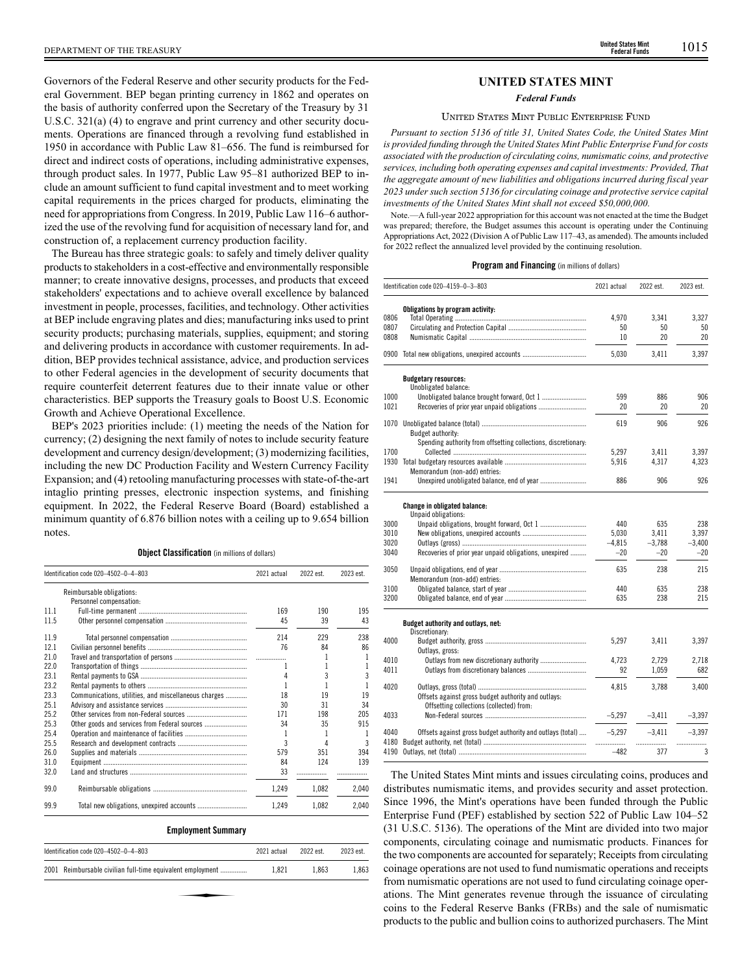Governors of the Federal Reserve and other security products for the Federal Government. BEP began printing currency in 1862 and operates on the basis of authority conferred upon the Secretary of the Treasury by 31 U.S.C. 321(a) (4) to engrave and print currency and other security documents. Operations are financed through a revolving fund established in 1950 in accordance with Public Law 81–656. The fund is reimbursed for direct and indirect costs of operations, including administrative expenses, through product sales. In 1977, Public Law 95–81 authorized BEP to include an amount sufficient to fund capital investment and to meet working capital requirements in the prices charged for products, eliminating the need for appropriations from Congress. In 2019, Public Law 116–6 authorized the use of the revolving fund for acquisition of necessary land for, and construction of, a replacement currency production facility.

The Bureau has three strategic goals: to safely and timely deliver quality products to stakeholders in a cost-effective and environmentally responsible manner; to create innovative designs, processes, and products that exceed stakeholders' expectations and to achieve overall excellence by balanced investment in people, processes, facilities, and technology. Other activities at BEP include engraving plates and dies; manufacturing inks used to print security products; purchasing materials, supplies, equipment; and storing and delivering products in accordance with customer requirements. In addition, BEP provides technical assistance, advice, and production services to other Federal agencies in the development of security documents that require counterfeit deterrent features due to their innate value or other characteristics. BEP supports the Treasury goals to Boost U.S. Economic Growth and Achieve Operational Excellence.

BEP's 2023 priorities include: (1) meeting the needs of the Nation for currency; (2) designing the next family of notes to include security feature development and currency design/development; (3) modernizing facilities, including the new DC Production Facility and Western Currency Facility Expansion; and (4) retooling manufacturing processes with state-of-the-art intaglio printing presses, electronic inspection systems, and finishing equipment. In 2022, the Federal Reserve Board (Board) established a minimum quantity of 6.876 billion notes with a ceiling up to 9.654 billion notes.

# **Object Classification** (in millions of dollars)

|      | Identification code 020-4502-0-4-803                 | 2021 actual | 2022 est. | 2023 est. |  |
|------|------------------------------------------------------|-------------|-----------|-----------|--|
|      | Reimbursable obligations:                            |             |           |           |  |
|      | Personnel compensation:                              |             |           |           |  |
| 11.1 |                                                      | 169         | 190       | 195       |  |
| 11.5 |                                                      | 45          | 39        | 43        |  |
| 11.9 |                                                      | 214         | 229       | 238       |  |
| 12.1 |                                                      | 76          | 84        | 86        |  |
| 21.0 |                                                      |             |           |           |  |
| 22.0 |                                                      | 1           |           |           |  |
| 23.1 |                                                      | 4           | 3         | 3         |  |
| 23.2 |                                                      |             |           |           |  |
| 23.3 | Communications, utilities, and miscellaneous charges | 18          | 19        | 19        |  |
| 25.1 |                                                      | 30          | 31        | 34        |  |
| 25.2 |                                                      | 171         | 198       | 205       |  |
| 25.3 | Other goods and services from Federal sources        | 34          | 35        | 915       |  |
| 25.4 |                                                      | 1           |           |           |  |
| 25.5 |                                                      | 3           | Δ         |           |  |
| 26.0 |                                                      | 579         | 351       | 394       |  |
| 31.0 |                                                      | 84          | 124       | 139       |  |
| 32.0 |                                                      | 33          |           |           |  |
| 99.0 |                                                      | 1,249       | 1.082     | 2.040     |  |
| 99.9 |                                                      | 1,249       | 1,082     | 2.040     |  |

# **Employment Summary**

| Identification code 020-4502-0-4-803                       |       | 2022 est. | 2023 est. |
|------------------------------------------------------------|-------|-----------|-----------|
| 2001 Reimbursable civilian full-time equivalent employment | 1.821 | 1.863     | 1.863     |
|                                                            |       |           |           |
|                                                            |       |           |           |

# **UNITED STATES MINT**

# *Federal Funds*

# UNITED STATES MINT PUBLIC ENTERPRISE FUND

*Pursuant to section 5136 of title 31, United States Code, the United States Mint is provided funding through the United States Mint Public Enterprise Fund for costs associated with the production of circulating coins, numismatic coins, and protective services, including both operating expenses and capital investments: Provided, That the aggregate amount of new liabilities and obligations incurred during fiscal year 2023 under such section 5136 for circulating coinage and protective service capital investments of the United States Mint shall not exceed \$50,000,000.*

Note.—A full-year 2022 appropriation for this account was not enacted at the time the Budget was prepared; therefore, the Budget assumes this account is operating under the Continuing Appropriations Act, 2022 (Division A of Public Law 117–43, as amended). The amounts included for 2022 reflect the annualized level provided by the continuing resolution.

# **Program and Financing** (in millions of dollars)

|      | Identification code 020-4159-0-3-803                                                            | 2021 actual | 2022 est. | 2023 est. |  |
|------|-------------------------------------------------------------------------------------------------|-------------|-----------|-----------|--|
|      | Obligations by program activity:                                                                |             |           |           |  |
| 0806 |                                                                                                 | 4.970       | 3,341     | 3.327     |  |
| 0807 |                                                                                                 | 50          | 50        | 50        |  |
| 0808 |                                                                                                 | 10          | 20        | 20        |  |
|      | 0900 Total new obligations, unexpired accounts                                                  | 5,030       | 3,411     | 3,397     |  |
|      | <b>Budgetary resources:</b><br>Unobligated balance:                                             |             |           |           |  |
| 1000 | Unobligated balance brought forward, Oct 1                                                      | 599         | 886       | 906       |  |
| 1021 | Recoveries of prior year unpaid obligations                                                     | 20          | 20        | 20        |  |
|      |                                                                                                 |             |           |           |  |
| 1070 | Budget authority:                                                                               | 619         | 906       | 926       |  |
|      | Spending authority from offsetting collections, discretionary:                                  |             |           |           |  |
| 1700 |                                                                                                 | 5,297       | 3,411     | 3,397     |  |
| 1930 |                                                                                                 | 5,916       | 4,317     | 4,323     |  |
|      | Memorandum (non-add) entries:                                                                   |             |           |           |  |
| 1941 |                                                                                                 | 886         | 906       | 926       |  |
|      |                                                                                                 |             |           |           |  |
|      | <b>Change in obligated balance:</b><br>Unpaid obligations:                                      |             |           |           |  |
| 3000 |                                                                                                 | 440         | 635       | 238       |  |
| 3010 |                                                                                                 | 5.030       | 3.411     | 3.397     |  |
| 3020 |                                                                                                 | $-4.815$    | $-3,788$  | $-3.400$  |  |
| 3040 | Recoveries of prior year unpaid obligations, unexpired                                          | $-20$       | $-20$     | $-20$     |  |
| 3050 |                                                                                                 | 635         | 238       | 215       |  |
|      | Memorandum (non-add) entries:                                                                   |             |           |           |  |
| 3100 |                                                                                                 | 440         | 635       | 238       |  |
| 3200 |                                                                                                 | 635         | 238       | 215       |  |
|      |                                                                                                 |             |           |           |  |
|      | Budget authority and outlays, net:                                                              |             |           |           |  |
| 4000 | Discretionary:                                                                                  | 5.297       |           |           |  |
|      |                                                                                                 |             | 3,411     | 3,397     |  |
| 4010 | Outlays, gross:                                                                                 | 4.723       | 2.729     | 2.718     |  |
| 4011 |                                                                                                 | 92          | 1,059     | 682       |  |
|      |                                                                                                 |             |           |           |  |
| 4020 |                                                                                                 | 4.815       | 3,788     | 3.400     |  |
|      | Offsets against gross budget authority and outlays:<br>Offsetting collections (collected) from: |             |           |           |  |
| 4033 |                                                                                                 | $-5,297$    | $-3,411$  | $-3,397$  |  |
| 4040 | Offsets against gross budget authority and outlays (total)                                      | $-5,297$    | $-3,411$  | $-3,397$  |  |
| 4180 |                                                                                                 |             | .         |           |  |
| 4190 |                                                                                                 | $-482$      | 377       | 3         |  |
|      |                                                                                                 |             |           |           |  |

The United States Mint mints and issues circulating coins, produces and distributes numismatic items, and provides security and asset protection. Since 1996, the Mint's operations have been funded through the Public Enterprise Fund (PEF) established by section 522 of Public Law 104–52 (31 U.S.C. 5136). The operations of the Mint are divided into two major components, circulating coinage and numismatic products. Finances for the two components are accounted for separately; Receipts from circulating coinage operations are not used to fund numismatic operations and receipts from numismatic operations are not used to fund circulating coinage operations. The Mint generates revenue through the issuance of circulating coins to the Federal Reserve Banks (FRBs) and the sale of numismatic products to the public and bullion coins to authorized purchasers. The Mint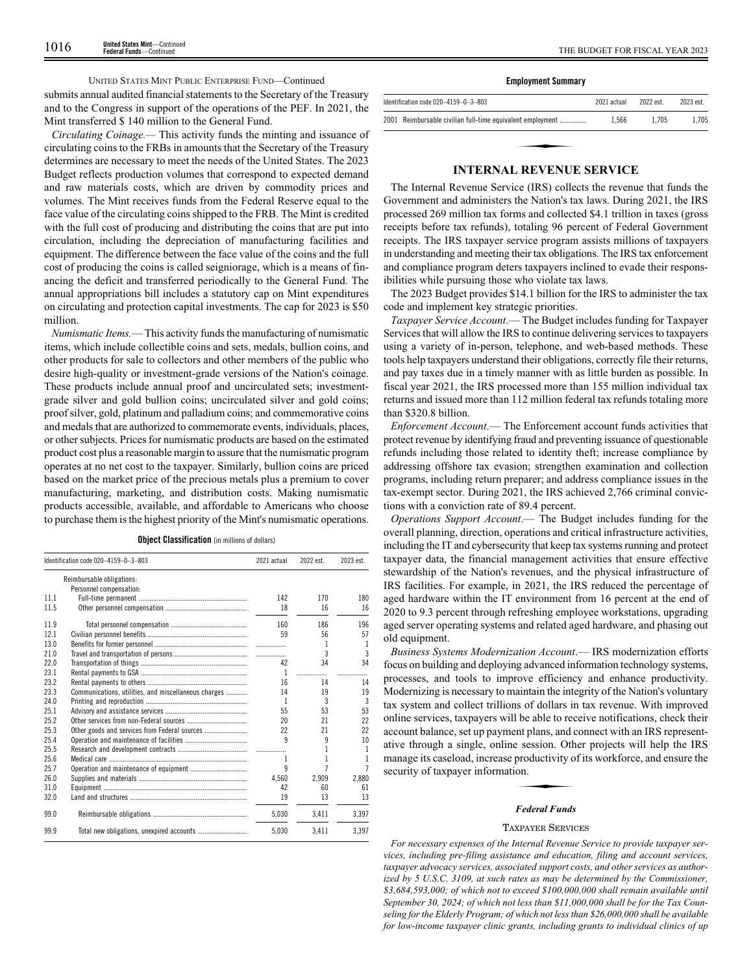# UNITED STATES MINT PUBLIC ENTERPRISE FUND—Continued

submits annual audited financial statements to the Secretary of the Treasury and to the Congress in support of the operations of the PEF. In 2021, the Mint transferred \$ 140 million to the General Fund.

*Circulating Coinage.—* This activity funds the minting and issuance of circulating coins to the FRBs in amounts that the Secretary of the Treasury determines are necessary to meet the needs of the United States. The 2023 Budget reflects production volumes that correspond to expected demand and raw materials costs, which are driven by commodity prices and volumes. The Mint receives funds from the Federal Reserve equal to the face value of the circulating coins shipped to the FRB. The Mint is credited with the full cost of producing and distributing the coins that are put into circulation, including the depreciation of manufacturing facilities and equipment. The difference between the face value of the coins and the full cost of producing the coins is called seigniorage, which is a means of financing the deficit and transferred periodically to the General Fund. The annual appropriations bill includes a statutory cap on Mint expenditures on circulating and protection capital investments. The cap for 2023 is \$50 million.

*Numismatic Items.*— This activity funds the manufacturing of numismatic items, which include collectible coins and sets, medals, bullion coins, and other products for sale to collectors and other members of the public who desire high-quality or investment-grade versions of the Nation's coinage. These products include annual proof and uncirculated sets; investmentgrade silver and gold bullion coins; uncirculated silver and gold coins; proof silver, gold, platinum and palladium coins; and commemorative coins and medals that are authorized to commemorate events, individuals, places, or other subjects. Prices for numismatic products are based on the estimated product cost plus a reasonable margin to assure that the numismatic program operates at no net cost to the taxpayer. Similarly, bullion coins are priced based on the market price of the precious metals plus a premium to cover manufacturing, marketing, and distribution costs. Making numismatic products accessible, available, and affordable to Americans who choose to purchase them is the highest priority of the Mint's numismatic operations.

|  |  |  | <b>Object Classification</b> (in millions of dollars) |  |  |  |  |
|--|--|--|-------------------------------------------------------|--|--|--|--|
|--|--|--|-------------------------------------------------------|--|--|--|--|

|      | Identification code 020-4159-0-3-803                 | 2021 actual | 2022 est. | 2023 est.      |
|------|------------------------------------------------------|-------------|-----------|----------------|
|      | Reimbursable obligations:                            |             |           |                |
|      | Personnel compensation:                              |             |           |                |
| 11.1 |                                                      | 142         | 170       | 180            |
| 11.5 |                                                      | 18          | 16        | 16             |
| 11.9 |                                                      | 160         | 186       | 196            |
| 12.1 |                                                      | 59          | 56        | 57             |
| 13.0 |                                                      |             | 1         | 1              |
| 21.0 |                                                      | .           | 3         | $\overline{3}$ |
| 22.0 |                                                      | 42          | 34        | 34             |
| 23.1 |                                                      | 1           | .         |                |
| 23.2 |                                                      | 16          | 14        | 14             |
| 23.3 | Communications, utilities, and miscellaneous charges | 14          | 19        | 19             |
| 24.0 |                                                      | 1           | 3         | 3              |
| 25.1 |                                                      | 55          | 53        | 53             |
| 25.2 |                                                      | 20          | 21        | 22             |
| 25.3 |                                                      | 22          | 21        | 22             |
| 25.4 |                                                      | q           | 9         | 10             |
| 25.5 |                                                      |             |           | 1              |
| 25.6 |                                                      |             |           | 1              |
| 25.7 |                                                      | q           | 7         | $\overline{7}$ |
| 26.0 |                                                      | 4.560       | 2.909     | 2.880          |
| 31.0 |                                                      | 42          | 60        | 61             |
| 32.0 |                                                      | 19          | 13        | 13             |
| 99.0 |                                                      | 5.030       | 3.411     | 3.397          |
| 99.9 |                                                      | 5.030       | 3.411     | 3.397          |

|  | <b>Employment Summary</b> |  |
|--|---------------------------|--|
|--|---------------------------|--|

| Identification code 020-4159-0-3-803                       | 2021 actual | 2022 est | 2023 est |  |
|------------------------------------------------------------|-------------|----------|----------|--|
| 2001 Reimbursable civilian full-time equivalent employment | 1.566       | 1.705    | 1.705    |  |
|                                                            |             |          |          |  |
| <b>INTERNAL REVENUE SERVICE</b>                            |             |          |          |  |

The Internal Revenue Service (IRS) collects the revenue that funds the Government and administers the Nation's tax laws. During 2021, the IRS processed 269 million tax forms and collected \$4.1 trillion in taxes (gross receipts before tax refunds), totaling 96 percent of Federal Government receipts. The IRS taxpayer service program assists millions of taxpayers in understanding and meeting their tax obligations. The IRS tax enforcement and compliance program deters taxpayers inclined to evade their responsibilities while pursuing those who violate tax laws.

The 2023 Budget provides \$14.1 billion for the IRS to administer the tax code and implement key strategic priorities.

*Taxpayer Service Account*.— The Budget includes funding for Taxpayer Services that will allow the IRS to continue delivering services to taxpayers using a variety of in-person, telephone, and web-based methods. These tools help taxpayers understand their obligations, correctly file their returns, and pay taxes due in a timely manner with as little burden as possible. In fiscal year 2021, the IRS processed more than 155 million individual tax returns and issued more than 112 million federal tax refunds totaling more than \$320.8 billion.

*Enforcement Account*.— The Enforcement account funds activities that protect revenue by identifying fraud and preventing issuance of questionable refunds including those related to identity theft; increase compliance by addressing offshore tax evasion; strengthen examination and collection programs, including return preparer; and address compliance issues in the tax-exempt sector. During 2021, the IRS achieved 2,766 criminal convictions with a conviction rate of 89.4 percent.

*Operations Support Account*.— The Budget includes funding for the overall planning, direction, operations and critical infrastructure activities, including the IT and cybersecurity that keep tax systems running and protect taxpayer data, the financial management activities that ensure effective stewardship of the Nation's revenues, and the physical infrastructure of IRS facilities. For example, in 2021, the IRS reduced the percentage of aged hardware within the IT environment from 16 percent at the end of 2020 to 9.3 percent through refreshing employee workstations, upgrading aged server operating systems and related aged hardware, and phasing out old equipment.

*Business Systems Modernization Account*.— IRS modernization efforts focus on building and deploying advanced information technology systems, processes, and tools to improve efficiency and enhance productivity. Modernizing is necessary to maintain the integrity of the Nation's voluntary tax system and collect trillions of dollars in tax revenue. With improved online services, taxpayers will be able to receive notifications, check their account balance, set up payment plans, and connect with an IRS representative through a single, online session. Other projects will help the IRS<br>ative through a single, online session. Other projects will help the IRS<br>manage its caseload, increase productivity of its workforce, and ensure the<br> manage its caseload, increase productivity of its workforce, and ensure the security of taxpayer information.

# *Federal Funds*

# TAXPAYER SERVICES

*For necessary expenses of the Internal Revenue Service to provide taxpayer services, including pre-filing assistance and education, filing and account services, taxpayer advocacy services, associated support costs, and other services as authorized by 5 U.S.C. 3109, at such rates as may be determined by the Commissioner, \$3,684,593,000; of which not to exceed \$100,000,000 shall remain available until September 30, 2024; of which not less than \$11,000,000 shall be for the Tax Counseling for the Elderly Program; of which not less than \$26,000,000 shall be available for low-income taxpayer clinic grants, including grants to individual clinics of up*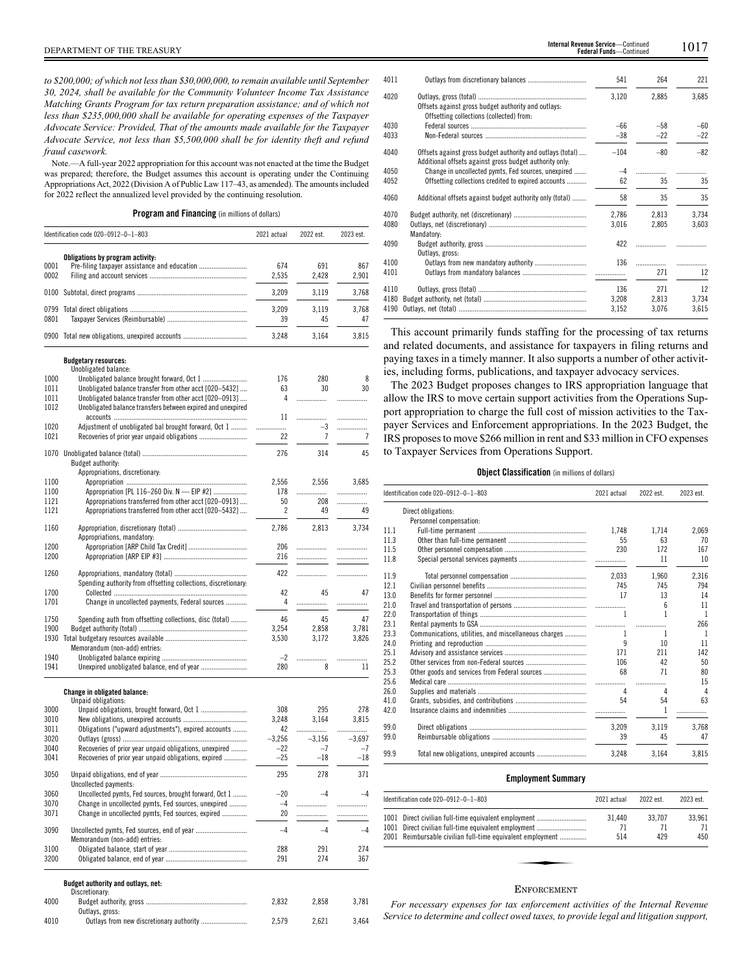*to \$200,000; of which not less than \$30,000,000, to remain available until September 30, 2024, shall be available for the Community Volunteer Income Tax Assistance Matching Grants Program for tax return preparation assistance; and of which not less than \$235,000,000 shall be available for operating expenses of the Taxpayer Advocate Service: Provided, That of the amounts made available for the Taxpayer Advocate Service, not less than \$5,500,000 shall be for identity theft and refund fraud casework.*

Note.—A full-year 2022 appropriation for this account was not enacted at the time the Budget was prepared; therefore, the Budget assumes this account is operating under the Continuing Appropriations Act, 2022 (Division A of Public Law 117–43, as amended). The amounts included for 2022 reflect the annualized level provided by the continuing resolution.

**Program and Financing** (in millions of dollars)

|      | Identification code 020-0912-0-1-803                           |          | 2022 est. | 2023 est. |
|------|----------------------------------------------------------------|----------|-----------|-----------|
|      |                                                                |          |           |           |
| 0001 | Obligations by program activity:                               | 674      | 691       | 867       |
| 0002 |                                                                | 2,535    | 2,428     | 2,901     |
|      |                                                                |          |           |           |
| 0100 |                                                                | 3,209    | 3,119     | 3,768     |
| 0799 |                                                                | 3,209    | 3,119     | 3.768     |
| 0801 |                                                                | 39       | 45        | 47        |
|      | 0900 Total new obligations, unexpired accounts                 | 3,248    | 3,164     | 3,815     |
|      |                                                                |          |           |           |
|      | <b>Budgetary resources:</b><br>Unobligated balance:            |          |           |           |
| 1000 |                                                                | 176      | 280       | 8         |
| 1011 | Unobligated balance transfer from other acct [020-5432]        | 63       | 30        | 30        |
| 1011 | Unobligated balance transfer from other acct [020-0913]        | 4        |           | .         |
| 1012 |                                                                |          |           |           |
|      | Unobligated balance transfers between expired and unexpired    |          |           |           |
|      |                                                                | 11       | .         | .         |
| 1020 | Adjustment of unobligated bal brought forward, Oct 1           |          | $-3$      |           |
| 1021 |                                                                | 22       | 7         | 7         |
|      |                                                                |          |           |           |
|      |                                                                | 276      | 314       | 45        |
|      | Budget authority:                                              |          |           |           |
|      | Appropriations, discretionary:                                 |          |           |           |
| 1100 |                                                                | 2,556    | 2,556     | 3,685     |
| 1100 | Appropriation [PL 116-260 Div. N - EIP #2]                     | 178      | .         |           |
| 1121 | Appropriations transferred from other acct [020-0913]          | 50       | 208       |           |
| 1121 | Appropriations transferred from other acct [020-5432]          | 2        | 49        | 49        |
|      |                                                                |          |           |           |
| 1160 |                                                                | 2,786    | 2,813     | 3,734     |
|      | Appropriations, mandatory:                                     |          |           |           |
| 1200 | Appropriation [ARP Child Tax Credit]                           | 206      | .         |           |
| 1200 |                                                                | 216      |           | .         |
| 1260 |                                                                | 422      |           |           |
|      |                                                                |          | .         | .         |
|      | Spending authority from offsetting collections, discretionary: |          |           |           |
| 1700 |                                                                | 42       | 45        | 47        |
| 1701 | Change in uncollected payments, Federal sources                | 4        | .         | .         |
|      |                                                                |          |           |           |
| 1750 | Spending auth from offsetting collections, disc (total)        | 46       | 45        | 47        |
| 1900 |                                                                | 3,254    | 2,858     | 3,781     |
|      |                                                                | 3,530    | 3,172     | 3,826     |
|      | Memorandum (non-add) entries:                                  |          |           |           |
| 1940 |                                                                | $-2$     |           | .         |
| 1941 |                                                                | 280      | 8         | 11        |
|      |                                                                |          |           |           |
|      | Change in obligated balance:<br>Unpaid obligations:            |          |           |           |
| 3000 |                                                                | 308      | 295       | 278       |
| 3010 |                                                                | 3,248    | 3,164     | 3,815     |
| 3011 | Obligations ("upward adjustments"), expired accounts           | 42       | .         |           |
|      |                                                                |          |           | .         |
| 3020 |                                                                | $-3,256$ | $-3,156$  | $-3,697$  |
| 3040 | Recoveries of prior year unpaid obligations, unexpired         | $-22$    | $-7$      | $-7$      |
| 3041 | Recoveries of prior year unpaid obligations, expired           | $-25$    | $-18$     | $-18$     |
| 3050 |                                                                | 295      | 278       | 371       |
|      | Uncollected payments:                                          |          |           |           |
| 3060 | Uncollected pymts, Fed sources, brought forward, Oct 1         | $-20$    | $-4$      | $-4$      |
|      |                                                                |          |           |           |
| 3070 | Change in uncollected pymts, Fed sources, unexpired            | $-4$     | .         | .         |
| 3071 | Change in uncollected pymts, Fed sources, expired              | 20       |           | .         |
| 3090 |                                                                | $-4$     | $-4$      | $-4$      |
|      | Memorandum (non-add) entries:                                  |          |           |           |
| 3100 |                                                                | 288      | 291       | 274       |
| 3200 |                                                                | 291      | 274       | 367       |
|      |                                                                |          |           |           |
|      | Budget authority and outlays, net:                             |          |           |           |
|      | Discretionary:                                                 |          |           |           |
| 4000 |                                                                | 2,832    | 2,858     | 3,781     |
|      | Outlays, gross:                                                |          |           |           |

4010 Outlays from new discretionary authority .......................... 2,579 2,621 3,464

|                                                                                                                       | 3.120  | 2.885 | 3.685 |
|-----------------------------------------------------------------------------------------------------------------------|--------|-------|-------|
| Offsets against gross budget authority and outlays:                                                                   |        |       |       |
| Offsetting collections (collected) from:                                                                              |        |       |       |
|                                                                                                                       | $-66$  | $-58$ | $-60$ |
|                                                                                                                       | $-38$  | $-22$ | $-22$ |
| Offsets against gross budget authority and outlays (total)<br>Additional offsets against gross budget authority only: | $-104$ | $-80$ | $-82$ |
| Change in uncollected pymts, Fed sources, unexpired                                                                   | $-4$   |       |       |
| Offsetting collections credited to expired accounts                                                                   | 62     | 35    | 35    |
| Additional offsets against budget authority only (total)                                                              | 58     | 35    | 35    |
|                                                                                                                       | 2.786  | 2,813 | 3,734 |
| Mandatory:                                                                                                            | 3,016  | 2,805 | 3,603 |
| Outlays, gross:                                                                                                       | 422    |       |       |
|                                                                                                                       | 136    |       |       |
|                                                                                                                       |        | 271   | 12    |
|                                                                                                                       | 136    | 271   | 12    |
|                                                                                                                       | 3.208  | 2,813 | 3,734 |
|                                                                                                                       |        |       |       |

4011 Outlays from discretionary balances ................................. 541 264 221

This account primarily funds staffing for the processing of tax returns and related documents, and assistance for taxpayers in filing returns and paying taxes in a timely manner. It also supports a number of other activities, including forms, publications, and taxpayer advocacy services.

4190 Outlays, net (total) ........................................................................ 3,152 3,076 3,615

The 2023 Budget proposes changes to IRS appropriation language that allow the IRS to move certain support activities from the Operations Support appropriation to charge the full cost of mission activities to the Taxpayer Services and Enforcement appropriations. In the 2023 Budget, the IRS proposes to move \$266 million in rent and \$33 million in CFO expenses to Taxpayer Services from Operations Support.

# **Object Classification** (in millions of dollars)

|      | ldentification code 020–0912–0–1–803                 | 2021 actual    | 2022 est. | 2023 est.      |
|------|------------------------------------------------------|----------------|-----------|----------------|
|      | Direct obligations:                                  |                |           |                |
|      | Personnel compensation:                              |                |           |                |
| 11.1 |                                                      | 1.748          | 1,714     | 2,069          |
| 11.3 |                                                      | 55             | 63        | 70             |
| 11.5 |                                                      | 230            | 172       | 167            |
| 11.8 |                                                      |                | 11        | 10             |
| 11.9 |                                                      | 2.033          | 1.960     | 2.316          |
| 12.1 |                                                      | 745            | 745       | 794            |
| 13.0 |                                                      | 17             | 13        | 14             |
| 21.0 |                                                      |                | 6         | 11             |
| 22.0 |                                                      | $\overline{1}$ | 1         | 1              |
| 23.1 |                                                      |                | .         | 266            |
| 23.3 | Communications, utilities, and miscellaneous charges | 1              | 1         | 1              |
| 24.0 |                                                      | 9              | 10        | 11             |
| 25.1 |                                                      | 171            | 211       | 142            |
| 25.2 |                                                      | 106            | 42        | 50             |
| 25.3 | Other goods and services from Federal sources        | 68             | 71        | 80             |
| 25.6 |                                                      |                | .         | 15             |
| 26.0 |                                                      | 4              | 4         | $\overline{4}$ |
| 41.0 |                                                      | 54             | 54        | 63             |
| 42.0 |                                                      |                | 1         |                |
| 99.0 |                                                      | 3,209          | 3.119     | 3.768          |
| 99.0 |                                                      | 39             | 45        | 47             |
| 99.9 |                                                      | 3.248          | 3.164     | 3,815          |

# **Employment Summary**

| Identification code 020-0912-0-1-803                                                                                                                                       | 2021 actual   | 2022 est.           | 2023 est.           |
|----------------------------------------------------------------------------------------------------------------------------------------------------------------------------|---------------|---------------------|---------------------|
| 1001 Direct civilian full-time equivalent employment<br>1001 Direct civilian full-time equivalent employment<br>2001 Reimbursable civilian full-time equivalent employment | 31.440<br>514 | 33.707<br>71<br>429 | 33.961<br>71<br>450 |
| п.                                                                                                                                                                         |               |                     |                     |

# **ENFORCEMENT**

*For necessary expenses for tax enforcement activities of the Internal Revenue Service to determine and collect owed taxes, to provide legal and litigation support,*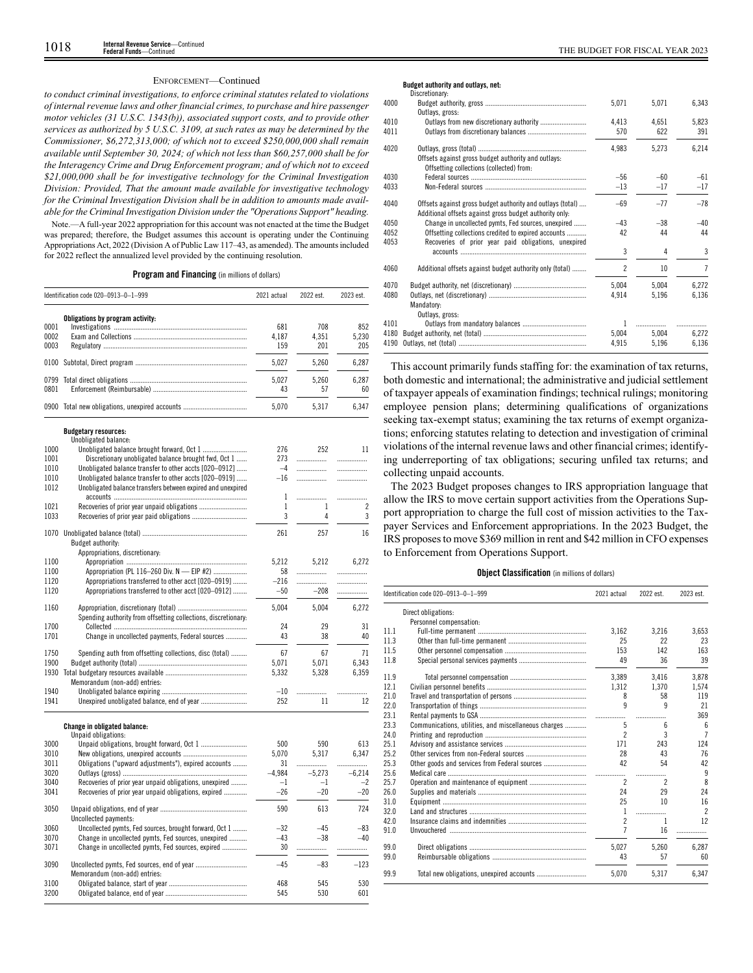# ENFORCEMENT—Continued

*to conduct criminal investigations, to enforce criminal statutes related to violations of internal revenue laws and other financial crimes, to purchase and hire passenger motor vehicles (31 U.S.C. 1343(b)), associated support costs, and to provide other services as authorized by 5 U.S.C. 3109, at such rates as may be determined by the Commissioner, \$6,272,313,000; of which not to exceed \$250,000,000 shall remain available until September 30, 2024; of which not less than \$60,257,000 shall be for the Interagency Crime and Drug Enforcement program; and of which not to exceed \$21,000,000 shall be for investigative technology for the Criminal Investigation Division: Provided, That the amount made available for investigative technology for the Criminal Investigation Division shall be in addition to amounts made available for the Criminal Investigation Division under the "Operations Support" heading.*

Note.—A full-year 2022 appropriation for this account was not enacted at the time the Budget was prepared; therefore, the Budget assumes this account is operating under the Continuing Appropriations Act, 2022 (Division A of Public Law 117–43, as amended). The amounts included for 2022 reflect the annualized level provided by the continuing resolution.

# **Program and Financing** (in millions of dollars)

|      | Identification code 020-0913-0-1-999                           | 2021 actual | 2022 est. | 2023 est. |
|------|----------------------------------------------------------------|-------------|-----------|-----------|
|      | Obligations by program activity:                               |             |           |           |
| 0001 |                                                                | 681         | 708       | 852       |
| 0002 |                                                                | 4,187       | 4,351     | 5,230     |
| 0003 |                                                                | 159         | 201       | 205       |
| 0100 |                                                                | 5,027       | 5,260     | 6,287     |
| 0799 |                                                                | 5,027       | 5,260     | 6.287     |
| 0801 |                                                                | 43          | 57        | 60        |
|      |                                                                |             |           |           |
|      | 0900 Total new obligations, unexpired accounts                 | 5.070       | 5.317     | 6.347     |
|      | <b>Budgetary resources:</b>                                    |             |           |           |
|      | Unobligated balance:                                           |             |           |           |
| 1000 |                                                                | 276         | 252       | 11        |
| 1001 | Discretionary unobligated balance brought fwd, Oct 1           | 273         | .         | .         |
| 1010 | Unobligated balance transfer to other accts [020-0912]         | $-4$        | .         | .         |
| 1010 | Unobligated balance transfer to other accts [020–0919]         | $-16$       |           | .         |
| 1012 | Unobligated balance transfers between expired and unexpired    |             |           |           |
|      |                                                                | 1           | .         |           |
| 1021 |                                                                | 1           | 1         | 2         |
| 1033 |                                                                | 3           | 4         | 3         |
|      |                                                                |             |           |           |
| 1070 | Budget authority:                                              | 261         | 257       | 16        |
|      | Appropriations, discretionary:                                 |             |           |           |
| 1100 |                                                                | 5,212       | 5,212     | 6,272     |
| 1100 | Appropriation (PL 116-260 Div. N - EIP #2)                     | 58          | .         | .         |
| 1120 | Appropriations transferred to other acct [020-0919]            | $-216$      | .         | .         |
| 1120 | Appropriations transferred to other acct [020-0912]            | $-50$       | $-208$    | .         |
| 1160 |                                                                | 5,004       | 5,004     | 6,272     |
|      | Spending authority from offsetting collections, discretionary: |             |           |           |
| 1700 |                                                                | 24          | 29        | 31        |
| 1701 | Change in uncollected payments, Federal sources                | 43          | 38        | 40        |
| 1750 | Spending auth from offsetting collections, disc (total)        | 67          | 67        | 71        |
| 1900 |                                                                | 5,071       | 5,071     | 6,343     |
| 1930 |                                                                | 5,332       | 5,328     | 6,359     |
|      | Memorandum (non-add) entries:                                  |             |           |           |
| 1940 |                                                                | $-10$       | .         | .         |
| 1941 |                                                                | 252         | 11        | 12        |
|      |                                                                |             |           |           |
|      | Change in obligated balance:<br>Unpaid obligations:            |             |           |           |
| 3000 | Unpaid obligations, brought forward, Oct 1                     | 500         | 590       | 613       |
| 3010 |                                                                | 5,070       | 5,317     | 6,347     |
| 3011 | Obligations ("upward adjustments"), expired accounts           | 31          | .         | .         |
| 3020 |                                                                | $-4.984$    | $-5,273$  | $-6,214$  |
| 3040 | Recoveries of prior year unpaid obligations, unexpired         | $-1$        | $-1$      | $-2$      |
| 3041 | Recoveries of prior year unpaid obligations, expired           | $-26$       | $-20$     | $-20$     |
| 3050 | Uncollected payments:                                          | 590         | 613       | 724       |
| 3060 | Uncollected pymts, Fed sources, brought forward, Oct 1         | $-32$       | $-45$     | $-83$     |
| 3070 | Change in uncollected pymts, Fed sources, unexpired            | $-43$       | $-38$     | $-40$     |
| 3071 | Change in uncollected pymts, Fed sources, expired              | 30          |           |           |
|      |                                                                |             | .         | .         |
| 3090 | Memorandum (non-add) entries:                                  | -45         | $-83$     | $-123$    |
| 3100 |                                                                | 468         | 545       | 530       |
| 3200 |                                                                | 545         | 530       | 601       |
|      |                                                                |             |           |           |

# **Budget authority and outlays, net:**

|      | Discretionary:                                                                                                        |                |       |       |
|------|-----------------------------------------------------------------------------------------------------------------------|----------------|-------|-------|
| 4000 | Outlays, gross:                                                                                                       | 5,071          | 5,071 | 6,343 |
| 4010 | Outlays from new discretionary authority                                                                              | 4,413          | 4,651 | 5,823 |
| 4011 |                                                                                                                       | 570            | 622   | 391   |
| 4020 | Offsets against gross budget authority and outlays:<br>Offsetting collections (collected) from:                       | 4,983          | 5,273 | 6,214 |
| 4030 |                                                                                                                       | $-56$          | $-60$ | -61   |
| 4033 |                                                                                                                       | $-13$          | $-17$ | $-17$ |
| 4040 | Offsets against gross budget authority and outlays (total)<br>Additional offsets against gross budget authority only. | $-69$          | $-77$ | $-78$ |
| 4050 | Change in uncollected pymts, Fed sources, unexpired                                                                   | $-43$          | $-38$ | $-40$ |
| 4052 | Offsetting collections credited to expired accounts                                                                   | 42             | 44    | 44    |
| 4053 | Recoveries of prior year paid obligations, unexpired                                                                  |                |       |       |
|      |                                                                                                                       | 3              | 4     | 3     |
| 4060 | Additional offsets against budget authority only (total)                                                              | $\mathfrak{p}$ | 10    | 7     |
| 4070 |                                                                                                                       | 5.004          | 5,004 | 6,272 |
| 4080 |                                                                                                                       | 4,914          | 5,196 | 6,136 |
|      | Mandatory:<br>Outlays, gross:                                                                                         |                |       |       |
| 4101 |                                                                                                                       |                | .     |       |
| 4180 |                                                                                                                       | 5,004          | 5.004 | 6,272 |
| 4190 |                                                                                                                       | 4,915          | 5,196 | 6,136 |

This account primarily funds staffing for: the examination of tax returns, both domestic and international; the administrative and judicial settlement of taxpayer appeals of examination findings; technical rulings; monitoring employee pension plans; determining qualifications of organizations seeking tax-exempt status; examining the tax returns of exempt organizations; enforcing statutes relating to detection and investigation of criminal violations of the internal revenue laws and other financial crimes; identifying underreporting of tax obligations; securing unfiled tax returns; and collecting unpaid accounts.

The 2023 Budget proposes changes to IRS appropriation language that allow the IRS to move certain support activities from the Operations Support appropriation to charge the full cost of mission activities to the Taxpayer Services and Enforcement appropriations. In the 2023 Budget, the IRS proposes to move \$369 million in rent and \$42 million in CFO expenses to Enforcement from Operations Support.

# **Object Classification** (in millions of dollars)

|      | Identification code 020-0913-0-1-999                 | 2021 actual    | 2022 est. | 2023 est.                |
|------|------------------------------------------------------|----------------|-----------|--------------------------|
|      | Direct obligations:                                  |                |           |                          |
|      | Personnel compensation:                              |                |           |                          |
| 11.1 |                                                      | 3.162          | 3.216     | 3.653                    |
| 11.3 |                                                      | 25             | 22        | 23                       |
| 11.5 |                                                      | 153            | 142       | 163                      |
| 11.8 |                                                      | 49             | 36        | 39                       |
| 11.9 |                                                      | 3.389          | 3,416     | 3.878                    |
| 12.1 |                                                      | 1.312          | 1.370     | 1,574                    |
| 21.0 |                                                      | 8              | 58        | 119                      |
| 22.0 |                                                      | 9              | 9         | 21                       |
| 23.1 |                                                      |                | .         | 369                      |
| 23.3 | Communications, utilities, and miscellaneous charges | 5              | 6         | 6                        |
| 24.0 |                                                      | $\mathfrak{p}$ | 3         | $\overline{7}$           |
| 25.1 |                                                      | 171            | 243       | 124                      |
| 25.2 |                                                      | 28             | 43        | 76                       |
| 25.3 | Other goods and services from Federal sources        | 42             | 54        | 42                       |
| 25.6 |                                                      |                | .         | 9                        |
| 25.7 |                                                      | 2              | 2         | 8                        |
| 26.0 |                                                      | 24             | 29        | 24                       |
| 31.0 |                                                      | 25             | 10        | 16                       |
| 32.0 |                                                      | 1              | .         | $\overline{\phantom{a}}$ |
| 42.0 |                                                      | $\mathfrak{p}$ | 1         | 12                       |
| 91.0 |                                                      | 7              | 16        | .                        |
| 99.0 |                                                      | 5.027          | 5.260     | 6.287                    |
| 99.0 |                                                      | 43             | 57        | 60                       |
| 99.9 |                                                      | 5.070          | 5,317     | 6,347                    |
|      |                                                      |                |           |                          |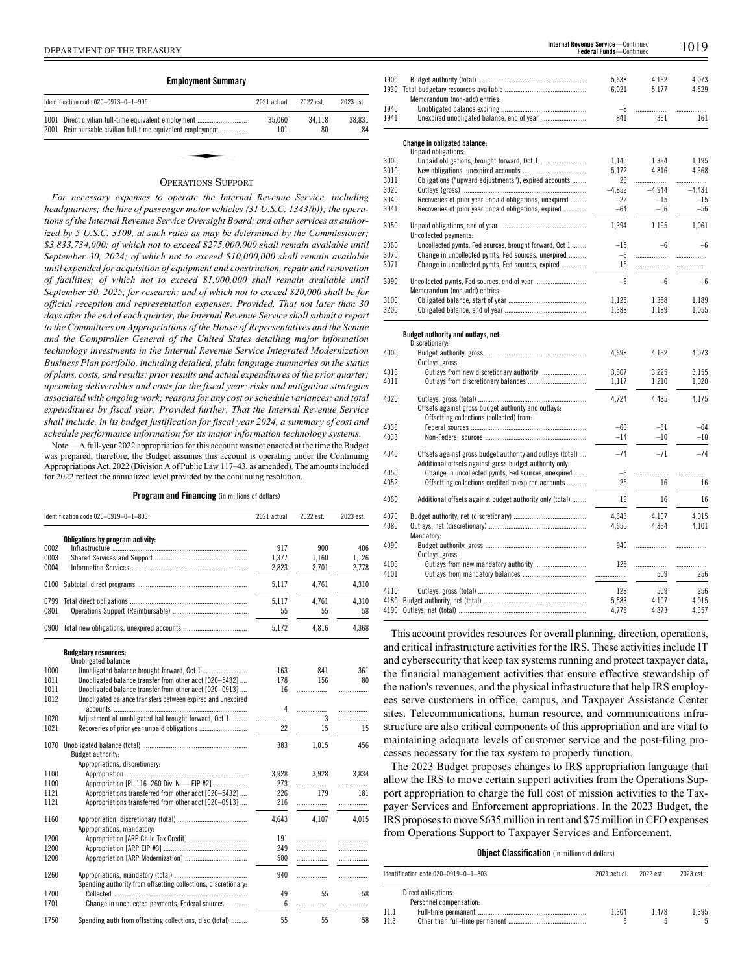| <b>Employment Summary</b> |                                                                                                               |               |              |              |
|---------------------------|---------------------------------------------------------------------------------------------------------------|---------------|--------------|--------------|
|                           | Identification code 020-0913-0-1-999                                                                          | 2021 actual   | 2022 est.    | 2023 est.    |
| 1001                      | Direct civilian full-time equivalent employment<br>2001 Reimbursable civilian full-time equivalent employment | 35.060<br>101 | 34.118<br>80 | 38.831<br>84 |
|                           |                                                                                                               |               |              |              |
|                           | $\Omega$ = = = = = = = = $\Omega$ = = = = = = =                                                               |               |              |              |

# OPERATIONS SUPPORT

*For necessary expenses to operate the Internal Revenue Service, including headquarters; the hire of passenger motor vehicles (31 U.S.C. 1343(b)); the operations of the Internal Revenue Service Oversight Board; and other services as authorized by 5 U.S.C. 3109, at such rates as may be determined by the Commissioner; \$3,833,734,000; of which not to exceed \$275,000,000 shall remain available until September 30, 2024; of which not to exceed \$10,000,000 shall remain available until expended for acquisition of equipment and construction, repair and renovation of facilities; of which not to exceed \$1,000,000 shall remain available until September 30, 2025, for research; and of which not to exceed \$20,000 shall be for official reception and representation expenses: Provided, That not later than 30 days after the end of each quarter, the Internal Revenue Service shall submit a report to the Committees on Appropriations of the House of Representatives and the Senate and the Comptroller General of the United States detailing major information technology investments in the Internal Revenue Service Integrated Modernization Business Plan portfolio, including detailed, plain language summaries on the status of plans, costs, and results; prior results and actual expenditures of the prior quarter; upcoming deliverables and costs for the fiscal year; risks and mitigation strategies associated with ongoing work; reasons for any cost or schedule variances; and total expenditures by fiscal year: Provided further, That the Internal Revenue Service shall include, in its budget justification for fiscal year 2024, a summary of cost and schedule performance information for its major information technology systems.*

Note.—A full-year 2022 appropriation for this account was not enacted at the time the Budget was prepared; therefore, the Budget assumes this account is operating under the Continuing Appropriations Act, 2022 (Division A of Public Law 117–43, as amended). The amounts included for 2022 reflect the annualized level provided by the continuing resolution.

**Program and Financing** (in millions of dollars)

|                      | Identification code 020-0919-0-1-803           | 2021 actual           | 2022 est.             | 2023 est.             |
|----------------------|------------------------------------------------|-----------------------|-----------------------|-----------------------|
| 0002<br>0003<br>0004 | Obligations by program activity:               | 917<br>1.377<br>2.823 | 900<br>1.160<br>2.701 | 406<br>1.126<br>2.778 |
|                      |                                                | 5.117                 | 4.761                 | 4.310                 |
| 0801                 |                                                | 5.117<br>55           | 4.761<br>55           | 4.310<br>58           |
|                      | 0900 Total new obligations, unexpired accounts | 5.172                 | 4.816                 | 4.368                 |

**Budgetary resources:**

|      | Unobligated balance:                                           |       |       |          |
|------|----------------------------------------------------------------|-------|-------|----------|
| 1000 |                                                                | 163   | 841   | 361      |
| 1011 | Unobligated balance transfer from other acct [020-5432]        | 178   | 156   | 80       |
| 1011 | Unobligated balance transfer from other acct [020-0913]        | 16    | .     | .        |
| 1012 | Unobligated balance transfers between expired and unexpired    |       |       |          |
|      |                                                                | 4     | .     | .        |
| 1020 | Adjustment of unobligated bal brought forward, Oct 1           | .     | 3     | .        |
| 1021 |                                                                | 22    | 15    | 15       |
| 1070 |                                                                | 383   | 1,015 | 456      |
|      | <b>Budget authority:</b>                                       |       |       |          |
|      | Appropriations, discretionary:                                 |       |       |          |
| 1100 |                                                                | 3,928 | 3,928 | 3.834    |
| 1100 | Appropriation [PL 116-260 Div. N - EIP #2]                     | 273   | .     |          |
| 1121 |                                                                | 226   | 179   | .<br>181 |
| 1121 | Appropriations transferred from other acct [020-5432]          |       |       |          |
|      | Appropriations transferred from other acct [020-0913]          | 216   | .     | .        |
| 1160 |                                                                | 4.643 | 4,107 | 4,015    |
|      | Appropriations, mandatory:                                     |       |       |          |
| 1200 |                                                                | 191   | .     | .        |
| 1200 |                                                                | 249   | .     | .        |
| 1200 |                                                                | 500   | .     |          |
|      |                                                                |       |       |          |
| 1260 |                                                                | 940   | .     | .        |
|      | Spending authority from offsetting collections, discretionary: |       |       |          |
| 1700 |                                                                | 49    | 55    | 58       |
| 1701 | Change in uncollected payments, Federal sources                | 6     | .     |          |
|      |                                                                |       |       |          |
| 1750 | Spending auth from offsetting collections, disc (total)        | 55    | 55    | 58       |

| 1900 |                                                            | 5,638    | 4,162    | 4,073    |
|------|------------------------------------------------------------|----------|----------|----------|
|      |                                                            | 6,021    | 5,177    | 4,529    |
|      | Memorandum (non-add) entries:                              |          |          |          |
| 1940 |                                                            | $-8$     | .        | .        |
| 1941 |                                                            | 841      | 361      | 161      |
|      | <b>Change in obligated balance:</b>                        |          |          |          |
|      | Unpaid obligations:                                        |          |          |          |
| 3000 | Unpaid obligations, brought forward, Oct 1                 | 1,140    | 1.394    | 1,195    |
| 3010 |                                                            | 5,172    | 4,816    | 4,368    |
| 3011 | Obligations ("upward adjustments"), expired accounts       | 20       |          |          |
| 3020 |                                                            | $-4,852$ | $-4.944$ | $-4.431$ |
| 3040 | Recoveries of prior year unpaid obligations, unexpired     | $-22$    | $-15$    | $-15$    |
| 3041 | Recoveries of prior year unpaid obligations, expired       | $-64$    | $-56$    | $-56$    |
| 3050 |                                                            | 1,394    | 1,195    | 1,061    |
|      | Uncollected payments:                                      |          |          |          |
| 3060 | Uncollected pymts, Fed sources, brought forward, Oct 1     | $-15$    | $-6$     | $-6$     |
| 3070 | Change in uncollected pymts, Fed sources, unexpired        | $-6$     |          | .        |
| 3071 | Change in uncollected pymts, Fed sources, expired          | 15       | .        | .        |
| 3090 |                                                            | $-6$     | $-6$     | $-6$     |
|      | Memorandum (non-add) entries:                              |          |          |          |
| 3100 |                                                            | 1,125    | 1,388    | 1,189    |
| 3200 |                                                            | 1,388    | 1,189    | 1,055    |
|      |                                                            |          |          |          |
|      | Budget authority and outlays, net:<br>Discretionary:       |          |          |          |
| 4000 |                                                            | 4,698    | 4,162    | 4,073    |
|      | Outlays, gross:                                            |          |          |          |
| 4010 | Outlays from new discretionary authority                   | 3,607    | 3,225    | 3,155    |
| 4011 |                                                            | 1,117    | 1,210    | 1,020    |
|      |                                                            |          |          |          |
| 4020 |                                                            | 4,724    | 4,435    | 4,175    |
|      | Offsets against gross budget authority and outlays:        |          |          |          |
|      | Offsetting collections (collected) from:                   |          |          |          |
| 4030 |                                                            | $-60$    | $-61$    | $-64$    |
| 4033 |                                                            | $-14$    | $-10$    | $-10$    |
| 4040 | Offsets against gross budget authority and outlays (total) | $-74$    | $-71$    | $-74$    |
|      | Additional offsets against gross budget authority only:    |          |          |          |
| 4050 | Change in uncollected pymts, Fed sources, unexpired        | $-6$     | .        |          |
| 4052 | Offsetting collections credited to expired accounts        | 25       | 16       | 16       |
| 4060 | Additional offsets against budget authority only (total)   | 19       | 16       | 16       |
| 4070 |                                                            | 4,643    | 4,107    | 4,015    |
| 4080 |                                                            | 4,650    | 4,364    | 4,101    |
|      | Mandatory:                                                 |          |          |          |
| 4090 |                                                            | 940      | .        | .        |
|      | Outlays, gross:                                            |          |          |          |
| 4100 | Outlays from new mandatory authority                       | 128      | .        | .        |
| 4101 |                                                            |          | 509      | 256      |
|      |                                                            |          |          |          |
| 4110 |                                                            | 128      | 509      | 256      |
| 4180 |                                                            | 5,583    | 4.107    | 4,015    |
| 4190 |                                                            | 4,778    | 4,873    | 4,357    |

**Federal Funds**—Continue

This account provides resources for overall planning, direction, operations, and critical infrastructure activities for the IRS. These activities include IT and cybersecurity that keep tax systems running and protect taxpayer data, the financial management activities that ensure effective stewardship of the nation's revenues, and the physical infrastructure that help IRS employees serve customers in office, campus, and Taxpayer Assistance Center sites. Telecommunications, human resource, and communications infrastructure are also critical components of this appropriation and are vital to maintaining adequate levels of customer service and the post-filing processes necessary for the tax system to properly function.

The 2023 Budget proposes changes to IRS appropriation language that allow the IRS to move certain support activities from the Operations Support appropriation to charge the full cost of mission activities to the Taxpayer Services and Enforcement appropriations. In the 2023 Budget, the IRS proposes to move \$635 million in rent and \$75 million in CFO expenses from Operations Support to Taxpayer Services and Enforcement.

# **Object Classification** (in millions of dollars)

| Identification code 020-0919-0-1-803           | 2021 actual | 2022 est. | 2023 est. |
|------------------------------------------------|-------------|-----------|-----------|
| Direct obligations:<br>Personnel compensation: |             |           |           |
| 11.1<br>11.3                                   | 1.304       | 1.478     | 1.395     |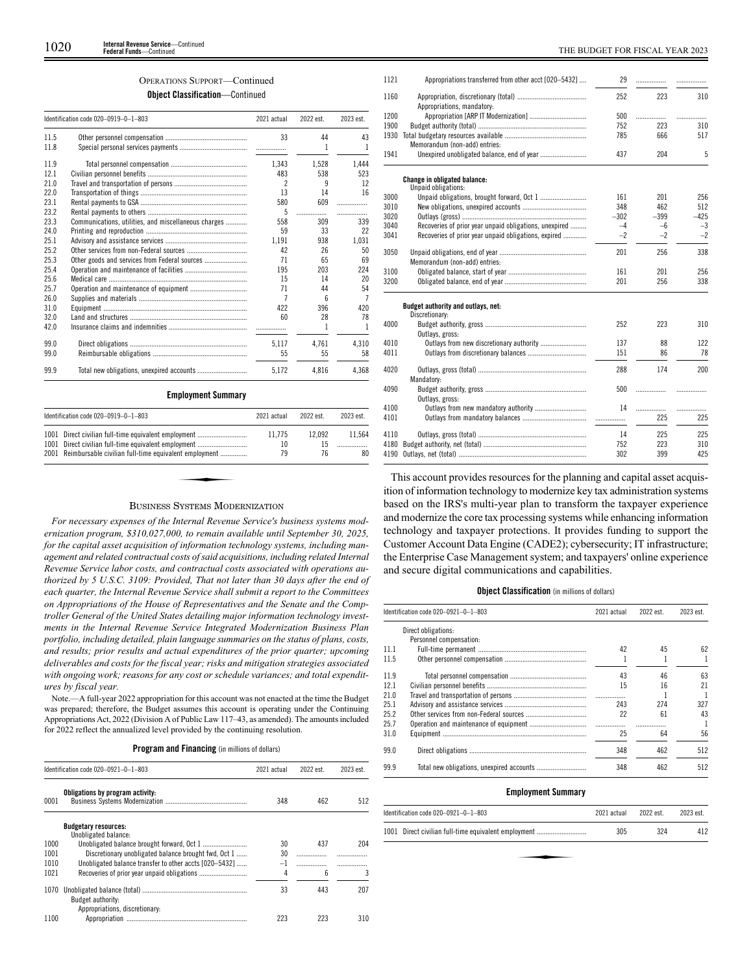# OPERATIONS SUPPORT—Continued

**Object Classification**—Continued

|      | Identification code 020-0919-0-1-803                 | 2021 actual | 2022 est. | 2023 est. |
|------|------------------------------------------------------|-------------|-----------|-----------|
| 11.5 |                                                      | 33          | 44        | 43        |
| 11.8 |                                                      |             | 1         | 1         |
| 11.9 |                                                      | 1.343       | 1,528     | 1.444     |
| 12.1 |                                                      | 483         | 538       | 523       |
| 21.0 |                                                      | 2           | 9         | 12        |
| 22.0 |                                                      | 13          | 14        | 16        |
| 23.1 |                                                      | 580         | 609       | .         |
| 23.2 |                                                      | 5           | .         | .         |
| 23.3 | Communications, utilities, and miscellaneous charges | 558         | 309       | 339       |
| 24.0 |                                                      | 59          | 33        | 22        |
| 25.1 |                                                      | 1,191       | 938       | 1,031     |
| 25.2 |                                                      | 42          | 26        | 50        |
| 25.3 |                                                      | 71          | 65        | 69        |
| 25.4 |                                                      | 195         | 203       | 224       |
| 25.6 |                                                      | 15          | 14        | 20        |
| 25.7 |                                                      | 71          | 44        | 54        |
| 26.0 |                                                      | 7           | ĥ         | 7         |
| 31.0 |                                                      | 422         | 396       | 420       |
| 32.0 |                                                      | 60          | 28        | 78        |
| 42.0 |                                                      |             | 1         | 1         |
| 99.0 |                                                      | 5,117       | 4.761     | 4,310     |
| 99.0 |                                                      | 55          | 55        | 58        |
| 99.9 |                                                      | 5,172       | 4,816     | 4,368     |

| Identification code 020-0919-0-1-803                       | 2021 actual | 2022 est. | 2023 est. |
|------------------------------------------------------------|-------------|-----------|-----------|
| 1001 Direct civilian full-time equivalent employment       | 11.775      | 12.092    | 11.564    |
| 1001 Direct civilian full-time equivalent employment       | 10          | 15        |           |
| 2001 Reimbursable civilian full-time equivalent employment | 79          | 76        | 80        |
|                                                            |             |           |           |

# BUSINESS SYSTEMS MODERNIZATION

*For necessary expenses of the Internal Revenue Service's business systems modernization program, \$310,027,000, to remain available until September 30, 2025, for the capital asset acquisition of information technology systems, including management and related contractual costs of said acquisitions, including related Internal Revenue Service labor costs, and contractual costs associated with operations authorized by 5 U.S.C. 3109: Provided, That not later than 30 days after the end of each quarter, the Internal Revenue Service shall submit a report to the Committees on Appropriations of the House of Representatives and the Senate and the Comptroller General of the United States detailing major information technology investments in the Internal Revenue Service Integrated Modernization Business Plan portfolio, including detailed, plain language summaries on the status of plans, costs, and results; prior results and actual expenditures of the prior quarter; upcoming deliverables and costs for the fiscal year; risks and mitigation strategies associated with ongoing work; reasons for any cost or schedule variances; and total expenditures by fiscal year.*

Note.—A full-year 2022 appropriation for this account was not enacted at the time the Budget was prepared; therefore, the Budget assumes this account is operating under the Continuing Appropriations Act, 2022 (Division A of Public Law 117–43, as amended). The amounts included for 2022 reflect the annualized level provided by the continuing resolution.

**Program and Financing** (in millions of dollars)

|      | Identification code 020-0921-0-1-803                   | 2021 actual | 2022 est. | 2023 est. |
|------|--------------------------------------------------------|-------------|-----------|-----------|
| 0001 | Obligations by program activity:                       | 348         | 462       | 512       |
|      | <b>Budgetary resources:</b><br>Unobligated balance:    |             |           |           |
| 1000 |                                                        | 30          | 437       | 204       |
| 1001 | Discretionary unobligated balance brought fwd. Oct 1   | 30          |           |           |
| 1010 | Unobligated balance transfer to other accts [020-5432] | $-1$        |           |           |
| 1021 |                                                        | 4           | 6         |           |
| 1070 | Budget authority:<br>Appropriations, discretionary:    | 33          | 443       | 207       |
| 1100 |                                                        | 223         | 223       | 310       |

| 1121 | Appropriations transferred from other acct [020-5432]  | 29     |        |        |
|------|--------------------------------------------------------|--------|--------|--------|
| 1160 | Appropriations, mandatory:                             | 252    | 223    | 310    |
| 1200 |                                                        | 500    | .      | .      |
| 1900 |                                                        | 752    | 223    | 310    |
|      |                                                        | 785    | 666    | 517    |
|      | Memorandum (non-add) entries:                          |        |        |        |
| 1941 |                                                        | 437    | 204    | 5      |
|      | <b>Change in obligated balance:</b>                    |        |        |        |
|      | Unpaid obligations:                                    |        |        |        |
| 3000 |                                                        | 161    | 201    | 256    |
| 3010 |                                                        | 348    | 462    | 512    |
| 3020 |                                                        | $-302$ | $-399$ | $-425$ |
| 3040 | Recoveries of prior year unpaid obligations, unexpired | $-4$   | $-6$   | $-3$   |
| 3041 | Recoveries of prior year unpaid obligations, expired   | $-2$   | $-2$   | $-2$   |
| 3050 |                                                        | 201    | 256    | 338    |
|      | Memorandum (non-add) entries:                          |        |        |        |
| 3100 |                                                        | 161    | 201    | 256    |
| 3200 |                                                        | 201    | 256    | 338    |
|      | Budget authority and outlays, net:                     |        |        |        |
|      | Discretionary:                                         |        |        |        |
| 4000 | Outlays, gross:                                        | 252    | 223    | 310    |
| 4010 |                                                        | 137    | 88     | 122    |
| 4011 |                                                        | 151    | 86     | 78     |
| 4020 |                                                        | 288    | 174    | 200    |
| 4090 | Mandatory:                                             | 500    | .      |        |
|      | Outlays, gross:                                        |        |        |        |
| 4100 |                                                        | 14     |        | .      |
| 4101 |                                                        |        | 225    | 225    |
| 4110 |                                                        | 14     | 225    | 225    |
| 4180 |                                                        | 752    | 223    | 310    |
| 4190 |                                                        | 302    | 399    | 425    |
|      |                                                        |        |        |        |

This account provides resources for the planning and capital asset acquisition of information technology to modernize key tax administration systems based on the IRS's multi-year plan to transform the taxpayer experience and modernize the core tax processing systems while enhancing information technology and taxpayer protections. It provides funding to support the Customer Account Data Engine (CADE2); cybersecurity; IT infrastructure; the Enterprise Case Management system; and taxpayers' online experience and secure digital communications and capabilities.

# **Object Classification** (in millions of dollars)

|      | Identification code 020-0921-0-1-803 | 2021 actual | 2022 est. | 2023 est. |
|------|--------------------------------------|-------------|-----------|-----------|
|      | Direct obligations:                  |             |           |           |
|      | Personnel compensation:              |             |           |           |
| 11 1 |                                      | 42          | 45        | 62        |
| 11.5 |                                      |             |           |           |
| 119  |                                      | 43          | 46        | 63        |
| 12.1 |                                      | 15          | 16        | 21        |
| 21.0 |                                      |             |           |           |
| 25.1 |                                      | 243         | 274       | 327       |
| 25.2 |                                      | 22          | 61        | 43        |
| 257  |                                      |             |           |           |
| 31.0 |                                      | 25          | 64        | 56        |
| 99.0 |                                      | 348         | 462       | 512       |
| 99.9 |                                      | 348         | 462       | 512       |

# **Employment Summary**

| 2021 actual                                          | 2022 est. | 2023 est. |
|------------------------------------------------------|-----------|-----------|
| 305                                                  | 324       | 412       |
|                                                      |           |           |
|                                                      |           |           |
| 1001 Direct civilian full-time equivalent employment |           |           |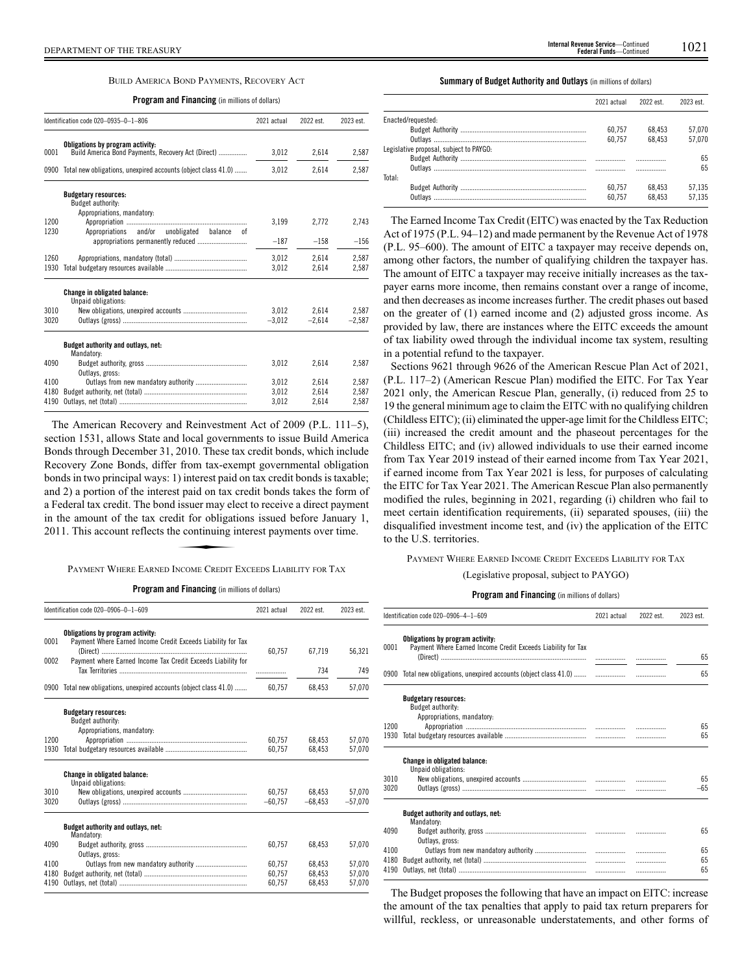# BUILD AMERICA BOND PAYMENTS, RECOVERY ACT

**Program and Financing** (in millions of dollars)

|      | Identification code 020-0935-0-1-806                                                   | 2021 actual | 2022 est. | 2023 est. |
|------|----------------------------------------------------------------------------------------|-------------|-----------|-----------|
| 0001 | Obligations by program activity:<br>Build America Bond Payments, Recovery Act (Direct) | 3,012       | 2.614     | 2,587     |
| 0900 | Total new obligations, unexpired accounts (object class 41.0)                          | 3,012       | 2,614     | 2,587     |
|      | <b>Budgetary resources:</b><br>Budget authority:                                       |             |           |           |
| 1200 | Appropriations, mandatory:                                                             | 3,199       | 2.772     | 2,743     |
| 1230 | Appropriations and/or unobligated<br>balance<br>0f                                     | $-187$      | $-158$    | $-156$    |
| 1260 |                                                                                        | 3,012       | 2,614     | 2,587     |
| 1930 |                                                                                        | 3.012       | 2.614     | 2,587     |
|      | <b>Change in obligated balance:</b><br>Unpaid obligations:                             |             |           |           |
| 3010 |                                                                                        | 3.012       | 2.614     | 2.587     |
| 3020 |                                                                                        | $-3,012$    | $-2,614$  | $-2,587$  |
|      | Budget authority and outlays, net:<br>Mandatory:                                       |             |           |           |
| 4090 | Outlays, gross:                                                                        | 3.012       | 2.614     | 2.587     |
| 4100 |                                                                                        | 3.012       | 2.614     | 2.587     |
| 4180 |                                                                                        | 3.012       | 2.614     | 2,587     |
| 4190 |                                                                                        | 3,012       | 2,614     | 2,587     |

The American Recovery and Reinvestment Act of 2009 (P.L. 111–5), section 1531, allows State and local governments to issue Build America Bonds through December 31, 2010. These tax credit bonds, which include Recovery Zone Bonds, differ from tax-exempt governmental obligation bonds in two principal ways: 1) interest paid on tax credit bonds is taxable; and 2) a portion of the interest paid on tax credit bonds takes the form of a Federal tax credit. The bond issuer may elect to receive a direct payment<br>in the amount of the tax credit for obligations issued before January 1,<br>2011. This account reflects the continuing interest payments over time.<br>P in the amount of the tax credit for obligations issued before January 1, 2011. This account reflects the continuing interest payments over time.

PAYMENT WHERE EARNED INCOME CREDIT EXCEEDS LIABILITY FOR TAX

# **Program and Financing** (in millions of dollars)

|              | Identification code 020-0906-0-1-609                          | 2021 actual      | 2022 est.        | 2023 est.        |
|--------------|---------------------------------------------------------------|------------------|------------------|------------------|
|              | Obligations by program activity:                              |                  |                  |                  |
| 0001         | Payment Where Earned Income Credit Exceeds Liability for Tax  | 60,757           | 67.719           | 56,321           |
| 0002         | Payment where Earned Income Tax Credit Exceeds Liability for  |                  | 734              | 749              |
| 0900         | Total new obligations, unexpired accounts (object class 41.0) | 60.757           | 68.453           | 57.070           |
|              | <b>Budgetary resources:</b>                                   |                  |                  |                  |
|              | Budget authority:                                             |                  |                  |                  |
|              | Appropriations, mandatory:                                    |                  |                  |                  |
| 1200<br>1930 |                                                               | 60,757<br>60.757 | 68.453<br>68.453 | 57,070<br>57.070 |
|              |                                                               |                  |                  |                  |
|              | <b>Change in obligated balance:</b><br>Unpaid obligations:    |                  |                  |                  |
| 3010         |                                                               | 60.757           | 68.453           | 57.070           |
| 3020         |                                                               | $-60.757$        | $-68.453$        | $-57.070$        |
|              | Budget authority and outlays, net:<br>Mandatory:              |                  |                  |                  |
| 4090         | Outlays, gross:                                               | 60.757           | 68.453           | 57.070           |
| 4100         |                                                               | 60.757           | 68.453           | 57.070           |
| 4180         |                                                               | 60.757           | 68.453           | 57,070           |
| 4190         |                                                               | 60.757           | 68.453           | 57,070           |

**Summary of Budget Authority and Outlays** (in millions of dollars)

|                                         | 2021 actual | 2022 est. | 2023 est. |
|-----------------------------------------|-------------|-----------|-----------|
| Enacted/requested:                      |             |           |           |
|                                         | 60.757      | 68.453    | 57.070    |
|                                         | 60.757      | 68.453    | 57.070    |
| Legislative proposal, subject to PAYGO: |             |           |           |
|                                         |             |           | 65        |
|                                         |             |           | 65        |
| Total:                                  |             |           |           |
|                                         | 60.757      | 68.453    | 57.135    |
|                                         | 60.757      | 68.453    | 57.135    |
|                                         |             |           |           |

The Earned Income Tax Credit (EITC) was enacted by the Tax Reduction Act of 1975 (P.L. 94–12) and made permanent by the Revenue Act of 1978 (P.L. 95–600). The amount of EITC a taxpayer may receive depends on, among other factors, the number of qualifying children the taxpayer has. The amount of EITC a taxpayer may receive initially increases as the taxpayer earns more income, then remains constant over a range of income, and then decreases as income increases further. The credit phases out based on the greater of (1) earned income and (2) adjusted gross income. As provided by law, there are instances where the EITC exceeds the amount of tax liability owed through the individual income tax system, resulting in a potential refund to the taxpayer.

Sections 9621 through 9626 of the American Rescue Plan Act of 2021, (P.L. 117–2) (American Rescue Plan) modified the EITC. For Tax Year 2021 only, the American Rescue Plan, generally, (i) reduced from 25 to 19 the general minimum age to claim the EITC with no qualifying children (Childless EITC); (ii) eliminated the upper-age limit for the Childless EITC; (iii) increased the credit amount and the phaseout percentages for the Childless EITC; and (iv) allowed individuals to use their earned income from Tax Year 2019 instead of their earned income from Tax Year 2021, if earned income from Tax Year 2021 is less, for purposes of calculating the EITC for Tax Year 2021. The American Rescue Plan also permanently modified the rules, beginning in 2021, regarding (i) children who fail to meet certain identification requirements, (ii) separated spouses, (iii) the disqualified investment income test, and (iv) the application of the EITC to the U.S. territories.

# PAYMENT WHERE EARNED INCOME CREDIT EXCEEDS LIABILITY FOR TAX

# (Legislative proposal, subject to PAYGO)

# **Program and Financing** (in millions of dollars)

|              | Identification code 020-0906-4-1-609                                                             | 2021 actual | 2022 est. | 2023 est.   |
|--------------|--------------------------------------------------------------------------------------------------|-------------|-----------|-------------|
| 0001         | Obligations by program activity:<br>Payment Where Earned Income Credit Exceeds Liability for Tax |             |           |             |
|              |                                                                                                  |             |           | 65          |
|              | 0900 Total new obligations, unexpired accounts (object class 41.0)                               |             | .         | 65          |
|              | <b>Budgetary resources:</b><br><b>Budget authority:</b><br>Appropriations, mandatory:            |             |           |             |
| 1200         |                                                                                                  |             |           | 65          |
| 1930         |                                                                                                  |             | .         | 65          |
|              | <b>Change in obligated balance:</b>                                                              |             |           |             |
|              | Unpaid obligations:                                                                              |             |           |             |
| 3010<br>3020 |                                                                                                  |             |           | 65<br>$-65$ |
|              |                                                                                                  |             |           |             |
|              | Budget authority and outlays, net:<br>Mandatory:                                                 |             |           |             |
| 4090         | Outlays, gross:                                                                                  |             |           | 65          |
| 4100         |                                                                                                  |             | .         | 65          |
| 4180         |                                                                                                  |             | .         | 65          |
| 4190         |                                                                                                  |             | .         | 65          |

The Budget proposes the following that have an impact on EITC: increase the amount of the tax penalties that apply to paid tax return preparers for willful, reckless, or unreasonable understatements, and other forms of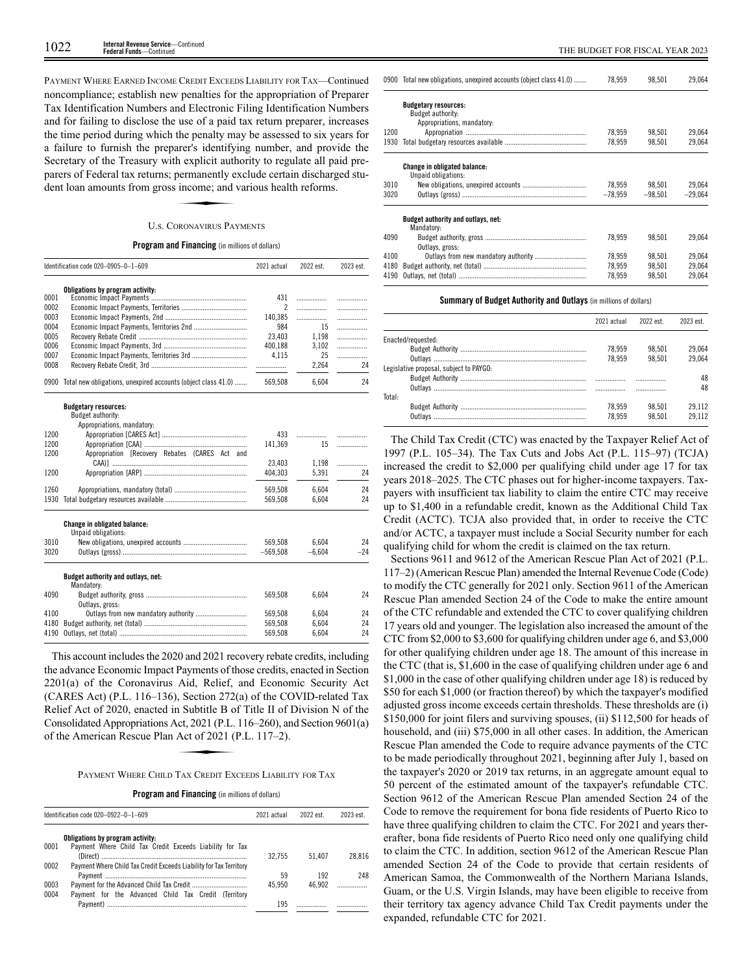PAYMENT WHERE EARNED INCOME CREDIT EXCEEDS LIABILITY FOR TAX—Continued noncompliance; establish new penalties for the appropriation of Preparer Tax Identification Numbers and Electronic Filing Identification Numbers and for failing to disclose the use of a paid tax return preparer, increases the time period during which the penalty may be assessed to six years for a failure to furnish the preparer's identifying number, and provide the Secretary of the Treasury with explicit authority to regulate all paid pre-<br>
Secretary of the Treasury with explicit authority to regulate all paid pre-<br>
parers of Federal tax returns; permanently exclude certain discharge parers of Federal tax returns; permanently exclude certain discharged student loan amounts from gross income; and various health reforms.

# U.S. CORONAVIRUS PAYMENTS

## **Program and Financing** (in millions of dollars)

|      | Identification code 020-0905-0-1-609                               | 2021 actual    | 2022 est. | 2023 est. |
|------|--------------------------------------------------------------------|----------------|-----------|-----------|
|      | Obligations by program activity:                                   |                |           |           |
| 0001 |                                                                    | 431            | .         | .         |
| 0002 |                                                                    | $\overline{2}$ | .         | .         |
| 0003 |                                                                    | 140,385        | .         | .         |
| 0004 | Economic Impact Payments, Territories 2nd                          | 984            | 15        | .         |
| 0005 |                                                                    | 23,403         | 1,198     | .         |
| 0006 |                                                                    | 400,188        | 3,102     | .         |
| 0007 |                                                                    | 4,115          | 25        | .         |
| 0008 |                                                                    | .              | 2,264     | 24        |
|      | 0900 Total new obligations, unexpired accounts (object class 41.0) | 569,508        | 6.604     | 24        |
|      | <b>Budgetary resources:</b>                                        |                |           |           |
|      | Budget authority:                                                  |                |           |           |
|      | Appropriations, mandatory:                                         |                |           |           |
| 1200 |                                                                    | 433            |           | .         |
| 1200 |                                                                    | 141.369        | 15        | .         |
| 1200 | Appropriation [Recovery Rebates (CARES Act and                     |                |           |           |
|      |                                                                    | 23,403         | 1,198     | .         |
| 1200 |                                                                    | 404,303        | 5,391     | 24        |
| 1260 |                                                                    | 569,508        | 6,604     | 24        |
| 1930 |                                                                    | 569,508        | 6,604     | 24        |
|      | <b>Change in obligated balance:</b><br>Unpaid obligations:         |                |           |           |
| 3010 |                                                                    | 569.508        | 6.604     | 24        |
| 3020 |                                                                    | $-569,508$     | $-6,604$  | $-24$     |
|      | Budget authority and outlays, net:<br>Mandatory:                   |                |           |           |
| 4090 | Outlays, gross:                                                    | 569,508        | 6,604     | 24        |
| 4100 |                                                                    | 569,508        | 6,604     | 24        |
| 4180 |                                                                    | 569,508        | 6.604     | 24        |
| 4190 |                                                                    | 569,508        | 6,604     | 24        |

This account includes the 2020 and 2021 recovery rebate credits, including the advance Economic Impact Payments of those credits, enacted in Section 2201(a) of the Coronavirus Aid, Relief, and Economic Security Act (CARES Act) (P.L. 116–136), Section 272(a) of the COVID-related Tax Relief Act of 2020, enacted in Subtitle B of Title II of Division N of the<br>
Consolidated Appropriations Act, 2021 (P.L. 116–260), and Section 9601(a)<br>
of the American Rescue Plan Act of 2021 (P.L. 117–2).<br>
PAYMENT WHERE CH Consolidated Appropriations Act, 2021 (P.L. 116–260), and Section 9601(a) of the American Rescue Plan Act of 2021 (P.L. 117 –2).

PAYMENT WHERE CHILD TAX CREDIT EXCEEDS LIABILITY FOR TAX

| <b>Program and Financing</b> (in millions of dollars) |  |
|-------------------------------------------------------|--|
|-------------------------------------------------------|--|

|      | Identification code 020-0922-0-1-609                               | 2021 actual | 2022 est. | 2023 est. |
|------|--------------------------------------------------------------------|-------------|-----------|-----------|
|      | Obligations by program activity:                                   |             |           |           |
| 0001 | Payment Where Child Tax Credit Exceeds Liability for Tax           |             |           |           |
|      |                                                                    | 32.755      | 51.407    | 28.816    |
| 0002 | Payment Where Child Tax Credit Exceeds Liability for Tax Territory |             |           |           |
|      |                                                                    | 59          | 192       | 248       |
| 0003 |                                                                    | 45.950      | 46.902    |           |
| 0004 | Payment for the Advanced Child Tax Credit (Territory               |             |           |           |
|      |                                                                    | 195         |           |           |

|      | 0900 Total new obligations, unexpired accounts (object class 41.0) | 78.959    | 98.501    | 29.064    |
|------|--------------------------------------------------------------------|-----------|-----------|-----------|
|      | <b>Budgetary resources:</b><br><b>Budget authority:</b>            |           |           |           |
|      | Appropriations, mandatory:                                         |           |           |           |
| 1200 |                                                                    | 78.959    | 98.501    | 29.064    |
| 1930 |                                                                    | 78.959    | 98.501    | 29.064    |
|      | Change in obligated balance:<br>Unpaid obligations:                |           |           |           |
| 3010 |                                                                    | 78.959    | 98.501    | 29.064    |
| 3020 |                                                                    | $-78,959$ | $-98.501$ | $-29.064$ |
|      | Budget authority and outlays, net:<br>Mandatory:                   |           |           |           |
| 4090 | Outlays, gross:                                                    | 78.959    | 98.501    | 29.064    |
| 4100 |                                                                    | 78.959    | 98.501    | 29.064    |
| 4180 |                                                                    | 78.959    | 98.501    | 29.064    |
| 4190 |                                                                    | 78.959    | 98.501    | 29.064    |
|      |                                                                    |           |           |           |

# **Summary of Budget Authority and Outlays** (in millions of dollars)

|                                         | 2021 actual | 2022 est. | 2023 est. |
|-----------------------------------------|-------------|-----------|-----------|
| Enacted/requested:                      |             |           |           |
|                                         | 78.959      | 98.501    | 29.064    |
|                                         | 78.959      | 98.501    | 29.064    |
| Legislative proposal, subiect to PAYGO: |             |           |           |
|                                         |             |           | 48        |
|                                         |             |           | 48        |
| Total:                                  |             |           |           |
|                                         | 78.959      | 98.501    | 29.112    |
|                                         | 78.959      | 98.501    | 29.112    |
|                                         |             |           |           |

The Child Tax Credit (CTC) was enacted by the Taxpayer Relief Act of 1997 (P.L. 105–34). The Tax Cuts and Jobs Act (P.L. 115–97) (TCJA) increased the credit to \$2,000 per qualifying child under age 17 for tax years 2018–2025. The CTC phases out for higher-income taxpayers. Taxpayers with insufficient tax liability to claim the entire CTC may receive up to \$1,400 in a refundable credit, known as the Additional Child Tax Credit (ACTC). TCJA also provided that, in order to receive the CTC and/or ACTC, a taxpayer must include a Social Security number for each qualifying child for whom the credit is claimed on the tax return.

Sections 9611 and 9612 of the American Rescue Plan Act of 2021 (P.L. 117–2) (American Rescue Plan) amended the Internal Revenue Code (Code) to modify the CTC generally for 2021 only. Section 9611 of the American Rescue Plan amended Section 24 of the Code to make the entire amount of the CTC refundable and extended the CTC to cover qualifying children 17 years old and younger. The legislation also increased the amount of the CTC from \$2,000 to \$3,600 for qualifying children under age 6, and \$3,000 for other qualifying children under age 18. The amount of this increase in the CTC (that is, \$1,600 in the case of qualifying children under age 6 and \$1,000 in the case of other qualifying children under age 18) is reduced by \$50 for each \$1,000 (or fraction thereof) by which the taxpayer's modified adjusted gross income exceeds certain thresholds. These thresholds are (i) \$150,000 for joint filers and surviving spouses, (ii) \$112,500 for heads of household, and (iii) \$75,000 in all other cases. In addition, the American Rescue Plan amended the Code to require advance payments of the CTC to be made periodically throughout 2021, beginning after July 1, based on the taxpayer's 2020 or 2019 tax returns, in an aggregate amount equal to 50 percent of the estimated amount of the taxpayer's refundable CTC. Section 9612 of the American Rescue Plan amended Section 24 of the Code to remove the requirement for bona fide residents of Puerto Rico to have three qualifying children to claim the CTC. For 2021 and years thererafter, bona fide residents of Puerto Rico need only one qualifying child to claim the CTC. In addition, section 9612 of the American Rescue Plan amended Section 24 of the Code to provide that certain residents of American Samoa, the Commonwealth of the Northern Mariana Islands, Guam, or the U.S. Virgin Islands, may have been eligible to receive from their territory tax agency advance Child Tax Credit payments under the expanded, refundable CTC for 2021.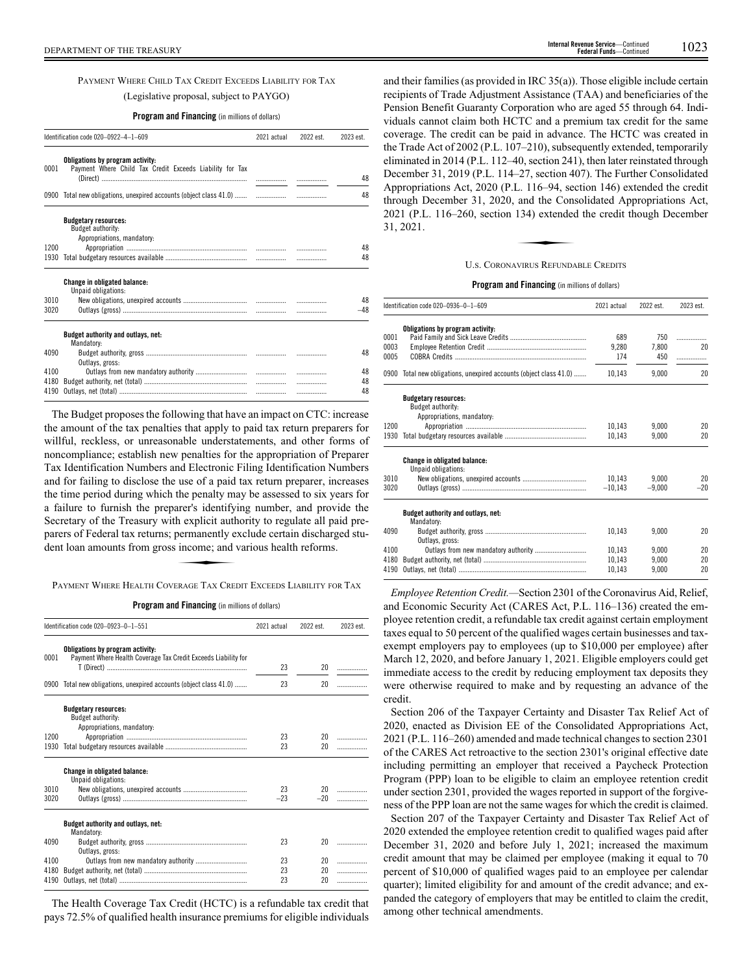PAYMENT WHERE CHILD TAX CREDIT EXCEEDS LIABILITY FOR TAX (Legislative proposal, subject to PAYGO)

**Program and Financing** (in millions of dollars)

|      | Identification code 020-0922-4-1-609                                                                                                |  | 2022 est. | 2023 est. |
|------|-------------------------------------------------------------------------------------------------------------------------------------|--|-----------|-----------|
| 0001 | Obligations by program activity:<br>Payment Where Child Tax Credit Exceeds Liability for Tax<br>(Direct) …………………………………………………………………… |  |           | 48        |
|      |                                                                                                                                     |  |           |           |
|      | 0900 Total new obligations, unexpired accounts (object class 41.0)                                                                  |  | .         | 48        |
|      | <b>Budgetary resources:</b><br>Budget authority:<br>Appropriations, mandatory:                                                      |  |           |           |
| 1200 |                                                                                                                                     |  |           | 48        |
| 1930 |                                                                                                                                     |  |           | 48        |
|      | <b>Change in obligated balance:</b><br>Unpaid obligations:                                                                          |  |           |           |
| 3010 |                                                                                                                                     |  |           | 48        |
| 3020 |                                                                                                                                     |  |           | $-48$     |
|      | Budget authority and outlays, net:<br>Mandatory:                                                                                    |  |           |           |
| 4090 | Outlavs, gross:                                                                                                                     |  |           | 48        |
| 4100 |                                                                                                                                     |  |           | 48        |
| 4180 |                                                                                                                                     |  |           | 48        |
| 4190 |                                                                                                                                     |  |           | 48        |

The Budget proposes the following that have an impact on CTC: increase the amount of the tax penalties that apply to paid tax return preparers for willful, reckless, or unreasonable understatements, and other forms of noncompliance; establish new penalties for the appropriation of Preparer Tax Identification Numbers and Electronic Filing Identification Numbers and for failing to disclose the use of a paid tax return preparer, increases the time period during which the penalty may be assessed to six years for a failure to furnish the preparer's identifying number, and provide the Secretary of the Treasury with explicit authority to regulate all paid preparers of Federal tax returns; permanently exclude certain discharged student loan amounts from gross income; and various health reforms. ther s definity.<br>h explicit authorized<br>permanently e<br>income; and

PAYMENT WHERE HEALTH COVERAGE TAX CREDIT EXCEEDS LIABILITY FOR TAX

**Program and Financing** (in millions of dollars)

|      | Identification code 020-0923-0-1-551                                                               | 2021 actual | 2022 est. | 2023 est. |
|------|----------------------------------------------------------------------------------------------------|-------------|-----------|-----------|
| 0001 | Obligations by program activity:<br>Payment Where Health Coverage Tax Credit Exceeds Liability for |             |           |           |
|      |                                                                                                    | 23          | 20        | .         |
| 0900 | Total new obligations, unexpired accounts (object class 41.0)                                      | 23          | 20        |           |
|      | <b>Budgetary resources:</b><br>Budget authority:<br>Appropriations, mandatory:                     |             |           |           |
| 1200 |                                                                                                    | 23          | 20        |           |
| 1930 |                                                                                                    | 23          | 20        | .         |
|      | <b>Change in obligated balance:</b><br>Unpaid obligations:                                         |             |           |           |
| 3010 |                                                                                                    | 23          |           |           |
| 3020 |                                                                                                    | $-23$       | $-20$     |           |
|      | Budget authority and outlays, net:<br>Mandatory:                                                   |             |           |           |
| 4090 | Outlays, gross:                                                                                    | 23          | 20        |           |
| 4100 |                                                                                                    | 23          | 20        | .         |
| 4180 |                                                                                                    | 23          | 20        | .         |
| 4190 |                                                                                                    | 23          | 20        | .         |

The Health Coverage Tax Credit (HCTC) is a refundable tax credit that pays 72.5% of qualified health insurance premiums for eligible individuals and their families (as provided in IRC 35(a)). Those eligible include certain recipients of Trade Adjustment Assistance (TAA) and beneficiaries of the Pension Benefit Guaranty Corporation who are aged 55 through 64. Individuals cannot claim both HCTC and a premium tax credit for the same coverage. The credit can be paid in advance. The HCTC was created in the Trade Act of 2002 (P.L. 107–210), subsequently extended, temporarily eliminated in 2014 (P.L. 112–40, section 241), then later reinstated through December 31, 2019 (P.L. 114–27, section 407). The Further Consolidated Appropriations Act, 2020 (P.L. 116–94, section 146) extended the credit through December 31, 2020, and the Consolidated Appropriations Act,<br>
2021 (P.L. 116–260, section 134) extended the credit though December<br>
31, 2021.<br>
Us CORONAVIRUS REFUNDARLE CREDITS 2021 (P.L. 116–260, section 134) extended the credit though December 31, 2021.

## U.S. CORONAVIRUS REFUNDABLE CREDITS

# **Program and Financing** (in millions of dollars)

|                      | Identification code 020-0936-0-1-609                                           | 2021 actual         | 2022 est.           | 2023 est.    |
|----------------------|--------------------------------------------------------------------------------|---------------------|---------------------|--------------|
| 0001<br>0003<br>0005 | Obligations by program activity:                                               | 689<br>9.280<br>174 | 750<br>7.800<br>450 | .<br>20<br>. |
|                      | 0900 Total new obligations, unexpired accounts (object class 41.0)             | 10,143              | 9.000               | 20           |
|                      | <b>Budgetary resources:</b><br>Budget authority:<br>Appropriations, mandatory: |                     |                     |              |
| 1200                 |                                                                                | 10,143              | 9.000               | 20           |
| 1930                 |                                                                                | 10.143              | 9.000               | 20           |
|                      | <b>Change in obligated balance:</b><br>Unpaid obligations:                     |                     |                     |              |
| 3010                 |                                                                                | 10,143              | 9.000               | 20           |
| 3020                 |                                                                                | $-10.143$           | $-9.000$            | $-20$        |
|                      | Budget authority and outlays, net:<br>Mandatory:                               |                     |                     |              |
| 4090                 | Outlavs, gross:                                                                | 10.143              | 9.000               | 20           |
| 4100                 | Outlays from new mandatory authority                                           | 10.143              | 9.000               | 20           |
| 4180                 |                                                                                | 10,143              | 9,000               | 20           |
| 4190                 |                                                                                | 10,143              | 9,000               | 20           |

*Employee Retention Credit.—*Section 2301 of the Coronavirus Aid, Relief, and Economic Security Act (CARES Act, P.L. 116–136) created the employee retention credit, a refundable tax credit against certain employment taxes equal to 50 percent of the qualified wages certain businesses and taxexempt employers pay to employees (up to \$10,000 per employee) after March 12, 2020, and before January 1, 2021. Eligible employers could get immediate access to the credit by reducing employment tax deposits they were otherwise required to make and by requesting an advance of the credit.

Section 206 of the Taxpayer Certainty and Disaster Tax Relief Act of 2020, enacted as Division EE of the Consolidated Appropriations Act, 2021 (P.L. 116–260) amended and made technical changes to section 2301 of the CARES Act retroactive to the section 2301's original effective date including permitting an employer that received a Paycheck Protection Program (PPP) loan to be eligible to claim an employee retention credit under section 2301, provided the wages reported in support of the forgiveness of the PPP loan are not the same wages for which the credit is claimed.

Section 207 of the Taxpayer Certainty and Disaster Tax Relief Act of 2020 extended the employee retention credit to qualified wages paid after December 31, 2020 and before July 1, 2021; increased the maximum credit amount that may be claimed per employee (making it equal to 70 percent of \$10,000 of qualified wages paid to an employee per calendar quarter); limited eligibility for and amount of the credit advance; and expanded the category of employers that may be entitled to claim the credit, among other technical amendments.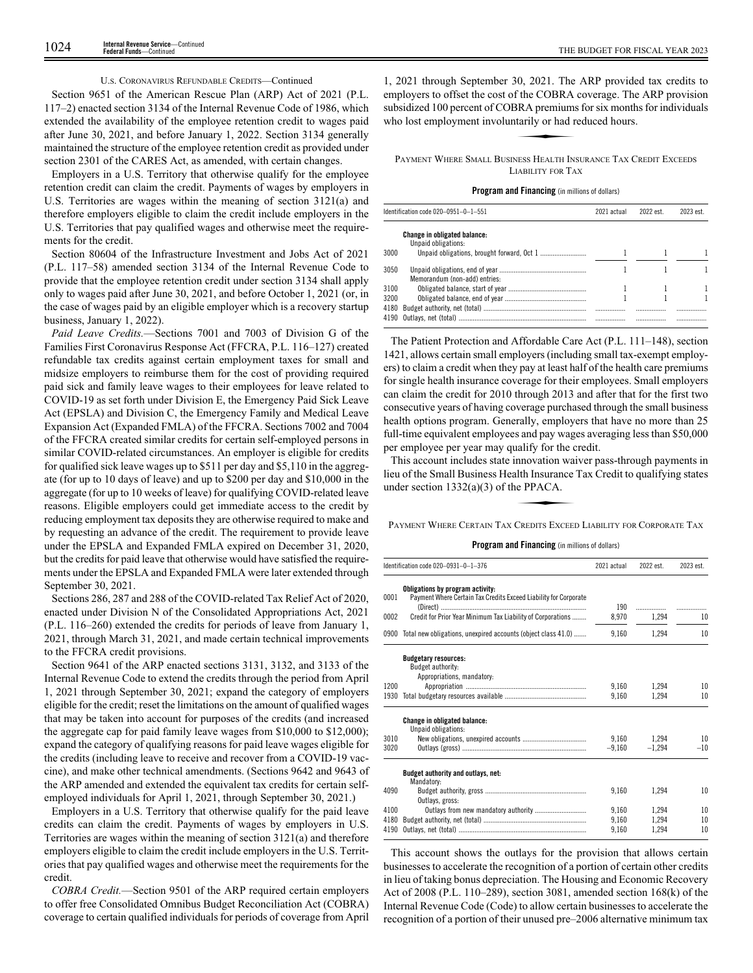# U.S. CORONAVIRUS REFUNDABLE CREDITS—Continued

Section 9651 of the American Rescue Plan (ARP) Act of 2021 (P.L. 117–2) enacted section 3134 of the Internal Revenue Code of 1986, which extended the availability of the employee retention credit to wages paid after June 30, 2021, and before January 1, 2022. Section 3134 generally maintained the structure of the employee retention credit as provided under section 2301 of the CARES Act, as amended, with certain changes.

Employers in a U.S. Territory that otherwise qualify for the employee retention credit can claim the credit. Payments of wages by employers in U.S. Territories are wages within the meaning of section 3121(a) and therefore employers eligible to claim the credit include employers in the U.S. Territories that pay qualified wages and otherwise meet the requirements for the credit.

Section 80604 of the Infrastructure Investment and Jobs Act of 2021 (P.L. 117–58) amended section 3134 of the Internal Revenue Code to provide that the employee retention credit under section 3134 shall apply only to wages paid after June 30, 2021, and before October 1, 2021 (or, in the case of wages paid by an eligible employer which is a recovery startup business, January 1, 2022).

*Paid Leave Credits.*—Sections 7001 and 7003 of Division G of the Families First Coronavirus Response Act (FFCRA, P.L. 116–127) created refundable tax credits against certain employment taxes for small and midsize employers to reimburse them for the cost of providing required paid sick and family leave wages to their employees for leave related to COVID-19 as set forth under Division E, the Emergency Paid Sick Leave Act (EPSLA) and Division C, the Emergency Family and Medical Leave Expansion Act (Expanded FMLA) of the FFCRA. Sections 7002 and 7004 of the FFCRA created similar credits for certain self-employed persons in similar COVID-related circumstances. An employer is eligible for credits for qualified sick leave wages up to \$511 per day and \$5,110 in the aggregate (for up to 10 days of leave) and up to \$200 per day and \$10,000 in the aggregate (for up to 10 weeks of leave) for qualifying COVID-related leave reasons. Eligible employers could get immediate access to the credit by reducing employment tax deposits they are otherwise required to make and by requesting an advance of the credit. The requirement to provide leave under the EPSLA and Expanded FMLA expired on December 31, 2020, but the credits for paid leave that otherwise would have satisfied the requirements under the EPSLA and Expanded FMLA were later extended through September 30, 2021.

Sections 286, 287 and 288 of the COVID-related Tax Relief Act of 2020, enacted under Division N of the Consolidated Appropriations Act, 2021 (P.L. 116–260) extended the credits for periods of leave from January 1, 2021, through March 31, 2021, and made certain technical improvements to the FFCRA credit provisions.

Section 9641 of the ARP enacted sections 3131, 3132, and 3133 of the Internal Revenue Code to extend the credits through the period from April 1, 2021 through September 30, 2021; expand the category of employers eligible for the credit; reset the limitations on the amount of qualified wages that may be taken into account for purposes of the credits (and increased the aggregate cap for paid family leave wages from \$10,000 to \$12,000); expand the category of qualifying reasons for paid leave wages eligible for the credits (including leave to receive and recover from a COVID-19 vaccine), and make other technical amendments. (Sections 9642 and 9643 of the ARP amended and extended the equivalent tax credits for certain selfemployed individuals for April 1, 2021, through September 30, 2021.)

Employers in a U.S. Territory that otherwise qualify for the paid leave credits can claim the credit. Payments of wages by employers in U.S. Territories are wages within the meaning of section 3121(a) and therefore employers eligible to claim the credit include employers in the U.S. Territories that pay qualified wages and otherwise meet the requirements for the credit.

*COBRA Credit.*—Section 9501 of the ARP required certain employers to offer free Consolidated Omnibus Budget Reconciliation Act (COBRA) coverage to certain qualified individuals for periods of coverage from April

1, 2021 through September 30, 2021. The ARP provided tax credits to employers to offset the cost of the COBRA coverage. The ARP provision subsidized 100 percent of COBRA premiums for six months for individuals who lost employment involuntarily or had reduced hours. 30, 2021. The<br>f the COBRA<br>BRA premiums<br>tarily or had r

PAYMENT WHERE SMALL BUSINESS HEALTH INSURANCE TAX CREDIT EXCEEDS LIABILITY FOR TAX

# **Program and Financing** (in millions of dollars)

|      | Identification code 020-0951-0-1-551                | 2021 actual | 2022 est. | 2023 est. |
|------|-----------------------------------------------------|-------------|-----------|-----------|
|      | Change in obligated balance:<br>Unpaid obligations: |             |           |           |
| 3000 |                                                     |             |           |           |
| 3050 | Memorandum (non-add) entries:                       |             |           |           |
| 3100 |                                                     |             |           |           |
| 3200 |                                                     |             |           |           |
| 4180 |                                                     |             | .         | .         |
|      |                                                     |             | .         |           |

The Patient Protection and Affordable Care Act (P.L. 111–148), section 1421, allows certain small employers (including small tax-exempt employers) to claim a credit when they pay at least half of the health care premiums for single health insurance coverage for their employees. Small employers can claim the credit for 2010 through 2013 and after that for the first two consecutive years of having coverage purchased through the small business health options program. Generally, employers that have no more than 25 full-time equivalent employees and pay wages averaging less than \$50,000 per employee per year may qualify for the credit.

This account includes state innovation waiver pass-through payments in lieu of the Small Business Health Insurance Tax Credit to qualifying states under section 1332(a)(3) of the PPACA. admy for the composition<br>alth Insurance<br>the PPACA.<br>CREDITS EXCEEL

PAYMENT WHERE CERTAIN TAX CREDITS EXCEED LIABILITY FOR CORPORATE TAX

# **Program and Financing** (in millions of dollars)

|                      | Identification code 020-0931-0-1-376                                                                 | 2021 actual             | 2022 est.               | 2023 est.      |
|----------------------|------------------------------------------------------------------------------------------------------|-------------------------|-------------------------|----------------|
| 0001                 | Obligations by program activity:<br>Payment Where Certain Tax Credits Exceed Liability for Corporate | 190                     | .                       |                |
| 0002                 | Credit for Prior Year Minimum Tax Liability of Corporations                                          | 8,970                   | 1,294                   | 10             |
| 0900                 | Total new obligations, unexpired accounts (object class 41.0)                                        | 9,160                   | 1.294                   | 10             |
|                      | <b>Budgetary resources:</b><br>Budget authority:<br>Appropriations, mandatory:                       |                         |                         |                |
| 1200<br>1930         |                                                                                                      | 9.160<br>9,160          | 1,294<br>1,294          | 10<br>10       |
|                      | <b>Change in obligated balance:</b><br>Unpaid obligations:                                           |                         |                         |                |
| 3010<br>3020         |                                                                                                      | 9.160<br>$-9.160$       | 1.294<br>$-1.294$       | 10<br>$-10$    |
|                      | Budget authority and outlays, net:<br>Mandatory:                                                     |                         |                         |                |
| 4090                 | Outlays, gross:                                                                                      | 9.160                   | 1.294                   | 10             |
| 4100<br>4180<br>4190 |                                                                                                      | 9.160<br>9.160<br>9,160 | 1.294<br>1.294<br>1.294 | 10<br>10<br>10 |

This account shows the outlays for the provision that allows certain businesses to accelerate the recognition of a portion of certain other credits in lieu of taking bonus depreciation. The Housing and Economic Recovery Act of 2008 (P.L. 110–289), section 3081, amended section 168(k) of the Internal Revenue Code (Code) to allow certain businesses to accelerate the recognition of a portion of their unused pre–2006 alternative minimum tax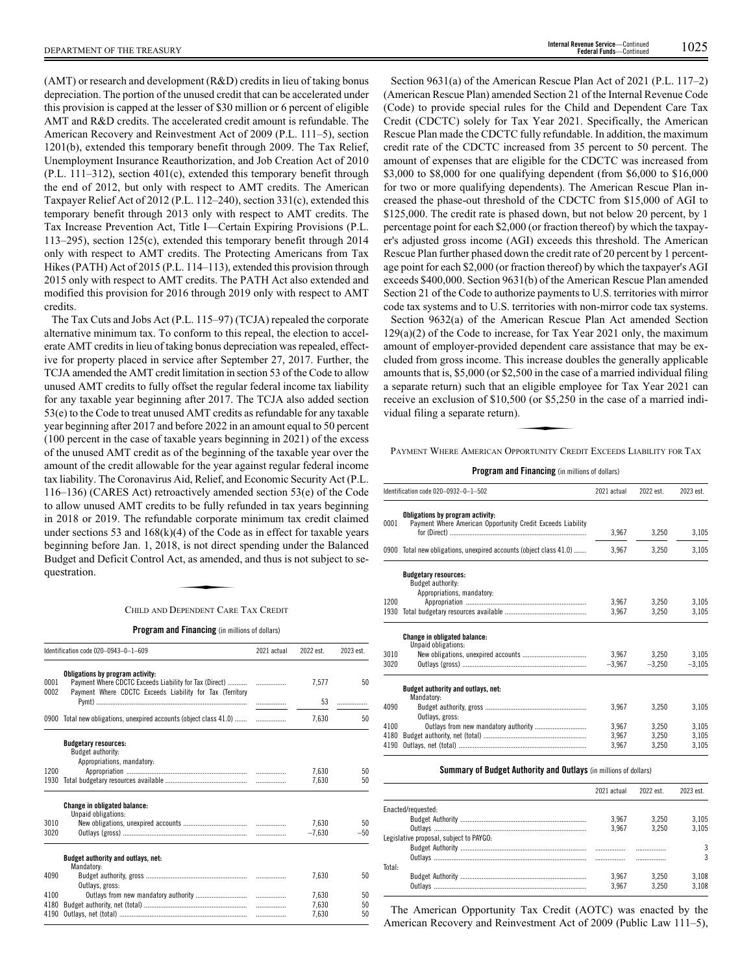(AMT) or research and development (R&D) credits in lieu of taking bonus depreciation. The portion of the unused credit that can be accelerated under this provision is capped at the lesser of \$30 million or 6 percent of eligible AMT and R&D credits. The accelerated credit amount is refundable. The American Recovery and Reinvestment Act of 2009 (P.L. 111–5), section 1201(b), extended this temporary benefit through 2009. The Tax Relief, Unemployment Insurance Reauthorization, and Job Creation Act of 2010 (P.L. 111–312), section 401(c), extended this temporary benefit through the end of 2012, but only with respect to AMT credits. The American Taxpayer Relief Act of 2012 (P.L. 112–240), section 331(c), extended this temporary benefit through 2013 only with respect to AMT credits. The Tax Increase Prevention Act, Title I—Certain Expiring Provisions (P.L. 113–295), section 125(c), extended this temporary benefit through 2014 only with respect to AMT credits. The Protecting Americans from Tax Hikes (PATH) Act of 2015 (P.L. 114–113), extended this provision through 2015 only with respect to AMT credits. The PATH Act also extended and

credits. The Tax Cuts and Jobs Act (P.L. 115–97) (TCJA) repealed the corporate alternative minimum tax. To conform to this repeal, the election to accelerate AMT credits in lieu of taking bonus depreciation was repealed, effective for property placed in service after September 27, 2017. Further, the TCJA amended the AMT credit limitation in section 53 of the Code to allow unused AMT credits to fully offset the regular federal income tax liability for any taxable year beginning after 2017. The TCJA also added section 53(e) to the Code to treat unused AMT credits as refundable for any taxable year beginning after 2017 and before 2022 in an amount equal to 50 percent (100 percent in the case of taxable years beginning in 2021) of the excess of the unused AMT credit as of the beginning of the taxable year over the amount of the credit allowable for the year against regular federal income tax liability. The Coronavirus Aid, Relief, and Economic Security Act (P.L. 116–136) (CARES Act) retroactively amended section 53(e) of the Code to allow unused AMT credits to be fully refunded in tax years beginning in 2018 or 2019. The refundable corporate minimum tax credit claimed under sections 53 and  $168(k)(4)$  of the Code as in effect for taxable years beginning before Jan. 1, 2018, is not direct spending under the Balanced<br>Budget and Deficit Control Act, as amended, and thus is not subject to se-<br>questration.<br>CHILD AND DEPENDENT CARE TAX CREDIT Budget and Deficit Control Act, as amended, and thus is not subject to sequestration.

modified this provision for 2016 through 2019 only with respect to AMT

# CHILD AND DEPENDENT CARE TAX CREDIT

**Program and Financing** (in millions of dollars)

|              | Identification code 020-0943-0-1-609                                                                                                                   | 2021 actual | 2022 est. | 2023 est. |
|--------------|--------------------------------------------------------------------------------------------------------------------------------------------------------|-------------|-----------|-----------|
| 0001<br>0002 | Obligations by program activity:<br>Payment Where CDCTC Exceeds Liability for Tax (Direct)<br>Payment Where CDCTC Exceeds Liability for Tax (Territory |             | 7,577     | 50        |
|              |                                                                                                                                                        |             | 53        | .         |
|              | 0900 Total new obligations, unexpired accounts (object class 41.0)                                                                                     |             | 7.630     | 50        |
|              | <b>Budgetary resources:</b>                                                                                                                            |             |           |           |
|              | Budget authority:                                                                                                                                      |             |           |           |
|              | Appropriations, mandatory:                                                                                                                             |             |           |           |
| 1200         |                                                                                                                                                        |             | 7.630     | 50        |
| 1930         |                                                                                                                                                        |             | 7.630     | 50        |
|              | <b>Change in obligated balance:</b><br>Unpaid obligations:                                                                                             |             |           |           |
| 3010         |                                                                                                                                                        |             | 7,630     | 50        |
| 3020         |                                                                                                                                                        |             | $-7.630$  | $-50$     |
|              | Budget authority and outlays, net:<br>Mandatory:                                                                                                       |             |           |           |
| 4090         | Outlays, gross:                                                                                                                                        |             | 7,630     | 50        |
| 4100         |                                                                                                                                                        |             | 7.630     | 50        |
| 4180         |                                                                                                                                                        |             | 7.630     | 50        |
| 4190         |                                                                                                                                                        |             | 7.630     | 50        |

Section 9631(a) of the American Rescue Plan Act of 2021 (P.L. 117–2) (American Rescue Plan) amended Section 21 of the Internal Revenue Code (Code) to provide special rules for the Child and Dependent Care Tax Credit (CDCTC) solely for Tax Year 2021. Specifically, the American Rescue Plan made the CDCTC fully refundable. In addition, the maximum credit rate of the CDCTC increased from 35 percent to 50 percent. The amount of expenses that are eligible for the CDCTC was increased from \$3,000 to \$8,000 for one qualifying dependent (from \$6,000 to \$16,000 for two or more qualifying dependents). The American Rescue Plan increased the phase-out threshold of the CDCTC from \$15,000 of AGI to \$125,000. The credit rate is phased down, but not below 20 percent, by 1 percentage point for each \$2,000 (or fraction thereof) by which the taxpayer's adjusted gross income (AGI) exceeds this threshold. The American Rescue Plan further phased down the credit rate of 20 percent by 1 percentage point for each \$2,000 (or fraction thereof) by which the taxpayer's AGI exceeds \$400,000. Section 9631(b) of the American Rescue Plan amended Section 21 of the Code to authorize payments to U.S. territories with mirror code tax systems and to U.S. territories with non-mirror code tax systems.

Section 9632(a) of the American Rescue Plan Act amended Section  $129(a)(2)$  of the Code to increase, for Tax Year 2021 only, the maximum amount of employer-provided dependent care assistance that may be excluded from gross income. This increase doubles the generally applicable amounts that is, \$5,000 (or \$2,500 in the case of a married individual filing a separate return) such that an eligible employee for Tax Year 2021 can receive an exclusion of \$10,500 (or \$5,250 in the case of a married individual filing a separate return). 900 in the case<br>
n eligible emp<br>
00 (or \$5,250).<br>
PPORTUNITY CRE

PAYMENT WHERE AMERICAN OPPORTUNITY CREDIT EXCEEDS LIABILITY FOR TAX

**Program and Financing** (in millions of dollars)

|      | Identification code 020-0932-0-1-502                                                            | 2021 actual | 2022 est. | 2023 est. |
|------|-------------------------------------------------------------------------------------------------|-------------|-----------|-----------|
| 0001 | Obligations by program activity:<br>Payment Where American Opportunity Credit Exceeds Liability |             |           |           |
|      |                                                                                                 | 3,967       | 3,250     | 3,105     |
| 0900 | Total new obligations, unexpired accounts (object class 41.0)                                   | 3,967       | 3.250     | 3,105     |
|      | <b>Budgetary resources:</b><br>Budget authority:<br>Appropriations, mandatory:                  |             |           |           |
| 1200 |                                                                                                 | 3.967       | 3.250     | 3.105     |
| 1930 |                                                                                                 | 3.967       | 3.250     | 3,105     |
|      | <b>Change in obligated balance:</b><br>Unpaid obligations:                                      |             |           |           |
| 3010 |                                                                                                 | 3.967       | 3.250     | 3.105     |
| 3020 |                                                                                                 | $-3.967$    | $-3,250$  | $-3,105$  |
|      | Budget authority and outlays, net:<br>Mandatory:                                                |             |           |           |
| 4090 | Outlays, gross:                                                                                 | 3.967       | 3.250     | 3.105     |
| 4100 |                                                                                                 | 3.967       | 3.250     | 3.105     |
| 4180 |                                                                                                 | 3.967       | 3.250     | 3,105     |
| 4190 |                                                                                                 | 3,967       | 3,250     | 3,105     |

# **Summary of Budget Authority and Outlays** (in millions of dollars)

|                                         | 2021 actual | 2022 est. | 2023 est. |
|-----------------------------------------|-------------|-----------|-----------|
| Enacted/requested:                      |             |           |           |
|                                         | 3.967       | 3.250     | 3.105     |
|                                         | 3.967       | 3.250     | 3.105     |
| Legislative proposal, subject to PAYGO: |             |           |           |
|                                         |             |           |           |
|                                         |             |           | ς         |
| Total:                                  |             |           |           |
|                                         | 3.967       | 3.250     | 3.108     |
|                                         | 3.967       | 3.250     | 3.108     |

The American Opportunity Tax Credit (AOTC) was enacted by the American Recovery and Reinvestment Act of 2009 (Public Law 111–5),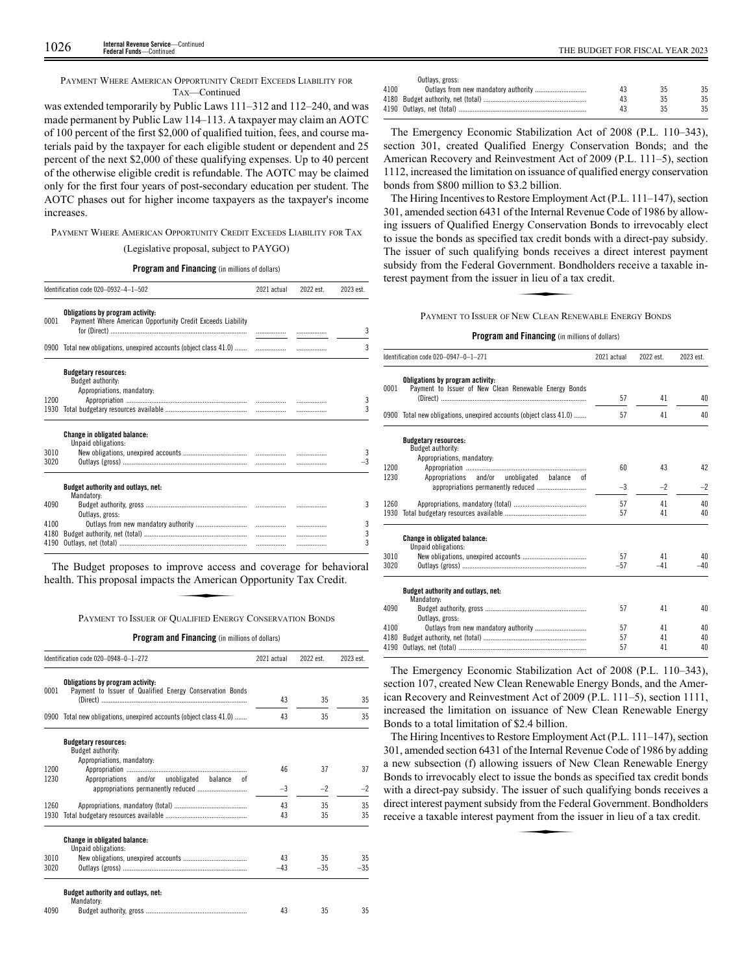PAYMENT WHERE AMERICAN OPPORTUNITY CREDIT EXCEEDS LIABILITY FOR TAX—Continued

was extended temporarily by Public Laws 111–312 and 112–240, and was made permanent by Public Law 114–113. A taxpayer may claim an AOTC of 100 percent of the first \$2,000 of qualified tuition, fees, and course materials paid by the taxpayer for each eligible student or dependent and 25 percent of the next \$2,000 of these qualifying expenses. Up to 40 percent of the otherwise eligible credit is refundable. The AOTC may be claimed only for the first four years of post-secondary education per student. The AOTC phases out for higher income taxpayers as the taxpayer's income increases.

PAYMENT WHERE AMERICAN OPPORTUNITY CREDIT EXCEEDS LIABILITY FOR TAX

# (Legislative proposal, subject to PAYGO)

**Program and Financing** (in millions of dollars)

| Identification code 020-0932-4-1-502<br>2022 est.<br>2021 actual |                                                                                                 |   |  |      |  |
|------------------------------------------------------------------|-------------------------------------------------------------------------------------------------|---|--|------|--|
| 0001                                                             | Obligations by program activity:<br>Payment Where American Opportunity Credit Exceeds Liability |   |  | 3    |  |
|                                                                  | 0900 Total new obligations, unexpired accounts (object class 41.0)                              | . |  | 3    |  |
|                                                                  | <b>Budgetary resources:</b><br>Budget authority:<br>Appropriations, mandatory:                  |   |  |      |  |
| 1200                                                             |                                                                                                 |   |  | 3    |  |
| 1930                                                             |                                                                                                 |   |  | 3    |  |
|                                                                  | <b>Change in obligated balance:</b><br>Unpaid obligations:                                      |   |  |      |  |
| 3010                                                             |                                                                                                 |   |  | 3    |  |
| 3020                                                             |                                                                                                 |   |  | $-3$ |  |
|                                                                  | Budget authority and outlays, net:<br>Mandatory:                                                |   |  |      |  |
| 4090                                                             | Outlays, gross:                                                                                 |   |  | 3    |  |
| 4100                                                             |                                                                                                 |   |  | 3    |  |
| 4180                                                             |                                                                                                 |   |  | 3    |  |
| 4190                                                             |                                                                                                 |   |  | 3    |  |

The Budget proposes to improve access and coverage for behavioral health. This proposal impacts the American Opportunity Tax Credit. **Example 18 Approve access**<br>the American<br>PUALIFIED ENFRO

PAYMENT TO ISSUER OF QUALIFIED ENERGY CONSERVATION BONDS

**Program and Financing** (in millions of dollars)

| 43<br>43 | 35<br>35 | 35<br>35 |
|----------|----------|----------|
|          |          |          |
|          |          |          |
|          |          |          |
|          |          |          |
|          |          | 37       |
|          |          |          |
| $-3$     | $-2$     | $-2$     |
| 43       | 35       | 35       |
| 43       | 35       | 35       |
|          |          |          |
| 43       | 35       | 35       |
| $-43$    | $-35$    | $-35$    |
|          |          |          |
| 43       | 35       | 35       |
|          | 46       | 37       |

|      | Outlays, gross: |    |     |
|------|-----------------|----|-----|
| 4100 |                 | 13 | 35  |
|      |                 |    | 35  |
|      |                 |    | 35. |

The Emergency Economic Stabilization Act of 2008 (P.L. 110–343), section 301, created Qualified Energy Conservation Bonds; and the American Recovery and Reinvestment Act of 2009 (P.L. 111–5), section 1112, increased the limitation on issuance of qualified energy conservation bonds from \$800 million to \$3.2 billion.

The Hiring Incentives to Restore Employment Act (P.L. 111–147), section 301, amended section 6431 of the Internal Revenue Code of 1986 by allowing issuers of Qualified Energy Conservation Bonds to irrevocably elect to issue the bonds as specified tax credit bonds with a direct-pay subsidy. The issuer of such qualifying bonds receives a direct interest payment subsidy from the Federal Government. Bondholders receive a taxable interest payment from the issuer in lieu of a tax credit. g bonds received<br>g bonds receivernment. Bon<br>r in lieu of a ta<br>NEW CLEAN REN

PAYMENT TO ISSUER OF NEW CLEAN RENEWABLE ENERGY BONDS

# **Program and Financing** (in millions of dollars)

|      | Identification code 020-0947-0-1-271                                                      |       | 2022 est. | 2023 est. |
|------|-------------------------------------------------------------------------------------------|-------|-----------|-----------|
| 0001 | Obligations by program activity:<br>Payment to Issuer of New Clean Renewable Energy Bonds | 57    | 41        | 40        |
|      | 0900 Total new obligations, unexpired accounts (object class 41.0)                        | 57    | 41        | 40        |
|      | <b>Budgetary resources:</b><br>Budget authority:                                          |       |           |           |
| 1200 | Appropriations, mandatory:                                                                | 60    | 43        | 42        |
| 1230 | Appropriations and/or unobligated<br>balance<br>0f                                        |       |           |           |
|      |                                                                                           | $-3$  | $-2$      | $-2$      |
| 1260 |                                                                                           | 57    | 41        | 40        |
| 1930 |                                                                                           | 57    | 41        | 40        |
|      | <b>Change in obligated balance:</b><br>Unpaid obligations:                                |       |           |           |
| 3010 |                                                                                           | 57    | 41        | 40        |
| 3020 |                                                                                           | $-57$ | $-41$     | $-40$     |
|      | Budget authority and outlays, net:<br>Mandatory:                                          |       |           |           |
| 4090 | Outlays, gross:                                                                           | 57    | 41        | 40        |
| 4100 |                                                                                           | 57    | 41        | 40        |
| 4180 |                                                                                           | 57    | 41        | 40        |
| 4190 |                                                                                           | 57    | 41        | 40        |

The Emergency Economic Stabilization Act of 2008 (P.L. 110–343), section 107, created New Clean Renewable Energy Bonds, and the American Recovery and Reinvestment Act of 2009 (P.L. 111–5), section 1111, increased the limitation on issuance of New Clean Renewable Energy Bonds to a total limitation of \$2.4 billion.

The Hiring Incentives to Restore Employment Act (P.L. 111–147), section 301, amended section 6431 of the Internal Revenue Code of 1986 by adding a new subsection (f) allowing issuers of New Clean Renewable Energy Bonds to irrevocably elect to issue the bonds as specified tax credit bonds bonds to increasily creed to issue the bonds as specified that event bonds<br>with a direct-pay subsidy. The issuer of such qualifying bonds receives a<br>direct interest payment subsidy from the Federal Government. Bondholders<br> direct interest payment subsidy from the Federal Government. Bondholders receive a taxable interest payment from the issuer in lieu of a tax credit.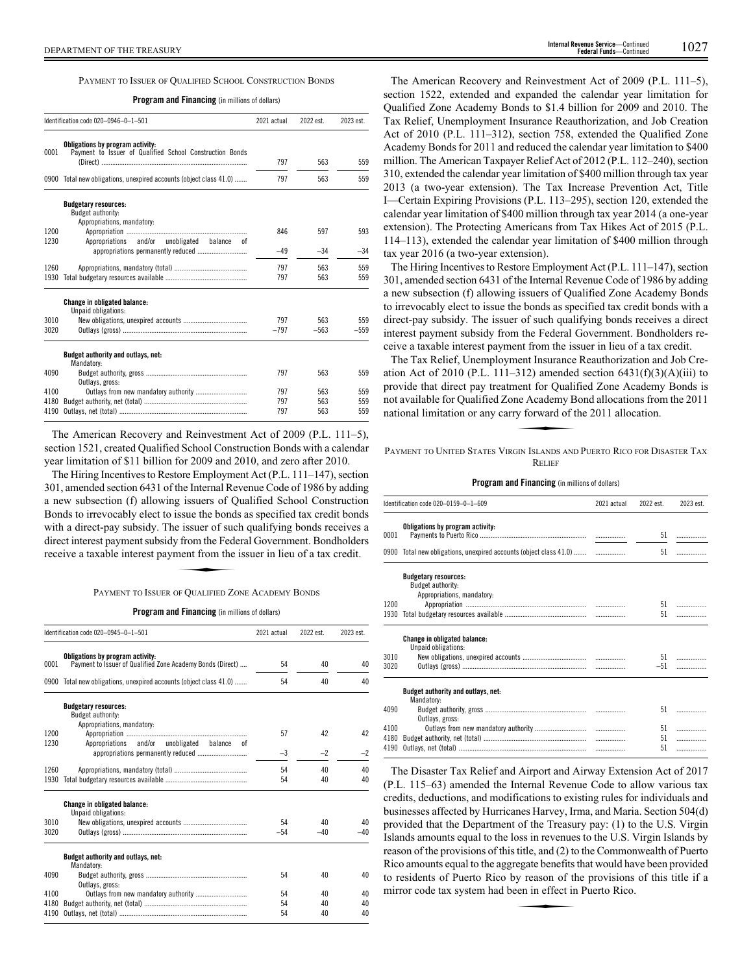PAYMENT TO ISSUER OF QUALIFIED SCHOOL CONSTRUCTION BONDS

|  |  |  | <b>Program and Financing</b> (in millions of dollars) |
|--|--|--|-------------------------------------------------------|
|--|--|--|-------------------------------------------------------|

|      | Identification code 020-0946-0-1-501                                                         | 2021 actual | 2022 est. | 2023 est. |
|------|----------------------------------------------------------------------------------------------|-------------|-----------|-----------|
| 0001 | Obligations by program activity:<br>Payment to Issuer of Qualified School Construction Bonds |             |           |           |
|      |                                                                                              | 797         | 563       | 559       |
| 0900 | Total new obligations, unexpired accounts (object class 41.0)                                | 797         | 563       | 559       |
|      | <b>Budgetary resources:</b><br>Budget authority:                                             |             |           |           |
| 1200 | Appropriations, mandatory:                                                                   | 846         | 597       | 593       |
| 1230 | Appropriations<br>and/or unobligated<br>balance<br>0f                                        |             |           |           |
|      |                                                                                              | $-49$       | $-34$     | $-34$     |
| 1260 |                                                                                              | 797         | 563       | 559       |
| 1930 |                                                                                              | 797         | 563       | 559       |
|      | <b>Change in obligated balance:</b><br>Unpaid obligations:                                   |             |           |           |
| 3010 |                                                                                              | 797         | 563       | 559       |
| 3020 |                                                                                              | $-797$      | $-563$    | $-559$    |
|      | Budget authority and outlays, net:<br>Mandatory:                                             |             |           |           |
| 4090 | Outlays, gross:                                                                              | 797         | 563       | 559       |
| 4100 | Outlays from new mandatory authority                                                         | 797         | 563       | 559       |
| 4180 |                                                                                              | 797         | 563       | 559       |
| 4190 |                                                                                              | 797         | 563       | 559       |

The American Recovery and Reinvestment Act of 2009 (P.L. 111–5), section 1521, created Qualified School Construction Bonds with a calendar year limitation of \$11 billion for 2009 and 2010, and zero after 2010.

The Hiring Incentives to Restore Employment Act (P.L. 111–147), section 301, amended section 6431 of the Internal Revenue Code of 1986 by adding a new subsection (f) allowing issuers of Qualified School Construction Bonds to irrevocably elect to issue the bonds as specified tax credit bonds Bonds to increasily creet to issue the bonds as specified that event bonds<br>with a direct-pay subsidy. The issuer of such qualifying bonds receives a<br>direct interest payment subsidy from the Federal Government. Bondholders<br> direct interest payment subsidy from the Federal Government. Bondholders receive a taxable interest payment from the issuer in lieu of a tax credit.

PAYMENT TO ISSUER OF QUALIFIED ZONE ACADEMY BONDS

**Program and Financing** (in millions of dollars)

|              | Identification code 020-0945-0-1-501                                                           | 2021 actual | 2022 est. | 2023 est. |
|--------------|------------------------------------------------------------------------------------------------|-------------|-----------|-----------|
| 0001         | Obligations by program activity:<br>Payment to Issuer of Qualified Zone Academy Bonds (Direct) | 54          | 40        | 40        |
| 0900         | Total new obligations, unexpired accounts (object class 41.0)                                  | 54          | 40        | 40        |
|              | <b>Budgetary resources:</b><br>Budget authority:<br>Appropriations, mandatory:                 |             |           |           |
| 1200<br>1230 | Appropriations and/or unobligated balance<br>nt                                                | 57          | 42        | 42        |
|              | appropriations permanently reduced                                                             | $-3$        | $-2$      | $-2$      |
| 1260         |                                                                                                | 54          | 40        | 40        |
| 1930         |                                                                                                | 54          | 40        | 40        |
|              | <b>Change in obligated balance:</b><br>Unpaid obligations:                                     |             |           |           |
| 3010         |                                                                                                | 54          | 40        | 40        |
| 3020         |                                                                                                | $-54$       | $-40$     | $-40$     |
|              | Budget authority and outlays, net:<br>Mandatory:                                               |             |           |           |
| 4090         | Outlays, gross:                                                                                | 54          | 40        | 40        |
| 4100         |                                                                                                | 54          | 40        | 40        |
| 4180         |                                                                                                | 54          | 40        | 40        |
| 4190         |                                                                                                | 54          | 40        | 40        |

The American Recovery and Reinvestment Act of 2009 (P.L. 111–5), section 1522, extended and expanded the calendar year limitation for Qualified Zone Academy Bonds to \$1.4 billion for 2009 and 2010. The Tax Relief, Unemployment Insurance Reauthorization, and Job Creation Act of 2010 (P.L. 111–312), section 758, extended the Qualified Zone Academy Bonds for 2011 and reduced the calendar year limitation to \$400 million. The American Taxpayer Relief Act of 2012 (P.L. 112–240), section 310, extended the calendar year limitation of \$400 million through tax year 2013 (a two-year extension). The Tax Increase Prevention Act, Title I—Certain Expiring Provisions (P.L. 113–295), section 120, extended the calendar year limitation of \$400 million through tax year 2014 (a one-year extension). The Protecting Americans from Tax Hikes Act of 2015 (P.L. 114–113), extended the calendar year limitation of \$400 million through tax year 2016 (a two-year extension).

The Hiring Incentives to Restore Employment Act (P.L. 111–147), section 301, amended section 6431 of the Internal Revenue Code of 1986 by adding a new subsection (f) allowing issuers of Qualified Zone Academy Bonds to irrevocably elect to issue the bonds as specified tax credit bonds with a direct-pay subsidy. The issuer of such qualifying bonds receives a direct interest payment subsidy from the Federal Government. Bondholders receive a taxable interest payment from the issuer in lieu of a tax credit.

The Tax Relief, Unemployment Insurance Reauthorization and Job Creation Act of 2010 (P.L. 111–312) amended section  $6431(f)(3)(A)(iii)$  to provide that direct pay treatment for Qualified Zone Academy Bonds is<br>provide that direct pay treatment for Qualified Zone Academy Bonds is<br>not available for Qualified Zone Academy Bond allocations from the 2011<br>national l not available for Qualified Zone Academy Bond allocations from the 2011 national limitation or any carry forward of the 2011 allocation.

PAYMENT TO UNITED STATES VIRGIN ISLANDS AND PUERTO RICO FOR DISASTER TAX RELIEF

|  |  |  | <b>Program and Financing</b> (in millions of dollars) |
|--|--|--|-------------------------------------------------------|
|--|--|--|-------------------------------------------------------|

|                      | Identification code 020-0159-0-1-609<br>2021 actual                            |  | 2022 est.      | 2023 est.   |
|----------------------|--------------------------------------------------------------------------------|--|----------------|-------------|
| 0001                 | Obligations by program activity:                                               |  | 51             | .           |
|                      | 0900 Total new obligations, unexpired accounts (object class 41.0)             |  | 51             | .           |
| 1200<br>1930         | <b>Budgetary resources:</b><br>Budget authority:<br>Appropriations, mandatory: |  | 51<br>51       |             |
| 3010<br>3020         | <b>Change in obligated balance:</b><br>Unpaid obligations:                     |  | $-51$          | 51          |
| 4090                 | Budget authority and outlays, net:<br>Mandatory:                               |  | 51             |             |
| 4100<br>4180<br>4190 | Outlays, gross:                                                                |  | 51<br>51<br>51 | .<br>.<br>. |

The Disaster Tax Relief and Airport and Airway Extension Act of 2017 (P.L. 115–63) amended the Internal Revenue Code to allow various tax credits, deductions, and modifications to existing rules for individuals and businesses affected by Hurricanes Harvey, Irma, and Maria. Section 504(d) provided that the Department of the Treasury pay: (1) to the U.S. Virgin Islands amounts equal to the loss in revenues to the U.S. Virgin Islands by reason of the provisions of this title, and (2) to the Commonwealth of Puerto Rico amounts equal to the aggregate benefits that would have been provided<br>to residents of Puerto Rico by reason of the provisions of this title if a<br>mirror code tax system had been in effect in Puerto Rico. to residents of Puerto Rico by reason of the provisions of this title if a mirror code tax system had been in effect in Puerto Rico.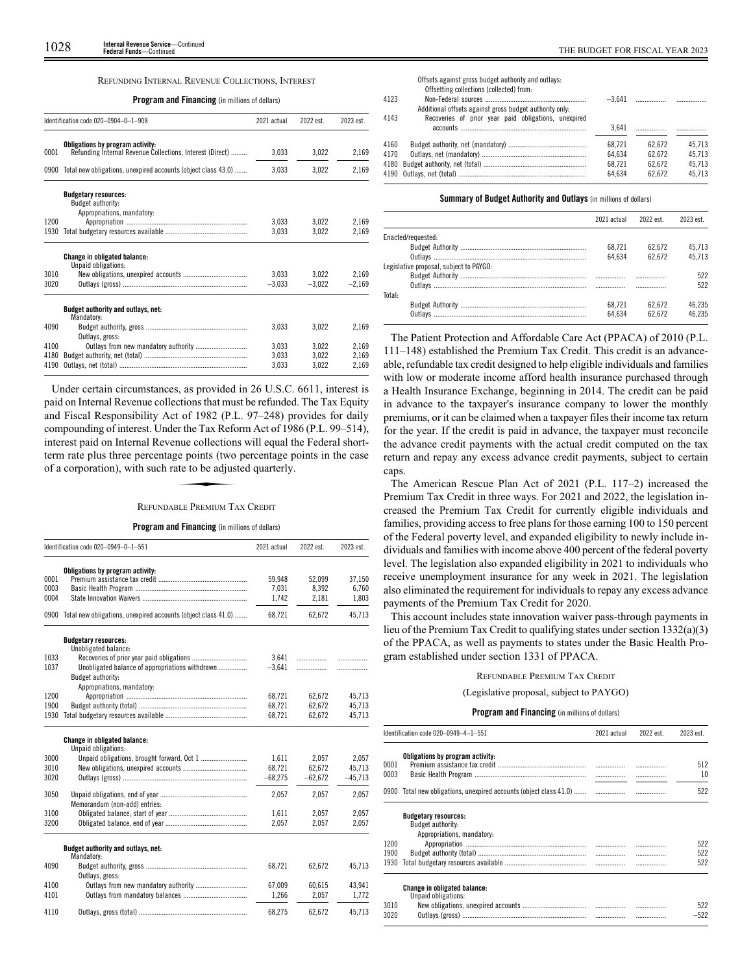# REFUNDING INTERNAL REVENUE COLLECTIONS, INTEREST

# **Program and Financing** (in millions of dollars)

|      | Identification code 020-0904-0-1-908                                                          | 2021 actual | 2022 est. | 2023 est. |
|------|-----------------------------------------------------------------------------------------------|-------------|-----------|-----------|
| 0001 | Obligations by program activity:<br>Refunding Internal Revenue Collections, Interest (Direct) | 3.033       | 3.022     | 2,169     |
|      |                                                                                               |             |           |           |
| 0900 | Total new obligations, unexpired accounts (object class 43.0)                                 | 3.033       | 3.022     | 2.169     |
|      | <b>Budgetary resources:</b><br>Budget authority:                                              |             |           |           |
|      | Appropriations, mandatory:                                                                    |             |           |           |
| 1200 |                                                                                               | 3.033       | 3.022     | 2,169     |
| 1930 |                                                                                               | 3.033       | 3.022     | 2.169     |
|      | <b>Change in obligated balance:</b><br>Unpaid obligations:                                    |             |           |           |
| 3010 |                                                                                               | 3,033       | 3.022     | 2.169     |
| 3020 |                                                                                               | $-3.033$    | $-3.022$  | $-2.169$  |
|      | Budget authority and outlays, net:<br>Mandatory:                                              |             |           |           |
| 4090 | Outlays, gross:                                                                               | 3.033       | 3.022     | 2.169     |
| 4100 |                                                                                               | 3.033       | 3.022     | 2,169     |
| 4180 |                                                                                               | 3.033       | 3.022     | 2.169     |
| 4190 |                                                                                               | 3.033       | 3,022     | 2.169     |

Under certain circumstances, as provided in 26 U.S.C. 6611, interest is paid on Internal Revenue collections that must be refunded. The Tax Equity and Fiscal Responsibility Act of 1982 (P.L. 97–248) provides for daily compounding of interest. Under the Tax Reform Act of 1986 (P.L. 99–514), Exploring of interest. Onder the Tax Reform Tect of 1960 (F.E. 99-914), interest paid on Internal Revenue collections will equal the Federal short-<br>term rate plus three percentage points (two percentage points in the case<br> term rate plus three percentage points (two percentage points in the case of a corporation), with such rate to be adjusted quarterly.

# REFUNDABLE PREMIUM TAX CREDIT

# **Program and Financing** (in millions of dollars)

|      | Identification code 020-0949-0-1-551                          | 2021 actual | 2022 est. | 2023 est. |
|------|---------------------------------------------------------------|-------------|-----------|-----------|
|      | Obligations by program activity:                              |             |           |           |
| 0001 |                                                               | 59,948      | 52,099    | 37,150    |
| 0003 |                                                               | 7,031       | 8,392     | 6,760     |
| 0004 |                                                               | 1,742       | 2,181     | 1,803     |
| 0900 | Total new obligations, unexpired accounts (object class 41.0) | 68,721      | 62,672    | 45,713    |
|      | <b>Budgetary resources:</b><br>Unobligated balance:           |             |           |           |
| 1033 |                                                               | 3.641       | .         |           |
| 1037 | Unobligated balance of appropriations withdrawn               | $-3.641$    | .         |           |
|      | Budget authority:                                             |             |           |           |
|      | Appropriations, mandatory:                                    |             |           |           |
| 1200 |                                                               | 68,721      | 62.672    | 45,713    |
| 1900 |                                                               | 68.721      | 62.672    | 45.713    |
| 1930 |                                                               | 68,721      | 62,672    | 45,713    |
|      | Change in obligated balance:<br>Unpaid obligations:           |             |           |           |
| 3000 |                                                               | 1.611       | 2.057     | 2.057     |
| 3010 |                                                               | 68.721      | 62.672    | 45,713    |
| 3020 |                                                               | $-68.275$   | $-62.672$ | $-45.713$ |
| 3050 | Memorandum (non-add) entries:                                 | 2,057       | 2,057     | 2,057     |
| 3100 |                                                               | 1.611       | 2.057     | 2.057     |
| 3200 |                                                               | 2.057       | 2,057     | 2,057     |
|      | Budget authority and outlays, net:<br>Mandatory:              |             |           |           |
| 4090 | Outlays, gross:                                               | 68,721      | 62,672    | 45,713    |
| 4100 |                                                               | 67,009      | 60,615    | 43,941    |
| 4101 |                                                               | 1.266       | 2,057     | 1.772     |
| 4110 |                                                               | 68,275      | 62.672    | 45,713    |

|      | Offsets against gross budget authority and outlays:<br>Offsetting collections (collected) from: |        |        |        |
|------|-------------------------------------------------------------------------------------------------|--------|--------|--------|
| 4123 |                                                                                                 |        |        |        |
|      | Additional offsets against gross budget authority only.                                         |        |        |        |
| 4143 | Recoveries of prior year paid obligations, unexpired                                            |        |        |        |
|      |                                                                                                 | 3.641  |        |        |
| 4160 |                                                                                                 | 68.721 | 62.672 | 45.713 |
| 4170 |                                                                                                 | 64.634 | 62.672 | 45.713 |
| 4180 |                                                                                                 | 68.721 | 62.672 | 45.713 |
|      |                                                                                                 | 64.634 | 62.672 | 45.713 |
|      |                                                                                                 |        |        |        |

# **Summary of Budget Authority and Outlays** (in millions of dollars)

|                                         | 2021 actual | 2022 est. | 2023 est. |
|-----------------------------------------|-------------|-----------|-----------|
| Enacted/requested:                      |             |           |           |
|                                         | 68.721      | 62.672    | 45.713    |
|                                         | 64.634      | 62.672    | 45.713    |
| Legislative proposal, subject to PAYGO: |             |           |           |
|                                         |             |           | 522       |
|                                         |             |           | 522       |
| Total:                                  |             |           |           |
|                                         | 68.721      | 62.672    | 46.235    |
|                                         | 64.634      | 62.672    | 46 235    |
|                                         |             |           |           |

The Patient Protection and Affordable Care Act (PPACA) of 2010 (P.L. 111–148) established the Premium Tax Credit. This credit is an advanceable, refundable tax credit designed to help eligible individuals and families with low or moderate income afford health insurance purchased through a Health Insurance Exchange, beginning in 2014. The credit can be paid in advance to the taxpayer's insurance company to lower the monthly premiums, or it can be claimed when a taxpayer files their income tax return for the year. If the credit is paid in advance, the taxpayer must reconcile the advance credit payments with the actual credit computed on the tax return and repay any excess advance credit payments, subject to certain caps.

The American Rescue Plan Act of 2021 (P.L. 117–2) increased the Premium Tax Credit in three ways. For 2021 and 2022, the legislation increased the Premium Tax Credit for currently eligible individuals and families, providing access to free plans for those earning 100 to 150 percent of the Federal poverty level, and expanded eligibility to newly include individuals and families with income above 400 percent of the federal poverty level. The legislation also expanded eligibility in 2021 to individuals who receive unemployment insurance for any week in 2021. The legislation also eliminated the requirement for individuals to repay any excess advance payments of the Premium Tax Credit for 2020.

This account includes state innovation waiver pass-through payments in lieu of the Premium Tax Credit to qualifying states under section 1332(a)(3) of the PPACA, as well as payments to states under the Basic Health Program established under section 1331 of PPACA.

# REFUNDABLE PREMIUM TAX CREDIT

(Legislative proposal, subject to PAYGO)

|      | Identification code 020-0949-4-1-551                          | 2021 actual | 2022 est. | 2023 est. |
|------|---------------------------------------------------------------|-------------|-----------|-----------|
|      | Obligations by program activity:                              |             |           |           |
| 0001 |                                                               |             |           | 512       |
| 0003 |                                                               |             |           | 10        |
| 0900 | Total new obligations, unexpired accounts (object class 41.0) |             |           | 522       |
|      | <b>Budgetary resources:</b>                                   |             |           |           |
|      | Budget authority:                                             |             |           |           |
|      | Appropriations, mandatory:                                    |             |           |           |
| 1200 |                                                               |             |           | 522       |
| 1900 |                                                               |             | .         | 522       |
| 1930 |                                                               |             |           | 522       |
|      | <b>Change in obligated balance:</b>                           |             |           |           |
|      | Unpaid obligations:                                           |             |           |           |
| 3010 |                                                               |             |           | 522       |
| 3020 |                                                               |             |           | $-522$    |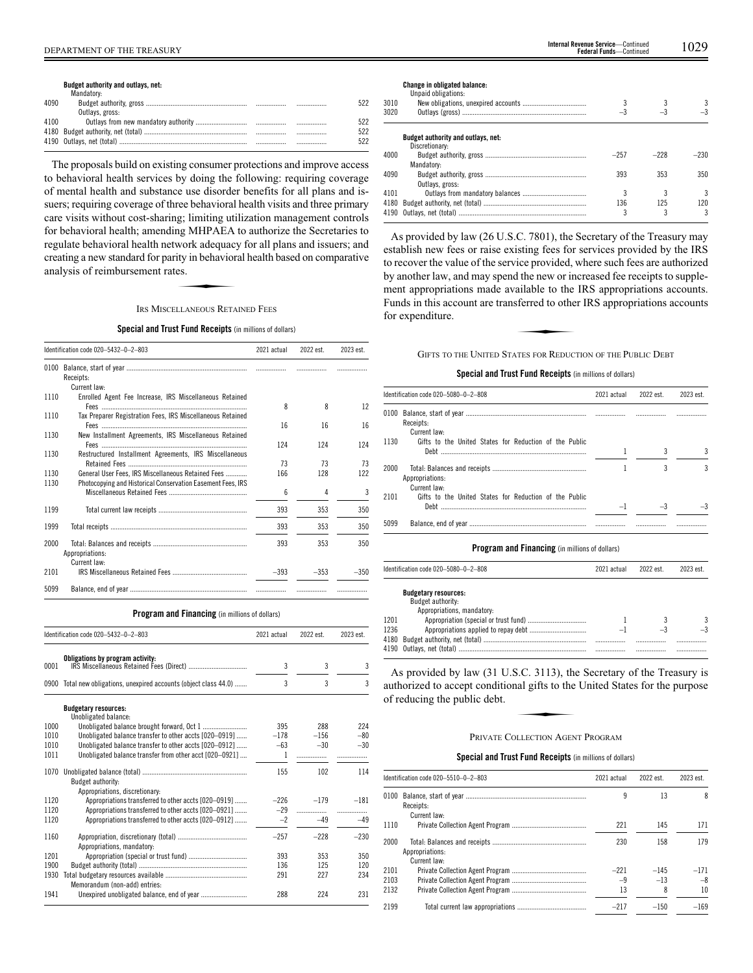# DEPARTMENT OF THE TREASURY 1029 **Internal Revenue Service**—Continued **Federal Funds**—Continued

**Budget authority and outlays, net:**

|      | Mandatory:      |      |     |
|------|-----------------|------|-----|
| 4090 |                 | .    | 522 |
|      | Outlays, gross: |      |     |
| 4100 |                 |      | 522 |
|      |                 |      | 522 |
|      |                 | <br> | 522 |
|      |                 |      |     |

The proposals build on existing consumer protections and improve access to behavioral health services by doing the following: requiring coverage of mental health and substance use disorder benefits for all plans and issuers; requiring coverage of three behavioral health visits and three primary care visits without cost-sharing; limiting utilization management controls for behavioral health; amending MHPAEA to authorize the Secretaries to regulate behavioral health network adequacy for all plans and issuers; and<br>regulate behavioral health network adequacy for all plans and issuers; and<br>creating a new standard for parity in behavioral health based on compara creating a new standard for parity in behavioral health based on comparative analysis of reimbursement rates.

IRS MISCELLANEOUS RETAINED FEES

# **Special and Trust Fund Receipts** (in millions of dollars)

|              | Identification code 020-5432-0-2-803                                                                              | 2021 actual | 2022 est. | 2023 est. |
|--------------|-------------------------------------------------------------------------------------------------------------------|-------------|-----------|-----------|
| 0100         | Receipts:                                                                                                         |             |           |           |
|              | Current law:                                                                                                      |             |           |           |
| 1110         | Enrolled Agent Fee Increase, IRS Miscellaneous Retained                                                           | 8           | 8         | 12        |
| 1110         | Tax Preparer Registration Fees, IRS Miscellaneous Retained                                                        | 16          | 16        | 16        |
| 1130         | New Installment Agreements, IRS Miscellaneous Retained                                                            | 124         | 124       | 124       |
| 1130         | Restructured Installment Agreements, IRS Miscellaneous                                                            | 73          | 73        | 73        |
| 1130<br>1130 | General User Fees, IRS Miscellaneous Retained Fees<br>Photocopying and Historical Conservation Easement Fees, IRS | 166         | 128       | 122       |
|              |                                                                                                                   | 6           | 4         | 3         |
| 1199         |                                                                                                                   | 393         | 353       | 350       |
| 1999         |                                                                                                                   | 393         | 353       | 350       |
| 2000         | Appropriations:<br>Current law:                                                                                   | 393         | 353       | 350       |
| 2101         |                                                                                                                   | $-393$      | $-353$    | $-350$    |
| 5099         |                                                                                                                   |             |           |           |

**Program and Financing** (in millions of dollars)

|      | Identification code 020-5432-0-2-803                               | 2021 actual    | 2022 est. | 2023 est. |
|------|--------------------------------------------------------------------|----------------|-----------|-----------|
| 0001 | Obligations by program activity:                                   | 3              | 3         | 3         |
|      | 0900 Total new obligations, unexpired accounts (object class 44.0) | $\overline{3}$ | 3         | 3         |
|      | <b>Budgetary resources:</b><br>Unobligated balance:                |                |           |           |
| 1000 |                                                                    | 395            | 288       | 224       |
| 1010 | Unobligated balance transfer to other accts [020-0919]             | $-178$         | $-156$    | $-80$     |
| 1010 | Unobligated balance transfer to other accts [020-0912]             | $-63$          | $-30$     | $-30$     |
| 1011 | Unobligated balance transfer from other acct [020-0921]            | 1              |           |           |
| 1070 | Budget authority:                                                  | 155            | 102       | 114       |
|      | Appropriations, discretionary:                                     |                |           |           |
| 1120 | Appropriations transferred to other accts [020-0919]               | $-226$         | $-179$    | $-181$    |
| 1120 | Appropriations transferred to other accts [020-0921]               | $-29$          | .         | .         |
| 1120 | Appropriations transferred to other accts [020-0912]               | $-2$           | $-49$     | $-49$     |
| 1160 | Appropriations, mandatory:                                         | $-257$         | $-228$    | $-230$    |
| 1201 |                                                                    | 393            | 353       | 350       |
| 1900 |                                                                    | 136            | 125       | 120       |
| 1930 | Memorandum (non-add) entries:                                      | 291            | 227       | 234       |
| 1941 |                                                                    | 288            | 224       | 231       |

**Change in obligated balance:**

|      | Unpaid obligations:                |        |        |        |
|------|------------------------------------|--------|--------|--------|
| 3010 |                                    |        |        | 3      |
| 3020 |                                    | $-3$   |        | $-3$   |
|      | Budget authority and outlays, net: |        |        |        |
|      | Discretionary:                     |        |        |        |
| 4000 |                                    | $-257$ | $-228$ | $-230$ |
|      | Mandatory:                         |        |        |        |
| 4090 |                                    | 393    | 353    | 350    |
|      | Outlays, gross:                    |        |        |        |
| 4101 |                                    |        |        | 3      |
| 4180 |                                    | 136    | 125    | 120    |
|      |                                    |        |        | 3      |

As provided by law (26 U.S.C. 7801), the Secretary of the Treasury may establish new fees or raise existing fees for services provided by the IRS to recover the value of the service provided, where such fees are authorized by another law, and may spend the new or increased fee receipts to suppleby aboute faw, and may spend the new of mercused tee receipts to suppre-<br>ment appropriations made available to the IRS appropriations accounts.<br>Funds in this account are transferred to other IRS appropriations accounts<br>for Funds in this account are transferred to other IRS appropriations accounts for expenditure.

GIFTS TO THE UNITED STATES FOR REDUCTION OF THE PUBLIC DEBT

# **Special and Trust Fund Receipts** (in millions of dollars)

|      | Identification code 020-5080-0-2-808                   | 2021 actual | 2022 est. | 2023 est. |
|------|--------------------------------------------------------|-------------|-----------|-----------|
| 0100 | Receipts:<br>Current law:                              |             |           |           |
| 1130 | Gifts to the United States for Reduction of the Public |             | 3         | 3         |
| 2000 | Appropriations:<br>Current law:                        |             |           | 3         |
| 2101 | Gifts to the United States for Reduction of the Public | -1          |           |           |
| 5099 |                                                        |             |           |           |

# **Program and Financing** (in millions of dollars)

|      | Identification code 020-5080-0-2-808             |  | 2022 est. | 2023 est. |
|------|--------------------------------------------------|--|-----------|-----------|
|      | <b>Budgetary resources:</b><br>Budget authority: |  |           |           |
|      | Appropriations, mandatory:                       |  |           |           |
| 1201 |                                                  |  |           | 3         |
| 1236 |                                                  |  | -3        | $-3$      |
| 4180 |                                                  |  |           |           |
|      |                                                  |  |           |           |

As provided by law (31 U.S.C. 3113), the Secretary of the Treasury is<br>
uthorized to accept conditional gifts to the United States for the purpose<br>
freducing the public debt.<br>
PRIVATE COLLECTION AGENT PROGRAM authorized to accept conditional gifts to the United States for the purpose of reducing the public debt.

# PRIVATE COLLECTION AGENT PROGRAM

# **Special and Trust Fund Receipts** (in millions of dollars)

|      | Identification code 020-5510-0-2-803 | 2021 actual | 2022 est. | 2023 est. |
|------|--------------------------------------|-------------|-----------|-----------|
|      |                                      | 9           | 13        | 8         |
|      | Receipts:<br>Current law:            |             |           |           |
| 1110 |                                      | 221         | 145       | 171       |
| 2000 |                                      | 230         | 158       | 179       |
|      | Appropriations:<br>Current law:      |             |           |           |
| 2101 |                                      | $-221$      | $-145$    | $-171$    |
| 2103 |                                      | $-9$        | $-13$     | $-8$      |
| 2132 |                                      | 13          | 8         | 10        |
| 2199 |                                      | $-217$      | $-150$    | $-169$    |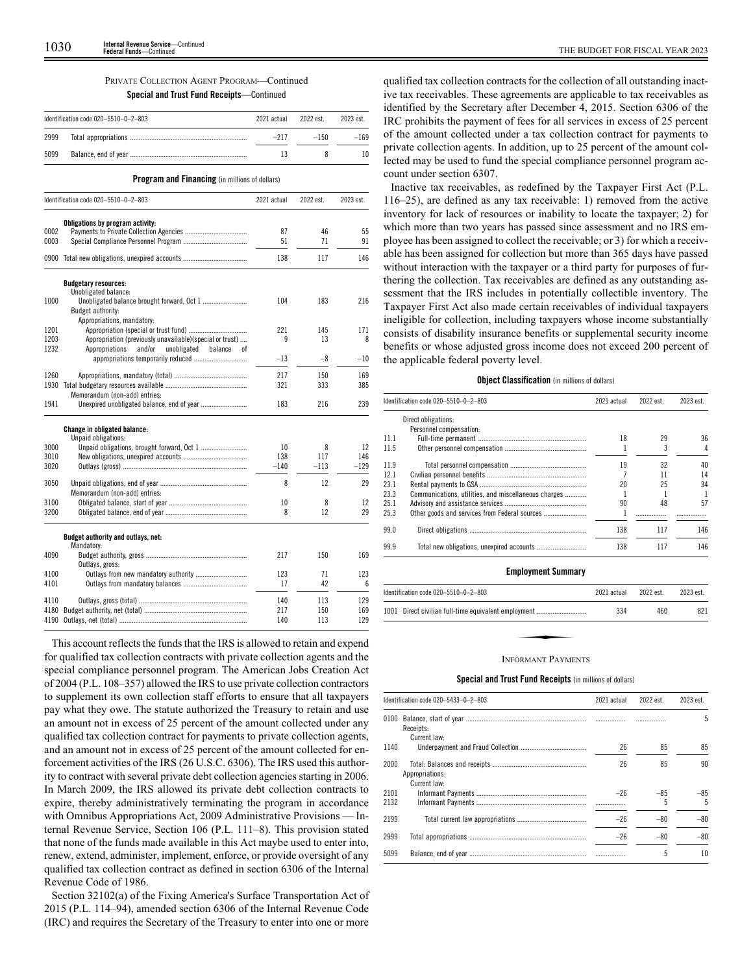# PRIVATE COLLECTION AGENT PROGRAM—Continued **Special and Trust Fund Receipts**—Continued

| 2999 | $-217$<br>$-150$ | $-169$ |
|------|------------------|--------|
| 5099 | 13               | 10     |

**Program and Financing** (in millions of dollars)

|      | Identification code 020-5510-0-2-803                     | 2021 actual | 2022 est. | 2023 est. |
|------|----------------------------------------------------------|-------------|-----------|-----------|
|      | Obligations by program activity:                         |             |           |           |
| 0002 |                                                          | 87          | 46        | 55        |
| 0003 |                                                          | 51          | 71        | 91        |
|      | 0900 Total new obligations, unexpired accounts           | 138         | 117       | 146       |
|      | <b>Budgetary resources:</b><br>Unobligated balance:      |             |           |           |
| 1000 |                                                          | 104         | 183       | 216       |
|      | Budget authority:                                        |             |           |           |
|      | Appropriations, mandatory:                               |             |           |           |
| 1201 |                                                          | 221         | 145       | 171       |
| 1203 | Appropriation (previously unavailable)(special or trust) | 9           | 13        | 8         |
| 1232 | Appropriations<br>and/or<br>unobligated<br>balance<br>оf |             |           |           |
|      |                                                          | $-13$       | -8        | $-10$     |
| 1260 |                                                          | 217         | 150       | 169       |
| 1930 |                                                          | 321         | 333       | 385       |
|      | Memorandum (non-add) entries:                            |             |           |           |
| 1941 |                                                          | 183         | 216       | 239       |
|      | Change in obligated balance:<br>Unpaid obligations:      |             |           |           |
| 3000 |                                                          | 10          | 8         | 12        |
| 3010 |                                                          | 138         | 117       | 146       |
| 3020 |                                                          | $-140$      | $-113$    | $-129$    |
| 3050 | Memorandum (non-add) entries:                            | 8           | 12        | 29        |
| 3100 |                                                          | 10          | 8         | 12        |
| 3200 |                                                          | 8           | 12        | 29        |
|      | Budget authority and outlays, net:                       |             |           |           |
|      | Mandatory:                                               |             |           |           |
| 4090 |                                                          | 217         | 150       | 169       |
|      | Outlays, gross:                                          |             |           |           |
| 4100 |                                                          | 123         | 71<br>42  | 123       |
| 4101 |                                                          | 17          |           | 6         |
| 4110 |                                                          | 140         | 113       | 129       |
| 4180 |                                                          | 217         | 150       | 169       |
| 4190 |                                                          | 140         | 113       | 129       |

This account reflects the funds that the IRS is allowed to retain and expend for qualified tax collection contracts with private collection agents and the special compliance personnel program. The American Jobs Creation Act of 2004 (P.L. 108–357) allowed the IRS to use private collection contractors to supplement its own collection staff efforts to ensure that all taxpayers pay what they owe. The statute authorized the Treasury to retain and use an amount not in excess of 25 percent of the amount collected under any qualified tax collection contract for payments to private collection agents, and an amount not in excess of 25 percent of the amount collected for enforcement activities of the IRS (26 U.S.C. 6306). The IRS used this authority to contract with several private debt collection agencies starting in 2006. In March 2009, the IRS allowed its private debt collection contracts to expire, thereby administratively terminating the program in accordance with Omnibus Appropriations Act, 2009 Administrative Provisions — Internal Revenue Service, Section 106 (P.L. 111–8). This provision stated that none of the funds made available in this Act maybe used to enter into, renew, extend, administer, implement, enforce, or provide oversight of any qualified tax collection contract as defined in section 6306 of the Internal Revenue Code of 1986.

Section 32102(a) of the Fixing America's Surface Transportation Act of 2015 (P.L. 114–94), amended section 6306 of the Internal Revenue Code (IRC) and requires the Secretary of the Treasury to enter into one or more

qualified tax collection contracts for the collection of all outstanding inactive tax receivables. These agreements are applicable to tax receivables as identified by the Secretary after December 4, 2015. Section 6306 of the IRC prohibits the payment of fees for all services in excess of 25 percent of the amount collected under a tax collection contract for payments to private collection agents. In addition, up to 25 percent of the amount collected may be used to fund the special compliance personnel program account under section 6307.

Inactive tax receivables, as redefined by the Taxpayer First Act (P.L. 116–25), are defined as any tax receivable: 1) removed from the active inventory for lack of resources or inability to locate the taxpayer; 2) for which more than two years has passed since assessment and no IRS employee has been assigned to collect the receivable; or 3) for which a receivable has been assigned for collection but more than 365 days have passed without interaction with the taxpayer or a third party for purposes of furthering the collection. Tax receivables are defined as any outstanding assessment that the IRS includes in potentially collectible inventory. The Taxpayer First Act also made certain receivables of individual taxpayers ineligible for collection, including taxpayers whose income substantially consists of disability insurance benefits or supplemental security income benefits or whose adjusted gross income does not exceed 200 percent of the applicable federal poverty level.

## **Object Classification** (in millions of dollars)

|      | Identification code 020-5510-0-2-803                 | 2021 actual | 2022 est. | 2023 est. |
|------|------------------------------------------------------|-------------|-----------|-----------|
|      | Direct obligations:                                  |             |           |           |
|      | Personnel compensation:                              |             |           |           |
| 11.1 |                                                      | 18          | 29        | 36        |
| 11.5 |                                                      |             | 3         | 4         |
| 11.9 |                                                      | 19          | 32        | 40        |
| 12.1 |                                                      |             | 11        | 14        |
| 23.1 |                                                      | 20          | 25        | 34        |
| 23.3 | Communications, utilities, and miscellaneous charges |             |           |           |
| 25.1 |                                                      | 90          | 48        | 57        |
| 25.3 |                                                      |             |           |           |
| 99.0 |                                                      | 138         | 117       | 146       |
| 99.9 |                                                      | 138         | 117       | 146       |

# **Employment Summary**

| Identification code 020-5510-0-2-803                 | 2021 actual | 2022 est. | 2023 est. |
|------------------------------------------------------|-------------|-----------|-----------|
| 1001 Direct civilian full-time equivalent employment | 334         | 460       | 821       |
|                                                      |             |           |           |
| <b>INFORMANT PAYMENTS</b>                            |             |           |           |

# **Special and Trust Fund Receipts** (in millions of dollars)

|              | Identification code 020-5433-0-2-803 | 2021 actual | 2022 est.  | 2023 est. |
|--------------|--------------------------------------|-------------|------------|-----------|
| 0100         | Receipts:                            |             |            | 5         |
| 1140         | Current law:                         | 26          | 85         | 85        |
| 2000         | Appropriations:<br>Current law:      | 26          | 85         | 90        |
| 2101<br>2132 |                                      | $-26$       | $-85$<br>5 | -85<br>5  |
| 2199         |                                      | $-26$       | $-80$      | $-80$     |
| 2999         |                                      | $-26$       | $-80$      | $-80$     |
| 5099         |                                      |             | 5          | 10        |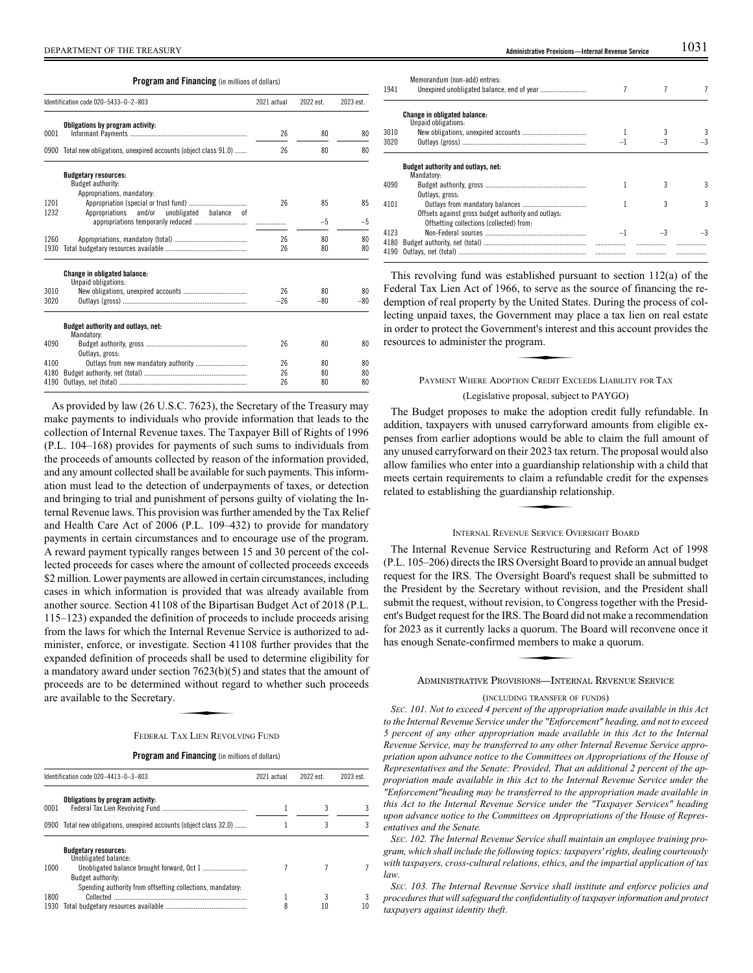**Program and Financing** (in millions of dollars)

|              | Identification code 020-5433-0-2-803                                           |       | 2022 est. | 2023 est. |
|--------------|--------------------------------------------------------------------------------|-------|-----------|-----------|
| 0001         | Obligations by program activity:                                               | 26    | 80        | 80        |
| 0900         | Total new obligations, unexpired accounts (object class 91.0)                  | 26    | 80        | 80        |
|              | <b>Budgetary resources:</b><br>Budget authority:<br>Appropriations, mandatory: |       |           |           |
| 1201<br>1232 | Appropriations and/or<br>unobligated balance<br>0Ť                             | 26    | 85        | 85        |
|              |                                                                                |       | $-5$      | -5        |
| 1260         |                                                                                | 26    | 80        | 80        |
| 1930         |                                                                                | 26    | 80        | 80        |
|              | <b>Change in obligated balance:</b><br>Unpaid obligations:                     |       |           |           |
| 3010         |                                                                                | 26    | 80        | 80        |
| 3020         |                                                                                | $-26$ | $-80$     | $-80$     |
|              | Budget authority and outlays, net:<br>Mandatory:                               |       |           |           |
| 4090         | Outlays, gross:                                                                | 26    | 80        | 80        |
| 4100         |                                                                                | 26    | 80        | 80        |
| 4180         |                                                                                | 26    | 80        | 80        |
| 4190         |                                                                                | 26    | 80        | 80        |

As provided by law (26 U.S.C. 7623), the Secretary of the Treasury may make payments to individuals who provide information that leads to the collection of Internal Revenue taxes. The Taxpayer Bill of Rights of 1996 (P.L. 104–168) provides for payments of such sums to individuals from the proceeds of amounts collected by reason of the information provided, and any amount collected shall be available for such payments. This information must lead to the detection of underpayments of taxes, or detection and bringing to trial and punishment of persons guilty of violating the Internal Revenue laws. This provision was further amended by the Tax Relief and Health Care Act of 2006 (P.L. 109–432) to provide for mandatory payments in certain circumstances and to encourage use of the program. A reward payment typically ranges between 15 and 30 percent of the collected proceeds for cases where the amount of collected proceeds exceeds \$2 million. Lower payments are allowed in certain circumstances, including cases in which information is provided that was already available from another source. Section 41108 of the Bipartisan Budget Act of 2018 (P.L. 115–123) expanded the definition of proceeds to include proceeds arising from the laws for which the Internal Revenue Service is authorized to administer, enforce, or investigate. Section 41108 further provides that the expanded definition of proceeds shall be used to determine eligibility for a mandatory award under section 7623(b)(5) and states that the amount of proceeds are to be determined without regard to whether such proceeds are available to the Secretary. Extra Small Ce as<br>
ion 7623(b)(5)<br>
d without rega<br>
NAX LIEN REVOL

# FEDERAL TAX LIEN REVOLVING FUND

# **Program and Financing** (in millions of dollars)

|      | Identification code 020-4413-0-3-803                               | 2021 actual | 2022 est. | 2023 est. |
|------|--------------------------------------------------------------------|-------------|-----------|-----------|
| 0001 | Obligations by program activity:                                   |             |           | 3         |
|      | 0900 Total new obligations, unexpired accounts (object class 32.0) |             |           | 3         |
|      | <b>Budgetary resources:</b><br>Unobligated balance:                |             |           |           |
| 1000 | Budget authority:                                                  |             |           |           |
|      | Spending authority from offsetting collections, mandatory:         |             |           |           |
| 1800 | Collected                                                          |             |           | 3         |
| 1930 |                                                                    | 8           | 10        | 10        |

| 1941         | Memorandum (non-add) entries:                                                                   |   |   |
|--------------|-------------------------------------------------------------------------------------------------|---|---|
|              | Change in obligated balance:<br>Unpaid obligations:                                             |   |   |
| 3010         |                                                                                                 |   |   |
| 3020         |                                                                                                 |   |   |
| 4090         | Budget authority and outlays, net:<br>Mandatory:<br>Outlays, gross:                             | 3 | 3 |
| 4101         | Offsets against gross budget authority and outlays:<br>Offsetting collections (collected) from: | 3 | 3 |
| 4123         |                                                                                                 |   |   |
| 4180<br>4190 |                                                                                                 |   |   |

This revolving fund was established pursuant to section 112(a) of the Federal Tax Lien Act of 1966, to serve as the source of financing the redemption of real property by the United States. During the process of col-Lecting unpaid taxes, the Government may place a tax lien on real estate<br>
in order to protect the Government's interest and this account provides the<br>
resources to administer the program.<br>
PAYMENT WHERE ADOPTION CREDIT EXC in order to protect the Government's interest and this account provides the resources to administer the program.

# PAYMENT WHERE ADOPTION CREDIT EXCEEDS LIABILITY FOR TAX

# (Legislative proposal, subject to PAYGO)

The Budget proposes to make the adoption credit fully refundable. In addition, taxpayers with unused carryforward amounts from eligible expenses from earlier adoptions would be able to claim the full amount of any unused carryforward on their 2023 tax return. The proposal would also allow families who enter into a guardianship relationship with a child that<br>allow families who enter into a guardianship relationship with a child that<br>meets certain requirements to claim a refundable credit for the expens meets certain requirements to claim a refundable credit for the expenses related to establishing the guardianship relationship.

# INTERNAL REVENUE SERVICE OVERSIGHT BOARD

The Internal Revenue Service Restructuring and Reform Act of 1998 (P.L. 105–206) directs the IRS Oversight Board to provide an annual budget request for the IRS. The Oversight Board's request shall be submitted to the President by the Secretary without revision, and the President shall submit the request, without revision, to Congress together with the President's Budget request for the IRS. The Board did not make a recommendation<br>for 2023 as it currently lacks a quorum. The Board will reconvene once it<br>has enough Senate-confirmed members to make a quorum.<br>ADMINISTRATIVE PROVI for 2023 as it currently lacks a quorum. The Board will reconvene once it has enough Senate-confirmed members to make a quorum.

# ADMINISTRATIVE PROVISIONS—INTERNAL REVENUE SERVICE

# (INCLUDING TRANSFER OF FUNDS)

*SEC. 101. Not to exceed 4 percent of the appropriation made available in this Act to the Internal Revenue Service under the "Enforcement" heading, and not to exceed 5 percent of any other appropriation made available in this Act to the Internal Revenue Service, may be transferred to any other Internal Revenue Service appropriation upon advance notice to the Committees on Appropriations of the House of Representatives and the Senate: Provided, That an additional 2 percent of the appropriation made available in this Act to the Internal Revenue Service under the "Enforcement"heading may be transferred to the appropriation made available in this Act to the Internal Revenue Service under the "Taxpayer Services" heading upon advance notice to the Committees on Appropriations of the House of Representatives and the Senate.*

*SEC. 102. The Internal Revenue Service shall maintain an employee training program, which shall include the following topics: taxpayers' rights, dealing courteously with taxpayers, cross-cultural relations, ethics, and the impartial application of tax law.*

*SEC. 103. The Internal Revenue Service shall institute and enforce policies and procedures that will safeguard the confidentiality of taxpayer information and protect taxpayers against identity theft.*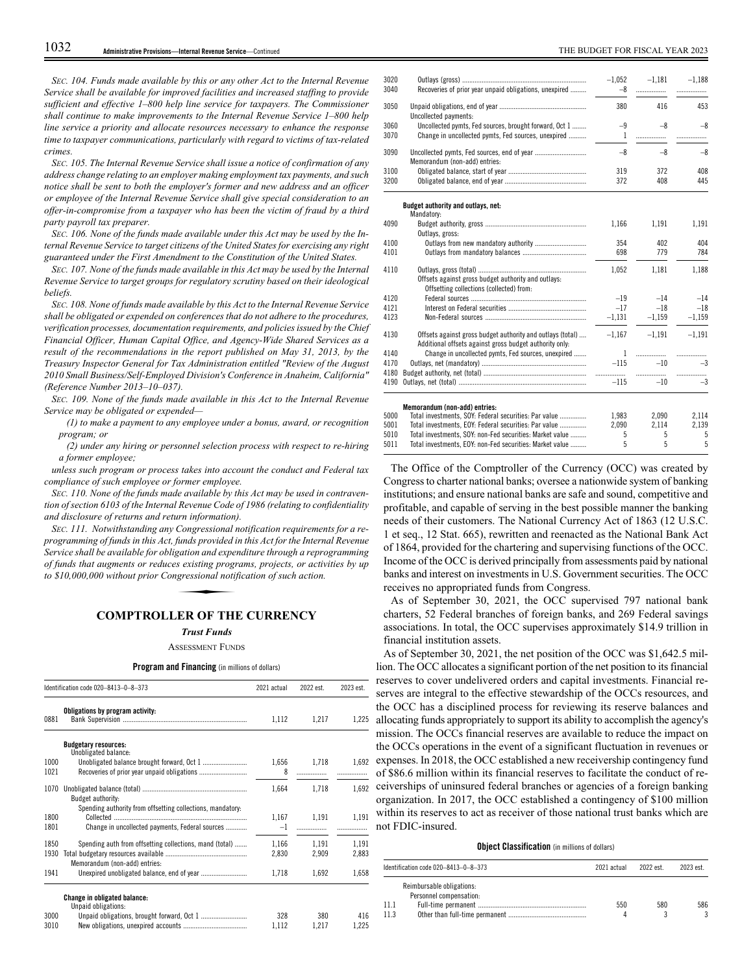*SEC. 104. Funds made available by this or any other Act to the Internal Revenue Service shall be available for improved facilities and increased staffing to provide sufficient and effective 1–800 help line service for taxpayers. The Commissioner shall continue to make improvements to the Internal Revenue Service 1–800 help line service a priority and allocate resources necessary to enhance the response time to taxpayer communications, particularly with regard to victims of tax-related crimes.*

*SEC. 105. The Internal Revenue Service shall issue a notice of confirmation of any address change relating to an employer making employment tax payments, and such notice shall be sent to both the employer's former and new address and an officer or employee of the Internal Revenue Service shall give special consideration to an offer-in-compromise from a taxpayer who has been the victim of fraud by a third party payroll tax preparer.*

*SEC. 106. None of the funds made available under this Act may be used by the Internal Revenue Service to target citizens of the United States for exercising any right guaranteed under the First Amendment to the Constitution of the United States.*

*SEC. 107. None of the funds made available in this Act may be used by the Internal Revenue Service to target groups for regulatory scrutiny based on their ideological beliefs.*

*SEC. 108. None of funds made available by this Act to the Internal Revenue Service shall be obligated or expended on conferences that do not adhere to the procedures, verification processes, documentation requirements, and policies issued by the Chief Financial Officer, Human Capital Office, and Agency-Wide Shared Services as a result of the recommendations in the report published on May 31, 2013, by the Treasury Inspector General for Tax Administration entitled "Review of the August 2010 Small Business/Self-Employed Division's Conference in Anaheim, California" (Reference Number 2013–10–037).*

*SEC. 109. None of the funds made available in this Act to the Internal Revenue Service may be obligated or expended—*

*(1) to make a payment to any employee under a bonus, award, or recognition program; or*

*(2) under any hiring or personnel selection process with respect to re-hiring a former employee;*

*unless such program or process takes into account the conduct and Federal tax compliance of such employee or former employee.*

*SEC. 110. None of the funds made available by this Act may be used in contravention of section 6103 of the Internal Revenue Code of 1986 (relating to confidentiality and disclosure of returns and return information).*

*SEC. 111. Notwithstanding any Congressional notification requirements for a reprogramming of funds in this Act, funds provided in this Act for the Internal Revenue Service shall be available for obligation and expenditure through a reprogramming of funds that augments or reduces existing programs, projects, or activities by up to \$10,000,000 without prior Congressional notification of such action. funds provided i*<br>gation and exper<br>is existing progr<br>gressional notif<br>**FR OF TH** 

# **COMPTROLLER OF THE CURRENCY**

# *Trust Funds*

ASSESSMENT FUNDS

# **Program and Financing** (in millions of dollars)

|      | Identification code 020-8413-0-8-373                       |       | 2022 est. | 2023 est. |
|------|------------------------------------------------------------|-------|-----------|-----------|
| 0881 | Obligations by program activity:                           | 1,112 | 1,217     | 1,225     |
|      | <b>Budgetary resources:</b><br>Unobligated balance:        |       |           |           |
| 1000 |                                                            | 1,656 | 1,718     | 1,692     |
| 1021 |                                                            | 8     |           |           |
| 1070 | <b>Budget authority:</b>                                   | 1.664 | 1.718     | 1.692     |
|      | Spending authority from offsetting collections, mandatory. |       |           |           |
| 1800 |                                                            | 1.167 | 1,191     | 1,191     |
| 1801 | Change in uncollected payments, Federal sources            | $-1$  | .         |           |
| 1850 | Spending auth from offsetting collections, mand (total)    | 1,166 | 1.191     | 1,191     |
| 1930 | Memorandum (non-add) entries:                              | 2,830 | 2,909     | 2,883     |
| 1941 |                                                            | 1,718 | 1,692     | 1,658     |
|      | <b>Change in obligated balance:</b><br>Unpaid obligations: |       |           |           |
| 3000 |                                                            | 328   | 380       | 416       |
| 3010 |                                                            | 1.112 | 1.217     | 1,225     |

| 3020 |                                                                                                                       | $-1,052$ | $-1.181$ | $-1,188$ |
|------|-----------------------------------------------------------------------------------------------------------------------|----------|----------|----------|
| 3040 | Recoveries of prior year unpaid obligations, unexpired                                                                | $-8$     | .        |          |
| 3050 | Uncollected payments:                                                                                                 | 380      | 416      | 453      |
| 3060 | Uncollected pymts, Fed sources, brought forward, Oct 1                                                                | $-9$     | $-8$     | $-8$     |
| 3070 | Change in uncollected pymts, Fed sources, unexpired                                                                   | 1        |          |          |
| 3090 | Memorandum (non-add) entries:                                                                                         | $-8$     | $-8$     | $-8$     |
| 3100 |                                                                                                                       | 319      | 372      | 408      |
| 3200 |                                                                                                                       | 372      | 408      | 445      |
|      | Budget authority and outlays, net:<br>Mandatory:                                                                      |          |          |          |
| 4090 | Outlays, gross:                                                                                                       | 1,166    | 1,191    | 1,191    |
| 4100 | Outlays from new mandatory authority                                                                                  | 354      | 402      | 404      |
| 4101 |                                                                                                                       | 698      | 779      | 784      |
| 4110 |                                                                                                                       | 1,052    | 1,181    | 1,188    |
|      | Offsets against gross budget authority and outlays:<br>Offsetting collections (collected) from:                       |          |          |          |
| 4120 |                                                                                                                       | $-19$    | $-14$    | $-14$    |
| 4121 |                                                                                                                       | $-17$    | $-18$    | $-18$    |
| 4123 |                                                                                                                       | $-1,131$ | $-1.159$ | $-1,159$ |
| 4130 | Offsets against gross budget authority and outlays (total)<br>Additional offsets against gross budget authority only: | $-1.167$ | $-1,191$ | $-1.191$ |
| 4140 | Change in uncollected pymts, Fed sources, unexpired                                                                   | 1        |          | .        |
| 4170 |                                                                                                                       | $-115$   | $-10$    | $-3$     |
| 4180 |                                                                                                                       |          |          | .        |
| 4190 |                                                                                                                       | $-115$   | $-10$    | $-3$     |
|      | Memorandum (non-add) entries:                                                                                         |          |          |          |
| 5000 | Total investments, SOY: Federal securities: Par value                                                                 | 1,983    | 2,090    | 2,114    |
| 5001 | Total investments, EOY: Federal securities: Par value                                                                 | 2,090    | 2,114    | 2,139    |
| 5010 | Total investments, SOY: non-Fed securities: Market value                                                              | 5        | 5        | 5        |
| 5011 | Total investments, EOY, non-Eed securities, Market value                                                              | 5        | 5        | 5        |

The Office of the Comptroller of the Currency (OCC) was created by Congress to charter national banks; oversee a nationwide system of banking institutions; and ensure national banks are safe and sound, competitive and profitable, and capable of serving in the best possible manner the banking needs of their customers. The National Currency Act of 1863 (12 U.S.C. 1 et seq., 12 Stat. 665), rewritten and reenacted as the National Bank Act of 1864, provided for the chartering and supervising functions of the OCC. Income of the OCC is derived principally from assessments paid by national banks and interest on investments in U.S. Government securities. The OCC receives no appropriated funds from Congress.

As of September 30, 2021, the OCC supervised 797 national bank charters, 52 Federal branches of foreign banks, and 269 Federal savings associations. In total, the OCC supervises approximately \$14.9 trillion in financial institution assets.

As of September 30, 2021, the net position of the OCC was \$1,642.5 million. The OCC allocates a significant portion of the net position to its financial reserves to cover undelivered orders and capital investments. Financial reserves are integral to the effective stewardship of the OCCs resources, and the OCC has a disciplined process for reviewing its reserve balances and allocating funds appropriately to support its ability to accomplish the agency's mission. The OCCs financial reserves are available to reduce the impact on the OCCs operations in the event of a significant fluctuation in revenues or expenses. In 2018, the OCC established a new receivership contingency fund of \$86.6 million within its financial reserves to facilitate the conduct of receiverships of uninsured federal branches or agencies of a foreign banking organization. In 2017, the OCC established a contingency of \$100 million within its reserves to act as receiver of those national trust banks which are not FDIC-insured.

# **Object Classification** (in millions of dollars)

|      | Identification code 020-8413-0-8-373                 | 2021 actual | 2022 est. | 2023 est. |
|------|------------------------------------------------------|-------------|-----------|-----------|
|      | Reimbursable obligations:<br>Personnel compensation: |             |           |           |
| 11.1 |                                                      | 550         | 580       | 586       |
| 11.3 |                                                      |             |           |           |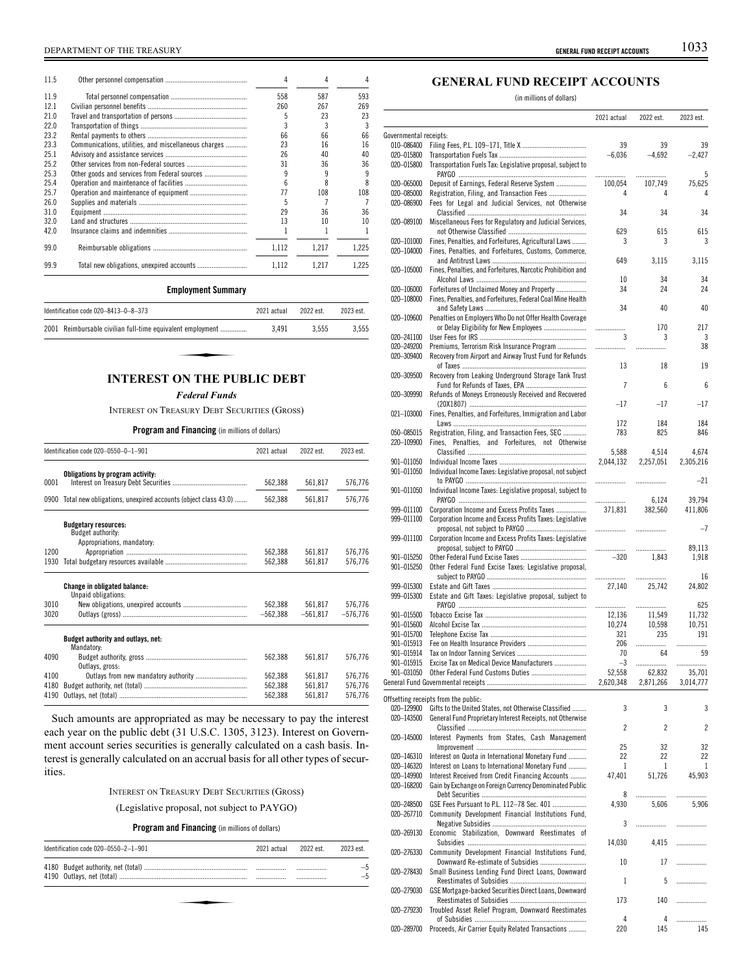| 11.5 |                                                      | 4     | 4     |       |
|------|------------------------------------------------------|-------|-------|-------|
| 11.9 |                                                      | 558   | 587   | 593   |
| 12.1 |                                                      | 260   | 267   | 269   |
| 21.0 |                                                      | 5     | 23    | 23    |
| 22.0 |                                                      | 3     |       |       |
| 23.2 |                                                      | 66    | 66    | 66    |
| 23.3 | Communications, utilities, and miscellaneous charges | 23    | 16    | 16    |
| 25.1 |                                                      | 26    | 40    | 40    |
| 25.2 |                                                      | 31    | 36    | 36    |
| 25.3 | Other goods and services from Federal sources        | q     | q     | q     |
| 25.4 |                                                      | ĥ     | 8     | 8     |
| 25.7 |                                                      | 77    | 108   | 108   |
| 26.0 |                                                      | 5     |       |       |
| 31.0 |                                                      | 29    | 36    | 36    |
| 32.0 |                                                      | 13    | 10    | 10    |
| 42.0 |                                                      |       |       |       |
| 99.0 |                                                      | 1.112 | 1.217 | 1.225 |
| 99.9 |                                                      | 1.112 | 1.217 | 1.225 |

# **Employment Summary**

| Identification code 020-8413-0-8-373                       | 2021 actual | 2022 est | 2023 est |  |
|------------------------------------------------------------|-------------|----------|----------|--|
| 2001 Reimbursable civilian full-time equivalent employment | 3.491       | 3.555    | 3.555    |  |
|                                                            |             |          |          |  |
|                                                            |             |          |          |  |
| <b>INTEREST ON THE PUBLIC DEBT</b>                         |             |          |          |  |

# *Federal Funds*

INTEREST ON TREASURY DEBT SECURITIES (GROSS)

# **Program and Financing** (in millions of dollars)

| Identification code 020-0550-0-1-901 |                                                               | 2021 actual        | 2022 est.          | 2023 est.          |
|--------------------------------------|---------------------------------------------------------------|--------------------|--------------------|--------------------|
|                                      | Obligations by program activity:                              |                    |                    |                    |
| 0001                                 |                                                               | 562,388            | 561,817            | 576,776            |
| 0900                                 | Total new obligations, unexpired accounts (object class 43.0) | 562,388            | 561,817            | 576,776            |
|                                      | <b>Budgetary resources:</b>                                   |                    |                    |                    |
|                                      | Budget authority:                                             |                    |                    |                    |
| 1200                                 | Appropriations, mandatory:                                    |                    |                    |                    |
| 1930                                 |                                                               | 562,388<br>562.388 | 561,817<br>561.817 | 576,776<br>576.776 |
|                                      |                                                               |                    |                    |                    |
|                                      | Change in obligated balance:                                  |                    |                    |                    |
|                                      | Unpaid obligations:                                           |                    |                    |                    |
| 3010                                 |                                                               | 562.388            | 561.817            | 576.776            |
| 3020                                 |                                                               | $-562,388$         | $-561,817$         | $-576,776$         |
|                                      | Budget authority and outlays, net:                            |                    |                    |                    |
|                                      | Mandatory:                                                    |                    |                    |                    |
| 4090                                 | Outlays, gross:                                               | 562,388            | 561.817            | 576.776            |
| 4100                                 |                                                               | 562.388            | 561.817            | 576.776            |
| 4180                                 |                                                               | 562.388            | 561.817            | 576,776            |
| 4190                                 |                                                               | 562.388            | 561.817            | 576.776            |

Such amounts are appropriated as may be necessary to pay the interest each year on the public debt (31 U.S.C. 1305, 3123). Interest on Government account series securities is generally calculated on a cash basis. Interest is generally calculated on an accrual basis for all other types of securities.

# INTEREST ON TREASURY DEBT SECURITIES (GROSS)

(Legislative proposal, not subject to PAYGO)

# **Program and Financing** (in millions of dollars)

| Identification code 020-0550-2-1-901 |  | 2021 actual 2022 est. | 2023 est. |
|--------------------------------------|--|-----------------------|-----------|
|                                      |  | <br><br>              |           |
|                                      |  |                       |           |
|                                      |  |                       |           |

# **GENERAL FUND RECEIPT ACCOUNTS**

(in millions of dollars)

|                          |                                                                                                            | 2021 actual  | 2022 est.        | 2023 est.         |
|--------------------------|------------------------------------------------------------------------------------------------------------|--------------|------------------|-------------------|
| Governmental receipts:   |                                                                                                            |              |                  |                   |
| 010-086400               |                                                                                                            | 39           | 39               | 39                |
| 020-015800<br>020-015800 | Transportation Fuels Tax: Legislative proposal, subject to                                                 | $-6,036$     | $-4,692$         | $-2,427$          |
| 020-065000               | Deposit of Earnings, Federal Reserve System                                                                | .<br>100,054 | .<br>107,749     | 5<br>75,625       |
| 020-085000               | Registration, Filing, and Transaction Fees                                                                 | 4            | 4                | 4                 |
| 020-086900               | Fees for Legal and Judicial Services, not Otherwise                                                        | 34           | 34               | 34                |
| 020-089100               | Miscellaneous Fees for Regulatory and Judicial Services,                                                   |              |                  |                   |
| 020-101000               | Fines, Penalties, and Forfeitures, Agricultural Laws                                                       | 629<br>3     | 615<br>3         | 615<br>3          |
| 020-104000               | Fines, Penalties, and Forfeitures, Customs, Commerce,                                                      |              |                  |                   |
| 020-105000               | Fines, Penalties, and Forfeitures, Narcotic Prohibition and                                                | 649          | 3.115            | 3,115             |
|                          |                                                                                                            | 10           | 34               | 34                |
| 020-106000<br>020-108000 | Forfeitures of Unclaimed Money and Property<br>Fines, Penalties, and Forfeitures, Federal Coal Mine Health | 34           | 24               | 24                |
|                          |                                                                                                            | 34           | 40               | 40                |
| 020-109600               | Penalties on Employers Who Do not Offer Health Coverage                                                    |              |                  |                   |
| 020-241100               | or Delay Eligibility for New Employees                                                                     | .<br>3       | 170<br>3         | 217<br>3          |
| 020-249200               | Premiums, Terrorism Risk Insurance Program                                                                 | .            | .                | 38                |
| 020-309400               | Recovery from Airport and Airway Trust Fund for Refunds                                                    |              |                  |                   |
| 020-309500               | Recovery from Leaking Underground Storage Tank Trust                                                       | 13           | 18               | 19                |
|                          |                                                                                                            | 7            | 6                | 6                 |
| 020-309990               | Refunds of Moneys Erroneously Received and Recovered                                                       |              |                  |                   |
| 021-103000               | Fines, Penalties, and Forfeitures, Immigration and Labor                                                   | -17          | $-17$            | -17               |
|                          |                                                                                                            | 172          | 184              | 184               |
| 050-085015<br>220-109900 | Registration, Filing, and Transaction Fees, SEC<br>Fines, Penalties, and Forfeitures, not Otherwise        | 783          | 825              | 846               |
|                          |                                                                                                            | 5,588        | 4,514            | 4.674             |
| 901-011050               |                                                                                                            | 2,044,132    | 2,257,051        | 2,305,216         |
| 901-011050               | Individual Income Taxes: Legislative proposal, not subject                                                 |              | .                | $-21$             |
| 901-011050               | Individual Income Taxes: Legislative proposal, subject to                                                  |              |                  |                   |
| 999-011100               | Corporation Income and Excess Profits Taxes                                                                | .<br>371,831 | 6.124<br>382,560 | 39,794<br>411,806 |
| 999-011100               | Corporation Income and Excess Profits Taxes: Legislative                                                   |              |                  |                   |
| 999-011100               | Corporation Income and Excess Profits Taxes: Legislative                                                   |              | .                | $-7$              |
|                          |                                                                                                            |              | .                | 89,113            |
| 901-015250               |                                                                                                            | $-320$       | 1,843            | 1,918             |
| 901-015250               | Other Federal Fund Excise Taxes: Legislative proposal,                                                     | .            | .                | 16                |
| 999-015300               |                                                                                                            | 27,140       | 25,742           | 24,802            |
| 999-015300               | Estate and Gift Taxes: Legislative proposal, subject to                                                    |              | .                | 625               |
| 901-015500               |                                                                                                            | <br>12,136   | 11,549           | 11,732            |
| 901-015600               |                                                                                                            | 10,274       | 10,598           | 10,751            |
| 901-015700               |                                                                                                            | 321          | 235              | 191               |
| 901-015913               |                                                                                                            | 206          | .                | .                 |
| 901-015914<br>901-015915 | Excise Tax on Medical Device Manufacturers                                                                 | 70<br>$-3$   | 64               | 59                |
| 901-031050               |                                                                                                            | 52,558       | .<br>62,832      | .<br>35,701       |
|                          |                                                                                                            | 2,620,348    | 2,871,266        | 3,014,777         |
|                          | Offsetting receipts from the public:                                                                       |              |                  |                   |
| 020-129900               | Gifts to the United States, not Otherwise Classified                                                       | 3            | 3                | 3                 |
| 020-143500               | General Fund Proprietary Interest Receipts, not Otherwise                                                  |              |                  |                   |
| 020-145000               | Interest Payments from States, Cash Management                                                             | 2            | 2                | 2                 |
|                          |                                                                                                            | 25           | 32               | 32                |
| 020-146310               | Interest on Quota in International Monetary Fund                                                           | 22           | 22               | 22                |
| 020-146320<br>020-149900 | Interest on Loans to International Monetary Fund<br>Interest Received from Credit Financing Accounts       | 1<br>47,401  | 1<br>51,726      | 1<br>45,903       |
| 020-168200               | Gain by Exchange on Foreign Currency Denominated Public                                                    |              |                  |                   |
|                          |                                                                                                            | 8            | .                | .                 |
| 020-248500<br>020-267710 | GSE Fees Pursuant to P.L. 112-78 Sec. 401<br>Community Development Financial Institutions Fund,            | 4,930        | 5.606            | 5.906             |
|                          |                                                                                                            | 3            | .                | .                 |
| 020-269130               | Economic Stabilization, Downward Reestimates of                                                            |              |                  |                   |
| 020-276330               | Community Development Financial Institutions Fund,                                                         | 14,030       | 4,415            | .                 |
|                          | Downward Re-estimate of Subsidies                                                                          | 10           | 17               | .                 |
| 020-278430               | Small Business Lending Fund Direct Loans, Downward                                                         | 1            | 5                | .                 |
| 020-279030               | GSE Mortgage-backed Securities Direct Loans, Downward                                                      |              |                  |                   |
| 020-279230               | Troubled Asset Relief Program, Downward Reestimates                                                        | 173          | 140              | .                 |
| 020-289700               | Proceeds, Air Carrier Equity Related Transactions                                                          | 4<br>220     | 4<br>145         | .<br>145          |
|                          |                                                                                                            |              |                  |                   |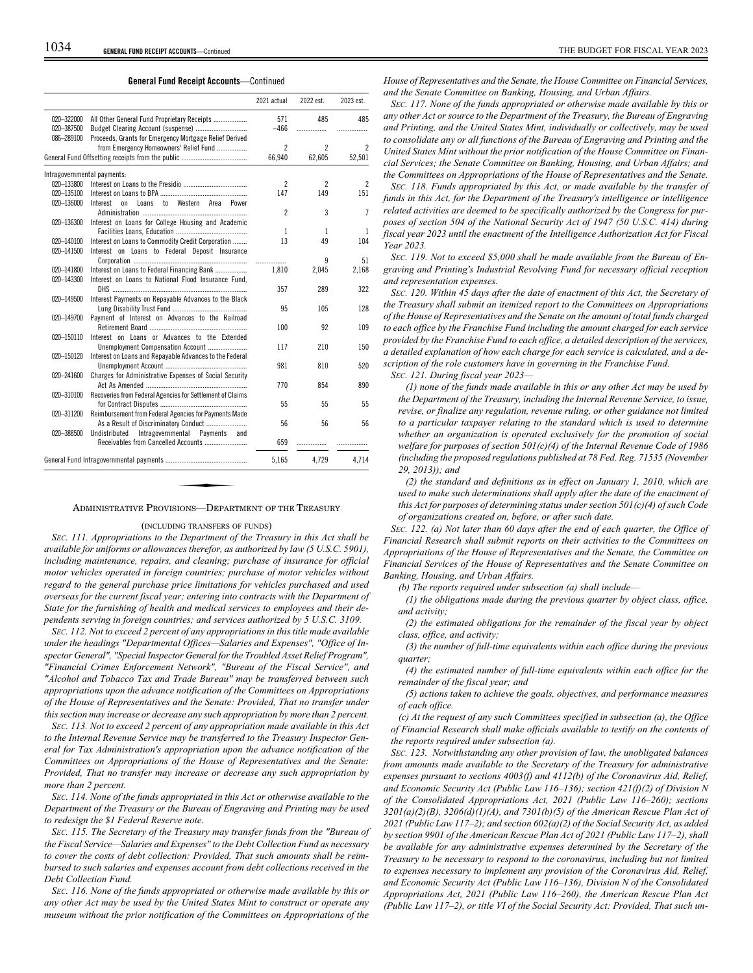**General Fund Receipt Accounts**—Continued

|                          |                                                                    | 2021 actual    | 2022 est.                | 2023 est.      |
|--------------------------|--------------------------------------------------------------------|----------------|--------------------------|----------------|
| 020-322000<br>020-387500 | All Other General Fund Proprietary Receipts                        | 571<br>$-466$  | 485<br>                  | 485<br>.       |
| 086-289100               | Proceeds, Grants for Emergency Mortgage Relief Derived             |                |                          |                |
|                          | from Emergency Homeowners' Relief Fund                             | $\mathfrak{p}$ | 2                        | 2              |
|                          |                                                                    | 66,940         | 62,605                   | 52,501         |
|                          | Intragovernmental payments:                                        |                |                          |                |
| 020-133800               |                                                                    | $\overline{2}$ | $\overline{\phantom{a}}$ | $\overline{c}$ |
| 020-135100               |                                                                    | 147            | 149                      | 151            |
| 020-136000               | Western Area<br>$\mathsf{t}_0$<br>Power<br>Interest<br>0n<br>Loans |                |                          |                |
|                          |                                                                    | $\overline{c}$ | 3                        | 7              |
| 020-136300               | Interest on Loans for College Housing and Academic                 |                |                          |                |
|                          |                                                                    | 1              | 1                        | 1              |
| 020-140100               | Interest on Loans to Commodity Credit Corporation                  | 13             | 49                       | 104            |
| 020-141500               | Interest on Loans to Federal Deposit Insurance                     |                |                          |                |
|                          |                                                                    | .              | q                        | 51             |
| 020-141800               | Interest on Loans to Federal Financing Bank                        | 1.810          | 2,045                    | 2,168          |
| 020-143300               | Interest on Loans to National Flood Insurance Fund,                | 357            | 289                      | 322            |
| 020-149500               | Interest Payments on Repayable Advances to the Black               |                |                          |                |
|                          |                                                                    | 95             | 105                      | 128            |
| 020-149700               | Payment of Interest on Advances to the Railroad                    |                |                          |                |
|                          |                                                                    | 100            | 92                       | 109            |
| 020-150110               | Interest on Loans or Advances to the Extended                      |                |                          |                |
|                          | Unemployment Compensation Account                                  | 117            | 210                      | 150            |
| 020-150120               | Interest on Loans and Repayable Advances to the Federal            |                |                          |                |
|                          |                                                                    | 981            | 810                      | 520            |
| 020-241600               | Charges for Administrative Expenses of Social Security             |                |                          |                |
|                          |                                                                    | 770            | 854                      | 890            |
| 020-310100               | Recoveries from Federal Agencies for Settlement of Claims          |                |                          |                |
|                          |                                                                    | 55             | 55                       | 55             |
| 020-311200               | Reimbursement from Federal Agencies for Payments Made              |                |                          |                |
|                          | As a Result of Discriminatory Conduct                              | 56             | 56                       | 56             |
| 020-388500               | Undistributed<br>Intragovernmental Payments<br>and                 |                |                          |                |
|                          |                                                                    | 659            | .                        |                |
|                          |                                                                    | 5,165          | 4,729                    | 4,714          |

# ADMINISTRATIVE PROVISIONS—DEPARTMENT OF THE TREASURY

# (INCLUDING TRANSFERS OF FUNDS)

*SEC. 111. Appropriations to the Department of the Treasury in this Act shall be available for uniforms or allowances therefor, as authorized by law (5 U.S.C. 5901), including maintenance, repairs, and cleaning; purchase of insurance for official motor vehicles operated in foreign countries; purchase of motor vehicles without regard to the general purchase price limitations for vehicles purchased and used overseas for the current fiscal year; entering into contracts with the Department of State for the furnishing of health and medical services to employees and their dependents serving in foreign countries; and services authorized by 5 U.S.C. 3109.*

*SEC. 112. Not to exceed 2 percent of any appropriations in this title made available under the headings "Departmental Offices—Salaries and Expenses", "Office of Inspector General", "Special Inspector General for the Troubled Asset Relief Program", "Financial Crimes Enforcement Network", "Bureau of the Fiscal Service", and "Alcohol and Tobacco Tax and Trade Bureau" may be transferred between such appropriations upon the advance notification of the Committees on Appropriations of the House of Representatives and the Senate: Provided, That no transfer under this section may increase or decrease any such appropriation by more than 2 percent.*

*SEC. 113. Not to exceed 2 percent of any appropriation made available in this Act to the Internal Revenue Service may be transferred to the Treasury Inspector General for Tax Administration's appropriation upon the advance notification of the Committees on Appropriations of the House of Representatives and the Senate: Provided, That no transfer may increase or decrease any such appropriation by more than 2 percent.*

*SEC. 114. None of the funds appropriated in this Act or otherwise available to the Department of the Treasury or the Bureau of Engraving and Printing may be used to redesign the \$1 Federal Reserve note.*

*SEC. 115. The Secretary of the Treasury may transfer funds from the "Bureau of the Fiscal Service—Salaries and Expenses" to the Debt Collection Fund as necessary to cover the costs of debt collection: Provided, That such amounts shall be reimbursed to such salaries and expenses account from debt collections received in the Debt Collection Fund.*

*SEC. 116. None of the funds appropriated or otherwise made available by this or any other Act may be used by the United States Mint to construct or operate any museum without the prior notification of the Committees on Appropriations of the*

*House of Representatives and the Senate, the House Committee on Financial Services, and the Senate Committee on Banking, Housing, and Urban Affairs.*

*SEC. 117. None of the funds appropriated or otherwise made available by this or any other Act or source to the Department of the Treasury, the Bureau of Engraving and Printing, and the United States Mint, individually or collectively, may be used to consolidate any or all functions of the Bureau of Engraving and Printing and the United States Mint without the prior notification of the House Committee on Financial Services; the Senate Committee on Banking, Housing, and Urban Affairs; and the Committees on Appropriations of the House of Representatives and the Senate.*

*SEC. 118. Funds appropriated by this Act, or made available by the transfer of funds in this Act, for the Department of the Treasury's intelligence or intelligence related activities are deemed to be specifically authorized by the Congress for purposes of section 504 of the National Security Act of 1947 (50 U.S.C. 414) during fiscal year 2023 until the enactment of the Intelligence Authorization Act for Fiscal Year 2023.*

*SEC. 119. Not to exceed \$5,000 shall be made available from the Bureau of Engraving and Printing's Industrial Revolving Fund for necessary official reception and representation expenses.*

*SEC. 120. Within 45 days after the date of enactment of this Act, the Secretary of the Treasury shall submit an itemized report to the Committees on Appropriations of the House of Representatives and the Senate on the amount of total funds charged to each office by the Franchise Fund including the amount charged for each service provided by the Franchise Fund to each office, a detailed description of the services, a detailed explanation of how each charge for each service is calculated, and a description of the role customers have in governing in the Franchise Fund.*

*SEC. 121. During fiscal year 2023—*

*(1) none of the funds made available in this or any other Act may be used by the Department of the Treasury, including the Internal Revenue Service, to issue, revise, or finalize any regulation, revenue ruling, or other guidance not limited to a particular taxpayer relating to the standard which is used to determine whether an organization is operated exclusively for the promotion of social welfare for purposes of section 501(c)(4) of the Internal Revenue Code of 1986 (including the proposed regulations published at 78 Fed. Reg. 71535 (November 29, 2013)); and*

*(2) the standard and definitions as in effect on January 1, 2010, which are used to make such determinations shall apply after the date of the enactment of this Act for purposes of determining status under section 501(c)(4) of such Code of organizations created on, before, or after such date.*

*SEC. 122. (a) Not later than 60 days after the end of each quarter, the Office of Financial Research shall submit reports on their activities to the Committees on Appropriations of the House of Representatives and the Senate, the Committee on Financial Services of the House of Representatives and the Senate Committee on Banking, Housing, and Urban Affairs.*

*(b) The reports required under subsection (a) shall include—*

*(1) the obligations made during the previous quarter by object class, office, and activity;*

*(2) the estimated obligations for the remainder of the fiscal year by object class, office, and activity;*

*(3) the number of full-time equivalents within each office during the previous quarter;*

*(4) the estimated number of full-time equivalents within each office for the remainder of the fiscal year; and*

*(5) actions taken to achieve the goals, objectives, and performance measures of each office.*

*(c) At the request of any such Committees specified in subsection (a), the Office of Financial Research shall make officials available to testify on the contents of the reports required under subsection (a).*

*SEC. 123. Notwithstanding any other provision of law, the unobligated balances from amounts made available to the Secretary of the Treasury for administrative expenses pursuant to sections 4003(f) and 4112(b) of the Coronavirus Aid, Relief, and Economic Security Act (Public Law 116–136); section 421(f)(2) of Division N of the Consolidated Appropriations Act, 2021 (Public Law 116–260); sections 3201(a)(2)(B), 3206(d)(1)(A), and 7301(b)(5) of the American Rescue Plan Act of 2021 (Public Law 117–2); and section 602(a)(2) of the Social Security Act, as added by section 9901 of the American Rescue Plan Act of 2021 (Public Law 117–2), shall be available for any administrative expenses determined by the Secretary of the Treasury to be necessary to respond to the coronavirus, including but not limited to expenses necessary to implement any provision of the Coronavirus Aid, Relief, and Economic Security Act (Public Law 116–136), Division N of the Consolidated Appropriations Act, 2021 (Public Law 116–260), the American Rescue Plan Act (Public Law 117–2), or title VI of the Social Security Act: Provided, That such un-*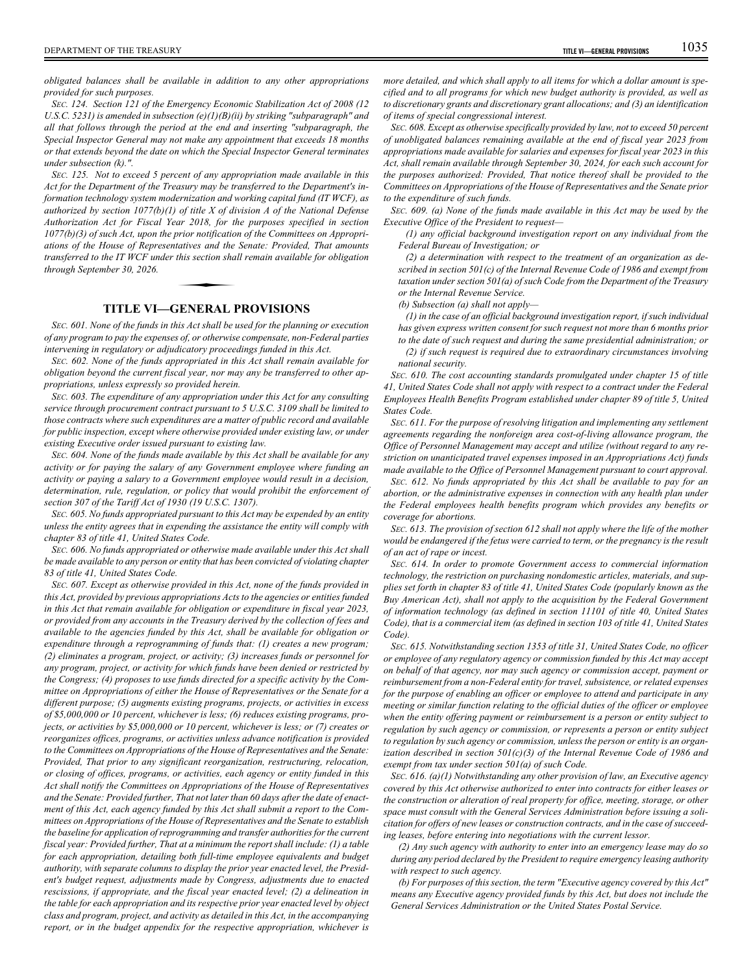*obligated balances shall be available in addition to any other appropriations provided for such purposes.*

*SEC. 124. Section 121 of the Emergency Economic Stabilization Act of 2008 (12 U.S.C. 5231) is amended in subsection (e)(1)(B)(ii) by striking "subparagraph" and all that follows through the period at the end and inserting "subparagraph, the Special Inspector General may not make any appointment that exceeds 18 months or that extends beyond the date on which the Special Inspector General terminates under subsection (k).".*

*SEC. 125. Not to exceed 5 percent of any appropriation made available in this Act for the Department of the Treasury may be transferred to the Department's information technology system modernization and working capital fund (IT WCF), as authorized by section 1077(b)(1) of title X of division A of the National Defense Authorization Act for Fiscal Year 2018, for the purposes specified in section 1077(b)(3) of such Act, upon the prior notification of the Committees on Appropriations of the House of Representatives and the Senate: Provided, That amounts transferred to the IT WCF under this section shall remain available for obligation through September 30, 2026.* prior notificatio.<br>tatives and the<br>this section sha.<br>**EENERAL** 

# **TITLE VI—GENERAL PROVISIONS**

*SEC. 601. None of the funds in this Act shall be used for the planning or execution of any program to pay the expenses of, or otherwise compensate, non-Federal parties intervening in regulatory or adjudicatory proceedings funded in this Act.*

*SEC. 602. None of the funds appropriated in this Act shall remain available for obligation beyond the current fiscal year, nor may any be transferred to other appropriations, unless expressly so provided herein.*

*SEC. 603. The expenditure of any appropriation under this Act for any consulting service through procurement contract pursuant to 5 U.S.C. 3109 shall be limited to those contracts where such expenditures are a matter of public record and available for public inspection, except where otherwise provided under existing law, or under existing Executive order issued pursuant to existing law.*

*SEC. 604. None of the funds made available by this Act shall be available for any activity or for paying the salary of any Government employee where funding an activity or paying a salary to a Government employee would result in a decision, determination, rule, regulation, or policy that would prohibit the enforcement of section 307 of the Tariff Act of 1930 (19 U.S.C. 1307).*

*SEC. 605. No funds appropriated pursuant to this Act may be expended by an entity unless the entity agrees that in expending the assistance the entity will comply with chapter 83 of title 41, United States Code.*

*SEC. 606. No funds appropriated or otherwise made available under this Act shall be made available to any person or entity that has been convicted of violating chapter 83 of title 41, United States Code.*

*SEC. 607. Except as otherwise provided in this Act, none of the funds provided in this Act, provided by previous appropriations Acts to the agencies or entities funded in this Act that remain available for obligation or expenditure in fiscal year 2023, or provided from any accounts in the Treasury derived by the collection of fees and available to the agencies funded by this Act, shall be available for obligation or expenditure through a reprogramming of funds that: (1) creates a new program; (2) eliminates a program, project, or activity; (3) increases funds or personnel for any program, project, or activity for which funds have been denied or restricted by the Congress; (4) proposes to use funds directed for a specific activity by the Committee on Appropriations of either the House of Representatives or the Senate for a different purpose; (5) augments existing programs, projects, or activities in excess of \$5,000,000 or 10 percent, whichever is less; (6) reduces existing programs, projects, or activities by \$5,000,000 or 10 percent, whichever is less; or (7) creates or reorganizes offices, programs, or activities unless advance notification is provided to the Committees on Appropriations of the House of Representatives and the Senate: Provided, That prior to any significant reorganization, restructuring, relocation, or closing of offices, programs, or activities, each agency or entity funded in this Act shall notify the Committees on Appropriations of the House of Representatives and the Senate: Provided further, That not later than 60 days after the date of enactment of this Act, each agency funded by this Act shall submit a report to the Committees on Appropriations of the House of Representatives and the Senate to establish the baseline for application of reprogramming and transfer authorities for the current fiscal year: Provided further, That at a minimum the report shall include: (1) a table for each appropriation, detailing both full-time employee equivalents and budget authority, with separate columns to display the prior year enacted level, the President's budget request, adjustments made by Congress, adjustments due to enacted rescissions, if appropriate, and the fiscal year enacted level; (2) a delineation in the table for each appropriation and its respective prior year enacted level by object class and program, project, and activity as detailed in this Act, in the accompanying report, or in the budget appendix for the respective appropriation, whichever is*

*more detailed, and which shall apply to all items for which a dollar amount is specified and to all programs for which new budget authority is provided, as well as to discretionary grants and discretionary grant allocations; and (3) an identification of items of special congressional interest.*

*SEC. 608. Except as otherwise specifically provided by law, not to exceed 50 percent of unobligated balances remaining available at the end of fiscal year 2023 from appropriations made available for salaries and expenses for fiscal year 2023 in this Act, shall remain available through September 30, 2024, for each such account for the purposes authorized: Provided, That notice thereof shall be provided to the Committees on Appropriations of the House of Representatives and the Senate prior to the expenditure of such funds.*

*SEC. 609. (a) None of the funds made available in this Act may be used by the Executive Office of the President to request—*

*(1) any official background investigation report on any individual from the Federal Bureau of Investigation; or*

*(2) a determination with respect to the treatment of an organization as described in section 501(c) of the Internal Revenue Code of 1986 and exempt from taxation under section 501(a) of such Code from the Department of the Treasury or the Internal Revenue Service.*

*(b) Subsection (a) shall not apply—*

*(1) in the case of an official background investigation report, if such individual has given express written consent for such request not more than 6 months prior to the date of such request and during the same presidential administration; or*

*(2) if such request is required due to extraordinary circumstances involving national security.*

*SEC. 610. The cost accounting standards promulgated under chapter 15 of title 41, United States Code shall not apply with respect to a contract under the Federal Employees Health Benefits Program established under chapter 89 of title 5, United States Code.*

*SEC. 611. For the purpose of resolving litigation and implementing any settlement agreements regarding the nonforeign area cost-of-living allowance program, the Office of Personnel Management may accept and utilize (without regard to any restriction on unanticipated travel expenses imposed in an Appropriations Act) funds made available to the Office of Personnel Management pursuant to court approval.*

*SEC. 612. No funds appropriated by this Act shall be available to pay for an abortion, or the administrative expenses in connection with any health plan under the Federal employees health benefits program which provides any benefits or coverage for abortions.*

*SEC. 613. The provision of section 612 shall not apply where the life of the mother would be endangered if the fetus were carried to term, or the pregnancy is the result of an act of rape or incest.*

*SEC. 614. In order to promote Government access to commercial information technology, the restriction on purchasing nondomestic articles, materials, and supplies set forth in chapter 83 of title 41, United States Code (popularly known as the Buy American Act), shall not apply to the acquisition by the Federal Government of information technology (as defined in section 11101 of title 40, United States Code), that is a commercial item (as defined in section 103 of title 41, United States Code).*

*SEC. 615. Notwithstanding section 1353 of title 31, United States Code, no officer or employee of any regulatory agency or commission funded by this Act may accept on behalf of that agency, nor may such agency or commission accept, payment or reimbursement from a non-Federal entity for travel, subsistence, or related expenses for the purpose of enabling an officer or employee to attend and participate in any meeting or similar function relating to the official duties of the officer or employee when the entity offering payment or reimbursement is a person or entity subject to regulation by such agency or commission, or represents a person or entity subject to regulation by such agency or commission, unless the person or entity is an organization described in section 501(c)(3) of the Internal Revenue Code of 1986 and exempt from tax under section 501(a) of such Code.*

*SEC. 616. (a)(1) Notwithstanding any other provision of law, an Executive agency covered by this Act otherwise authorized to enter into contracts for either leases or the construction or alteration of real property for office, meeting, storage, or other space must consult with the General Services Administration before issuing a solicitation for offers of new leases or construction contracts, and in the case of succeeding leases, before entering into negotiations with the current lessor.*

*(2) Any such agency with authority to enter into an emergency lease may do so during any period declared by the President to require emergency leasing authority with respect to such agency.*

*(b) For purposes of this section, the term "Executive agency covered by this Act" means any Executive agency provided funds by this Act, but does not include the General Services Administration or the United States Postal Service.*